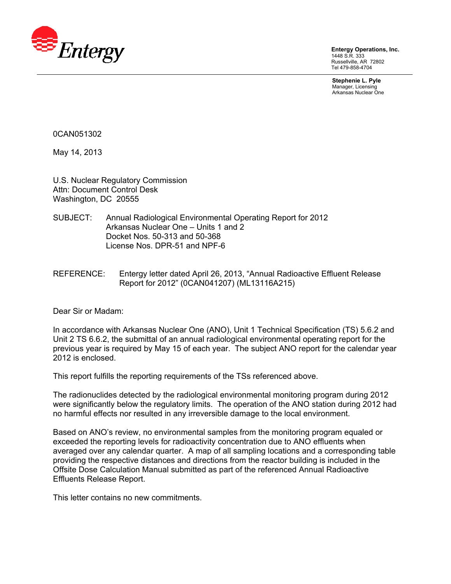

**Entergy Operations, Inc.**  1448 S.R. 333 Russellville, AR 72802 Tel 479-858-4704

**Stephenie L. Pyle**  Manager, Licensing Arkansas Nuclear One

0CAN051302

May 14, 2013

U.S. Nuclear Regulatory Commission Attn: Document Control Desk Washington, DC 20555

- SUBJECT: Annual Radiological Environmental Operating Report for 2012 Arkansas Nuclear One – Units 1 and 2 Docket Nos. 50-313 and 50-368 License Nos. DPR-51 and NPF-6
- REFERENCE: Entergy letter dated April 26, 2013, "Annual Radioactive Effluent Release Report for 2012" (0CAN041207) (ML13116A215)

Dear Sir or Madam:

In accordance with Arkansas Nuclear One (ANO), Unit 1 Technical Specification (TS) 5.6.2 and Unit 2 TS 6.6.2, the submittal of an annual radiological environmental operating report for the previous year is required by May 15 of each year. The subject ANO report for the calendar year 2012 is enclosed.

This report fulfills the reporting requirements of the TSs referenced above.

The radionuclides detected by the radiological environmental monitoring program during 2012 were significantly below the regulatory limits. The operation of the ANO station during 2012 had no harmful effects nor resulted in any irreversible damage to the local environment.

Based on ANO's review, no environmental samples from the monitoring program equaled or exceeded the reporting levels for radioactivity concentration due to ANO effluents when averaged over any calendar quarter. A map of all sampling locations and a corresponding table providing the respective distances and directions from the reactor building is included in the Offsite Dose Calculation Manual submitted as part of the referenced Annual Radioactive Effluents Release Report.

This letter contains no new commitments.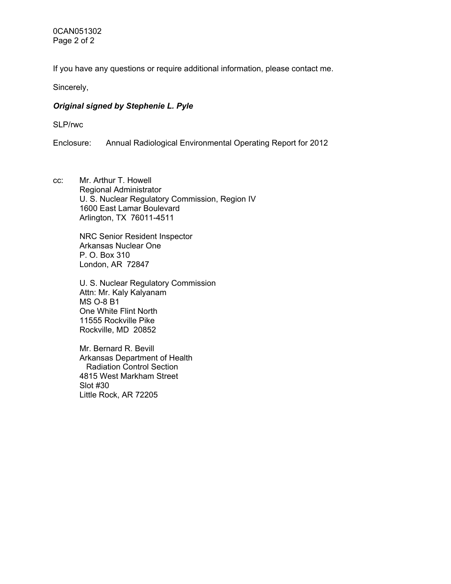0CAN051302 Page 2 of 2

If you have any questions or require additional information, please contact me.

Sincerely,

#### *Original signed by Stephenie L. Pyle*

SLP/rwc

Enclosure: Annual Radiological Environmental Operating Report for 2012

cc: Mr. Arthur T. Howell Regional Administrator U. S. Nuclear Regulatory Commission, Region IV 1600 East Lamar Boulevard Arlington, TX 76011-4511

> NRC Senior Resident Inspector Arkansas Nuclear One P. O. Box 310 London, AR 72847

U. S. Nuclear Regulatory Commission Attn: Mr. Kaly Kalyanam MS O-8 B1 One White Flint North 11555 Rockville Pike Rockville, MD 20852

Mr. Bernard R. Bevill Arkansas Department of Health Radiation Control Section 4815 West Markham Street Slot #30 Little Rock, AR 72205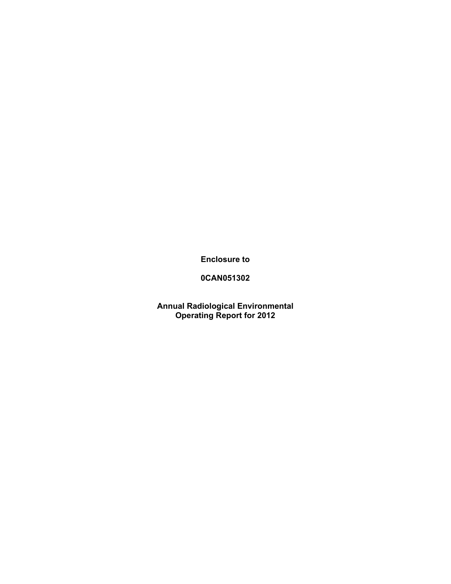**Enclosure to** 

## **0CAN051302**

**Annual Radiological Environmental Operating Report for 2012**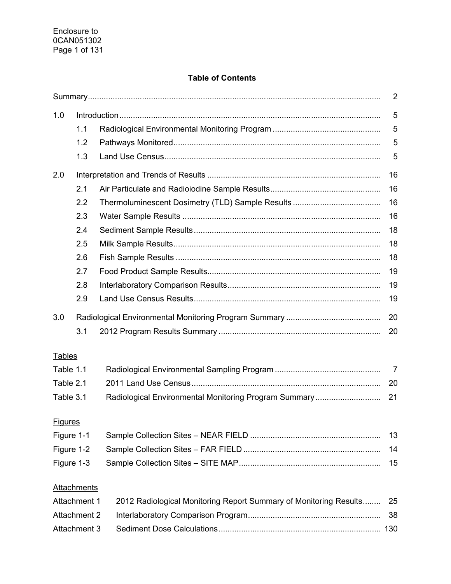## **Table of Contents**

| 1.0                                                                               |                    |                                                       |                |  |
|-----------------------------------------------------------------------------------|--------------------|-------------------------------------------------------|----------------|--|
|                                                                                   | 1.1                |                                                       | 5              |  |
|                                                                                   | 1.2                |                                                       | 5              |  |
|                                                                                   | 1.3                |                                                       | 5              |  |
| 2.0                                                                               |                    |                                                       | 16             |  |
|                                                                                   | 2.1                |                                                       | 16             |  |
|                                                                                   | 2.2                |                                                       | 16             |  |
|                                                                                   | 2.3                |                                                       | 16             |  |
|                                                                                   | 2.4                |                                                       | 18             |  |
|                                                                                   | 2.5                |                                                       | 18             |  |
|                                                                                   | 2.6                |                                                       | 18             |  |
|                                                                                   | 2.7                |                                                       | 19             |  |
|                                                                                   | 2.8                |                                                       | 19             |  |
|                                                                                   | 2.9                |                                                       | 19             |  |
| 3.0                                                                               |                    |                                                       | 20             |  |
|                                                                                   | 3.1                |                                                       | 20             |  |
| <b>Tables</b>                                                                     |                    |                                                       |                |  |
| Table 1.1                                                                         |                    |                                                       | $\overline{7}$ |  |
| Table 2.1                                                                         |                    |                                                       | 20             |  |
| Table 3.1                                                                         |                    | Radiological Environmental Monitoring Program Summary | 21             |  |
| <b>Figures</b>                                                                    |                    |                                                       |                |  |
|                                                                                   |                    |                                                       | 13             |  |
| Figure 1-1<br>Figure 1-2                                                          |                    |                                                       |                |  |
| Figure 1-3                                                                        |                    |                                                       | 14<br>15       |  |
|                                                                                   |                    |                                                       |                |  |
|                                                                                   | <b>Attachments</b> |                                                       |                |  |
| Attachment 1<br>2012 Radiological Monitoring Report Summary of Monitoring Results |                    |                                                       | 25             |  |
| <b>Attachment 2</b>                                                               |                    |                                                       | 38             |  |
|                                                                                   | Attachment 3       |                                                       |                |  |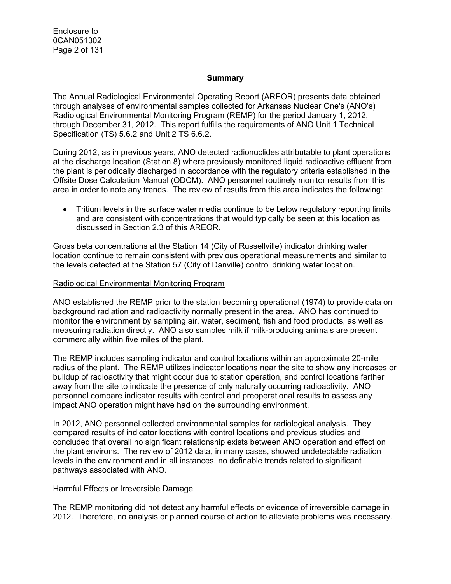Enclosure to 0CAN051302 Page 2 of 131

#### **Summary**

The Annual Radiological Environmental Operating Report (AREOR) presents data obtained through analyses of environmental samples collected for Arkansas Nuclear One's (ANO's) Radiological Environmental Monitoring Program (REMP) for the period January 1, 2012, through December 31, 2012. This report fulfills the requirements of ANO Unit 1 Technical Specification (TS) 5.6.2 and Unit 2 TS 6.6.2.

During 2012, as in previous years, ANO detected radionuclides attributable to plant operations at the discharge location (Station 8) where previously monitored liquid radioactive effluent from the plant is periodically discharged in accordance with the regulatory criteria established in the Offsite Dose Calculation Manual (ODCM). ANO personnel routinely monitor results from this area in order to note any trends. The review of results from this area indicates the following:

• Tritium levels in the surface water media continue to be below regulatory reporting limits and are consistent with concentrations that would typically be seen at this location as discussed in Section 2.3 of this AREOR.

Gross beta concentrations at the Station 14 (City of Russellville) indicator drinking water location continue to remain consistent with previous operational measurements and similar to the levels detected at the Station 57 (City of Danville) control drinking water location.

#### Radiological Environmental Monitoring Program

ANO established the REMP prior to the station becoming operational (1974) to provide data on background radiation and radioactivity normally present in the area. ANO has continued to monitor the environment by sampling air, water, sediment, fish and food products, as well as measuring radiation directly. ANO also samples milk if milk-producing animals are present commercially within five miles of the plant.

The REMP includes sampling indicator and control locations within an approximate 20-mile radius of the plant. The REMP utilizes indicator locations near the site to show any increases or buildup of radioactivity that might occur due to station operation, and control locations farther away from the site to indicate the presence of only naturally occurring radioactivity. ANO personnel compare indicator results with control and preoperational results to assess any impact ANO operation might have had on the surrounding environment.

In 2012, ANO personnel collected environmental samples for radiological analysis. They compared results of indicator locations with control locations and previous studies and concluded that overall no significant relationship exists between ANO operation and effect on the plant environs. The review of 2012 data, in many cases, showed undetectable radiation levels in the environment and in all instances, no definable trends related to significant pathways associated with ANO.

#### Harmful Effects or Irreversible Damage

The REMP monitoring did not detect any harmful effects or evidence of irreversible damage in 2012. Therefore, no analysis or planned course of action to alleviate problems was necessary.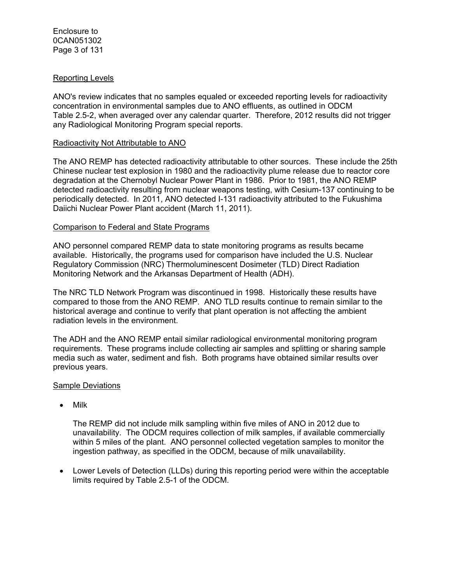#### Reporting Levels

ANO's review indicates that no samples equaled or exceeded reporting levels for radioactivity concentration in environmental samples due to ANO effluents, as outlined in ODCM Table 2.5-2, when averaged over any calendar quarter. Therefore, 2012 results did not trigger any Radiological Monitoring Program special reports.

#### Radioactivity Not Attributable to ANO

The ANO REMP has detected radioactivity attributable to other sources. These include the 25th Chinese nuclear test explosion in 1980 and the radioactivity plume release due to reactor core degradation at the Chernobyl Nuclear Power Plant in 1986. Prior to 1981, the ANO REMP detected radioactivity resulting from nuclear weapons testing, with Cesium-137 continuing to be periodically detected. In 2011, ANO detected I-131 radioactivity attributed to the Fukushima Daiichi Nuclear Power Plant accident (March 11, 2011).

#### Comparison to Federal and State Programs

ANO personnel compared REMP data to state monitoring programs as results became available. Historically, the programs used for comparison have included the U.S. Nuclear Regulatory Commission (NRC) Thermoluminescent Dosimeter (TLD) Direct Radiation Monitoring Network and the Arkansas Department of Health (ADH).

The NRC TLD Network Program was discontinued in 1998. Historically these results have compared to those from the ANO REMP. ANO TLD results continue to remain similar to the historical average and continue to verify that plant operation is not affecting the ambient radiation levels in the environment.

The ADH and the ANO REMP entail similar radiological environmental monitoring program requirements. These programs include collecting air samples and splitting or sharing sample media such as water, sediment and fish. Both programs have obtained similar results over previous years.

#### Sample Deviations

• Milk

The REMP did not include milk sampling within five miles of ANO in 2012 due to unavailability. The ODCM requires collection of milk samples, if available commercially within 5 miles of the plant. ANO personnel collected vegetation samples to monitor the ingestion pathway, as specified in the ODCM, because of milk unavailability.

• Lower Levels of Detection (LLDs) during this reporting period were within the acceptable limits required by Table 2.5-1 of the ODCM.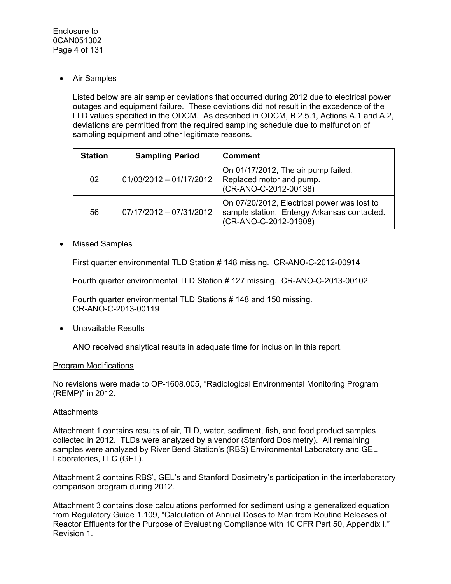• Air Samples

Listed below are air sampler deviations that occurred during 2012 due to electrical power outages and equipment failure. These deviations did not result in the excedence of the LLD values specified in the ODCM. As described in ODCM, B 2.5.1, Actions A.1 and A.2, deviations are permitted from the required sampling schedule due to malfunction of sampling equipment and other legitimate reasons.

| <b>Station</b> | <b>Sampling Period</b>    | <b>Comment</b>                                                                                                      |
|----------------|---------------------------|---------------------------------------------------------------------------------------------------------------------|
| 02             | $01/03/2012 - 01/17/2012$ | On 01/17/2012, The air pump failed.<br>Replaced motor and pump.<br>(CR-ANO-C-2012-00138)                            |
| 56             | 07/17/2012 - 07/31/2012   | On 07/20/2012, Electrical power was lost to<br>sample station. Entergy Arkansas contacted.<br>(CR-ANO-C-2012-01908) |

• Missed Samples

First quarter environmental TLD Station # 148 missing. CR-ANO-C-2012-00914

Fourth quarter environmental TLD Station # 127 missing. CR-ANO-C-2013-00102

Fourth quarter environmental TLD Stations # 148 and 150 missing. CR-ANO-C-2013-00119

• Unavailable Results

ANO received analytical results in adequate time for inclusion in this report.

#### Program Modifications

No revisions were made to OP-1608.005, "Radiological Environmental Monitoring Program (REMP)" in 2012.

#### **Attachments**

Attachment 1 contains results of air, TLD, water, sediment, fish, and food product samples collected in 2012. TLDs were analyzed by a vendor (Stanford Dosimetry). All remaining samples were analyzed by River Bend Station's (RBS) Environmental Laboratory and GEL Laboratories, LLC (GEL).

Attachment 2 contains RBS', GEL's and Stanford Dosimetry's participation in the interlaboratory comparison program during 2012.

Attachment 3 contains dose calculations performed for sediment using a generalized equation from Regulatory Guide 1.109, "Calculation of Annual Doses to Man from Routine Releases of Reactor Effluents for the Purpose of Evaluating Compliance with 10 CFR Part 50, Appendix I," Revision 1.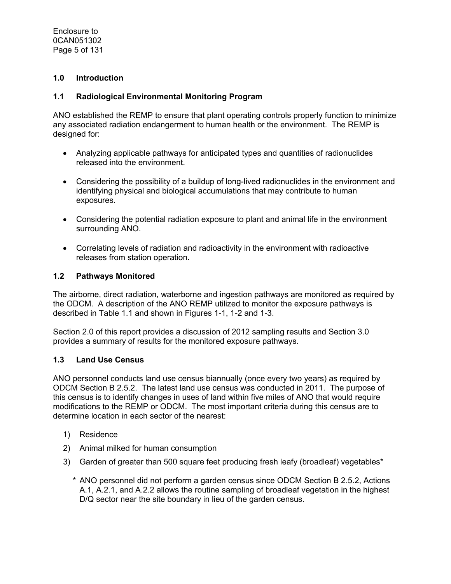Enclosure to 0CAN051302 Page 5 of 131

### **1.0 Introduction**

#### **1.1 Radiological Environmental Monitoring Program**

ANO established the REMP to ensure that plant operating controls properly function to minimize any associated radiation endangerment to human health or the environment. The REMP is designed for:

- Analyzing applicable pathways for anticipated types and quantities of radionuclides released into the environment.
- Considering the possibility of a buildup of long-lived radionuclides in the environment and identifying physical and biological accumulations that may contribute to human exposures.
- Considering the potential radiation exposure to plant and animal life in the environment surrounding ANO.
- Correlating levels of radiation and radioactivity in the environment with radioactive releases from station operation.

#### **1.2 Pathways Monitored**

The airborne, direct radiation, waterborne and ingestion pathways are monitored as required by the ODCM. A description of the ANO REMP utilized to monitor the exposure pathways is described in Table 1.1 and shown in Figures 1-1, 1-2 and 1-3.

Section 2.0 of this report provides a discussion of 2012 sampling results and Section 3.0 provides a summary of results for the monitored exposure pathways.

#### **1.3 Land Use Census**

ANO personnel conducts land use census biannually (once every two years) as required by ODCM Section B 2.5.2. The latest land use census was conducted in 2011. The purpose of this census is to identify changes in uses of land within five miles of ANO that would require modifications to the REMP or ODCM. The most important criteria during this census are to determine location in each sector of the nearest:

- 1) Residence
- 2) Animal milked for human consumption
- 3) Garden of greater than 500 square feet producing fresh leafy (broadleaf) vegetables\*
	- \* ANO personnel did not perform a garden census since ODCM Section B 2.5.2, Actions A.1, A.2.1, and A.2.2 allows the routine sampling of broadleaf vegetation in the highest D/Q sector near the site boundary in lieu of the garden census.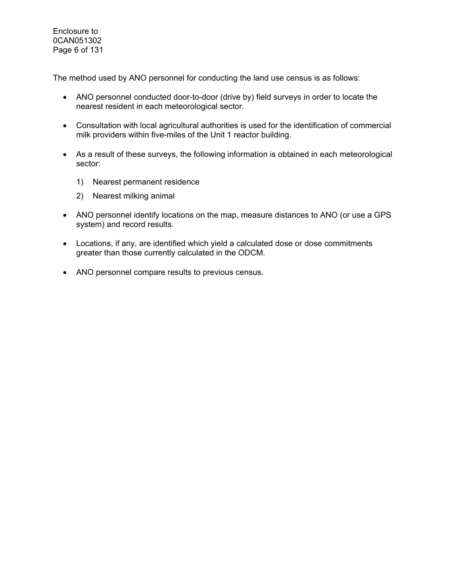Enclosure to 0CAN051302 Page 6 of 131

The method used by ANO personnel for conducting the land use census is as follows:

- ANO personnel conducted door-to-door (drive by) field surveys in order to locate the nearest resident in each meteorological sector.
- Consultation with local agricultural authorities is used for the identification of commercial milk providers within five-miles of the Unit 1 reactor building.
- As a result of these surveys, the following information is obtained in each meteorological sector:
	- 1) Nearest permanent residence
	- 2) Nearest milking animal
- ANO personnel identify locations on the map, measure distances to ANO (or use a GPS system) and record results.
- Locations, if any, are identified which yield a calculated dose or dose commitments greater than those currently calculated in the ODCM.
- ANO personnel compare results to previous census.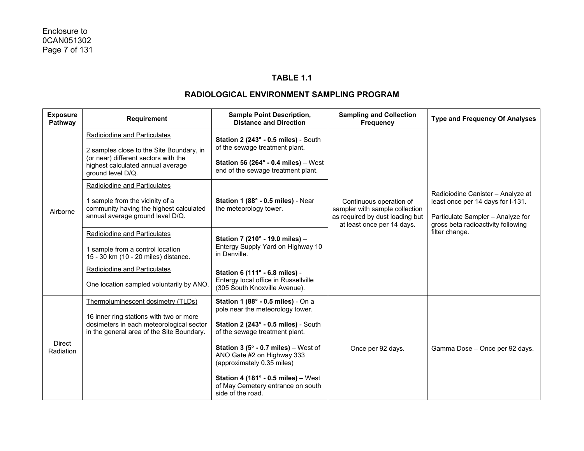### **TABLE 1.1**

| <b>Exposure</b><br>Pathway | Requirement                                                                                                                      | <b>Sample Point Description,</b><br><b>Distance and Direction</b>                                                           | <b>Sampling and Collection</b><br><b>Frequency</b>                                                                         |                                                                                                                                                                     |
|----------------------------|----------------------------------------------------------------------------------------------------------------------------------|-----------------------------------------------------------------------------------------------------------------------------|----------------------------------------------------------------------------------------------------------------------------|---------------------------------------------------------------------------------------------------------------------------------------------------------------------|
|                            | Radioiodine and Particulates<br>2 samples close to the Site Boundary, in<br>(or near) different sectors with the                 | Station 2 (243° - 0.5 miles) - South<br>of the sewage treatment plant.                                                      |                                                                                                                            |                                                                                                                                                                     |
|                            | highest calculated annual average<br>ground level D/Q.                                                                           | Station 56 (264 $\degree$ - 0.4 miles) – West<br>end of the sewage treatment plant.                                         |                                                                                                                            |                                                                                                                                                                     |
|                            | Radioiodine and Particulates                                                                                                     |                                                                                                                             |                                                                                                                            |                                                                                                                                                                     |
| Airborne                   | 1 sample from the vicinity of a<br>community having the highest calculated<br>annual average ground level D/Q.                   | Station 1 (88° - 0.5 miles) - Near<br>the meteorology tower.                                                                | Continuous operation of<br>sampler with sample collection<br>as required by dust loading but<br>at least once per 14 days. | Radioiodine Canister - Analyze at<br>least once per 14 days for I-131.<br>Particulate Sampler - Analyze for<br>gross beta radioactivity following<br>filter change. |
|                            | Radioiodine and Particulates                                                                                                     | Station 7 (210° - 19.0 miles) -                                                                                             |                                                                                                                            |                                                                                                                                                                     |
|                            | 1 sample from a control location<br>15 - 30 km (10 - 20 miles) distance.                                                         | Entergy Supply Yard on Highway 10<br>in Danville.                                                                           |                                                                                                                            |                                                                                                                                                                     |
|                            | <b>Radioiodine and Particulates</b>                                                                                              | Station 6 (111° - 6.8 miles) -                                                                                              |                                                                                                                            |                                                                                                                                                                     |
|                            | One location sampled voluntarily by ANO.                                                                                         | Entergy local office in Russellville<br>(305 South Knoxville Avenue).                                                       |                                                                                                                            |                                                                                                                                                                     |
|                            | Thermoluminescent dosimetry (TLDs)                                                                                               | Station 1 (88° - 0.5 miles) - On a<br>pole near the meteorology tower.                                                      |                                                                                                                            |                                                                                                                                                                     |
| <b>Direct</b><br>Radiation | 16 inner ring stations with two or more<br>dosimeters in each meteorological sector<br>in the general area of the Site Boundary. | Station 2 (243° - 0.5 miles) - South<br>of the sewage treatment plant.                                                      |                                                                                                                            |                                                                                                                                                                     |
|                            |                                                                                                                                  | <b>Station 3 (5<math>^{\circ}</math> - 0.7 miles)</b> – West of<br>ANO Gate #2 on Highway 333<br>(approximately 0.35 miles) | Once per 92 days.                                                                                                          | Gamma Dose - Once per 92 days.                                                                                                                                      |
|                            |                                                                                                                                  | Station 4 (181 $^{\circ}$ - 0.5 miles) - West<br>of May Cemetery entrance on south<br>side of the road.                     |                                                                                                                            |                                                                                                                                                                     |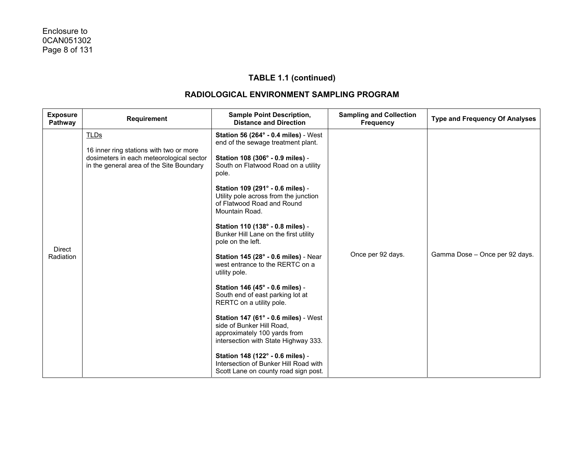| <b>Exposure</b><br>Pathway | <b>Requirement</b>                                                                                                                             | <b>Sample Point Description,</b><br><b>Distance and Direction</b>                                                                                                                                                                                                                                                                                                                                                                                                                                                                                                                                                                                                                                                                                                                                                                                                            | <b>Sampling and Collection</b><br><b>Frequency</b> | <b>Type and Frequency Of Analyses</b> |
|----------------------------|------------------------------------------------------------------------------------------------------------------------------------------------|------------------------------------------------------------------------------------------------------------------------------------------------------------------------------------------------------------------------------------------------------------------------------------------------------------------------------------------------------------------------------------------------------------------------------------------------------------------------------------------------------------------------------------------------------------------------------------------------------------------------------------------------------------------------------------------------------------------------------------------------------------------------------------------------------------------------------------------------------------------------------|----------------------------------------------------|---------------------------------------|
| <b>Direct</b><br>Radiation | <b>TLDs</b><br>16 inner ring stations with two or more<br>dosimeters in each meteorological sector<br>in the general area of the Site Boundary | <b>Station 56 (264° - 0.4 miles)</b> - West<br>end of the sewage treatment plant.<br>Station 108 (306° - 0.9 miles) -<br>South on Flatwood Road on a utility<br>pole.<br>Station 109 (291° - 0.6 miles) -<br>Utility pole across from the junction<br>of Flatwood Road and Round<br>Mountain Road.<br>Station 110 (138° - 0.8 miles) -<br>Bunker Hill Lane on the first utility<br>pole on the left.<br><b>Station 145 (28° - 0.6 miles) - Near</b><br>west entrance to the RERTC on a<br>utility pole.<br>Station 146 (45° - 0.6 miles) -<br>South end of east parking lot at<br>RERTC on a utility pole.<br>Station 147 (61° - 0.6 miles) - West<br>side of Bunker Hill Road,<br>approximately 100 yards from<br>intersection with State Highway 333.<br>Station 148 (122° - 0.6 miles) -<br>Intersection of Bunker Hill Road with<br>Scott Lane on county road sign post. | Once per 92 days.                                  | Gamma Dose - Once per 92 days.        |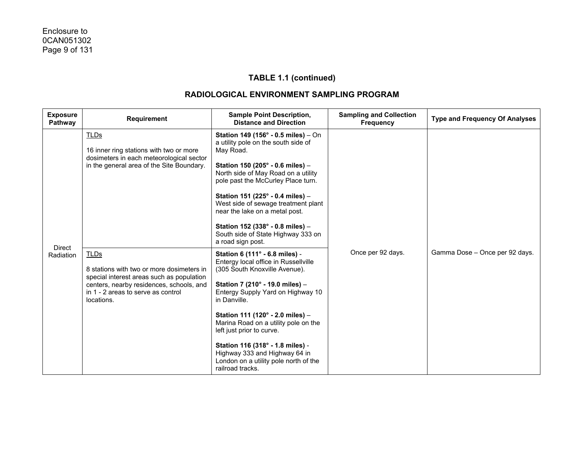| <b>Exposure</b><br>Pathway | <b>Requirement</b>                                                                                                                                                                                    | <b>Sample Point Description,</b><br><b>Distance and Direction</b>                                                                                                                                                                                                                                                                                                                                                                          | <b>Sampling and Collection</b><br><b>Frequency</b> | <b>Type and Frequency Of Analyses</b> |
|----------------------------|-------------------------------------------------------------------------------------------------------------------------------------------------------------------------------------------------------|--------------------------------------------------------------------------------------------------------------------------------------------------------------------------------------------------------------------------------------------------------------------------------------------------------------------------------------------------------------------------------------------------------------------------------------------|----------------------------------------------------|---------------------------------------|
| <b>Direct</b>              | TLDs<br>16 inner ring stations with two or more<br>dosimeters in each meteorological sector<br>in the general area of the Site Boundary.                                                              | Station 149 (156° - 0.5 miles) - On<br>a utility pole on the south side of<br>May Road.<br>Station 150 (205° - 0.6 miles) -<br>North side of May Road on a utility<br>pole past the McCurley Place turn.<br>Station 151 (225° - 0.4 miles) -<br>West side of sewage treatment plant<br>near the lake on a metal post.<br>Station 152 (338° - 0.8 miles) -<br>South side of State Highway 333 on<br>a road sign post.                       |                                                    |                                       |
| Radiation                  | <b>TLDs</b><br>8 stations with two or more dosimeters in<br>special interest areas such as population<br>centers, nearby residences, schools, and<br>in 1 - 2 areas to serve as control<br>locations. | Station 6 (111° - 6.8 miles) -<br>Entergy local office in Russellville<br>(305 South Knoxville Avenue).<br>Station 7 (210° - 19.0 miles) -<br>Entergy Supply Yard on Highway 10<br>in Danville.<br>Station 111 (120° - 2.0 miles) -<br>Marina Road on a utility pole on the<br>left just prior to curve.<br>Station 116 (318° - 1.8 miles) -<br>Highway 333 and Highway 64 in<br>London on a utility pole north of the<br>railroad tracks. | Once per 92 days.                                  | Gamma Dose - Once per 92 days.        |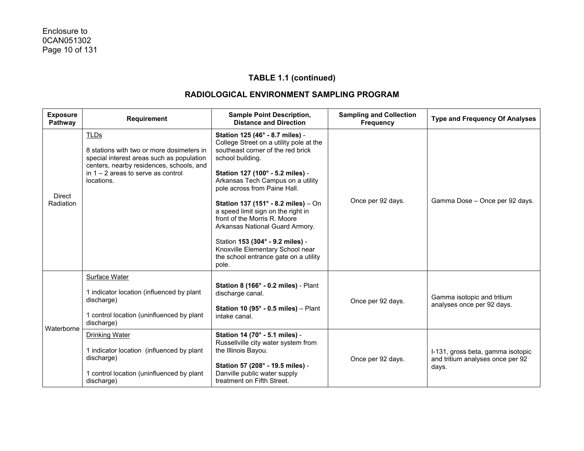| <b>Exposure</b><br>Pathway | <b>Requirement</b>                                                                                                                                                                                      | <b>Sample Point Description,</b><br><b>Distance and Direction</b>                                                                                                                                                                                                                                                                                                                                                                                                                                                      | <b>Sampling and Collection</b><br>Frequency | <b>Type and Frequency Of Analyses</b>                                          |
|----------------------------|---------------------------------------------------------------------------------------------------------------------------------------------------------------------------------------------------------|------------------------------------------------------------------------------------------------------------------------------------------------------------------------------------------------------------------------------------------------------------------------------------------------------------------------------------------------------------------------------------------------------------------------------------------------------------------------------------------------------------------------|---------------------------------------------|--------------------------------------------------------------------------------|
| <b>Direct</b><br>Radiation | <b>TLDs</b><br>8 stations with two or more dosimeters in<br>special interest areas such as population<br>centers, nearby residences, schools, and<br>in $1 - 2$ areas to serve as control<br>locations. | Station 125 (46° - 8.7 miles) -<br>College Street on a utility pole at the<br>southeast corner of the red brick<br>school building.<br>Station 127 (100° - 5.2 miles) -<br>Arkansas Tech Campus on a utility<br>pole across from Paine Hall.<br>Station 137 (151° - 8.2 miles) - On<br>a speed limit sign on the right in<br>front of the Morris R. Moore<br>Arkansas National Guard Armory.<br>Station 153 (304° - 9.2 miles) -<br>Knoxville Elementary School near<br>the school entrance gate on a utility<br>pole. | Once per 92 days.                           | Gamma Dose - Once per 92 days.                                                 |
| Waterborne                 | Surface Water<br>1 indicator location (influenced by plant<br>discharge)<br>1 control location (uninfluenced by plant<br>discharge)                                                                     | Station 8 (166° - 0.2 miles) - Plant<br>discharge canal.<br>Station 10 (95 $^{\circ}$ - 0.5 miles) - Plant<br>intake canal.                                                                                                                                                                                                                                                                                                                                                                                            | Once per 92 days.                           | Gamma isotopic and tritium<br>analyses once per 92 days.                       |
|                            | <b>Drinking Water</b><br>1 indicator location (influenced by plant<br>discharge)<br>1 control location (uninfluenced by plant<br>discharge)                                                             | Station 14 (70° - 5.1 miles) -<br>Russellville city water system from<br>the Illinois Bayou.<br>Station 57 (208° - 19.5 miles) -<br>Danville public water supply<br>treatment on Fifth Street.                                                                                                                                                                                                                                                                                                                         | Once per 92 days.                           | I-131, gross beta, gamma isotopic<br>and tritium analyses once per 92<br>days. |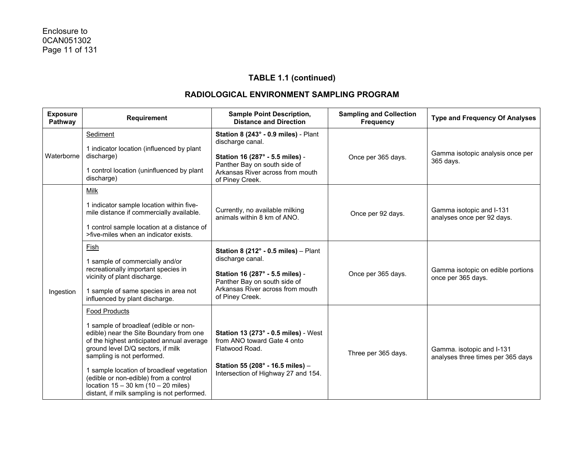| <b>Exposure</b><br>Pathway | Requirement                                                                                                                                                                                                                                                                                                                                                                                              | <b>Sample Point Description,</b><br><b>Distance and Direction</b>                                                                                                                            | <b>Sampling and Collection</b><br><b>Frequency</b> | <b>Type and Frequency Of Analyses</b>                          |
|----------------------------|----------------------------------------------------------------------------------------------------------------------------------------------------------------------------------------------------------------------------------------------------------------------------------------------------------------------------------------------------------------------------------------------------------|----------------------------------------------------------------------------------------------------------------------------------------------------------------------------------------------|----------------------------------------------------|----------------------------------------------------------------|
| Waterborne                 | Sediment<br>1 indicator location (influenced by plant<br>discharge)<br>1 control location (uninfluenced by plant<br>discharge)                                                                                                                                                                                                                                                                           | Station 8 (243° - 0.9 miles) - Plant<br>discharge canal.<br>Station 16 (287° - 5.5 miles) -<br>Panther Bay on south side of<br>Arkansas River across from mouth<br>of Piney Creek.           | Once per 365 days.                                 | Gamma isotopic analysis once per<br>365 days.                  |
| Ingestion                  | Milk<br>1 indicator sample location within five-<br>mile distance if commercially available.<br>1 control sample location at a distance of<br>>five-miles when an indicator exists.                                                                                                                                                                                                                      | Currently, no available milking<br>animals within 8 km of ANO.                                                                                                                               | Once per 92 days.                                  | Gamma isotopic and I-131<br>analyses once per 92 days.         |
|                            | Fish<br>1 sample of commercially and/or<br>recreationally important species in<br>vicinity of plant discharge.<br>1 sample of same species in area not<br>influenced by plant discharge.                                                                                                                                                                                                                 | Station 8 (212 $^{\circ}$ - 0.5 miles) - Plant<br>discharge canal.<br>Station 16 (287° - 5.5 miles) -<br>Panther Bay on south side of<br>Arkansas River across from mouth<br>of Piney Creek. | Once per 365 days.                                 | Gamma isotopic on edible portions<br>once per 365 days.        |
|                            | <b>Food Products</b><br>1 sample of broadleaf (edible or non-<br>edible) near the Site Boundary from one<br>of the highest anticipated annual average<br>ground level D/Q sectors, if milk<br>sampling is not performed.<br>1 sample location of broadleaf vegetation<br>(edible or non-edible) from a control<br>location $15 - 30$ km $(10 - 20$ miles)<br>distant, if milk sampling is not performed. | <b>Station 13 (273° - 0.5 miles)</b> - West<br>from ANO toward Gate 4 onto<br>Flatwood Road.<br>Station 55 (208° - 16.5 miles) -<br>Intersection of Highway 27 and 154.                      | Three per 365 days.                                | Gamma. isotopic and I-131<br>analyses three times per 365 days |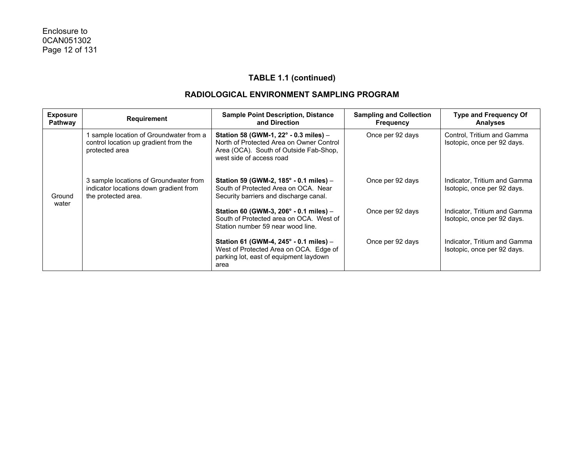| <b>Exposure</b><br>Pathway | Requirement                                                                                             | <b>Sample Point Description, Distance</b><br>and Direction                                                                                              | <b>Sampling and Collection</b><br><b>Frequency</b> | <b>Type and Frequency Of</b><br><b>Analyses</b>             |
|----------------------------|---------------------------------------------------------------------------------------------------------|---------------------------------------------------------------------------------------------------------------------------------------------------------|----------------------------------------------------|-------------------------------------------------------------|
|                            | sample location of Groundwater from a<br>control location up gradient from the<br>protected area        | Station 58 (GWM-1, 22° - 0.3 miles) -<br>North of Protected Area on Owner Control<br>Area (OCA). South of Outside Fab-Shop,<br>west side of access road | Once per 92 days                                   | Control, Tritium and Gamma<br>Isotopic, once per 92 days.   |
| Ground<br>water            | 3 sample locations of Groundwater from<br>indicator locations down gradient from<br>the protected area. | Station 59 (GWM-2, $185^{\circ}$ - 0.1 miles) -<br>South of Protected Area on OCA. Near<br>Security barriers and discharge canal.                       | Once per 92 days                                   | Indicator, Tritium and Gamma<br>Isotopic, once per 92 days. |
|                            |                                                                                                         | Station 60 (GWM-3, 206 $^{\circ}$ - 0.1 miles) -<br>South of Protected area on OCA. West of<br>Station number 59 near wood line.                        | Once per 92 days                                   | Indicator, Tritium and Gamma<br>Isotopic, once per 92 days. |
|                            |                                                                                                         | Station 61 (GWM-4, $245^{\circ}$ - 0.1 miles) -<br>West of Protected Area on OCA. Edge of<br>parking lot, east of equipment laydown<br>area             | Once per 92 days                                   | Indicator, Tritium and Gamma<br>Isotopic, once per 92 days. |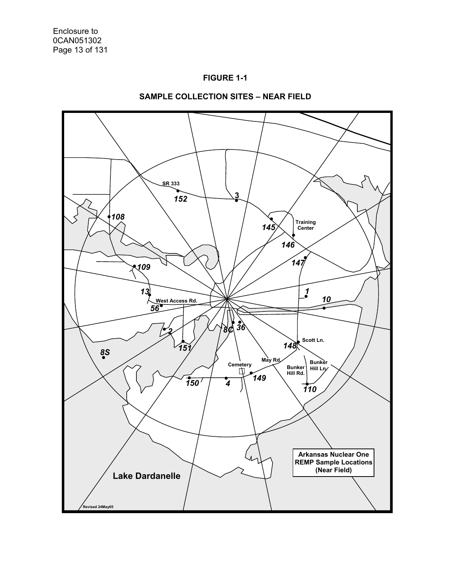



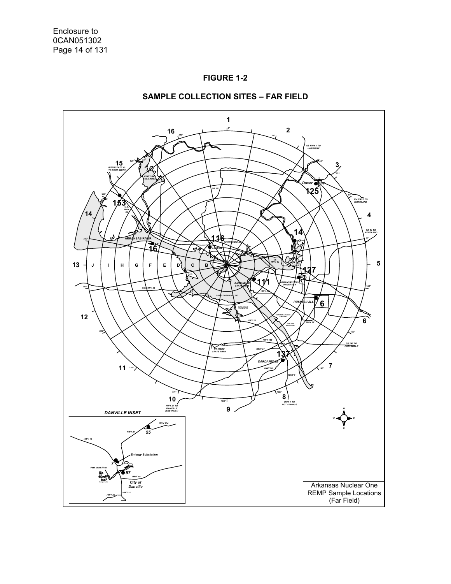



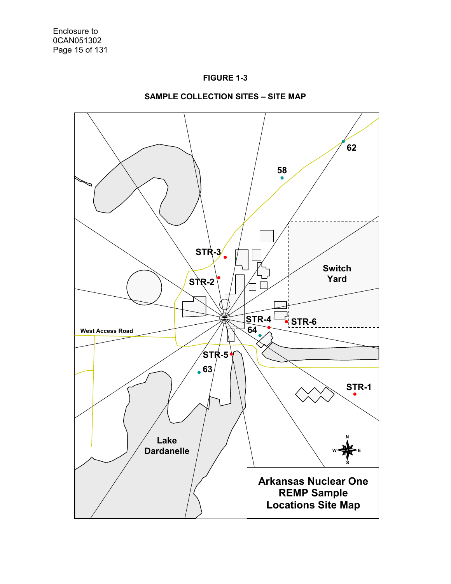



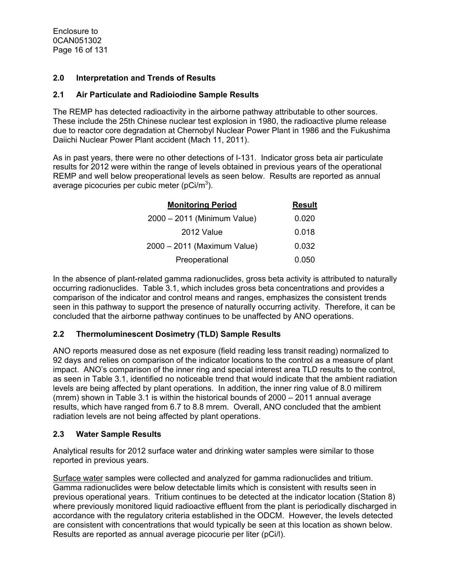Enclosure to 0CAN051302 Page 16 of 131

#### **2.0 Interpretation and Trends of Results**

#### **2.1 Air Particulate and Radioiodine Sample Results**

The REMP has detected radioactivity in the airborne pathway attributable to other sources. These include the 25th Chinese nuclear test explosion in 1980, the radioactive plume release due to reactor core degradation at Chernobyl Nuclear Power Plant in 1986 and the Fukushima Daiichi Nuclear Power Plant accident (Mach 11, 2011).

As in past years, there were no other detections of I-131. Indicator gross beta air particulate results for 2012 were within the range of levels obtained in previous years of the operational REMP and well below preoperational levels as seen below. Results are reported as annual average picocuries per cubic meter (pCi/m<sup>3</sup>).

| <b>Monitoring Period</b>    | <b>Result</b> |
|-----------------------------|---------------|
| 2000 - 2011 (Minimum Value) | 0.020         |
| 2012 Value                  | 0.018         |
| 2000 - 2011 (Maximum Value) | 0.032         |
| Preoperational              | 0.050         |

In the absence of plant-related gamma radionuclides, gross beta activity is attributed to naturally occurring radionuclides. Table 3.1, which includes gross beta concentrations and provides a comparison of the indicator and control means and ranges, emphasizes the consistent trends seen in this pathway to support the presence of naturally occurring activity. Therefore, it can be concluded that the airborne pathway continues to be unaffected by ANO operations.

### **2.2 Thermoluminescent Dosimetry (TLD) Sample Results**

ANO reports measured dose as net exposure (field reading less transit reading) normalized to 92 days and relies on comparison of the indicator locations to the control as a measure of plant impact. ANO's comparison of the inner ring and special interest area TLD results to the control, as seen in Table 3.1, identified no noticeable trend that would indicate that the ambient radiation levels are being affected by plant operations. In addition, the inner ring value of 8.0 millirem (mrem) shown in Table 3.1 is within the historical bounds of 2000 – 2011 annual average results, which have ranged from 6.7 to 8.8 mrem. Overall, ANO concluded that the ambient radiation levels are not being affected by plant operations.

### **2.3 Water Sample Results**

Analytical results for 2012 surface water and drinking water samples were similar to those reported in previous years.

Surface water samples were collected and analyzed for gamma radionuclides and tritium. Gamma radionuclides were below detectable limits which is consistent with results seen in previous operational years. Tritium continues to be detected at the indicator location (Station 8) where previously monitored liquid radioactive effluent from the plant is periodically discharged in accordance with the regulatory criteria established in the ODCM. However, the levels detected are consistent with concentrations that would typically be seen at this location as shown below. Results are reported as annual average picocurie per liter (pCi/l).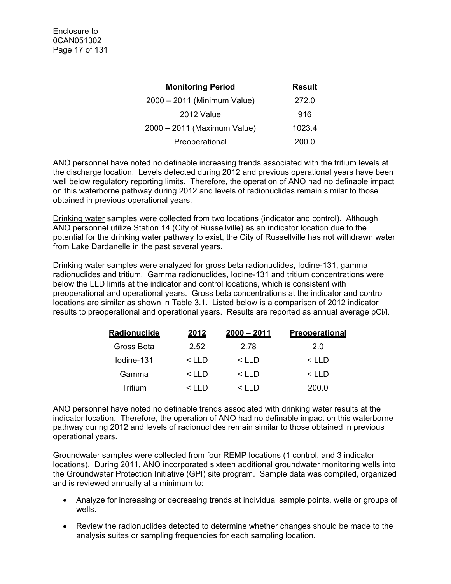| <b>Monitoring Period</b>    | <b>Result</b> |
|-----------------------------|---------------|
| 2000 - 2011 (Minimum Value) | 272.0         |
| 2012 Value                  | 916           |
| 2000 - 2011 (Maximum Value) | 1023.4        |
| Preoperational              | 200.0         |

ANO personnel have noted no definable increasing trends associated with the tritium levels at the discharge location. Levels detected during 2012 and previous operational years have been well below regulatory reporting limits. Therefore, the operation of ANO had no definable impact on this waterborne pathway during 2012 and levels of radionuclides remain similar to those obtained in previous operational years.

Drinking water samples were collected from two locations (indicator and control). Although ANO personnel utilize Station 14 (City of Russellville) as an indicator location due to the potential for the drinking water pathway to exist, the City of Russellville has not withdrawn water from Lake Dardanelle in the past several years.

Drinking water samples were analyzed for gross beta radionuclides, Iodine-131, gamma radionuclides and tritium. Gamma radionuclides, Iodine-131 and tritium concentrations were below the LLD limits at the indicator and control locations, which is consistent with preoperational and operational years. Gross beta concentrations at the indicator and control locations are similar as shown in Table 3.1. Listed below is a comparison of 2012 indicator results to preoperational and operational years. Results are reported as annual average pCi/l.

| Radionuclide | 2012         | $2000 - 2011$ | <b>Preoperational</b> |
|--------------|--------------|---------------|-----------------------|
| Gross Beta   | 2.52         | 2.78          | 2.0                   |
| lodine-131   | $\leq$ I I D | $\leq$ I I D  | $\leq$ I I D          |
| Gamma        | $\leq$ I I D | $\leq$ IID    | $<$ LLD               |
| Tritium      | 2111         |               | 200.0                 |

ANO personnel have noted no definable trends associated with drinking water results at the indicator location. Therefore, the operation of ANO had no definable impact on this waterborne pathway during 2012 and levels of radionuclides remain similar to those obtained in previous operational years.

Groundwater samples were collected from four REMP locations (1 control, and 3 indicator locations). During 2011, ANO incorporated sixteen additional groundwater monitoring wells into the Groundwater Protection Initiative (GPI) site program. Sample data was compiled, organized and is reviewed annually at a minimum to:

- Analyze for increasing or decreasing trends at individual sample points, wells or groups of wells.
- Review the radionuclides detected to determine whether changes should be made to the analysis suites or sampling frequencies for each sampling location.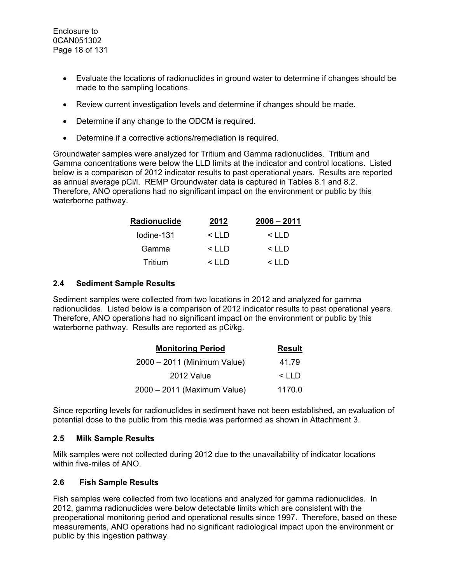- Evaluate the locations of radionuclides in ground water to determine if changes should be made to the sampling locations.
- Review current investigation levels and determine if changes should be made.
- Determine if any change to the ODCM is required.
- Determine if a corrective actions/remediation is required.

Groundwater samples were analyzed for Tritium and Gamma radionuclides. Tritium and Gamma concentrations were below the LLD limits at the indicator and control locations. Listed below is a comparison of 2012 indicator results to past operational years. Results are reported as annual average pCi/l. REMP Groundwater data is captured in Tables 8.1 and 8.2. Therefore, ANO operations had no significant impact on the environment or public by this waterborne pathway.

| Radionuclide | 2012         | $2006 - 2011$ |
|--------------|--------------|---------------|
| lodine-131   | $\leq$ I I D | $\leq$ I I D  |
| Gamma        | $\leq$ I I D | $\leq$ I I D  |
| Tritium      | $\leq$ I I D | $\leq$ IID    |

### **2.4 Sediment Sample Results**

Sediment samples were collected from two locations in 2012 and analyzed for gamma radionuclides. Listed below is a comparison of 2012 indicator results to past operational years. Therefore, ANO operations had no significant impact on the environment or public by this waterborne pathway. Results are reported as pCi/kg.

| <b>Monitoring Period</b>    | <b>Result</b> |
|-----------------------------|---------------|
| 2000 - 2011 (Minimum Value) | 41.79         |
| 2012 Value                  | $<$ LLD       |
| 2000 - 2011 (Maximum Value) | 1170.0        |

Since reporting levels for radionuclides in sediment have not been established, an evaluation of potential dose to the public from this media was performed as shown in Attachment 3.

### **2.5 Milk Sample Results**

Milk samples were not collected during 2012 due to the unavailability of indicator locations within five-miles of ANO.

### **2.6 Fish Sample Results**

Fish samples were collected from two locations and analyzed for gamma radionuclides. In 2012, gamma radionuclides were below detectable limits which are consistent with the preoperational monitoring period and operational results since 1997. Therefore, based on these measurements, ANO operations had no significant radiological impact upon the environment or public by this ingestion pathway.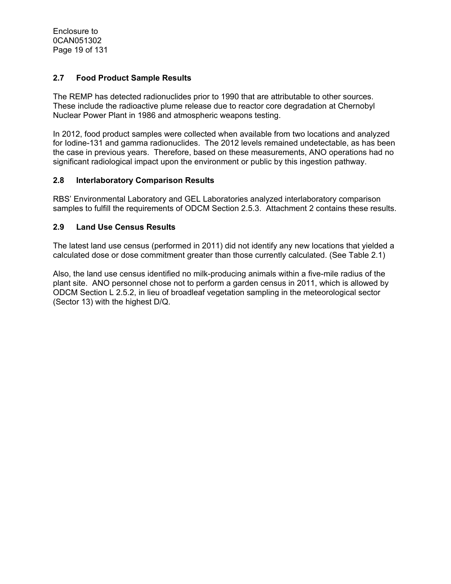Enclosure to 0CAN051302 Page 19 of 131

### **2.7 Food Product Sample Results**

The REMP has detected radionuclides prior to 1990 that are attributable to other sources. These include the radioactive plume release due to reactor core degradation at Chernobyl Nuclear Power Plant in 1986 and atmospheric weapons testing.

In 2012, food product samples were collected when available from two locations and analyzed for Iodine-131 and gamma radionuclides. The 2012 levels remained undetectable, as has been the case in previous years. Therefore, based on these measurements, ANO operations had no significant radiological impact upon the environment or public by this ingestion pathway.

#### **2.8 Interlaboratory Comparison Results**

RBS' Environmental Laboratory and GEL Laboratories analyzed interlaboratory comparison samples to fulfill the requirements of ODCM Section 2.5.3. Attachment 2 contains these results.

#### **2.9 Land Use Census Results**

The latest land use census (performed in 2011) did not identify any new locations that yielded a calculated dose or dose commitment greater than those currently calculated. (See Table 2.1)

Also, the land use census identified no milk-producing animals within a five-mile radius of the plant site. ANO personnel chose not to perform a garden census in 2011, which is allowed by ODCM Section L 2.5.2, in lieu of broadleaf vegetation sampling in the meteorological sector (Sector 13) with the highest D/Q.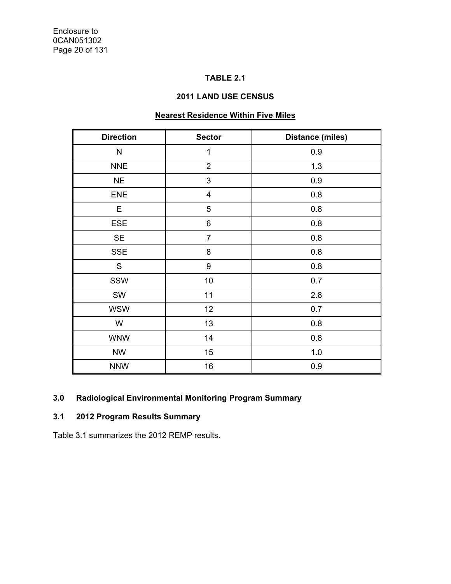## **TABLE 2.1**

### **2011 LAND USE CENSUS**

# **Nearest Residence Within Five Miles**

| <b>Direction</b> | <b>Sector</b>           | <b>Distance (miles)</b> |
|------------------|-------------------------|-------------------------|
| N                | $\mathbf 1$             | 0.9                     |
| <b>NNE</b>       | $\overline{2}$          | 1.3                     |
| <b>NE</b>        | 3                       | 0.9                     |
| <b>ENE</b>       | $\overline{\mathbf{4}}$ | 0.8                     |
| Е                | 5                       | 0.8                     |
| <b>ESE</b>       | 6                       | 0.8                     |
| <b>SE</b>        | $\overline{7}$          | 0.8                     |
| <b>SSE</b>       | 8                       | 0.8                     |
| S                | 9                       | 0.8                     |
| SSW              | 10                      | 0.7                     |
| SW               | 11                      | 2.8                     |
| <b>WSW</b>       | 12                      | 0.7                     |
| W                | 13                      | 0.8                     |
| <b>WNW</b>       | 14                      | 0.8                     |
| <b>NW</b>        | 15                      | 1.0                     |
| <b>NNW</b>       | 16                      | 0.9                     |

## **3.0 Radiological Environmental Monitoring Program Summary**

# **3.1 2012 Program Results Summary**

Table 3.1 summarizes the 2012 REMP results.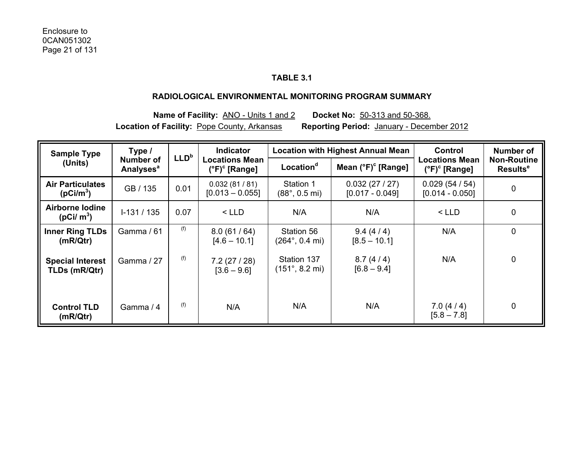## **TABLE 3.1**

#### **RADIOLOGICAL ENVIRONMENTAL MONITORING PROGRAM SUMMARY**

**Name of Facility:** ANO - Units 1 and 2 **Docket No:** 50-313 and 50-368. **Location of Facility:** Pope County, Arkansas **Reporting Period:** January - December 2012

| Type /<br><b>Sample Type</b>                     |                                           | LLD <sup>b</sup> | <b>Indicator</b>                                       |                                                | <b>Location with Highest Annual Mean</b> |                                                        | Number of                                        |
|--------------------------------------------------|-------------------------------------------|------------------|--------------------------------------------------------|------------------------------------------------|------------------------------------------|--------------------------------------------------------|--------------------------------------------------|
| (Units)                                          | <b>Number of</b><br>Analyses <sup>a</sup> |                  | <b>Locations Mean</b><br>$(^{\circ}F)^{\circ}$ [Range] | Location <sup>d</sup>                          | Mean $(^{\circ}F)^{\circ}$ [Range]       | <b>Locations Mean</b><br>$(^{\circ}F)^{\circ}$ [Range] | <b>Non-Routine</b><br><b>Results<sup>e</sup></b> |
| <b>Air Particulates</b><br>(pCi/m <sup>3</sup> ) | GB / 135                                  | 0.01             | 0.032(81/81)<br>$[0.013 - 0.055]$                      | Station 1<br>$(88^{\circ}, 0.5 \text{ mi})$    | 0.032(27/27)<br>$[0.017 - 0.049]$        | 0.029(54/54)<br>$[0.014 - 0.050]$                      | 0                                                |
| Airborne Iodine<br>( $pCi/m^3$ )                 | $1-131/135$                               | 0.07             | $<$ LLD                                                | N/A                                            | N/A                                      | $<$ LLD                                                | 0                                                |
| <b>Inner Ring TLDs</b><br>(mR/Qtr)               | Gamma / 61                                | (f)              | 8.0(61/64)<br>$[4.6 - 10.1]$                           | Station 56<br>$(264^{\circ}, 0.4 \text{ mi})$  | 9.4(4/4)<br>$[8.5 - 10.1]$               | N/A                                                    | $\mathbf 0$                                      |
| <b>Special Interest</b><br>TLDs (mR/Qtr)         | Gamma / 27                                | (f)              | 7.2(27/28)<br>$[3.6 - 9.6]$                            | Station 137<br>$(151^{\circ}, 8.2 \text{ mi})$ | 8.7(4/4)<br>$[6.8 - 9.4]$                | N/A                                                    | 0                                                |
| <b>Control TLD</b><br>(mR/Qtr)                   | Gamma / 4                                 | (f)              | N/A                                                    | N/A                                            | N/A                                      | 7.0(4/4)<br>$[5.8 - 7.8]$                              | 0                                                |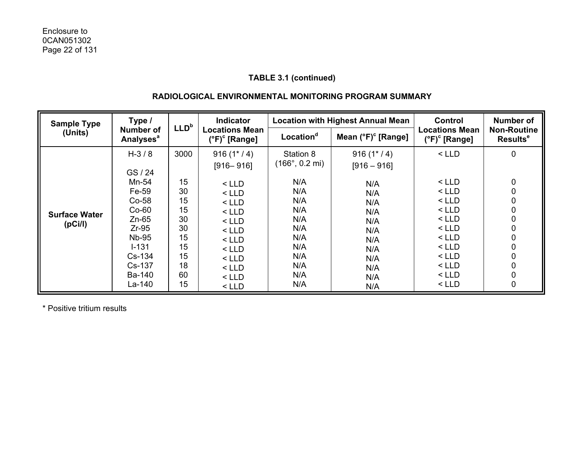### **RADIOLOGICAL ENVIRONMENTAL MONITORING PROGRAM SUMMARY**

| <b>Sample Type</b>                           | Type /<br>LLD <sup>b</sup>                                                                                                                      |                                                                        | <b>Indicator</b>                                                                                                                                      |                                                                                                                           | <b>Location with Highest Annual Mean</b>                                                                  |                                                                                                                                  | Number of                                           |
|----------------------------------------------|-------------------------------------------------------------------------------------------------------------------------------------------------|------------------------------------------------------------------------|-------------------------------------------------------------------------------------------------------------------------------------------------------|---------------------------------------------------------------------------------------------------------------------------|-----------------------------------------------------------------------------------------------------------|----------------------------------------------------------------------------------------------------------------------------------|-----------------------------------------------------|
| (Units)                                      | <b>Number of</b><br><b>Analyses<sup>a</sup></b>                                                                                                 |                                                                        | <b>Locations Mean</b><br>$(^{\circ}F)^{\circ}$ [Range]                                                                                                | Location <sup>d</sup>                                                                                                     | Mean $(^{\circ}F)^{\circ}$ [Range]                                                                        | <b>Locations Mean</b><br>$(^{\circ}F)^{\circ}$ [Range]                                                                           | <b>Non-Routine</b><br>Results <sup>e</sup>          |
| <b>Surface Water</b><br>(pC <sub>i</sub> /l) | $H - 3 / 8$<br>GS/24<br>Mn-54<br>Fe-59<br>$Co-58$<br>$Co-60$<br>$Zn-65$<br>$Zr-95$<br><b>Nb-95</b><br>$I - 131$<br>$Cs-134$<br>Cs-137<br>Ba-140 | 3000<br>15<br>30<br>15<br>15<br>30<br>30<br>15<br>15<br>15<br>18<br>60 | $916(1*/4)$<br>$[916 - 916]$<br>$<$ LLD<br>$<$ LLD<br>$<$ LLD<br>$<$ LLD<br>$<$ LLD<br>$<$ LLD<br>$<$ LLD<br>$<$ LLD<br>$<$ LLD<br>$<$ LLD<br>$<$ LLD | Station 8<br>$(166^{\circ}, 0.2 \text{ mi})$<br>N/A<br>N/A<br>N/A<br>N/A<br>N/A<br>N/A<br>N/A<br>N/A<br>N/A<br>N/A<br>N/A | $916(1*/4)$<br>$[916 - 916]$<br>N/A<br>N/A<br>N/A<br>N/A<br>N/A<br>N/A<br>N/A<br>N/A<br>N/A<br>N/A<br>N/A | $<$ LLD<br>$<$ LLD<br>$<$ LLD<br>$<$ LLD<br>$<$ LLD<br>$<$ LLD<br>$<$ LLD<br>$<$ LLD<br>$<$ LLD<br>$<$ LLD<br>$<$ LLD<br>$<$ LLD | 0<br>0<br>0<br>0<br>0<br>0<br>0<br>0<br>0<br>0<br>0 |
|                                              | La-140                                                                                                                                          | 15                                                                     | $<$ LLD                                                                                                                                               | N/A                                                                                                                       | N/A                                                                                                       | $<$ LLD                                                                                                                          | 0                                                   |

\* Positive tritium results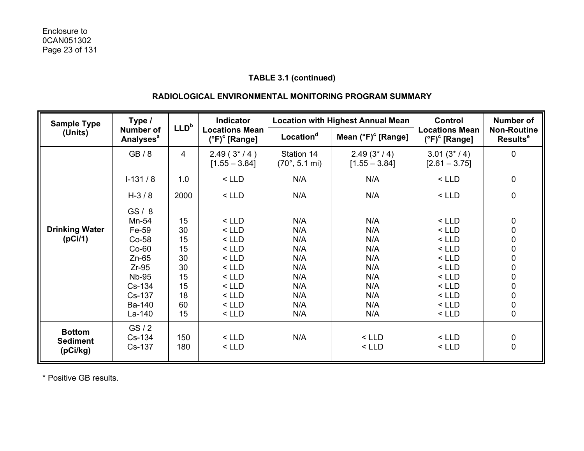### **RADIOLOGICAL ENVIRONMENTAL MONITORING PROGRAM SUMMARY**

| Type /<br><b>Sample Type</b>                 |                                                                                                                |                                                                | <b>Indicator</b>                                                                                           |                                                                    | <b>Location with Highest Annual Mean</b>                           | <b>Control</b>                                                                                             | <b>Number of</b>                                                                                                                                                              |
|----------------------------------------------|----------------------------------------------------------------------------------------------------------------|----------------------------------------------------------------|------------------------------------------------------------------------------------------------------------|--------------------------------------------------------------------|--------------------------------------------------------------------|------------------------------------------------------------------------------------------------------------|-------------------------------------------------------------------------------------------------------------------------------------------------------------------------------|
| (Units)                                      | <b>Number of</b><br><b>Analyses<sup>a</sup></b>                                                                | LLD <sup>b</sup>                                               | <b>Locations Mean</b><br>$(^{\circ}F)^{\circ}$ [Range]                                                     | Location <sup>d</sup>                                              | Mean $(°F)$ <sup>c</sup> [Range]                                   | <b>Locations Mean</b><br>$(^{\circ}F)^{\circ}$ [Range]                                                     | <b>Non-Routine</b><br><b>Results<sup>e</sup></b>                                                                                                                              |
|                                              | GB/8                                                                                                           | 4                                                              | $2.49(3*/4)$<br>$[1.55 - 3.84]$                                                                            | Station 14<br>$(70^{\circ}, 5.1 \text{ mi})$                       | $2.49(3*/4)$<br>$[1.55 - 3.84]$                                    | $3.01(3*/4)$<br>$[2.61 - 3.75]$                                                                            | 0                                                                                                                                                                             |
|                                              | $I-131/8$                                                                                                      | 1.0                                                            | $<$ LLD                                                                                                    | N/A                                                                | N/A                                                                | $<$ LLD                                                                                                    | 0                                                                                                                                                                             |
|                                              | $H-3/8$                                                                                                        | 2000                                                           | $<$ LLD                                                                                                    | N/A                                                                | N/A                                                                | $<$ LLD                                                                                                    | 0                                                                                                                                                                             |
| <b>Drinking Water</b><br>(pCi/1)             | GS/8<br>Mn-54<br>Fe-59<br>Co-58<br>$Co-60$<br>$Zn-65$<br>$Zr-95$<br><b>Nb-95</b><br>Cs-134<br>Cs-137<br>Ba-140 | 15<br>30<br>15<br>15<br>30<br>30<br>15<br>15<br>18<br>60<br>15 | $<$ LLD<br>$<$ LLD<br>$<$ LLD<br>$<$ LLD<br>$<$ LLD<br>$<$ LLD<br>$<$ LLD<br>$<$ LLD<br>$<$ LLD<br>$<$ LLD | N/A<br>N/A<br>N/A<br>N/A<br>N/A<br>N/A<br>N/A<br>N/A<br>N/A<br>N/A | N/A<br>N/A<br>N/A<br>N/A<br>N/A<br>N/A<br>N/A<br>N/A<br>N/A<br>N/A | $<$ LLD<br>$<$ LLD<br>$<$ LLD<br>$<$ LLD<br>$<$ LLD<br>$<$ LLD<br>$<$ LLD<br>$<$ LLD<br>$<$ LLD<br>$<$ LLD | 0<br>$\mathbf 0$<br>$\begin{matrix}0\\0\end{matrix}$<br>$\mathbf 0$<br>$\mathbf 0$<br>$\begin{matrix}0\\0\end{matrix}$<br>$\mathbf 0$<br>$\begin{matrix} 0 \\ 0 \end{matrix}$ |
|                                              | La-140<br>GS/2                                                                                                 |                                                                | $<$ LLD                                                                                                    | N/A                                                                | N/A                                                                | $<$ LLD                                                                                                    |                                                                                                                                                                               |
| <b>Bottom</b><br><b>Sediment</b><br>(pCi/kg) | Cs-134<br>Cs-137                                                                                               | 150<br>180                                                     | $<$ LLD<br>$<$ LLD                                                                                         | N/A                                                                | $<$ LLD<br>$<$ LLD                                                 | $<$ LLD<br>$<$ LLD                                                                                         | $0\atop 0$                                                                                                                                                                    |

\* Positive GB results.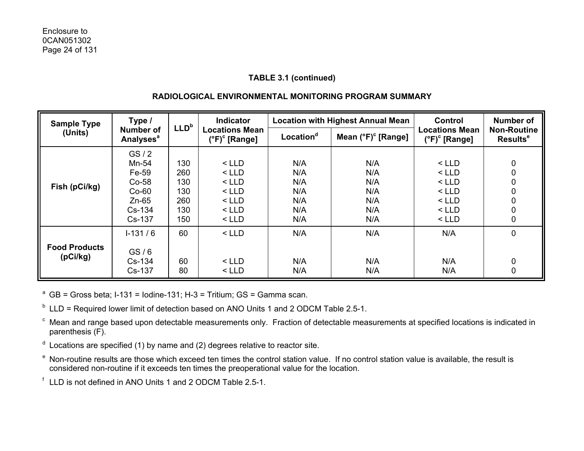## **RADIOLOGICAL ENVIRONMENTAL MONITORING PROGRAM SUMMARY**

| Type /<br><b>Sample Type</b>     |                                                                               |                                               | <b>Indicator</b><br>LLD <sup>b</sup>                                      |                                               | <b>Location with Highest Annual Mean</b>      | Control                                                                   | Number of                                  |
|----------------------------------|-------------------------------------------------------------------------------|-----------------------------------------------|---------------------------------------------------------------------------|-----------------------------------------------|-----------------------------------------------|---------------------------------------------------------------------------|--------------------------------------------|
| (Units)                          | <b>Number of</b><br><b>Analyses<sup>a</sup></b>                               |                                               | <b>Locations Mean</b><br>(°F) <sup>c</sup> [Range]                        | Location <sup>d</sup>                         | Mean $(^{\circ}F)^{\circ}$ [Range]            | <b>Locations Mean</b><br>$(^{\circ}F)^{\circ}$ [Range]                    | <b>Non-Routine</b><br>Results <sup>e</sup> |
| Fish (pCi/kg)                    | GS/2<br>Mn-54<br>Fe-59<br>$Co-58$<br>$Co-60$<br>$Zn-65$<br>$Cs-134$<br>Cs-137 | 130<br>260<br>130<br>130<br>260<br>130<br>150 | $<$ LLD<br>$<$ LLD<br>$<$ LLD<br>$<$ LLD<br>$<$ LLD<br>$<$ LLD<br>$<$ LLD | N/A<br>N/A<br>N/A<br>N/A<br>N/A<br>N/A<br>N/A | N/A<br>N/A<br>N/A<br>N/A<br>N/A<br>N/A<br>N/A | $<$ LLD<br>$<$ LLD<br>$<$ LLD<br>$<$ LLD<br>$<$ LLD<br>$<$ LLD<br>$<$ LLD | 0<br>0<br>0<br>0<br>0<br>0<br>0            |
| <b>Food Products</b><br>(pCi/kg) | $1-131/6$<br>GS/6<br>$Cs-134$<br>Cs-137                                       | 60<br>60<br>80                                | $<$ LLD<br>$<$ LLD<br>$<$ LLD                                             | N/A<br>N/A<br>N/A                             | N/A<br>N/A<br>N/A                             | N/A<br>N/A<br>N/A                                                         | 0<br>0<br>0                                |

<sup>a</sup> GB = Gross beta; I-131 = Iodine-131; H-3 = Tritium; GS = Gamma scan.

 $<sup>b</sup>$  LLD = Required lower limit of detection based on ANO Units 1 and 2 ODCM Table 2.5-1.</sup>

c Mean and range based upon detectable measurements only. Fraction of detectable measurements at specified locations is indicated in parenthesis (F).

- $d$  Locations are specified (1) by name and (2) degrees relative to reactor site.
- e Non-routine results are those which exceed ten times the control station value. If no control station value is available, the result is considered non-routine if it exceeds ten times the preoperational value for the location.

f LLD is not defined in ANO Units 1 and 2 ODCM Table 2.5-1.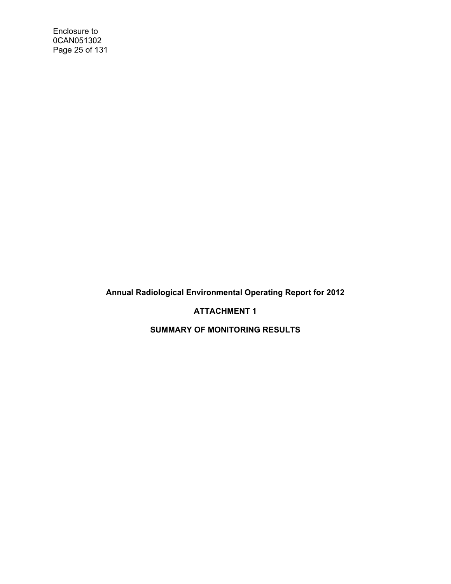Enclosure to 0CAN051302 Page 25 of 131

**Annual Radiological Environmental Operating Report for 2012** 

**ATTACHMENT 1** 

**SUMMARY OF MONITORING RESULTS**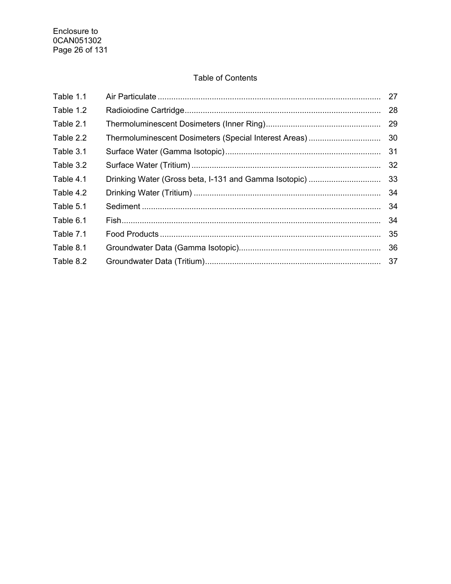## Table of Contents

| Table 1.1 |                                                       | 27 |
|-----------|-------------------------------------------------------|----|
| Table 1.2 |                                                       | 28 |
| Table 2.1 |                                                       | 29 |
| Table 2.2 | Thermoluminescent Dosimeters (Special Interest Areas) | 30 |
| Table 3.1 |                                                       | 31 |
| Table 3.2 |                                                       | 32 |
| Table 4.1 | Drinking Water (Gross beta, I-131 and Gamma Isotopic) | 33 |
| Table 4.2 |                                                       | 34 |
| Table 5.1 |                                                       | 34 |
| Table 6.1 |                                                       | 34 |
| Table 7.1 |                                                       | 35 |
| Table 8.1 |                                                       | 36 |
| Table 8.2 |                                                       | 37 |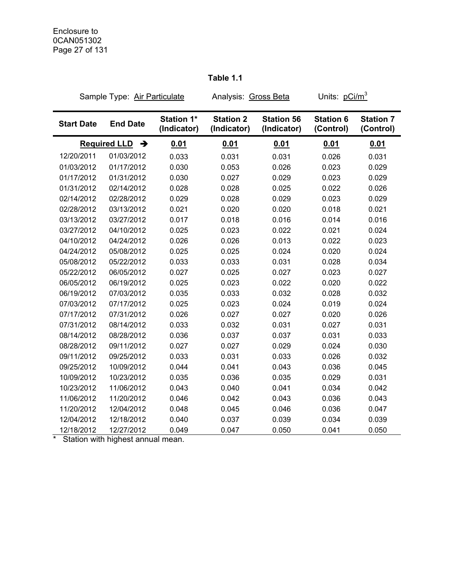## **Table 1.1**

|                   | Sample Type: Air Particulate |                                  | Analysis: Gross Beta            |                                  | Units: pCi/m <sup>3</sup>     |                               |
|-------------------|------------------------------|----------------------------------|---------------------------------|----------------------------------|-------------------------------|-------------------------------|
| <b>Start Date</b> | <b>End Date</b>              | <b>Station 1*</b><br>(Indicator) | <b>Station 2</b><br>(Indicator) | <b>Station 56</b><br>(Indicator) | <b>Station 6</b><br>(Control) | <b>Station 7</b><br>(Control) |
|                   | <b>Required LLD</b><br>→     | 0.01                             | 0.01                            | 0.01                             | 0.01                          | <u>0.01</u>                   |
| 12/20/2011        | 01/03/2012                   | 0.033                            | 0.031                           | 0.031                            | 0.026                         | 0.031                         |
| 01/03/2012        | 01/17/2012                   | 0.030                            | 0.053                           | 0.026                            | 0.023                         | 0.029                         |
| 01/17/2012        | 01/31/2012                   | 0.030                            | 0.027                           | 0.029                            | 0.023                         | 0.029                         |
| 01/31/2012        | 02/14/2012                   | 0.028                            | 0.028                           | 0.025                            | 0.022                         | 0.026                         |
| 02/14/2012        | 02/28/2012                   | 0.029                            | 0.028                           | 0.029                            | 0.023                         | 0.029                         |
| 02/28/2012        | 03/13/2012                   | 0.021                            | 0.020                           | 0.020                            | 0.018                         | 0.021                         |
| 03/13/2012        | 03/27/2012                   | 0.017                            | 0.018                           | 0.016                            | 0.014                         | 0.016                         |
| 03/27/2012        | 04/10/2012                   | 0.025                            | 0.023                           | 0.022                            | 0.021                         | 0.024                         |
| 04/10/2012        | 04/24/2012                   | 0.026                            | 0.026                           | 0.013                            | 0.022                         | 0.023                         |
| 04/24/2012        | 05/08/2012                   | 0.025                            | 0.025                           | 0.024                            | 0.020                         | 0.024                         |
| 05/08/2012        | 05/22/2012                   | 0.033                            | 0.033                           | 0.031                            | 0.028                         | 0.034                         |
| 05/22/2012        | 06/05/2012                   | 0.027                            | 0.025                           | 0.027                            | 0.023                         | 0.027                         |
| 06/05/2012        | 06/19/2012                   | 0.025                            | 0.023                           | 0.022                            | 0.020                         | 0.022                         |
| 06/19/2012        | 07/03/2012                   | 0.035                            | 0.033                           | 0.032                            | 0.028                         | 0.032                         |
| 07/03/2012        | 07/17/2012                   | 0.025                            | 0.023                           | 0.024                            | 0.019                         | 0.024                         |
| 07/17/2012        | 07/31/2012                   | 0.026                            | 0.027                           | 0.027                            | 0.020                         | 0.026                         |
| 07/31/2012        | 08/14/2012                   | 0.033                            | 0.032                           | 0.031                            | 0.027                         | 0.031                         |
| 08/14/2012        | 08/28/2012                   | 0.036                            | 0.037                           | 0.037                            | 0.031                         | 0.033                         |
| 08/28/2012        | 09/11/2012                   | 0.027                            | 0.027                           | 0.029                            | 0.024                         | 0.030                         |
| 09/11/2012        | 09/25/2012                   | 0.033                            | 0.031                           | 0.033                            | 0.026                         | 0.032                         |
| 09/25/2012        | 10/09/2012                   | 0.044                            | 0.041                           | 0.043                            | 0.036                         | 0.045                         |
| 10/09/2012        | 10/23/2012                   | 0.035                            | 0.036                           | 0.035                            | 0.029                         | 0.031                         |
| 10/23/2012        | 11/06/2012                   | 0.043                            | 0.040                           | 0.041                            | 0.034                         | 0.042                         |
| 11/06/2012        | 11/20/2012                   | 0.046                            | 0.042                           | 0.043                            | 0.036                         | 0.043                         |
| 11/20/2012        | 12/04/2012                   | 0.048                            | 0.045                           | 0.046                            | 0.036                         | 0.047                         |
| 12/04/2012        | 12/18/2012                   | 0.040                            | 0.037                           | 0.039                            | 0.034                         | 0.039                         |
| 12/18/2012        | 12/27/2012                   | 0.049                            | 0.047                           | 0.050                            | 0.041                         | 0.050                         |

\* Station with highest annual mean.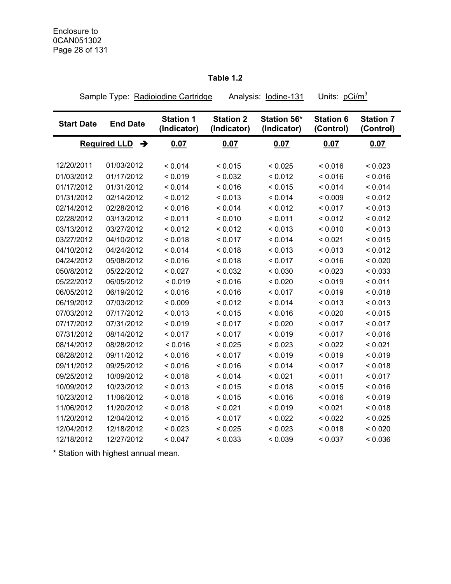## **Table 1.2**

Sample Type: Radioiodine Cartridge Analysis: lodine-131 Units: pCi/m<sup>3</sup>

| <b>Start Date</b> | <b>End Date</b>            | <b>Station 1</b><br>(Indicator) | <b>Station 2</b><br>(Indicator) | Station 56*<br>(Indicator) | <b>Station 6</b><br>(Control) | <b>Station 7</b><br>(Control) |
|-------------------|----------------------------|---------------------------------|---------------------------------|----------------------------|-------------------------------|-------------------------------|
|                   | Required LLD $\rightarrow$ | 0.07                            | 0.07                            | 0.07                       | 0.07                          | 0.07                          |
|                   |                            |                                 |                                 |                            |                               |                               |
| 12/20/2011        | 01/03/2012                 | < 0.014                         | < 0.015                         | < 0.025                    | < 0.016                       | < 0.023                       |
| 01/03/2012        | 01/17/2012                 | < 0.019                         | < 0.032                         | < 0.012                    | < 0.016                       | < 0.016                       |
| 01/17/2012        | 01/31/2012                 | < 0.014                         | < 0.016                         | < 0.015                    | < 0.014                       | < 0.014                       |
| 01/31/2012        | 02/14/2012                 | < 0.012                         | < 0.013                         | < 0.014                    | < 0.009                       | < 0.012                       |
| 02/14/2012        | 02/28/2012                 | < 0.016                         | < 0.014                         | < 0.012                    | < 0.017                       | < 0.013                       |
| 02/28/2012        | 03/13/2012                 | < 0.011                         | < 0.010                         | < 0.011                    | < 0.012                       | < 0.012                       |
| 03/13/2012        | 03/27/2012                 | < 0.012                         | < 0.012                         | < 0.013                    | < 0.010                       | < 0.013                       |
| 03/27/2012        | 04/10/2012                 | < 0.018                         | < 0.017                         | < 0.014                    | < 0.021                       | < 0.015                       |
| 04/10/2012        | 04/24/2012                 | < 0.014                         | < 0.018                         | < 0.013                    | < 0.013                       | < 0.012                       |
| 04/24/2012        | 05/08/2012                 | < 0.016                         | < 0.018                         | < 0.017                    | < 0.016                       | < 0.020                       |
| 050/8/2012        | 05/22/2012                 | < 0.027                         | < 0.032                         | < 0.030                    | < 0.023                       | < 0.033                       |
| 05/22/2012        | 06/05/2012                 | < 0.019                         | < 0.016                         | < 0.020                    | < 0.019                       | < 0.011                       |
| 06/05/2012        | 06/19/2012                 | < 0.016                         | < 0.016                         | < 0.017                    | < 0.019                       | < 0.018                       |
| 06/19/2012        | 07/03/2012                 | < 0.009                         | < 0.012                         | < 0.014                    | < 0.013                       | < 0.013                       |
| 07/03/2012        | 07/17/2012                 | < 0.013                         | < 0.015                         | < 0.016                    | < 0.020                       | < 0.015                       |
| 07/17/2012        | 07/31/2012                 | < 0.019                         | < 0.017                         | < 0.020                    | < 0.017                       | < 0.017                       |
| 07/31/2012        | 08/14/2012                 | < 0.017                         | < 0.017                         | < 0.019                    | < 0.017                       | < 0.016                       |
| 08/14/2012        | 08/28/2012                 | < 0.016                         | < 0.025                         | < 0.023                    | < 0.022                       | < 0.021                       |
| 08/28/2012        | 09/11/2012                 | < 0.016                         | < 0.017                         | < 0.019                    | < 0.019                       | < 0.019                       |
| 09/11/2012        | 09/25/2012                 | < 0.016                         | < 0.016                         | < 0.014                    | < 0.017                       | < 0.018                       |
| 09/25/2012        | 10/09/2012                 | < 0.018                         | < 0.014                         | < 0.021                    | < 0.011                       | < 0.017                       |
| 10/09/2012        | 10/23/2012                 | < 0.013                         | < 0.015                         | < 0.018                    | < 0.015                       | < 0.016                       |
| 10/23/2012        | 11/06/2012                 | < 0.018                         | < 0.015                         | < 0.016                    | < 0.016                       | < 0.019                       |
| 11/06/2012        | 11/20/2012                 | < 0.018                         | < 0.021                         | < 0.019                    | < 0.021                       | < 0.018                       |
| 11/20/2012        | 12/04/2012                 | < 0.015                         | < 0.017                         | < 0.022                    | < 0.022                       | < 0.025                       |
| 12/04/2012        | 12/18/2012                 | < 0.023                         | < 0.025                         | < 0.023                    | < 0.018                       | < 0.020                       |
| 12/18/2012        | 12/27/2012                 | < 0.047                         | < 0.033                         | < 0.039                    | < 0.037                       | < 0.036                       |

\* Station with highest annual mean.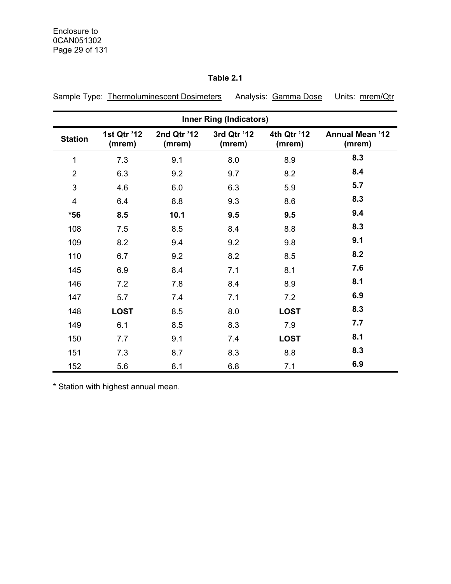## **Table 2.1**

Sample Type: Thermoluminescent Dosimeters Analysis: Gamma Dose Units: mrem/Qtr

| <b>Inner Ring (Indicators)</b> |                       |                       |                       |                       |                                  |  |  |  |  |
|--------------------------------|-----------------------|-----------------------|-----------------------|-----------------------|----------------------------------|--|--|--|--|
| <b>Station</b>                 | 1st Qtr '12<br>(mrem) | 2nd Qtr '12<br>(mrem) | 3rd Qtr '12<br>(mrem) | 4th Qtr '12<br>(mrem) | <b>Annual Mean '12</b><br>(mrem) |  |  |  |  |
| 1                              | 7.3                   | 9.1                   | 8.0                   | 8.9                   | 8.3                              |  |  |  |  |
| $\overline{2}$                 | 6.3                   | 9.2                   | 9.7                   | 8.2                   | 8.4                              |  |  |  |  |
| $\mathfrak{B}$                 | 4.6                   | 6.0                   | 6.3                   | 5.9                   | 5.7                              |  |  |  |  |
| $\overline{4}$                 | 6.4                   | 8.8                   | 9.3                   | 8.6                   | 8.3                              |  |  |  |  |
| $*56$                          | 8.5                   | 10.1                  | 9.5                   | 9.5                   | 9.4                              |  |  |  |  |
| 108                            | 7.5                   | 8.5                   | 8.4                   | 8.8                   | 8.3                              |  |  |  |  |
| 109                            | 8.2                   | 9.4                   | 9.2                   | 9.8                   | 9.1                              |  |  |  |  |
| 110                            | 6.7                   | 9.2                   | 8.2                   | 8.5                   | 8.2                              |  |  |  |  |
| 145                            | 6.9                   | 8.4                   | 7.1                   | 8.1                   | 7.6                              |  |  |  |  |
| 146                            | 7.2                   | 7.8                   | 8.4                   | 8.9                   | 8.1                              |  |  |  |  |
| 147                            | 5.7                   | 7.4                   | 7.1                   | 7.2                   | 6.9                              |  |  |  |  |
| 148                            | <b>LOST</b>           | 8.5                   | 8.0                   | <b>LOST</b>           | 8.3                              |  |  |  |  |
| 149                            | 6.1                   | 8.5                   | 8.3                   | 7.9                   | 7.7                              |  |  |  |  |
| 150                            | 7.7                   | 9.1                   | 7.4                   | <b>LOST</b>           | 8.1                              |  |  |  |  |
| 151                            | 7.3                   | 8.7                   | 8.3                   | 8.8                   | 8.3                              |  |  |  |  |
| 152                            | 5.6                   | 8.1                   | 6.8                   | 7.1                   | 6.9                              |  |  |  |  |

\* Station with highest annual mean.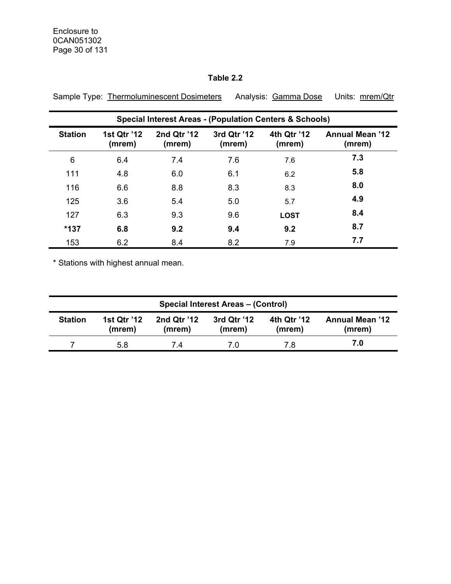## **Table 2.2**

|                | <b>Special Interest Areas - (Population Centers &amp; Schools)</b> |                       |                       |                       |                                  |  |  |  |  |  |
|----------------|--------------------------------------------------------------------|-----------------------|-----------------------|-----------------------|----------------------------------|--|--|--|--|--|
| <b>Station</b> | 1st Qtr '12<br>(mrem)                                              | 2nd Qtr '12<br>(mrem) | 3rd Qtr '12<br>(mrem) | 4th Qtr '12<br>(mrem) | <b>Annual Mean '12</b><br>(mrem) |  |  |  |  |  |
| 6              | 6.4                                                                | 7.4                   | 7.6                   | 7.6                   | 7.3                              |  |  |  |  |  |
| 111            | 4.8                                                                | 6.0                   | 6.1                   | 6.2                   | 5.8                              |  |  |  |  |  |
| 116            | 6.6                                                                | 8.8                   | 8.3                   | 8.3                   | 8.0                              |  |  |  |  |  |
| 125            | 3.6                                                                | 5.4                   | 5.0                   | 5.7                   | 4.9                              |  |  |  |  |  |
| 127            | 6.3                                                                | 9.3                   | 9.6                   | <b>LOST</b>           | 8.4                              |  |  |  |  |  |
| $*137$         | 6.8                                                                | 9.2                   | 9.4                   | 9.2                   | 8.7                              |  |  |  |  |  |
| 153            | 6.2                                                                | 8.4                   | 8.2                   | 7.9                   | 7.7                              |  |  |  |  |  |

Sample Type: Thermoluminescent Dosimeters Analysis: Gamma Dose Units: mrem/Qtr

\* Stations with highest annual mean.

| <b>Special Interest Areas - (Control)</b> |                              |                       |                       |                       |                                  |  |  |  |  |
|-------------------------------------------|------------------------------|-----------------------|-----------------------|-----------------------|----------------------------------|--|--|--|--|
| <b>Station</b>                            | <b>1st Qtr '12</b><br>(mrem) | 2nd Qtr '12<br>(mrem) | 3rd Qtr '12<br>(mrem) | 4th Qtr '12<br>(mrem) | <b>Annual Mean '12</b><br>(mrem) |  |  |  |  |
|                                           | 5.8                          | 74                    | 7.0                   | 7.8                   | 7.0                              |  |  |  |  |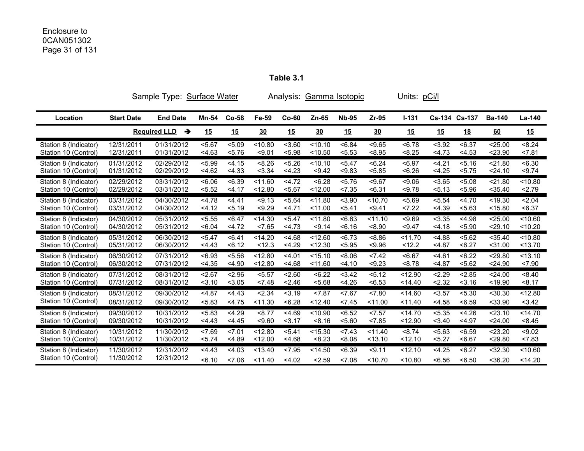#### Enclosure to 0CAN051302 Page 31 of 131

**Table 3.1** 

|                       |                   | Sample Type:<br>Surface Water<br>Gamma Isotopic<br>Analysis: |        |           |                      |         |                      |              | Units: <u>pCi/l</u> |           |               |           |               |           |
|-----------------------|-------------------|--------------------------------------------------------------|--------|-----------|----------------------|---------|----------------------|--------------|---------------------|-----------|---------------|-----------|---------------|-----------|
| Location              | <b>Start Date</b> | <b>End Date</b>                                              | Mn-54  | $Co-58$   | Fe-59                | $Co-60$ | $Zn-65$              | <b>Nb-95</b> | $Zr-95$             | $I - 131$ | Cs-134 Cs-137 |           | <b>Ba-140</b> | La-140    |
|                       |                   | <b>Required LLD</b><br>→                                     | 15     | <u>15</u> | $\underline{30}$     | 15      | $\underline{30}$     | 15           | 30                  | 15        | <u>15</u>     | <u>18</u> | 60            | <u>15</u> |
| Station 8 (Indicator) | 12/31/2011        | 01/31/2012                                                   | 5.67   | < 5.09    | < 10.80              | < 3.60  | < 10.10              | < 6.84       | < 9.65              | < 6.78    | < 3.92        | < 6.37    | < 25.00       | < 8.24    |
| Station 10 (Control)  | 12/31/2011        | 01/31/2012                                                   | < 4.63 | 5.76      | < 9.01               | < 5.98  | < 10.50              | < 5.53       | < 8.95              | < 8.25    | 4.73          | < 4.53    | < 23.90       | 27.81     |
| Station 8 (Indicator) | 01/31/2012        | 02/29/2012                                                   | < 5.99 | < 4.15    | < 8.26               | < 5.26  | $\overline{5}$ 10.10 | < 5.47       | < 6.24              | < 6.97    | < 4.21        | 5.16      | < 21.80       | <6.30     |
| Station 10 (Control)  | 01/31/2012        | 02/29/2012                                                   | < 4.62 | < 4.33    | < 3.34               | 4.23    | < 9.42               | < 9.83       | < 5.85              | <6.26     | 4.25          | 5.75      | 24.10         | < 9.74    |
| Station 8 (Indicator) | 02/29/2012        | 03/31/2012                                                   | <6.06  | <6.39     | < 11.60              | 4.72    | < 6.28               | 5.76         | < 9.67              | < 9.06    | < 3.65        | < 5.08    | < 21.80       | < 10.80   |
| Station 10 (Control)  | 02/29/2012        | 03/31/2012                                                   | < 5.52 | 4.17      | < 12.80              | < 5.67  | < 12.00              | < 7.35       | < 6.31              | < 9.78    | 5.13          | < 5.96    | $<$ 35.40     | 2.79      |
| Station 8 (Indicator) | 03/31/2012        | 04/30/2012                                                   | < 4.78 | 4.41      | < 9.13               | < 5.64  | < 11.80              | < 3.90       | < 10.70             | < 5.69    | < 5.54        | 4.70      | < 19.30       | 2.04      |
| Station 10 (Control)  | 03/31/2012        | 04/30/2012                                                   | 4.12   | < 5.19    | < 9.29               | 4.71    | < 11.00              | < 5.41       | < 9.41              | 27.22     | 4.39          | 5.63      | < 15.80       | < 6.37    |
| Station 8 (Indicator) | 04/30/2012        | 05/31/2012                                                   | < 5.55 | < 6.47    | < 14.30              | < 5.47  | < 11.80              | 56.63        | < 11.10             | < 9.69    | < 3.35        | < 4.98    | < 25.00       | < 10.60   |
| Station 10 (Control)  | 04/30/2012        | 05/31/2012                                                   | <6.04  | 4.72      | < 7.65               | 4.73    | < 9.14               | 56.16        | < 8.90              | < 9.47    | 4.18          | < 5.90    | $29.10$       | < 10.20   |
| Station 8 (Indicator) | 05/31/2012        | 06/30/2012                                                   | < 5.47 | < 6.41    | < 14.20              | < 4.68  | < 12.60              | 56.73        | 8.86                | < 11.70   | < 4.88        | < 5.62    | $<$ 35.40     | $<$ 10.80 |
| Station 10 (Control)  | 05/31/2012        | 06/30/2012                                                   | 4.43   | 56.12     | < 12.3               | 4.29    | < 12.30              | < 5.95       | < 9.96              | < 12.2    | 4.87          | < 6.27    | $<$ 31.00     | < 13.70   |
| Station 8 (Indicator) | 06/30/2012        | 07/31/2012                                                   | < 6.93 | < 5.56    | 12.80                | < 4.01  | 5.10                 | 8.06         | 27.42               | 56.67     | < 4.61        | < 6.22    | $<$ 29.80     | < 13.10   |
| Station 10 (Control)  | 06/30/2012        | 07/31/2012                                                   | < 4.35 | < 4.90    | < 12.80              | < 4.68  | < 11.60              | < 4.10       | < 9.23              | < 8.78    | 4.87          | 5.62      | < 24.90       | 27.90     |
| Station 8 (Indicator) | 07/31/2012        | 08/31/2012                                                   | 2.67   | 2.96      | 5.57                 | < 2.60  | < 6.22               | 3.42         | 5.12                | < 12.90   | 2.29          | 2.85      | $<$ 24.00     | < 8.40    |
| Station 10 (Control)  | 07/31/2012        | 08/31/2012                                                   | 3.10   | < 3.05    | < 7.48               | < 2.46  | < 5.68               | < 4.26       | < 6.53              | < 14.40   | 2.32          | 3.16      | < 19.90       | < 8.17    |
| Station 8 (Indicator) | 08/31/2012        | 09/30/2012                                                   | < 4.87 | 4.43      | < 2.34               | < 3.19  | < 7.87               | 27.67        | 27.80               | < 14.60   | $3.57$        | 5.30      | < 30.30       | < 12.80   |
| Station 10 (Control)  | 08/31/2012        | 09/30/2012                                                   | < 5.83 | < 4.75    | < 11.30              | < 6.28  | < 12.40              | 27.45        | < 11.00             | < 11.40   | < 4.58        | < 6.59    | $<$ 33.90     | < 3.42    |
| Station 8 (Indicator) | 09/30/2012        | 10/31/2012                                                   | < 5.83 | <4.29     | < 8.77               | 4.69    | < 10.90              | < 6.52       | 27.57               | < 14.70   | < 5.35        | < 4.26    | < 23.10       | $<$ 14.70 |
| Station 10 (Control)  | 09/30/2012        | 10/31/2012                                                   | 4.43   | 4.45      | < 9.60               | 3.17    | < 8.16               | 5.60         | < 7.85              | < 12.90   | 3.40          | 4.97      | 24.00         | < 8.45    |
| Station 8 (Indicator) | 10/31/2012        | 11/30/2012                                                   | 27.69  | 27.01     | $\overline{5}$ 12.80 | 5.41    | < 15.30              | 27.43        | < 11.40             | < 8.74    | < 5.63        | < 6.59    | 23.20         | < 9.02    |
| Station 10 (Control)  | 10/31/2012        | 11/30/2012                                                   | < 5.74 | < 4.89    | < 12.00              | < 4.68  | < 8.23               | 80.8         | < 13.10             | < 12.10   | < 5.27        | < 6.67    | $29.80$       | < 7.83    |
| Station 8 (Indicator) | 11/30/2012        | 12/31/2012                                                   | 4.43   | < 4.03    | < 13.40              | < 7.95  | < 14.50              | < 6.39       | < 9.11              | < 12.10   | < 4.25        | < 6.27    | $<$ 32.30     | < 10.60   |
| Station 10 (Control)  | 11/30/2012        | 12/31/2012                                                   | 56.10  | 27.06     | < 11.40              | < 4.02  | < 2.59               | < 7.08       | < 10.70             | < 10.80   | < 6.56        | < 6.50    | $36.20$       | < 14.20   |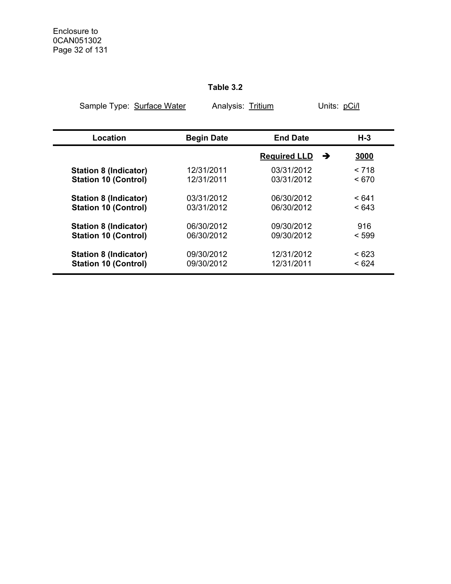# **Table 3.2**

| Sample Type: Surface Water   |                   | Analysis: Tritium   |           |  |  |
|------------------------------|-------------------|---------------------|-----------|--|--|
|                              |                   |                     |           |  |  |
| Location                     | <b>Begin Date</b> | <b>End Date</b>     | H-3       |  |  |
|                              |                   | <b>Required LLD</b> | 3000<br>→ |  |  |
| <b>Station 8 (Indicator)</b> | 12/31/2011        | 03/31/2012          | < 718     |  |  |
| <b>Station 10 (Control)</b>  | 12/31/2011        | 03/31/2012          | ~< 670    |  |  |
| <b>Station 8 (Indicator)</b> | 03/31/2012        | 06/30/2012          | < 641     |  |  |
| <b>Station 10 (Control)</b>  | 03/31/2012        | 06/30/2012          | < 643     |  |  |
| <b>Station 8 (Indicator)</b> | 06/30/2012        | 09/30/2012          | 916       |  |  |
| <b>Station 10 (Control)</b>  | 06/30/2012        | 09/30/2012          | < 599     |  |  |
| <b>Station 8 (Indicator)</b> | 09/30/2012        | 12/31/2012          | < 623     |  |  |
| <b>Station 10 (Control)</b>  | 09/30/2012        | 12/31/2011          | < 624     |  |  |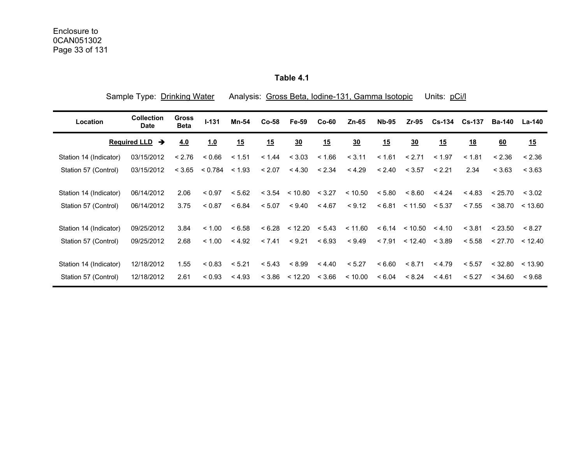**Table 4.1** 

| Sample Type: Drinking Water          |                                  |                             |         | Analysis: Gross Beta, Iodine-131, Gamma Isotopic<br>Units: pCi/l |         |                    |           |                  |              |                             |               |               |               |         |
|--------------------------------------|----------------------------------|-----------------------------|---------|------------------------------------------------------------------|---------|--------------------|-----------|------------------|--------------|-----------------------------|---------------|---------------|---------------|---------|
| Location                             | <b>Collection</b><br><b>Date</b> | <b>Gross</b><br><b>Beta</b> | $I-131$ | Mn-54                                                            | $Co-58$ | Fe-59              | $Co-60$   | $Zn-65$          | <b>Nb-95</b> | $Zr-95$                     | <b>Cs-134</b> | <b>Cs-137</b> | <b>Ba-140</b> | La-140  |
| <b>Required LLD</b><br>$\rightarrow$ |                                  | 4.0                         | 1.0     | 15                                                               | 15      | $\underline{30}$   | <u>15</u> | $\underline{30}$ | <u>15</u>    | $\underline{30}$            | 15            | <u>18</u>     | 60            | 15      |
| Station 14 (Indicator)               | 03/15/2012                       | < 2.76                      | 0.66    | < 1.51                                                           | < 1.44  | < 3.03             | < 1.66    | < 3.11           | < 1.61       | < 2.71                      | < 1.97        | < 1.81        | < 2.36        | < 2.36  |
| Station 57 (Control)                 | 03/15/2012                       | < 3.65                      | < 0.784 | < 1.93                                                           | < 2.07  | < 4.30             | < 2.34    | < 4.29           | < 2.40       | < 3.57                      | < 2.21        | 2.34          | < 3.63        | < 3.63  |
| Station 14 (Indicator)               | 06/14/2012                       | 2.06                        | < 0.97  | < 5.62                                                           |         | $< 3.54$ $< 10.80$ | < 3.27    | < 10.50          | < 5.80       | < 8.60                      | < 4.24        | < 4.83        | < 25.70       | < 3.02  |
| Station 57 (Control)                 | 06/14/2012                       | 3.75                        | < 0.87  | < 6.84                                                           | < 5.07  | < 9.40             | < 4.67    | < 9.12           |              | $< 6.81$ $< 11.50$ $< 5.37$ |               | < 7.55        | < 38.70       | < 13.60 |
| Station 14 (Indicator)               | 09/25/2012                       | 3.84                        | < 1.00  | < 6.58                                                           |         | < 6.28 < 12.20     | < 5.43    | < 11.60          |              | < 6.14 < 10.50 < 4.10       |               | < 3.81        | < 23.50       | < 8.27  |
| Station 57 (Control)                 | 09/25/2012                       | 2.68                        | < 1.00  | < 4.92                                                           | < 7.41  | < 9.21             | < 6.93    | < 9.49           | < 7.91       | < 12.40 < 3.89              |               | < 5.58        | < 27.70       | < 12.40 |
| Station 14 (Indicator)               | 12/18/2012                       | 1.55                        | < 0.83  | < 5.21                                                           | < 5.43  | < 8.99             | < 4.40    | < 5.27           | < 6.60       | < 8.71                      | < 4.79        | < 5.57        | < 32.80       | < 13.90 |
| Station 57 (Control)                 | 12/18/2012                       | 2.61                        | < 0.93  | < 4.93                                                           |         | $< 3.86$ $< 12.20$ | < 3.66    | < 10.00          | < 6.04       | < 8.24                      | < 4.61        | < 5.27        | < 34.60       | < 9.68  |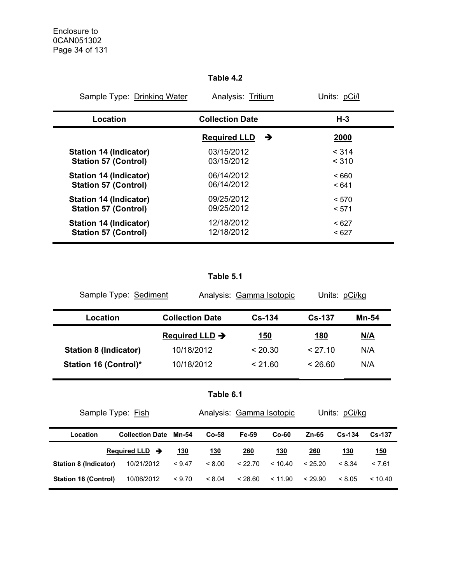### **Table 4.2**

| Sample Type: Drinking Water   | Analysis: Tritium        | Units: pCi/l |
|-------------------------------|--------------------------|--------------|
| Location                      | <b>Collection Date</b>   | $H-3$        |
|                               | <b>Required LLD</b><br>→ | 2000         |
| <b>Station 14 (Indicator)</b> | 03/15/2012               | < 314        |
| <b>Station 57 (Control)</b>   | 03/15/2012               | < 310        |
| <b>Station 14 (Indicator)</b> | 06/14/2012               | ~< 660       |
| <b>Station 57 (Control)</b>   | 06/14/2012               | < 641        |
| <b>Station 14 (Indicator)</b> | 09/25/2012               | < 570        |
| <b>Station 57 (Control)</b>   | 09/25/2012               | < 571        |
| <b>Station 14 (Indicator)</b> | 12/18/2012               | < 627        |
| <b>Station 57 (Control)</b>   | 12/18/2012               | < 627        |

## **Table 5.1**

| Sample Type: Sediment        |                            | Analysis: Gamma Isotopic | Units: pCi/kg |            |  |
|------------------------------|----------------------------|--------------------------|---------------|------------|--|
| Location                     | <b>Collection Date</b>     | $Cs - 134$               | $Cs - 137$    | Mn-54      |  |
|                              | Required LLD $\rightarrow$ | <u>150</u>               | <u>180</u>    | <u>N/A</u> |  |
| <b>Station 8 (Indicator)</b> | 10/18/2012                 | < 20.30                  | < 27.10       | N/A        |  |
| Station 16 (Control)*        | 10/18/2012                 | < 21.60                  | < 26.60       | N/A        |  |

|  |  | Table 6.1 |  |
|--|--|-----------|--|
|  |  |           |  |

| Sample Type: Fish                        | Analysis: Gamma Isotopic   |        |            | Units: pCi/kg |            |            |            |               |
|------------------------------------------|----------------------------|--------|------------|---------------|------------|------------|------------|---------------|
| <b>Collection Date Mn-54</b><br>Location |                            |        | $Co-58$    | Fe-59         | $Co-60$    | Zn-65      | $Cs - 134$ | <b>Cs-137</b> |
|                                          | Required LLD $\rightarrow$ | 130    | <u>130</u> | <u>260</u>    | <u>130</u> | <u>260</u> | <u>130</u> | <u>150</u>    |
| Station 8 (Indicator)                    | 10/21/2012                 | < 9.47 | < 8.00     | < 22.70       | < 10.40    | < 25.20    | < 8.34     | < 7.61        |
| <b>Station 16 (Control)</b>              | 10/06/2012                 | < 9.70 | < 8.04     | < 28.60       | < 11.90    | < 29.90    | < 8.05     | < 10.40       |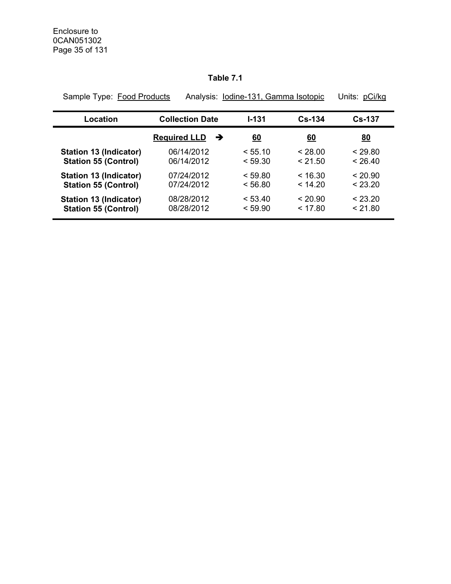## **Table 7.1**

| Sample Type: Food Products    |                          | Analysis: Iodine-131, Gamma Isotopic | Units: pCi/kg |           |
|-------------------------------|--------------------------|--------------------------------------|---------------|-----------|
| Location                      | <b>Collection Date</b>   | $1 - 131$                            | $Cs - 134$    | $Cs-137$  |
|                               | <b>Required LLD</b><br>→ | <u>60</u>                            | <u>60</u>     | <u>80</u> |
| <b>Station 13 (Indicator)</b> | 06/14/2012               | < 55.10                              | < 28.00       | < 29.80   |
| <b>Station 55 (Control)</b>   | 06/14/2012               | < 59.30                              | < 21.50       | < 26.40   |
| <b>Station 13 (Indicator)</b> | 07/24/2012               | < 59.80                              | < 16.30       | < 20.90   |
| <b>Station 55 (Control)</b>   | 07/24/2012               | < 56.80                              | < 14.20       | < 23.20   |
| <b>Station 13 (Indicator)</b> | 08/28/2012               | < 53.40                              | < 20.90       | < 23.20   |
| <b>Station 55 (Control)</b>   | 08/28/2012               | < 59.90                              | < 17.80       | < 21.80   |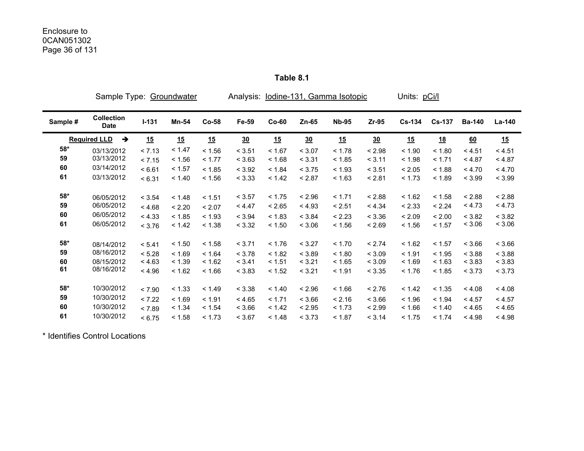|          | Sample Type:                         |           | <b>Groundwater</b> |         | Analysis: |         |         | lodine-131, Gamma Isotopic |         | Units: pCi/l  |               |               |        |
|----------|--------------------------------------|-----------|--------------------|---------|-----------|---------|---------|----------------------------|---------|---------------|---------------|---------------|--------|
| Sample # | <b>Collection</b><br><b>Date</b>     | $I - 131$ | <b>Mn-54</b>       | $Co-58$ | Fe-59     | $Co-60$ | $Zn-65$ | <b>Nb-95</b>               | $Zr-95$ | <b>Cs-134</b> | <b>Cs-137</b> | <b>Ba-140</b> | La-140 |
|          | <b>Required LLD</b><br>$\rightarrow$ | 15        | 15                 | 15      | 30        | 15      | 30      | 15                         | 30      | 15            | <u>18</u>     | 60            | 15     |
| 58*      | 03/13/2012                           | < 7.13    | < 1.47             | < 1.56  | < 3.51    | < 1.67  | < 3.07  | < 1.78                     | < 2.98  | < 1.90        | < 1.80        | < 4.51        | < 4.51 |
| 59       | 03/13/2012                           | < 7.15    | < 1.56             | < 1.77  | < 3.63    | < 1.68  | < 3.31  | < 1.85                     | < 3.11  | < 1.98        | < 1.71        | < 4.87        | < 4.87 |
| 60       | 03/14/2012                           | < 6.61    | < 1.57             | < 1.85  | < 3.92    | < 1.84  | < 3.75  | < 1.93                     | < 3.51  | < 2.05        | < 1.88        | < 4.70        | < 4.70 |
| 61       | 03/13/2012                           | < 6.31    | < 1.40             | < 1.56  | < 3.33    | < 1.42  | < 2.87  | < 1.63                     | < 2.81  | < 1.73        | < 1.89        | < 3.99        | < 3.99 |
| 58*      | 06/05/2012                           | < 3.54    | < 1.48             | < 1.51  | < 3.57    | < 1.75  | < 2.96  | < 1.71                     | < 2.88  | < 1.62        | < 1.58        | < 2.88        | < 2.88 |
| 59       | 06/05/2012                           | < 4.68    | < 2.20             | < 2.07  | < 4.47    | < 2.65  | < 4.93  | < 2.51                     | < 4.34  | < 2.33        | < 2.24        | < 4.73        | < 4.73 |
| 60       | 06/05/2012                           | < 4.33    | < 1.85             | < 1.93  | < 3.94    | < 1.83  | < 3.84  | < 2.23                     | < 3.36  | < 2.09        | < 2.00        | < 3.82        | < 3.82 |
| 61       | 06/05/2012                           | < 3.76    | < 1.42             | < 1.38  | < 3.32    | < 1.50  | < 3.06  | < 1.56                     | < 2.69  | < 1.56        | < 1.57        | < 3.06        | < 3.06 |
| 58*      | 08/14/2012                           | < 5.41    | < 1.50             | < 1.58  | < 3.71    | < 1.76  | < 3.27  | < 1.70                     | < 2.74  | < 1.62        | < 1.57        | < 3.66        | < 3.66 |
| 59       | 08/16/2012                           | < 5.28    | < 1.69             | < 1.64  | < 3.78    | < 1.82  | < 3.89  | < 1.80                     | < 3.09  | < 1.91        | < 1.95        | < 3.88        | < 3.88 |
| 60       | 08/15/2012                           | < 4.63    | < 1.39             | < 1.62  | < 3.41    | < 1.51  | < 3.21  | < 1.65                     | < 3.09  | < 1.69        | < 1.63        | < 3.83        | < 3.83 |
| 61       | 08/16/2012                           | < 4.96    | < 1.62             | < 1.66  | < 3.83    | < 1.52  | < 3.21  | < 1.91                     | < 3.35  | < 1.76        | < 1.85        | < 3.73        | < 3.73 |
| 58*      | 10/30/2012                           | < 7.90    | < 1.33             | < 1.49  | < 3.38    | < 1.40  | < 2.96  | < 1.66                     | < 2.76  | < 1.42        | < 1.35        | < 4.08        | < 4.08 |
| 59       | 10/30/2012                           | < 7.22    | < 1.69             | < 1.91  | < 4.65    | < 1.71  | < 3.66  | < 2.16                     | < 3.66  | < 1.96        | < 1.94        | < 4.57        | < 4.57 |
| 60       | 10/30/2012                           | < 7.89    | < 1.34             | < 1.54  | < 3.66    | < 1.42  | < 2.95  | < 1.73                     | < 2.99  | < 1.66        | < 1.40        | < 4.65        | < 4.65 |
| 61       | 10/30/2012                           | < 6.75    | < 1.58             | < 1.73  | < 3.67    | < 1.48  | < 3.73  | < 1.87                     | < 3.14  | < 1.75        | < 1.74        | < 4.98        | < 4.98 |

**Table 8.1** 

\* Identifies Control Locations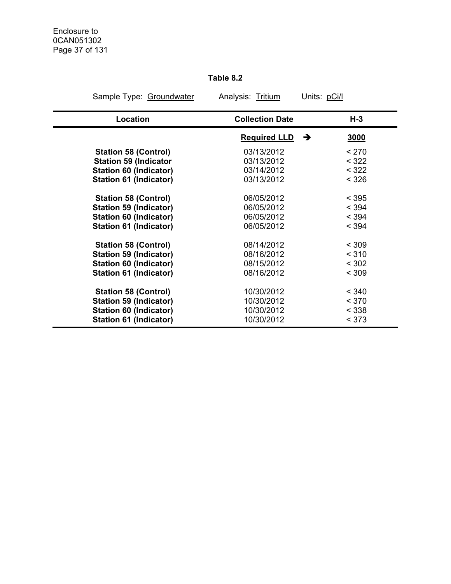## **Table 8.2**

| Sample Type: Groundwater      | Analysis: Tritium        | Units: pCi/l |  |  |
|-------------------------------|--------------------------|--------------|--|--|
| Location                      | <b>Collection Date</b>   | $H-3$        |  |  |
|                               | <b>Required LLD</b><br>→ | 3000         |  |  |
| <b>Station 58 (Control)</b>   | 03/13/2012               | < 270        |  |  |
| <b>Station 59 (Indicator</b>  | 03/13/2012               | < 322        |  |  |
| <b>Station 60 (Indicator)</b> | 03/14/2012               | < 322        |  |  |
| Station 61 (Indicator)        | 03/13/2012               | < 326        |  |  |
| <b>Station 58 (Control)</b>   | 06/05/2012               | < 395        |  |  |
| <b>Station 59 (Indicator)</b> | 06/05/2012               | < 394        |  |  |
| <b>Station 60 (Indicator)</b> | 06/05/2012               | < 394        |  |  |
| <b>Station 61 (Indicator)</b> | 06/05/2012               | < 394        |  |  |
| <b>Station 58 (Control)</b>   | 08/14/2012               | < 309        |  |  |
| <b>Station 59 (Indicator)</b> | 08/16/2012               | < 310        |  |  |
| <b>Station 60 (Indicator)</b> | 08/15/2012               | < 302        |  |  |
| <b>Station 61 (Indicator)</b> | 08/16/2012               | < 309        |  |  |
| <b>Station 58 (Control)</b>   | 10/30/2012               | < 340        |  |  |
| <b>Station 59 (Indicator)</b> | 10/30/2012               | < 370        |  |  |
| <b>Station 60 (Indicator)</b> | 10/30/2012               | < 338        |  |  |
| <b>Station 61 (Indicator)</b> | 10/30/2012               | < 373        |  |  |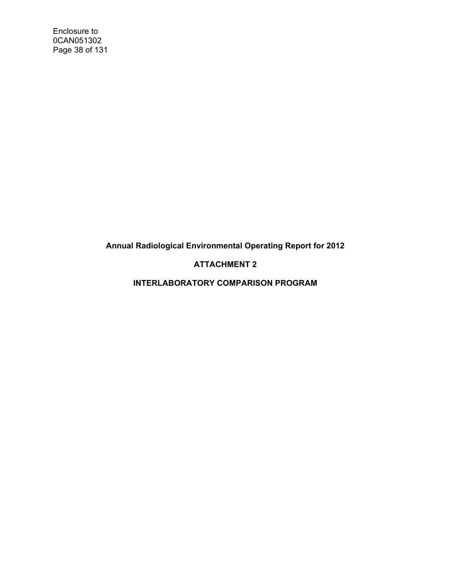Enclosure to 0CAN051302 Page 38 of 131

**Annual Radiological Environmental Operating Report for 2012** 

## **ATTACHMENT 2**

**INTERLABORATORY COMPARISON PROGRAM**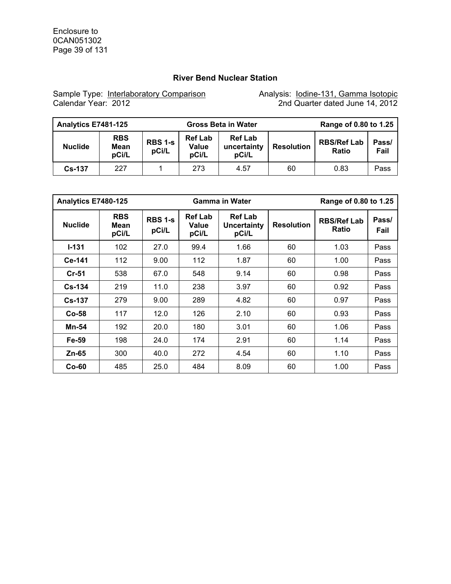## **River Bend Nuclear Station**

Sample Type: Interlaboratory Comparison Manalysis: Iodine-131, Gamma Isotopic Calendar Year: 2012 2nd Quarter dated June 14, 2012

| Analytics E7481-125 |                             |                         | <b>Gross Beta in Water</b>       | Range of 0.80 to 1.25                  |                   |                                    |               |
|---------------------|-----------------------------|-------------------------|----------------------------------|----------------------------------------|-------------------|------------------------------------|---------------|
| <b>Nuclide</b>      | <b>RBS</b><br>Mean<br>pCi/L | <b>RBS 1-s</b><br>pCi/L | <b>Ref Lab</b><br>Value<br>pCi/L | <b>Ref Lab</b><br>uncertainty<br>pCi/L | <b>Resolution</b> | <b>RBS/Ref Lab</b><br><b>Ratio</b> | Pass/<br>Fail |
| $Cs - 137$          | 227                         |                         | 273                              | 4.57                                   | 60                | 0.83                               | Pass          |

|                | Analytics E7480-125         |                         |                                  | <b>Gamma in Water</b>                         |                   | Range of 0.80 to 1.25       |               |
|----------------|-----------------------------|-------------------------|----------------------------------|-----------------------------------------------|-------------------|-----------------------------|---------------|
| <b>Nuclide</b> | <b>RBS</b><br>Mean<br>pCi/L | <b>RBS 1-s</b><br>pCi/L | <b>Ref Lab</b><br>Value<br>pCi/L | <b>Ref Lab</b><br><b>Uncertainty</b><br>pCi/L | <b>Resolution</b> | <b>RBS/Ref Lab</b><br>Ratio | Pass/<br>Fail |
| $I-131$        | 102                         | 27.0                    | 99.4                             | 1.66                                          | 60                | 1.03                        | Pass          |
| Ce-141         | 112                         | 9.00                    | 112                              | 1.87                                          | 60                | 1.00                        | Pass          |
| $Cr-51$        | 538                         | 67.0                    | 548                              | 9.14                                          | 60                | 0.98                        | Pass          |
| $Cs - 134$     | 219                         | 11.0                    | 238                              | 3.97                                          | 60                | 0.92                        | Pass          |
| <b>Cs-137</b>  | 279                         | 9.00                    | 289                              | 4.82                                          | 60                | 0.97                        | Pass          |
| $Co-58$        | 117                         | 12.0                    | 126                              | 2.10                                          | 60                | 0.93                        | Pass          |
| Mn-54          | 192                         | 20.0                    | 180                              | 3.01                                          | 60                | 1.06                        | Pass          |
| Fe-59          | 198                         | 24.0                    | 174                              | 2.91                                          | 60                | 1.14                        | Pass          |
| Zn-65          | 300                         | 40.0                    | 272                              | 4.54                                          | 60                | 1.10                        | Pass          |
| $Co-60$        | 485                         | 25.0                    | 484                              | 8.09                                          | 60                | 1.00                        | Pass          |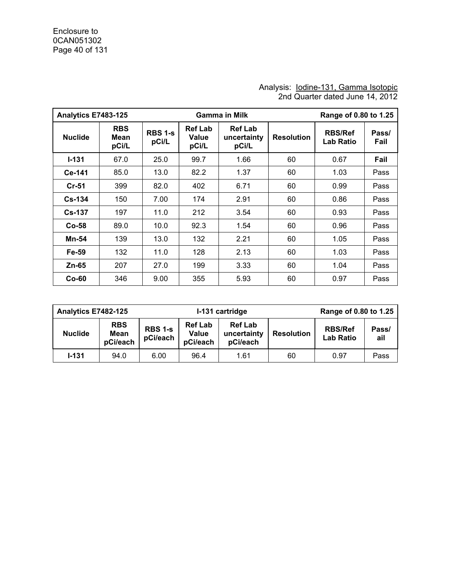#### Analysis: lodine-131, Gamma Isotopic 2nd Quarter dated June 14, 2012

| Analytics E7483-125 |                             |                         |                                  | <b>Gamma in Milk</b>                   |                   | Range of 0.80 to 1.25              |               |  |
|---------------------|-----------------------------|-------------------------|----------------------------------|----------------------------------------|-------------------|------------------------------------|---------------|--|
| <b>Nuclide</b>      | <b>RBS</b><br>Mean<br>pCi/L | <b>RBS 1-s</b><br>pCi/L | <b>Ref Lab</b><br>Value<br>pCi/L | <b>Ref Lab</b><br>uncertainty<br>pCi/L | <b>Resolution</b> | <b>RBS/Ref</b><br><b>Lab Ratio</b> | Pass/<br>Fail |  |
| $I - 131$           | 67.0                        | 25.0                    | 99.7                             | 1.66                                   | 60                | 0.67                               | Fail          |  |
| Ce-141              | 85.0                        | 13.0                    | 82.2                             | 1.37                                   | 60                | 1.03                               | Pass          |  |
| $Cr-51$             | 399                         | 82.0                    | 402                              | 6.71                                   | 60                | 0.99                               | Pass          |  |
| $Cs - 134$          | 150                         | 7.00                    | 174                              | 2.91                                   | 60                | 0.86                               | Pass          |  |
| <b>Cs-137</b>       | 197                         | 11.0                    | 212                              | 3.54                                   | 60                | 0.93                               | Pass          |  |
| $Co-58$             | 89.0                        | 10.0                    | 92.3                             | 1.54                                   | 60                | 0.96                               | Pass          |  |
| Mn-54               | 139                         | 13.0                    | 132                              | 2.21                                   | 60                | 1.05                               | Pass          |  |
| Fe-59               | 132                         | 11.0                    | 128                              | 2.13                                   | 60                | 1.03                               | Pass          |  |
| Zn-65               | 207                         | 27.0                    | 199                              | 3.33                                   | 60                | 1.04                               | Pass          |  |
| $Co-60$             | 346                         | 9.00                    | 355                              | 5.93                                   | 60                | 0.97                               | Pass          |  |

| Analytics E7482-125 |                                |                     |                                            | Range of 0.80 to 1.25<br>I-131 cartridge  |                   |                                    |              |
|---------------------|--------------------------------|---------------------|--------------------------------------------|-------------------------------------------|-------------------|------------------------------------|--------------|
| <b>Nuclide</b>      | <b>RBS</b><br>Mean<br>pCi/each | RBS 1-s<br>pCi/each | <b>Ref Lab</b><br><b>Value</b><br>pCi/each | <b>Ref Lab</b><br>uncertainty<br>pCi/each | <b>Resolution</b> | <b>RBS/Ref</b><br><b>Lab Ratio</b> | Pass/<br>ail |
| $1 - 131$           | 94.0                           | 6.00                | 96.4                                       | 1.61                                      | 60                | 0.97                               | Pass         |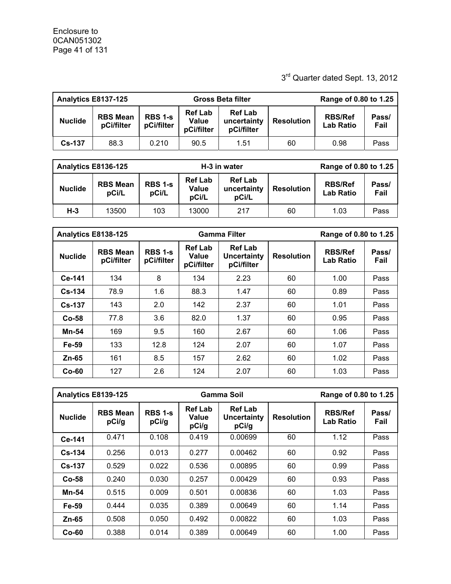## 3rd Quarter dated Sept. 13, 2012

| Analytics E8137-125 |                               |                              |                                       | <b>Gross Beta filter</b>                    | Range of 0.80 to 1.25 |                                    |               |
|---------------------|-------------------------------|------------------------------|---------------------------------------|---------------------------------------------|-----------------------|------------------------------------|---------------|
| <b>Nuclide</b>      | <b>RBS Mean</b><br>pCi/filter | <b>RBS 1-s</b><br>pCi/filter | <b>Ref Lab</b><br>Value<br>pCi/filter | <b>Ref Lab</b><br>uncertainty<br>pCi/filter | <b>Resolution</b>     | <b>RBS/Ref</b><br><b>Lab Ratio</b> | Pass/<br>Fail |
| <b>Cs-137</b>       | 88.3                          | 0.210                        | 90.5                                  | 1.51                                        | 60                    | 0.98                               | Pass          |

|                | Analytics E8136-125                                 |  |                                  | H-3 in water                           | Range of 0.80 to 1.25 |                                    |               |
|----------------|-----------------------------------------------------|--|----------------------------------|----------------------------------------|-----------------------|------------------------------------|---------------|
| <b>Nuclide</b> | <b>RBS 1-s</b><br><b>RBS Mean</b><br>pCi/L<br>pCi/L |  | <b>Ref Lab</b><br>Value<br>pCi/L | <b>Ref Lab</b><br>uncertainty<br>pCi/L | <b>Resolution</b>     | <b>RBS/Ref</b><br><b>Lab Ratio</b> | Pass/<br>Fail |
| $H-3$          | 103<br>13500                                        |  | 13000                            | 217                                    | 60                    | 1.03                               | Pass          |

| Analytics E8138-125 |                               |                                                                       |             | <b>Gamma Filter</b>                         | Range of 0.80 to 1.25 |                                    |      |
|---------------------|-------------------------------|-----------------------------------------------------------------------|-------------|---------------------------------------------|-----------------------|------------------------------------|------|
| <b>Nuclide</b>      | <b>RBS Mean</b><br>pCi/filter | <b>Ref Lab</b><br><b>RBS 1-s</b><br>Value<br>pCi/filter<br>pCi/filter |             | <b>Ref Lab</b><br>Uncertainty<br>pCi/filter | <b>Resolution</b>     | <b>RBS/Ref</b><br><b>Lab Ratio</b> |      |
| Ce-141              | 134                           | 8                                                                     | 134         | 2.23                                        | 60                    | 1.00                               | Pass |
| $Cs - 134$          | 78.9                          | 1.6<br>88.3                                                           |             | 1.47                                        | 60                    | 0.89                               | Pass |
| <b>Cs-137</b>       | 143                           | 2.0                                                                   | 142         | 2.37                                        | 60                    | 1.01                               | Pass |
| $Co-58$             | 77.8                          | 3.6                                                                   | 82.0        | 1.37                                        | 60                    | 0.95                               | Pass |
| <b>Mn-54</b>        | 169                           | 9.5                                                                   | 160<br>2.67 |                                             | 60                    | 1.06                               | Pass |
| Fe-59               | 133                           | 12.8                                                                  | 124         | 2.07                                        | 60                    | 1.07                               | Pass |
| $Zn-65$             | 161                           | 8.5                                                                   | 157         | 2.62                                        | 60                    | 1.02                               | Pass |
| $Co-60$             | 127                           | 2.6                                                                   | 124         | 2.07                                        | 60                    | 1.03                               | Pass |

|                | Analytics E8139-125                                 |       |                                                                                   | Gamma Soil | Range of 0.80 to 1.25 |                                    |               |
|----------------|-----------------------------------------------------|-------|-----------------------------------------------------------------------------------|------------|-----------------------|------------------------------------|---------------|
| <b>Nuclide</b> | <b>RBS 1-s</b><br><b>RBS Mean</b><br>pCi/g<br>pCi/g |       | <b>Ref Lab</b><br><b>Ref Lab</b><br>Value<br><b>Uncertainty</b><br>pCi/g<br>pCi/g |            | <b>Resolution</b>     | <b>RBS/Ref</b><br><b>Lab Ratio</b> | Pass/<br>Fail |
| Ce-141         | 0.471                                               | 0.108 | 0.419                                                                             | 0.00699    | 60                    | 1.12                               | Pass          |
| $Cs - 134$     | 0.256                                               | 0.013 | 0.277                                                                             | 0.00462    | 60                    | 0.92                               | Pass          |
| $Cs-137$       | 0.529                                               | 0.022 | 0.536                                                                             | 0.00895    | 60                    | 0.99                               | Pass          |
| $Co-58$        | 0.240                                               | 0.030 | 0.257                                                                             | 0.00429    | 60                    | 0.93                               | Pass          |
| Mn-54          | 0.515                                               | 0.009 | 0.501                                                                             | 0.00836    | 60                    | 1.03                               | Pass          |
| Fe-59          | 0.444                                               | 0.035 | 0.389                                                                             | 0.00649    | 60                    | 1.14                               | Pass          |
| $Zn-65$        | 0.508                                               | 0.050 | 0.492                                                                             | 0.00822    | 60                    | 1.03                               | Pass          |
| $Co-60$        | 0.388                                               | 0.014 | 0.389                                                                             | 0.00649    | 60                    | 1.00                               | Pass          |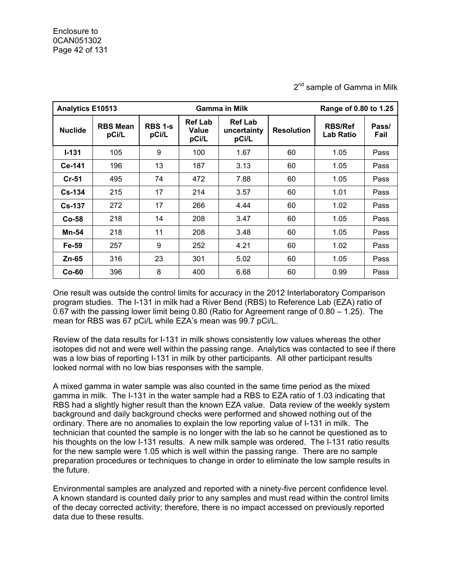**Analytics E10513 Gamma in Milk Range of 0.80 to 1.25 Nuclide RBS Mean pCi/L RBS 1-s pCi/L Ref Lab Value pCi/L Ref Lab uncertainty pCi/L Resolution RBS/Ref Lab Ratio Pass/ Fail I-131** | 105 | 9 | 100 | 1.67 | 60 | 1.05 |Pass **Ce-141** | 196 | 13 | 187 | 3.13 | 60 | 1.05 |Pass **Cr-51** | 495 | 74 | 472 | 7.88 | 60 | 1.05 | Pass **Cs-134** | 215 | 17 | 214 | 3.57 | 60 | 1.01 |Pass **Cs-137 |** 272 | 17 | 266 | 4.44 | 60 | 1.02 | Pass **Co-58** 218 14 208 3.47 60 1.05 Pass **Mn-54** | 218 | 11 | 208 | 3.48 | 60 | 1.05 | Pass **Fe-59** | 257 | 9 | 252 | 4.21 | 60 | 1.02 |Pass **Zn-65** | 316 | 23 | 301 | 5.02 | 60 | 1.05 |Pass **Co-60** 396 8 400 6.68 60 0.99 Pass

2<sup>nd</sup> sample of Gamma in Milk

One result was outside the control limits for accuracy in the 2012 Interlaboratory Comparison program studies. The I-131 in milk had a River Bend (RBS) to Reference Lab (EZA) ratio of 0.67 with the passing lower limit being 0.80 (Ratio for Agreement range of 0.80 – 1.25). The mean for RBS was 67 pCi/L while EZA's mean was 99.7 pCi/L.

Review of the data results for I-131 in milk shows consistently low values whereas the other isotopes did not and were well within the passing range. Analytics was contacted to see if there was a low bias of reporting I-131 in milk by other participants. All other participant results looked normal with no low bias responses with the sample.

A mixed gamma in water sample was also counted in the same time period as the mixed gamma in milk. The I-131 in the water sample had a RBS to EZA ratio of 1.03 indicating that RBS had a slightly higher result than the known EZA value. Data review of the weekly system background and daily background checks were performed and showed nothing out of the ordinary. There are no anomalies to explain the low reporting value of I-131 in milk. The technician that counted the sample is no longer with the lab so he cannot be questioned as to his thoughts on the low I-131 results. A new milk sample was ordered. The I-131 ratio results for the new sample were 1.05 which is well within the passing range. There are no sample preparation procedures or techniques to change in order to eliminate the low sample results in the future.

Environmental samples are analyzed and reported with a ninety-five percent confidence level. A known standard is counted daily prior to any samples and must read within the control limits of the decay corrected activity; therefore, there is no impact accessed on previously reported data due to these results.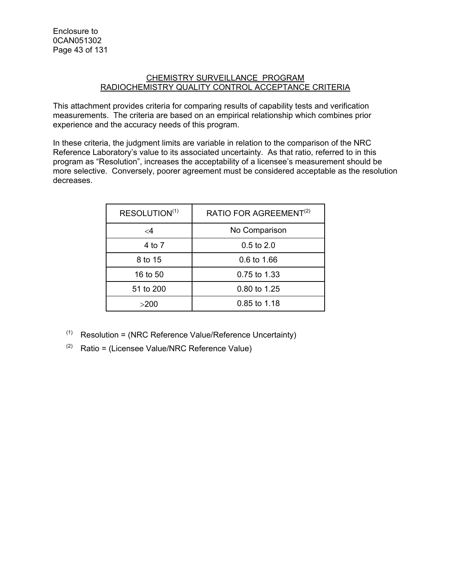#### CHEMISTRY SURVEILLANCE PROGRAM RADIOCHEMISTRY QUALITY CONTROL ACCEPTANCE CRITERIA

This attachment provides criteria for comparing results of capability tests and verification measurements. The criteria are based on an empirical relationship which combines prior experience and the accuracy needs of this program.

In these criteria, the judgment limits are variable in relation to the comparison of the NRC Reference Laboratory's value to its associated uncertainty. As that ratio, referred to in this program as "Resolution", increases the acceptability of a licensee's measurement should be more selective. Conversely, poorer agreement must be considered acceptable as the resolution decreases.

| RESOLUTION <sup>(1)</sup> | RATIO FOR AGREEMENT <sup>(2)</sup> |  |  |  |  |
|---------------------------|------------------------------------|--|--|--|--|
| $\leq$ 4                  | No Comparison                      |  |  |  |  |
| 4 to 7                    | $0.5 \text{ to } 2.0$              |  |  |  |  |
| 8 to 15                   | $0.6 \text{ to } 1.66$             |  |  |  |  |
| 16 to 50                  | 0.75 to 1.33                       |  |  |  |  |
| 51 to 200                 | 0.80 to 1.25                       |  |  |  |  |
| >200                      | 0.85 to 1.18                       |  |  |  |  |

- $(1)$  Resolution = (NRC Reference Value/Reference Uncertainty)
- $(2)$  Ratio = (Licensee Value/NRC Reference Value)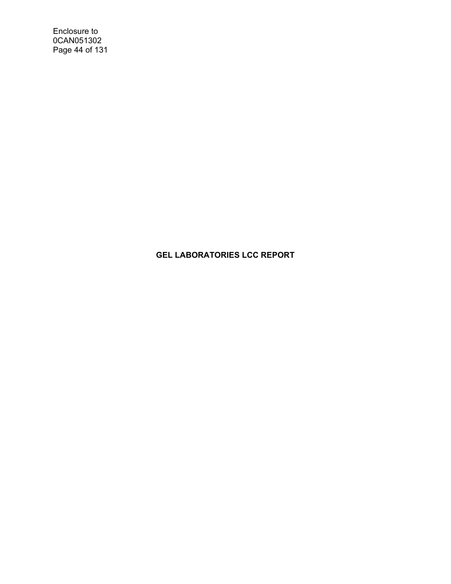Enclosure to 0CAN051302 Page 44 of 131

## **GEL LABORATORIES LCC REPORT**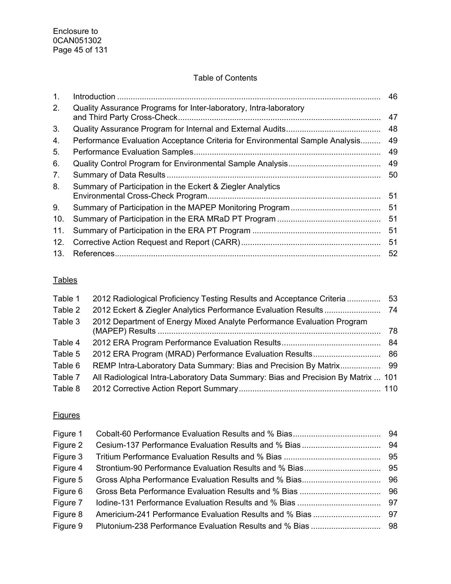## Table of Contents

| 1.              |                                                                              | 46 |
|-----------------|------------------------------------------------------------------------------|----|
| 2.              | Quality Assurance Programs for Inter-laboratory, Intra-laboratory            | 47 |
| 3.              |                                                                              | 48 |
| 4.              | Performance Evaluation Acceptance Criteria for Environmental Sample Analysis | 49 |
| 5.              |                                                                              | 49 |
| 6.              |                                                                              | 49 |
| 7.              |                                                                              | 50 |
| 8.              | Summary of Participation in the Eckert & Ziegler Analytics                   | 51 |
| 9.              |                                                                              | 51 |
| 10.             |                                                                              | 51 |
| 11.             |                                                                              | 51 |
| 12.             |                                                                              | 51 |
| 13 <sub>1</sub> |                                                                              | 52 |

## **Tables**

| Table 1 | 2012 Radiological Proficiency Testing Results and Acceptance Criteria             | 53 |
|---------|-----------------------------------------------------------------------------------|----|
| Table 2 |                                                                                   |    |
| Table 3 | 2012 Department of Energy Mixed Analyte Performance Evaluation Program            | 78 |
| Table 4 |                                                                                   | 84 |
| Table 5 |                                                                                   |    |
| Table 6 |                                                                                   |    |
| Table 7 | All Radiological Intra-Laboratory Data Summary: Bias and Precision By Matrix  101 |    |
| Table 8 |                                                                                   |    |

## **Figures**

| Figure 1 |  |
|----------|--|
| Figure 2 |  |
| Figure 3 |  |
| Figure 4 |  |
| Figure 5 |  |
| Figure 6 |  |
| Figure 7 |  |
| Figure 8 |  |
| Figure 9 |  |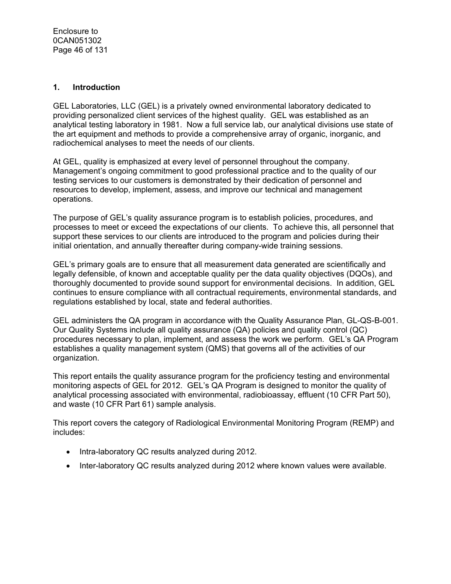#### **1. Introduction**

GEL Laboratories, LLC (GEL) is a privately owned environmental laboratory dedicated to providing personalized client services of the highest quality. GEL was established as an analytical testing laboratory in 1981. Now a full service lab, our analytical divisions use state of the art equipment and methods to provide a comprehensive array of organic, inorganic, and radiochemical analyses to meet the needs of our clients.

At GEL, quality is emphasized at every level of personnel throughout the company. Management's ongoing commitment to good professional practice and to the quality of our testing services to our customers is demonstrated by their dedication of personnel and resources to develop, implement, assess, and improve our technical and management operations.

The purpose of GEL's quality assurance program is to establish policies, procedures, and processes to meet or exceed the expectations of our clients. To achieve this, all personnel that support these services to our clients are introduced to the program and policies during their initial orientation, and annually thereafter during company-wide training sessions.

GEL's primary goals are to ensure that all measurement data generated are scientifically and legally defensible, of known and acceptable quality per the data quality objectives (DQOs), and thoroughly documented to provide sound support for environmental decisions. In addition, GEL continues to ensure compliance with all contractual requirements, environmental standards, and regulations established by local, state and federal authorities.

GEL administers the QA program in accordance with the Quality Assurance Plan, GL-QS-B-001. Our Quality Systems include all quality assurance (QA) policies and quality control (QC) procedures necessary to plan, implement, and assess the work we perform. GEL's QA Program establishes a quality management system (QMS) that governs all of the activities of our organization.

This report entails the quality assurance program for the proficiency testing and environmental monitoring aspects of GEL for 2012. GEL's QA Program is designed to monitor the quality of analytical processing associated with environmental, radiobioassay, effluent (10 CFR Part 50), and waste (10 CFR Part 61) sample analysis.

This report covers the category of Radiological Environmental Monitoring Program (REMP) and includes:

- Intra-laboratory QC results analyzed during 2012.
- Inter-laboratory QC results analyzed during 2012 where known values were available.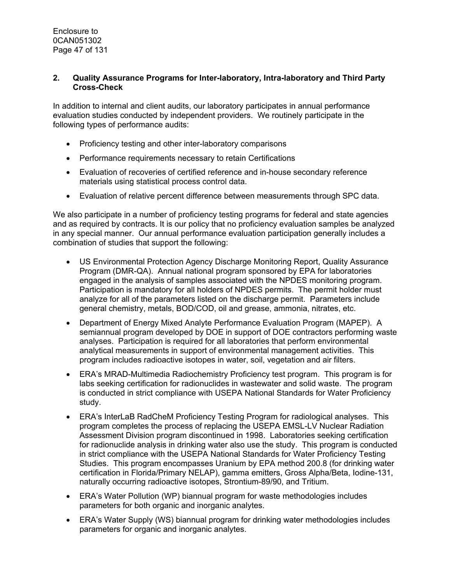#### **2. Quality Assurance Programs for Inter-laboratory, Intra-laboratory and Third Party Cross-Check**

In addition to internal and client audits, our laboratory participates in annual performance evaluation studies conducted by independent providers. We routinely participate in the following types of performance audits:

- Proficiency testing and other inter-laboratory comparisons
- Performance requirements necessary to retain Certifications
- Evaluation of recoveries of certified reference and in-house secondary reference materials using statistical process control data.
- Evaluation of relative percent difference between measurements through SPC data.

We also participate in a number of proficiency testing programs for federal and state agencies and as required by contracts. It is our policy that no proficiency evaluation samples be analyzed in any special manner. Our annual performance evaluation participation generally includes a combination of studies that support the following:

- US Environmental Protection Agency Discharge Monitoring Report, Quality Assurance Program (DMR-QA). Annual national program sponsored by EPA for laboratories engaged in the analysis of samples associated with the NPDES monitoring program. Participation is mandatory for all holders of NPDES permits. The permit holder must analyze for all of the parameters listed on the discharge permit. Parameters include general chemistry, metals, BOD/COD, oil and grease, ammonia, nitrates, etc.
- Department of Energy Mixed Analyte Performance Evaluation Program (MAPEP). A semiannual program developed by DOE in support of DOE contractors performing waste analyses. Participation is required for all laboratories that perform environmental analytical measurements in support of environmental management activities. This program includes radioactive isotopes in water, soil, vegetation and air filters.
- ERA's MRAD-Multimedia Radiochemistry Proficiency test program. This program is for labs seeking certification for radionuclides in wastewater and solid waste. The program is conducted in strict compliance with USEPA National Standards for Water Proficiency study.
- ERA's InterLaB RadCheM Proficiency Testing Program for radiological analyses. This program completes the process of replacing the USEPA EMSL-LV Nuclear Radiation Assessment Division program discontinued in 1998. Laboratories seeking certification for radionuclide analysis in drinking water also use the study. This program is conducted in strict compliance with the USEPA National Standards for Water Proficiency Testing Studies. This program encompasses Uranium by EPA method 200.8 (for drinking water certification in Florida/Primary NELAP), gamma emitters, Gross Alpha/Beta, Iodine-131, naturally occurring radioactive isotopes, Strontium-89/90, and Tritium.
- ERA's Water Pollution (WP) biannual program for waste methodologies includes parameters for both organic and inorganic analytes.
- ERA's Water Supply (WS) biannual program for drinking water methodologies includes parameters for organic and inorganic analytes.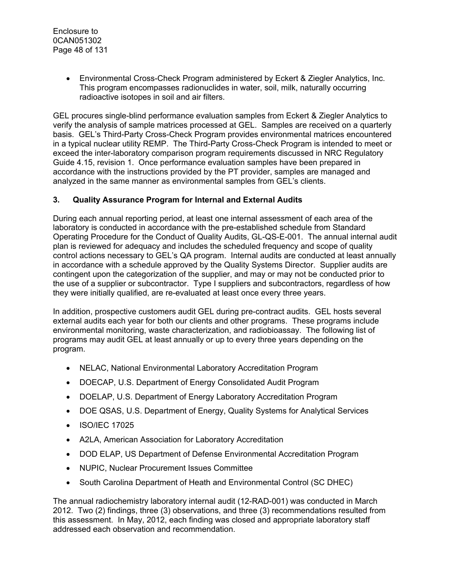• Environmental Cross-Check Program administered by Eckert & Ziegler Analytics, Inc. This program encompasses radionuclides in water, soil, milk, naturally occurring radioactive isotopes in soil and air filters.

GEL procures single-blind performance evaluation samples from Eckert & Ziegler Analytics to verify the analysis of sample matrices processed at GEL. Samples are received on a quarterly basis. GEL's Third-Party Cross-Check Program provides environmental matrices encountered in a typical nuclear utility REMP. The Third-Party Cross-Check Program is intended to meet or exceed the inter-laboratory comparison program requirements discussed in NRC Regulatory Guide 4.15, revision 1. Once performance evaluation samples have been prepared in accordance with the instructions provided by the PT provider, samples are managed and analyzed in the same manner as environmental samples from GEL's clients.

#### **3. Quality Assurance Program for Internal and External Audits**

During each annual reporting period, at least one internal assessment of each area of the laboratory is conducted in accordance with the pre-established schedule from Standard Operating Procedure for the Conduct of Quality Audits, GL-QS-E-001. The annual internal audit plan is reviewed for adequacy and includes the scheduled frequency and scope of quality control actions necessary to GEL's QA program. Internal audits are conducted at least annually in accordance with a schedule approved by the Quality Systems Director. Supplier audits are contingent upon the categorization of the supplier, and may or may not be conducted prior to the use of a supplier or subcontractor. Type I suppliers and subcontractors, regardless of how they were initially qualified, are re-evaluated at least once every three years.

In addition, prospective customers audit GEL during pre-contract audits. GEL hosts several external audits each year for both our clients and other programs. These programs include environmental monitoring, waste characterization, and radiobioassay. The following list of programs may audit GEL at least annually or up to every three years depending on the program.

- NELAC, National Environmental Laboratory Accreditation Program
- DOECAP, U.S. Department of Energy Consolidated Audit Program
- DOELAP, U.S. Department of Energy Laboratory Accreditation Program
- DOE QSAS, U.S. Department of Energy, Quality Systems for Analytical Services
- ISO/IEC 17025
- A2LA, American Association for Laboratory Accreditation
- DOD ELAP, US Department of Defense Environmental Accreditation Program
- NUPIC, Nuclear Procurement Issues Committee
- South Carolina Department of Heath and Environmental Control (SC DHEC)

The annual radiochemistry laboratory internal audit (12-RAD-001) was conducted in March 2012. Two (2) findings, three (3) observations, and three (3) recommendations resulted from this assessment. In May, 2012, each finding was closed and appropriate laboratory staff addressed each observation and recommendation.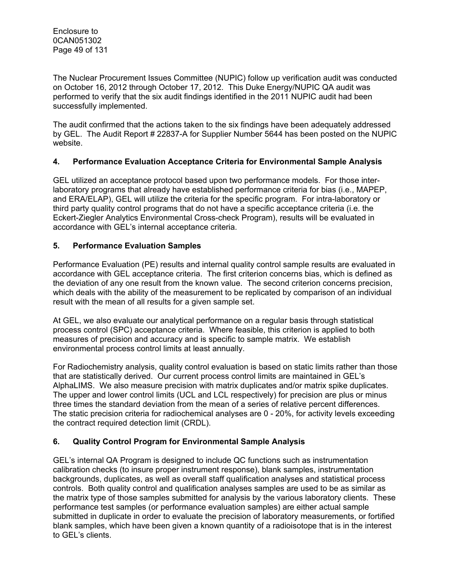The Nuclear Procurement Issues Committee (NUPIC) follow up verification audit was conducted on October 16, 2012 through October 17, 2012. This Duke Energy/NUPIC QA audit was performed to verify that the six audit findings identified in the 2011 NUPIC audit had been successfully implemented.

The audit confirmed that the actions taken to the six findings have been adequately addressed by GEL. The Audit Report # 22837-A for Supplier Number 5644 has been posted on the NUPIC website.

#### **4. Performance Evaluation Acceptance Criteria for Environmental Sample Analysis**

GEL utilized an acceptance protocol based upon two performance models. For those interlaboratory programs that already have established performance criteria for bias (i.e., MAPEP, and ERA/ELAP), GEL will utilize the criteria for the specific program. For intra-laboratory or third party quality control programs that do not have a specific acceptance criteria (i.e. the Eckert-Ziegler Analytics Environmental Cross-check Program), results will be evaluated in accordance with GEL's internal acceptance criteria.

#### **5. Performance Evaluation Samples**

Performance Evaluation (PE) results and internal quality control sample results are evaluated in accordance with GEL acceptance criteria. The first criterion concerns bias, which is defined as the deviation of any one result from the known value. The second criterion concerns precision, which deals with the ability of the measurement to be replicated by comparison of an individual result with the mean of all results for a given sample set.

At GEL, we also evaluate our analytical performance on a regular basis through statistical process control (SPC) acceptance criteria. Where feasible, this criterion is applied to both measures of precision and accuracy and is specific to sample matrix. We establish environmental process control limits at least annually.

For Radiochemistry analysis, quality control evaluation is based on static limits rather than those that are statistically derived. Our current process control limits are maintained in GEL's AlphaLIMS. We also measure precision with matrix duplicates and/or matrix spike duplicates. The upper and lower control limits (UCL and LCL respectively) for precision are plus or minus three times the standard deviation from the mean of a series of relative percent differences. The static precision criteria for radiochemical analyses are 0 - 20%, for activity levels exceeding the contract required detection limit (CRDL).

### **6. Quality Control Program for Environmental Sample Analysis**

GEL's internal QA Program is designed to include QC functions such as instrumentation calibration checks (to insure proper instrument response), blank samples, instrumentation backgrounds, duplicates, as well as overall staff qualification analyses and statistical process controls. Both quality control and qualification analyses samples are used to be as similar as the matrix type of those samples submitted for analysis by the various laboratory clients. These performance test samples (or performance evaluation samples) are either actual sample submitted in duplicate in order to evaluate the precision of laboratory measurements, or fortified blank samples, which have been given a known quantity of a radioisotope that is in the interest to GEL's clients.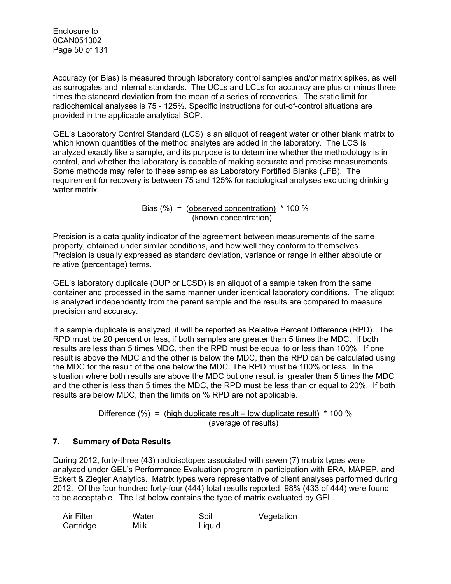Enclosure to 0CAN051302 Page 50 of 131

Accuracy (or Bias) is measured through laboratory control samples and/or matrix spikes, as well as surrogates and internal standards. The UCLs and LCLs for accuracy are plus or minus three times the standard deviation from the mean of a series of recoveries. The static limit for radiochemical analyses is 75 - 125%. Specific instructions for out-of-control situations are provided in the applicable analytical SOP.

GEL's Laboratory Control Standard (LCS) is an aliquot of reagent water or other blank matrix to which known quantities of the method analytes are added in the laboratory. The LCS is analyzed exactly like a sample, and its purpose is to determine whether the methodology is in control, and whether the laboratory is capable of making accurate and precise measurements. Some methods may refer to these samples as Laboratory Fortified Blanks (LFB).The requirement for recovery is between 75 and 125% for radiological analyses excluding drinking water matrix.

> Bias  $(\%)$  = (observed concentration)  $*$  100 % (known concentration)

Precision is a data quality indicator of the agreement between measurements of the same property, obtained under similar conditions, and how well they conform to themselves. Precision is usually expressed as standard deviation, variance or range in either absolute or relative (percentage) terms.

GEL's laboratory duplicate (DUP or LCSD) is an aliquot of a sample taken from the same container and processed in the same manner under identical laboratory conditions. The aliquot is analyzed independently from the parent sample and the results are compared to measure precision and accuracy.

If a sample duplicate is analyzed, it will be reported as Relative Percent Difference (RPD). The RPD must be 20 percent or less, if both samples are greater than 5 times the MDC. If both results are less than 5 times MDC, then the RPD must be equal to or less than 100%. If one result is above the MDC and the other is below the MDC, then the RPD can be calculated using the MDC for the result of the one below the MDC. The RPD must be 100% or less. In the situation where both results are above the MDC but one result is greater than 5 times the MDC and the other is less than 5 times the MDC, the RPD must be less than or equal to 20%. If both results are below MDC, then the limits on % RPD are not applicable.

> Difference  $%$  = (high duplicate result – low duplicate result)  $*$  100 % (average of results)

#### **7. Summary of Data Results**

During 2012, forty-three (43) radioisotopes associated with seven (7) matrix types were analyzed under GEL's Performance Evaluation program in participation with ERA, MAPEP, and Eckert & Ziegler Analytics. Matrix types were representative of client analyses performed during 2012. Of the four hundred forty-four (444) total results reported, 98% (433 of 444) were found to be acceptable. The list below contains the type of matrix evaluated by GEL.

| Air Filter | Water | Soil   | Vegetation |
|------------|-------|--------|------------|
| Cartridge  | Milk  | Liquid |            |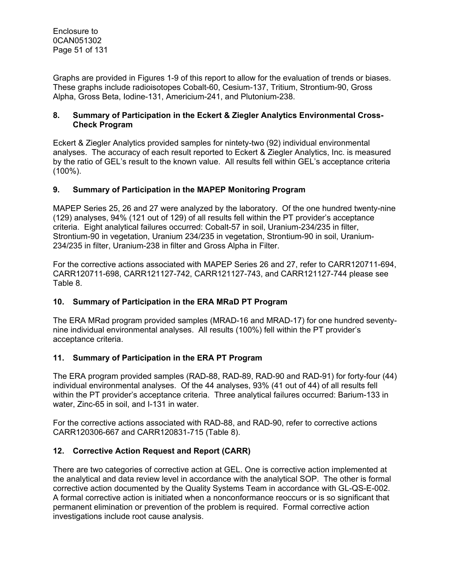Graphs are provided in Figures 1-9 of this report to allow for the evaluation of trends or biases. These graphs include radioisotopes Cobalt-60, Cesium-137, Tritium, Strontium-90, Gross Alpha, Gross Beta, Iodine-131, Americium-241, and Plutonium-238.

#### **8. Summary of Participation in the Eckert & Ziegler Analytics Environmental Cross-Check Program**

Eckert & Ziegler Analytics provided samples for nintety-two (92) individual environmental analyses. The accuracy of each result reported to Eckert & Ziegler Analytics, Inc. is measured by the ratio of GEL's result to the known value. All results fell within GEL's acceptance criteria (100%).

#### **9. Summary of Participation in the MAPEP Monitoring Program**

MAPEP Series 25, 26 and 27 were analyzed by the laboratory. Of the one hundred twenty-nine (129) analyses, 94% (121 out of 129) of all results fell within the PT provider's acceptance criteria. Eight analytical failures occurred: Cobalt-57 in soil, Uranium-234/235 in filter, Strontium-90 in vegetation, Uranium 234/235 in vegetation, Strontium-90 in soil, Uranium-234/235 in filter, Uranium-238 in filter and Gross Alpha in Filter.

For the corrective actions associated with MAPEP Series 26 and 27, refer to CARR120711-694, CARR120711-698, CARR121127-742, CARR121127-743, and CARR121127-744 please see Table 8.

### **10. Summary of Participation in the ERA MRaD PT Program**

The ERA MRad program provided samples (MRAD-16 and MRAD-17) for one hundred seventynine individual environmental analyses. All results (100%) fell within the PT provider's acceptance criteria.

### **11. Summary of Participation in the ERA PT Program**

The ERA program provided samples (RAD-88, RAD-89, RAD-90 and RAD-91) for forty-four (44) individual environmental analyses. Of the 44 analyses, 93% (41 out of 44) of all results fell within the PT provider's acceptance criteria. Three analytical failures occurred: Barium-133 in water, Zinc-65 in soil, and I-131 in water.

For the corrective actions associated with RAD-88, and RAD-90, refer to corrective actions CARR120306-667 and CARR120831-715 (Table 8).

### **12. Corrective Action Request and Report (CARR)**

There are two categories of corrective action at GEL. One is corrective action implemented at the analytical and data review level in accordance with the analytical SOP. The other is formal corrective action documented by the Quality Systems Team in accordance with GL-QS-E-002. A formal corrective action is initiated when a nonconformance reoccurs or is so significant that permanent elimination or prevention of the problem is required. Formal corrective action investigations include root cause analysis.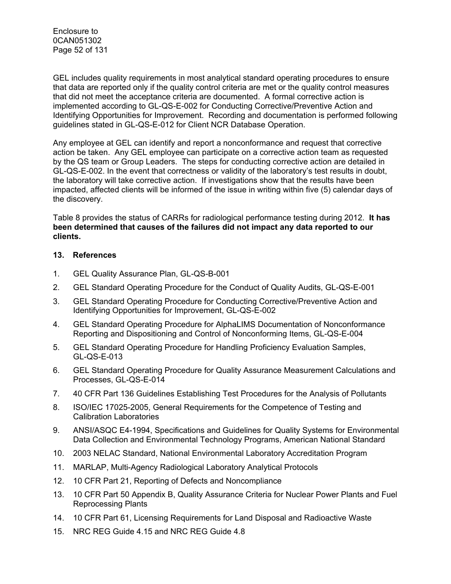Enclosure to 0CAN051302 Page 52 of 131

GEL includes quality requirements in most analytical standard operating procedures to ensure that data are reported only if the quality control criteria are met or the quality control measures that did not meet the acceptance criteria are documented. A formal corrective action is implemented according to GL-QS-E-002 for Conducting Corrective/Preventive Action and Identifying Opportunities for Improvement. Recording and documentation is performed following guidelines stated in GL-QS-E-012 for Client NCR Database Operation.

Any employee at GEL can identify and report a nonconformance and request that corrective action be taken. Any GEL employee can participate on a corrective action team as requested by the QS team or Group Leaders. The steps for conducting corrective action are detailed in GL-QS-E-002. In the event that correctness or validity of the laboratory's test results in doubt, the laboratory will take corrective action. If investigations show that the results have been impacted, affected clients will be informed of the issue in writing within five (5) calendar days of the discovery.

Table 8 provides the status of CARRs for radiological performance testing during 2012. **It has been determined that causes of the failures did not impact any data reported to our clients.** 

#### **13. References**

- 1. GEL Quality Assurance Plan, GL-QS-B-001
- 2. GEL Standard Operating Procedure for the Conduct of Quality Audits, GL-QS-E-001
- 3. GEL Standard Operating Procedure for Conducting Corrective/Preventive Action and Identifying Opportunities for Improvement, GL-QS-E-002
- 4. GEL Standard Operating Procedure for AlphaLIMS Documentation of Nonconformance Reporting and Dispositioning and Control of Nonconforming Items, GL-QS-E-004
- 5. GEL Standard Operating Procedure for Handling Proficiency Evaluation Samples, GL-QS-E-013
- 6. GEL Standard Operating Procedure for Quality Assurance Measurement Calculations and Processes, GL-QS-E-014
- 7. 40 CFR Part 136 Guidelines Establishing Test Procedures for the Analysis of Pollutants
- 8. ISO/IEC 17025-2005, General Requirements for the Competence of Testing and Calibration Laboratories
- 9. ANSI/ASQC E4-1994, Specifications and Guidelines for Quality Systems for Environmental Data Collection and Environmental Technology Programs, American National Standard
- 10. 2003 NELAC Standard, National Environmental Laboratory Accreditation Program
- 11. MARLAP, Multi-Agency Radiological Laboratory Analytical Protocols
- 12. 10 CFR Part 21, Reporting of Defects and Noncompliance
- 13. 10 CFR Part 50 Appendix B, Quality Assurance Criteria for Nuclear Power Plants and Fuel Reprocessing Plants
- 14. 10 CFR Part 61, Licensing Requirements for Land Disposal and Radioactive Waste
- 15. NRC REG Guide 4.15 and NRC REG Guide 4.8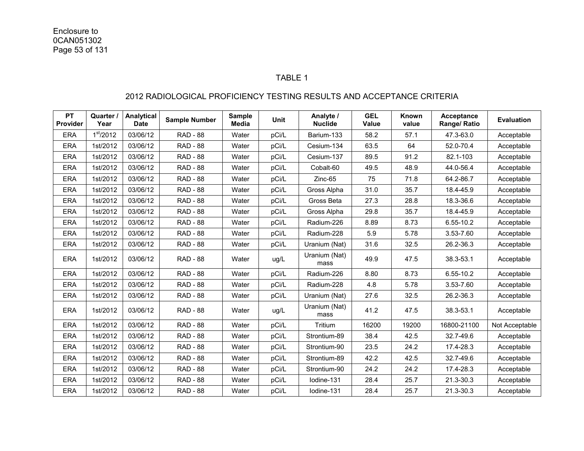#### TABLE 1

#### 2012 RADIOLOGICAL PROFICIENCY TESTING RESULTS AND ACCEPTANCE CRITERIA

| <b>PT</b><br><b>Provider</b> | Quarter /<br>Year     | Analytical<br><b>Date</b> | <b>Sample Number</b> | <b>Sample</b><br><b>Media</b> | <b>Unit</b> | Analyte /<br><b>Nuclide</b> | <b>GEL</b><br>Value | Known<br>value | Acceptance<br>Range/ Ratio | <b>Evaluation</b> |
|------------------------------|-----------------------|---------------------------|----------------------|-------------------------------|-------------|-----------------------------|---------------------|----------------|----------------------------|-------------------|
| <b>ERA</b>                   | 1 <sup>st</sup> /2012 | 03/06/12                  | <b>RAD - 88</b>      | Water                         | pCi/L       | Barium-133                  | 58.2                | 57.1           | 47.3-63.0                  | Acceptable        |
| ERA                          | 1st/2012              | 03/06/12                  | <b>RAD - 88</b>      | Water                         | pCi/L       | Cesium-134                  | 63.5                | 64             | 52.0-70.4                  | Acceptable        |
| <b>ERA</b>                   | 1st/2012              | 03/06/12                  | <b>RAD - 88</b>      | Water                         | pCi/L       | Cesium-137                  | 89.5                | 91.2           | 82.1-103                   | Acceptable        |
| <b>ERA</b>                   | 1st/2012              | 03/06/12                  | <b>RAD - 88</b>      | Water                         | pCi/L       | Cobalt-60                   | 49.5                | 48.9           | 44.0-56.4                  | Acceptable        |
| <b>ERA</b>                   | 1st/2012              | 03/06/12                  | <b>RAD - 88</b>      | Water                         | pCi/L       | Zinc-65                     | 75                  | 71.8           | 64.2-86.7                  | Acceptable        |
| <b>ERA</b>                   | 1st/2012              | 03/06/12                  | <b>RAD - 88</b>      | Water                         | pCi/L       | Gross Alpha                 | 31.0                | 35.7           | 18.4-45.9                  | Acceptable        |
| <b>ERA</b>                   | 1st/2012              | 03/06/12                  | <b>RAD - 88</b>      | Water                         | pCi/L       | Gross Beta                  | 27.3                | 28.8           | 18.3-36.6                  | Acceptable        |
| <b>ERA</b>                   | 1st/2012              | 03/06/12                  | <b>RAD - 88</b>      | Water                         | pCi/L       | Gross Alpha                 | 29.8                | 35.7           | 18.4-45.9                  | Acceptable        |
| <b>ERA</b>                   | 1st/2012              | 03/06/12                  | <b>RAD - 88</b>      | Water                         | pCi/L       | Radium-226                  | 8.89                | 8.73           | 6.55-10.2                  | Acceptable        |
| <b>ERA</b>                   | 1st/2012              | 03/06/12                  | <b>RAD - 88</b>      | Water                         | pCi/L       | Radium-228                  | 5.9                 | 5.78           | 3.53-7.60                  | Acceptable        |
| <b>ERA</b>                   | 1st/2012              | 03/06/12                  | <b>RAD - 88</b>      | Water                         | pCi/L       | Uranium (Nat)               | 31.6                | 32.5           | 26.2-36.3                  | Acceptable        |
| <b>ERA</b>                   | 1st/2012              | 03/06/12                  | <b>RAD - 88</b>      | Water                         | ug/L        | Uranium (Nat)<br>mass       | 49.9                | 47.5           | 38.3-53.1                  | Acceptable        |
| <b>ERA</b>                   | 1st/2012              | 03/06/12                  | <b>RAD - 88</b>      | Water                         | pCi/L       | Radium-226                  | 8.80                | 8.73           | 6.55-10.2                  | Acceptable        |
| <b>ERA</b>                   | 1st/2012              | 03/06/12                  | <b>RAD - 88</b>      | Water                         | pCi/L       | Radium-228                  | 4.8                 | 5.78           | 3.53-7.60                  | Acceptable        |
| <b>ERA</b>                   | 1st/2012              | 03/06/12                  | <b>RAD - 88</b>      | Water                         | pCi/L       | Uranium (Nat)               | 27.6                | 32.5           | 26.2-36.3                  | Acceptable        |
| <b>ERA</b>                   | 1st/2012              | 03/06/12                  | <b>RAD - 88</b>      | Water                         | ug/L        | Uranium (Nat)<br>mass       | 41.2                | 47.5           | 38.3-53.1                  | Acceptable        |
| <b>ERA</b>                   | 1st/2012              | 03/06/12                  | <b>RAD - 88</b>      | Water                         | pCi/L       | Tritium                     | 16200               | 19200          | 16800-21100                | Not Acceptable    |
| <b>ERA</b>                   | 1st/2012              | 03/06/12                  | <b>RAD - 88</b>      | Water                         | pCi/L       | Strontium-89                | 38.4                | 42.5           | 32.7-49.6                  | Acceptable        |
| <b>ERA</b>                   | 1st/2012              | 03/06/12                  | <b>RAD - 88</b>      | Water                         | pCi/L       | Strontium-90                | 23.5                | 24.2           | 17.4-28.3                  | Acceptable        |
| <b>ERA</b>                   | 1st/2012              | 03/06/12                  | <b>RAD - 88</b>      | Water                         | pCi/L       | Strontium-89                | 42.2                | 42.5           | 32.7-49.6                  | Acceptable        |
| <b>ERA</b>                   | 1st/2012              | 03/06/12                  | <b>RAD - 88</b>      | Water                         | pCi/L       | Strontium-90                | 24.2                | 24.2           | 17.4-28.3                  | Acceptable        |
| <b>ERA</b>                   | 1st/2012              | 03/06/12                  | <b>RAD - 88</b>      | Water                         | pCi/L       | lodine-131                  | 28.4                | 25.7           | 21.3-30.3                  | Acceptable        |
| <b>ERA</b>                   | 1st/2012              | 03/06/12                  | <b>RAD - 88</b>      | Water                         | pCi/L       | lodine-131                  | 28.4                | 25.7           | 21.3-30.3                  | Acceptable        |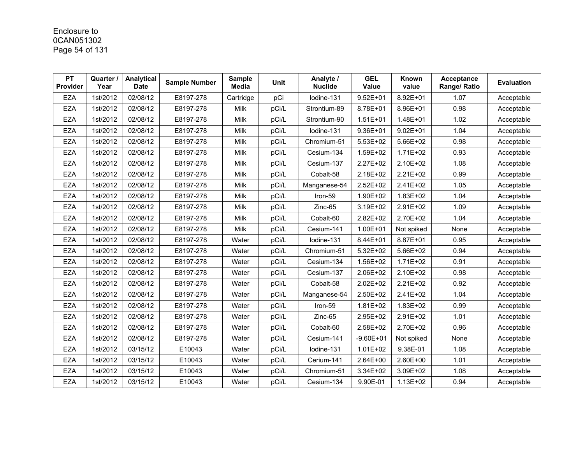# Enclosure to 0CAN051302 Page 54 of 131

| <b>PT</b><br>Provider | Quarter /<br>Year | Analytical<br><b>Date</b> | <b>Sample Number</b> | <b>Sample</b><br>Media | <b>Unit</b> | Analyte /<br><b>Nuclide</b> | <b>GEL</b><br>Value | Known<br>value | Acceptance<br>Range/ Ratio | <b>Evaluation</b> |
|-----------------------|-------------------|---------------------------|----------------------|------------------------|-------------|-----------------------------|---------------------|----------------|----------------------------|-------------------|
| <b>EZA</b>            | 1st/2012          | 02/08/12                  | E8197-278            | Cartridge              | pCi         | Iodine-131                  | $9.52E + 01$        | 8.92E+01       | 1.07                       | Acceptable        |
| <b>EZA</b>            | 1st/2012          | 02/08/12                  | E8197-278            | Milk                   | pCi/L       | Strontium-89                | 8.78E+01            | 8.96E+01       | 0.98                       | Acceptable        |
| EZA                   | 1st/2012          | 02/08/12                  | E8197-278            | Milk                   | pCi/L       | Strontium-90                | $1.51E + 01$        | 1.48E+01       | 1.02                       | Acceptable        |
| <b>EZA</b>            | 1st/2012          | 02/08/12                  | E8197-278            | Milk                   | pCi/L       | lodine-131                  | 9.36E+01            | $9.02E + 01$   | 1.04                       | Acceptable        |
| EZA                   | 1st/2012          | 02/08/12                  | E8197-278            | Milk                   | pCi/L       | Chromium-51                 | 5.53E+02            | 5.66E+02       | 0.98                       | Acceptable        |
| <b>EZA</b>            | 1st/2012          | 02/08/12                  | E8197-278            | Milk                   | pCi/L       | Cesium-134                  | 1.59E+02            | 1.71E+02       | 0.93                       | Acceptable        |
| <b>EZA</b>            | 1st/2012          | 02/08/12                  | E8197-278            | Milk                   | pCi/L       | Cesium-137                  | 2.27E+02            | 2.10E+02       | 1.08                       | Acceptable        |
| <b>EZA</b>            | 1st/2012          | 02/08/12                  | E8197-278            | Milk                   | pCi/L       | Cobalt-58                   | 2.18E+02            | 2.21E+02       | 0.99                       | Acceptable        |
| <b>EZA</b>            | 1st/2012          | 02/08/12                  | E8197-278            | Milk                   | pCi/L       | Manganese-54                | 2.52E+02            | 2.41E+02       | 1.05                       | Acceptable        |
| <b>EZA</b>            | 1st/2012          | 02/08/12                  | E8197-278            | Milk                   | pCi/L       | Iron-59                     | 1.90E+02            | $1.83E + 02$   | 1.04                       | Acceptable        |
| <b>EZA</b>            | 1st/2012          | 02/08/12                  | E8197-278            | Milk                   | pCi/L       | Zinc-65                     | 3.19E+02            | 2.91E+02       | 1.09                       | Acceptable        |
| <b>EZA</b>            | 1st/2012          | 02/08/12                  | E8197-278            | Milk                   | pCi/L       | Cobalt-60                   | 2.82E+02            | 2.70E+02       | 1.04                       | Acceptable        |
| EZA                   | 1st/2012          | 02/08/12                  | E8197-278            | Milk                   | pCi/L       | Cesium-141                  | 1.00E+01            | Not spiked     | None                       | Acceptable        |
| <b>EZA</b>            | 1st/2012          | 02/08/12                  | E8197-278            | Water                  | pCi/L       | Iodine-131                  | 8.44E+01            | 8.87E+01       | 0.95                       | Acceptable        |
| EZA                   | 1st/2012          | 02/08/12                  | E8197-278            | Water                  | pCi/L       | Chromium-51                 | 5.32E+02            | 5.66E+02       | 0.94                       | Acceptable        |
| <b>EZA</b>            | 1st/2012          | 02/08/12                  | E8197-278            | Water                  | pCi/L       | Cesium-134                  | 1.56E+02            | 1.71E+02       | 0.91                       | Acceptable        |
| <b>EZA</b>            | 1st/2012          | 02/08/12                  | E8197-278            | Water                  | pCi/L       | Cesium-137                  | 2.06E+02            | 2.10E+02       | 0.98                       | Acceptable        |
| EZA                   | 1st/2012          | 02/08/12                  | E8197-278            | Water                  | pCi/L       | Cobalt-58                   | 2.02E+02            | 2.21E+02       | 0.92                       | Acceptable        |
| <b>EZA</b>            | 1st/2012          | 02/08/12                  | E8197-278            | Water                  | pCi/L       | Manganese-54                | 2.50E+02            | 2.41E+02       | 1.04                       | Acceptable        |
| <b>EZA</b>            | 1st/2012          | 02/08/12                  | E8197-278            | Water                  | pCi/L       | Iron-59                     | 1.81E+02            | 1.83E+02       | 0.99                       | Acceptable        |
| <b>EZA</b>            | 1st/2012          | 02/08/12                  | E8197-278            | Water                  | pCi/L       | Zinc-65                     | 2.95E+02            | 2.91E+02       | 1.01                       | Acceptable        |
| <b>EZA</b>            | 1st/2012          | 02/08/12                  | E8197-278            | Water                  | pCi/L       | Cobalt-60                   | 2.58E+02            | 2.70E+02       | 0.96                       | Acceptable        |
| <b>EZA</b>            | 1st/2012          | 02/08/12                  | E8197-278            | Water                  | pCi/L       | Cesium-141                  | $-9.60E + 01$       | Not spiked     | None                       | Acceptable        |
| <b>EZA</b>            | 1st/2012          | 03/15/12                  | E10043               | Water                  | pCi/L       | Iodine-131                  | $1.01E + 02$        | 9.38E-01       | 1.08                       | Acceptable        |
| <b>EZA</b>            | 1st/2012          | 03/15/12                  | E10043               | Water                  | pCi/L       | Cerium-141                  | 2.64E+00            | 2.60E+00       | 1.01                       | Acceptable        |
| <b>EZA</b>            | 1st/2012          | 03/15/12                  | E10043               | Water                  | pCi/L       | Chromium-51                 | 3.34E+02            | 3.09E+02       | 1.08                       | Acceptable        |
| <b>EZA</b>            | 1st/2012          | 03/15/12                  | E10043               | Water                  | pCi/L       | Cesium-134                  | 9.90E-01            | 1.13E+02       | 0.94                       | Acceptable        |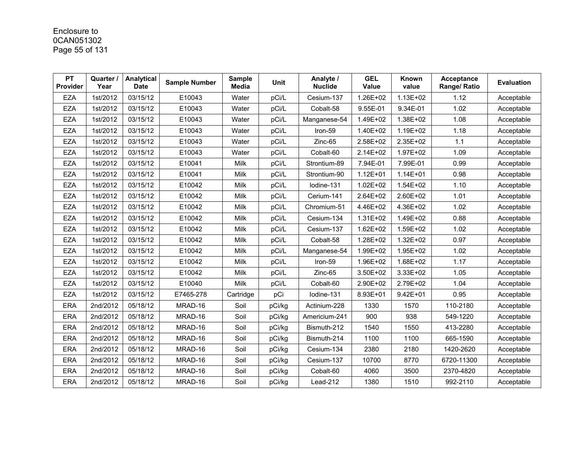# Enclosure to 0CAN051302 Page 55 of 131

| <b>PT</b><br>Provider | Quarter /<br>Year | Analytical<br><b>Date</b> | <b>Sample Number</b> | <b>Sample</b><br>Media | <b>Unit</b> | Analyte /<br><b>Nuclide</b> | <b>GEL</b><br>Value | Known<br>value | Acceptance<br>Range/ Ratio | <b>Evaluation</b> |
|-----------------------|-------------------|---------------------------|----------------------|------------------------|-------------|-----------------------------|---------------------|----------------|----------------------------|-------------------|
| <b>EZA</b>            | 1st/2012          | 03/15/12                  | E10043               | Water                  | pCi/L       | Cesium-137                  | 1.26E+02            | $1.13E + 02$   | 1.12                       | Acceptable        |
| <b>EZA</b>            | 1st/2012          | 03/15/12                  | E10043               | Water                  | pCi/L       | Cobalt-58                   | 9.55E-01            | 9.34E-01       | 1.02                       | Acceptable        |
| <b>EZA</b>            | 1st/2012          | 03/15/12                  | E10043               | Water                  | pCi/L       | Manganese-54                | 1.49E+02            | 1.38E+02       | 1.08                       | Acceptable        |
| <b>EZA</b>            | 1st/2012          | 03/15/12                  | E10043               | Water                  | pCi/L       | Iron-59                     | 1.40E+02            | 1.19E+02       | 1.18                       | Acceptable        |
| <b>EZA</b>            | 1st/2012          | 03/15/12                  | E10043               | Water                  | pCi/L       | Zinc-65                     | 2.58E+02            | 2.35E+02       | 1.1                        | Acceptable        |
| <b>EZA</b>            | 1st/2012          | 03/15/12                  | E10043               | Water                  | pCi/L       | Cobalt-60                   | 2.14E+02            | 1.97E+02       | 1.09                       | Acceptable        |
| <b>EZA</b>            | 1st/2012          | 03/15/12                  | E10041               | Milk                   | pCi/L       | Strontium-89                | 7.94E-01            | 7.99E-01       | 0.99                       | Acceptable        |
| <b>EZA</b>            | 1st/2012          | 03/15/12                  | E10041               | Milk                   | pCi/L       | Strontium-90                | $1.12E + 01$        | $1.14E + 01$   | 0.98                       | Acceptable        |
| <b>EZA</b>            | 1st/2012          | 03/15/12                  | E10042               | Milk                   | pCi/L       | lodine-131                  | $1.02E + 02$        | 1.54E+02       | 1.10                       | Acceptable        |
| <b>EZA</b>            | 1st/2012          | 03/15/12                  | E10042               | Milk                   | pCi/L       | Cerium-141                  | 2.64E+02            | 2.60E+02       | 1.01                       | Acceptable        |
| <b>EZA</b>            | 1st/2012          | 03/15/12                  | E10042               | Milk                   | pCi/L       | Chromium-51                 | 4.46E+02            | 4.36E+02       | 1.02                       | Acceptable        |
| <b>EZA</b>            | 1st/2012          | 03/15/12                  | E10042               | Milk                   | pCi/L       | Cesium-134                  | 1.31E+02            | 1.49E+02       | 0.88                       | Acceptable        |
| <b>EZA</b>            | 1st/2012          | 03/15/12                  | E10042               | Milk                   | pCi/L       | Cesium-137                  | 1.62E+02            | 1.59E+02       | 1.02                       | Acceptable        |
| <b>EZA</b>            | 1st/2012          | 03/15/12                  | E10042               | Milk                   | pCi/L       | Cobalt-58                   | 1.28E+02            | 1.32E+02       | 0.97                       | Acceptable        |
| <b>EZA</b>            | 1st/2012          | 03/15/12                  | E10042               | Milk                   | pCi/L       | Manganese-54                | 1.99E+02            | 1.95E+02       | 1.02                       | Acceptable        |
| <b>EZA</b>            | 1st/2012          | 03/15/12                  | E10042               | Milk                   | pCi/L       | Iron-59                     | 1.96E+02            | 1.68E+02       | 1.17                       | Acceptable        |
| <b>EZA</b>            | 1st/2012          | 03/15/12                  | E10042               | Milk                   | pCi/L       | Zinc-65                     | 3.50E+02            | 3.33E+02       | 1.05                       | Acceptable        |
| <b>EZA</b>            | 1st/2012          | 03/15/12                  | E10040               | Milk                   | pCi/L       | Cobalt-60                   | 2.90E+02            | 2.79E+02       | 1.04                       | Acceptable        |
| <b>EZA</b>            | 1st/2012          | 03/15/12                  | E7465-278            | Cartridge              | pCi         | Iodine-131                  | 8.93E+01            | $9.42E + 01$   | 0.95                       | Acceptable        |
| <b>ERA</b>            | 2nd/2012          | 05/18/12                  | MRAD-16              | Soil                   | pCi/kg      | Actinium-228                | 1330                | 1570           | 110-2180                   | Acceptable        |
| <b>ERA</b>            | 2nd/2012          | 05/18/12                  | MRAD-16              | Soil                   | pCi/kg      | Americium-241               | 900                 | 938            | 549-1220                   | Acceptable        |
| <b>ERA</b>            | 2nd/2012          | 05/18/12                  | MRAD-16              | Soil                   | pCi/kg      | Bismuth-212                 | 1540                | 1550           | 413-2280                   | Acceptable        |
| <b>ERA</b>            | 2nd/2012          | 05/18/12                  | MRAD-16              | Soil                   | pCi/kg      | Bismuth-214                 | 1100                | 1100           | 665-1590                   | Acceptable        |
| ERA                   | 2nd/2012          | 05/18/12                  | MRAD-16              | Soil                   | pCi/kg      | Cesium-134                  | 2380                | 2180           | 1420-2620                  | Acceptable        |
| <b>ERA</b>            | 2nd/2012          | 05/18/12                  | MRAD-16              | Soil                   | pCi/kg      | Cesium-137                  | 10700               | 8770           | 6720-11300                 | Acceptable        |
| <b>ERA</b>            | 2nd/2012          | 05/18/12                  | MRAD-16              | Soil                   | pCi/kg      | Cobalt-60                   | 4060                | 3500           | 2370-4820                  | Acceptable        |
| <b>ERA</b>            | 2nd/2012          | 05/18/12                  | MRAD-16              | Soil                   | pCi/kg      | Lead-212                    | 1380                | 1510           | 992-2110                   | Acceptable        |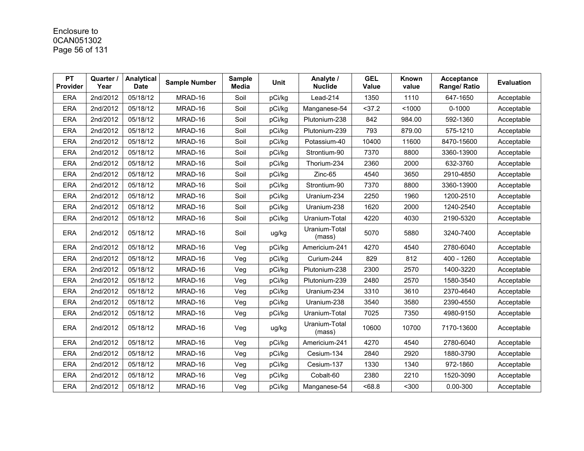# Enclosure to 0CAN051302 Page 56 of 131

| <b>PT</b><br>Provider | Quarter /<br>Year | Analytical<br><b>Date</b> | <b>Sample Number</b> | <b>Sample</b><br><b>Media</b> | <b>Unit</b> | Analyte /<br><b>Nuclide</b> | <b>GEL</b><br>Value | Known<br>value | <b>Acceptance</b><br>Range/ Ratio | <b>Evaluation</b> |
|-----------------------|-------------------|---------------------------|----------------------|-------------------------------|-------------|-----------------------------|---------------------|----------------|-----------------------------------|-------------------|
| <b>ERA</b>            | 2nd/2012          | 05/18/12                  | MRAD-16              | Soil                          | pCi/kg      | Lead-214                    | 1350                | 1110           | 647-1650                          | Acceptable        |
| <b>ERA</b>            | 2nd/2012          | 05/18/12                  | MRAD-16              | Soil                          | pCi/kg      | Manganese-54                | 37.2                | < 1000         | $0 - 1000$                        | Acceptable        |
| <b>ERA</b>            | 2nd/2012          | 05/18/12                  | MRAD-16              | Soil                          | pCi/kg      | Plutonium-238               | 842                 | 984.00         | 592-1360                          | Acceptable        |
| <b>ERA</b>            | 2nd/2012          | 05/18/12                  | MRAD-16              | Soil                          | pCi/kg      | Plutonium-239               | 793                 | 879.00         | 575-1210                          | Acceptable        |
| <b>ERA</b>            | 2nd/2012          | 05/18/12                  | MRAD-16              | Soil                          | pCi/kg      | Potassium-40                | 10400               | 11600          | 8470-15600                        | Acceptable        |
| <b>ERA</b>            | 2nd/2012          | 05/18/12                  | MRAD-16              | Soil                          | pCi/kg      | Strontium-90                | 7370                | 8800           | 3360-13900                        | Acceptable        |
| <b>ERA</b>            | 2nd/2012          | 05/18/12                  | MRAD-16              | Soil                          | pCi/kg      | Thorium-234                 | 2360                | 2000           | 632-3760                          | Acceptable        |
| <b>ERA</b>            | 2nd/2012          | 05/18/12                  | MRAD-16              | Soil                          | pCi/kg      | Zinc-65                     | 4540                | 3650           | 2910-4850                         | Acceptable        |
| <b>ERA</b>            | 2nd/2012          | 05/18/12                  | MRAD-16              | Soil                          | pCi/kg      | Strontium-90                | 7370                | 8800           | 3360-13900                        | Acceptable        |
| <b>ERA</b>            | 2nd/2012          | 05/18/12                  | MRAD-16              | Soil                          | pCi/kg      | Uranium-234                 | 2250                | 1960           | 1200-2510                         | Acceptable        |
| <b>ERA</b>            | 2nd/2012          | 05/18/12                  | MRAD-16              | Soil                          | pCi/kg      | Uranium-238                 | 1620                | 2000           | 1240-2540                         | Acceptable        |
| <b>ERA</b>            | 2nd/2012          | 05/18/12                  | MRAD-16              | Soil                          | pCi/kg      | Uranium-Total               | 4220                | 4030           | 2190-5320                         | Acceptable        |
| <b>ERA</b>            | 2nd/2012          | 05/18/12                  | MRAD-16              | Soil                          | ug/kg       | Uranium-Total<br>(mass)     | 5070                | 5880           | 3240-7400                         | Acceptable        |
| <b>ERA</b>            | 2nd/2012          | 05/18/12                  | MRAD-16              | Veg                           | pCi/kg      | Americium-241               | 4270                | 4540           | 2780-6040                         | Acceptable        |
| <b>ERA</b>            | 2nd/2012          | 05/18/12                  | MRAD-16              | Veg                           | pCi/kg      | Curium-244                  | 829                 | 812            | 400 - 1260                        | Acceptable        |
| <b>ERA</b>            | 2nd/2012          | 05/18/12                  | MRAD-16              | Veg                           | pCi/kg      | Plutonium-238               | 2300                | 2570           | 1400-3220                         | Acceptable        |
| <b>ERA</b>            | 2nd/2012          | 05/18/12                  | MRAD-16              | Veg                           | pCi/kg      | Plutonium-239               | 2480                | 2570           | 1580-3540                         | Acceptable        |
| <b>ERA</b>            | 2nd/2012          | 05/18/12                  | MRAD-16              | Veg                           | pCi/kg      | Uranium-234                 | 3310                | 3610           | 2370-4640                         | Acceptable        |
| <b>ERA</b>            | 2nd/2012          | 05/18/12                  | MRAD-16              | Veg                           | pCi/kg      | Uranium-238                 | 3540                | 3580           | 2390-4550                         | Acceptable        |
| <b>ERA</b>            | 2nd/2012          | 05/18/12                  | MRAD-16              | Veg                           | pCi/kg      | Uranium-Total               | 7025                | 7350           | 4980-9150                         | Acceptable        |
| <b>ERA</b>            | 2nd/2012          | 05/18/12                  | MRAD-16              | Veg                           | ug/kg       | Uranium-Total<br>(mass)     | 10600               | 10700          | 7170-13600                        | Acceptable        |
| <b>ERA</b>            | 2nd/2012          | 05/18/12                  | MRAD-16              | Veg                           | pCi/kg      | Americium-241               | 4270                | 4540           | 2780-6040                         | Acceptable        |
| <b>ERA</b>            | 2nd/2012          | 05/18/12                  | MRAD-16              | Veg                           | pCi/kg      | Cesium-134                  | 2840                | 2920           | 1880-3790                         | Acceptable        |
| <b>ERA</b>            | 2nd/2012          | 05/18/12                  | MRAD-16              | Veg                           | pCi/kg      | Cesium-137                  | 1330                | 1340           | 972-1860                          | Acceptable        |
| <b>ERA</b>            | 2nd/2012          | 05/18/12                  | MRAD-16              | Veg                           | pCi/kg      | Cobalt-60                   | 2380                | 2210           | 1520-3090                         | Acceptable        |
| <b>ERA</b>            | 2nd/2012          | 05/18/12                  | MRAD-16              | Veg                           | pCi/kg      | Manganese-54                | <68.8               | $300$          | 0.00-300                          | Acceptable        |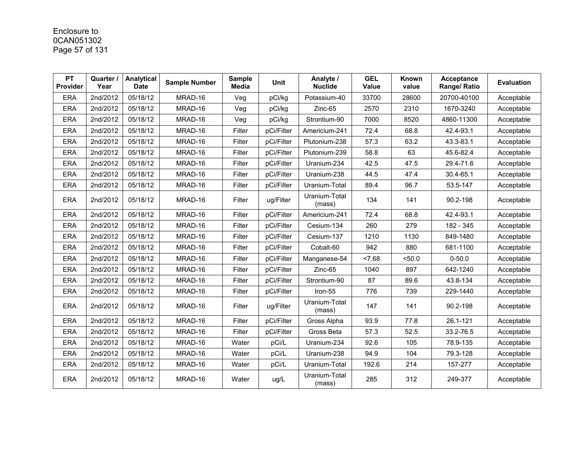# Enclosure to 0CAN051302 Page 57 of 131

| <b>PT</b><br>Provider | Quarter /<br>Year | Analytical<br><b>Date</b> | <b>Sample Number</b> | <b>Sample</b><br><b>Media</b> | <b>Unit</b> | Analyte /<br><b>Nuclide</b> | <b>GEL</b><br><b>Value</b> | Known<br>value | <b>Acceptance</b><br>Range/ Ratio | <b>Evaluation</b> |
|-----------------------|-------------------|---------------------------|----------------------|-------------------------------|-------------|-----------------------------|----------------------------|----------------|-----------------------------------|-------------------|
| <b>ERA</b>            | 2nd/2012          | 05/18/12                  | MRAD-16              | Veg                           | pCi/kg      | Potassium-40                | 33700                      | 28600          | 20700-40100                       | Acceptable        |
| <b>ERA</b>            | 2nd/2012          | 05/18/12                  | MRAD-16              | Veg                           | pCi/kg      | Zinc-65                     | 2570                       | 2310           | 1670-3240                         | Acceptable        |
| <b>ERA</b>            | 2nd/2012          | 05/18/12                  | MRAD-16              | Veg                           | pCi/kg      | Strontium-90                | 7000                       | 8520           | 4860-11300                        | Acceptable        |
| <b>ERA</b>            | 2nd/2012          | 05/18/12                  | MRAD-16              | Filter                        | pCi/Filter  | Americium-241               | 72.4                       | 68.8           | 42.4-93.1                         | Acceptable        |
| <b>ERA</b>            | 2nd/2012          | 05/18/12                  | MRAD-16              | Filter                        | pCi/Filter  | Plutonium-238               | 57.3                       | 63.2           | 43.3-83.1                         | Acceptable        |
| <b>ERA</b>            | 2nd/2012          | 05/18/12                  | MRAD-16              | Filter                        | pCi/Filter  | Plutonium-239               | 58.8                       | 63             | 45.6-82.4                         | Acceptable        |
| <b>ERA</b>            | 2nd/2012          | 05/18/12                  | MRAD-16              | Filter                        | pCi/Filter  | Uranium-234                 | 42.5                       | 47.5           | 29.4-71.6                         | Acceptable        |
| <b>ERA</b>            | 2nd/2012          | 05/18/12                  | MRAD-16              | Filter                        | pCi/Filter  | Uranium-238                 | 44.5                       | 47.4           | 30.4-65.1                         | Acceptable        |
| <b>ERA</b>            | 2nd/2012          | 05/18/12                  | MRAD-16              | Filter                        | pCi/Filter  | Uranium-Total               | 89.4                       | 96.7           | 53.5-147                          | Acceptable        |
| <b>ERA</b>            | 2nd/2012          | 05/18/12                  | MRAD-16              | Filter                        | ug/Filter   | Uranium-Total<br>(mass)     | 134                        | 141            | 90.2-198                          | Acceptable        |
| <b>ERA</b>            | 2nd/2012          | 05/18/12                  | MRAD-16              | Filter                        | pCi/Filter  | Americium-241               | 72.4                       | 68.8           | 42.4-93.1                         | Acceptable        |
| <b>ERA</b>            | 2nd/2012          | 05/18/12                  | MRAD-16              | Filter                        | pCi/Filter  | Cesium-134                  | 260                        | 279            | 182 - 345                         | Acceptable        |
| <b>ERA</b>            | 2nd/2012          | 05/18/12                  | MRAD-16              | Filter                        | pCi/Filter  | Cesium-137                  | 1210                       | 1130           | 849-1480                          | Acceptable        |
| <b>ERA</b>            | 2nd/2012          | 05/18/12                  | MRAD-16              | Filter                        | pCi/Filter  | Cobalt-60                   | 942                        | 880            | 681-1100                          | Acceptable        |
| <b>ERA</b>            | 2nd/2012          | 05/18/12                  | MRAD-16              | Filter                        | pCi/Filter  | Manganese-54                | < 7.68                     | < 50.0         | $0 - 50.0$                        | Acceptable        |
| <b>ERA</b>            | 2nd/2012          | 05/18/12                  | MRAD-16              | Filter                        | pCi/Filter  | Zinc-65                     | 1040                       | 897            | 642-1240                          | Acceptable        |
| <b>ERA</b>            | 2nd/2012          | 05/18/12                  | MRAD-16              | Filter                        | pCi/Filter  | Strontium-90                | 87                         | 89.6           | 43.8-134                          | Acceptable        |
| <b>ERA</b>            | 2nd/2012          | 05/18/12                  | MRAD-16              | Filter                        | pCi/Filter  | Iron-55                     | 776                        | 739            | 229-1440                          | Acceptable        |
| <b>ERA</b>            | 2nd/2012          | 05/18/12                  | MRAD-16              | Filter                        | ug/Filter   | Uranium-Total<br>(mass)     | 147                        | 141            | 90.2-198                          | Acceptable        |
| <b>ERA</b>            | 2nd/2012          | 05/18/12                  | MRAD-16              | Filter                        | pCi/Filter  | Gross Alpha                 | 93.9                       | 77.8           | 26.1-121                          | Acceptable        |
| <b>ERA</b>            | 2nd/2012          | 05/18/12                  | MRAD-16              | Filter                        | pCi/Filter  | Gross Beta                  | 57.3                       | 52.5           | 33.2-76.5                         | Acceptable        |
| <b>ERA</b>            | 2nd/2012          | 05/18/12                  | MRAD-16              | Water                         | pCi/L       | Uranium-234                 | 92.6                       | 105            | 78.9-135                          | Acceptable        |
| <b>ERA</b>            | 2nd/2012          | 05/18/12                  | MRAD-16              | Water                         | pCi/L       | Uranium-238                 | 94.9                       | 104            | 79.3-128                          | Acceptable        |
| <b>ERA</b>            | 2nd/2012          | 05/18/12                  | MRAD-16              | Water                         | pCi/L       | Uranium-Total               | 192.6                      | 214            | 157-277                           | Acceptable        |
| <b>ERA</b>            | 2nd/2012          | 05/18/12                  | MRAD-16              | Water                         | ug/L        | Uranium-Total<br>(mass)     | 285                        | 312            | 249-377                           | Acceptable        |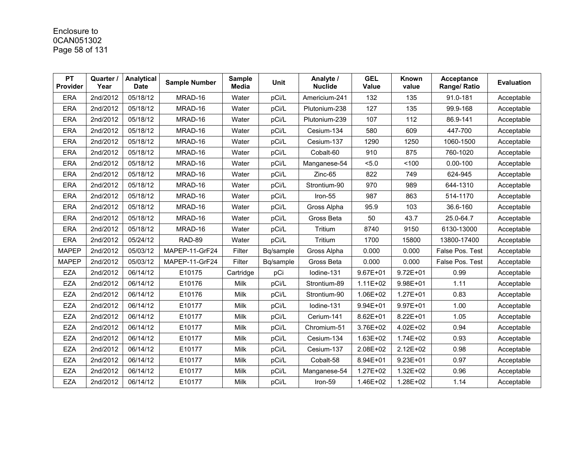# Enclosure to 0CAN051302 Page 58 of 131

| <b>PT</b><br><b>Provider</b> | Quarter /<br>Year | Analytical<br><b>Date</b> | <b>Sample Number</b> | <b>Sample</b><br><b>Media</b> | <b>Unit</b> | Analyte /<br><b>Nuclide</b> | <b>GEL</b><br><b>Value</b> | Known<br>value | Acceptance<br>Range/ Ratio | <b>Evaluation</b> |
|------------------------------|-------------------|---------------------------|----------------------|-------------------------------|-------------|-----------------------------|----------------------------|----------------|----------------------------|-------------------|
| <b>ERA</b>                   | 2nd/2012          | 05/18/12                  | MRAD-16              | Water                         | pCi/L       | Americium-241               | 132                        | 135            | 91.0-181                   | Acceptable        |
| <b>ERA</b>                   | 2nd/2012          | 05/18/12                  | MRAD-16              | Water                         | pCi/L       | Plutonium-238               | 127                        | 135            | 99.9-168                   | Acceptable        |
| <b>ERA</b>                   | 2nd/2012          | 05/18/12                  | MRAD-16              | Water                         | pCi/L       | Plutonium-239               | 107                        | 112            | 86.9-141                   | Acceptable        |
| <b>ERA</b>                   | 2nd/2012          | 05/18/12                  | MRAD-16              | Water                         | pCi/L       | Cesium-134                  | 580                        | 609            | 447-700                    | Acceptable        |
| <b>ERA</b>                   | 2nd/2012          | 05/18/12                  | MRAD-16              | Water                         | pCi/L       | Cesium-137                  | 1290                       | 1250           | 1060-1500                  | Acceptable        |
| <b>ERA</b>                   | 2nd/2012          | 05/18/12                  | MRAD-16              | Water                         | pCi/L       | Cobalt-60                   | 910                        | 875            | 760-1020                   | Acceptable        |
| <b>ERA</b>                   | 2nd/2012          | 05/18/12                  | MRAD-16              | Water                         | pCi/L       | Manganese-54                | 5.0                        | 100            | $0.00 - 100$               | Acceptable        |
| <b>ERA</b>                   | 2nd/2012          | 05/18/12                  | MRAD-16              | Water                         | pCi/L       | Zinc-65                     | 822                        | 749            | 624-945                    | Acceptable        |
| <b>ERA</b>                   | 2nd/2012          | 05/18/12                  | MRAD-16              | Water                         | pCi/L       | Strontium-90                | 970                        | 989            | 644-1310                   | Acceptable        |
| <b>ERA</b>                   | 2nd/2012          | 05/18/12                  | MRAD-16              | Water                         | pCi/L       | Iron-55                     | 987                        | 863            | 514-1170                   | Acceptable        |
| <b>ERA</b>                   | 2nd/2012          | 05/18/12                  | MRAD-16              | Water                         | pCi/L       | Gross Alpha                 | 95.9                       | 103            | 36.6-160                   | Acceptable        |
| <b>ERA</b>                   | 2nd/2012          | 05/18/12                  | MRAD-16              | Water                         | pCi/L       | Gross Beta                  | 50                         | 43.7           | 25.0-64.7                  | Acceptable        |
| <b>ERA</b>                   | 2nd/2012          | 05/18/12                  | MRAD-16              | Water                         | pCi/L       | Tritium                     | 8740                       | 9150           | 6130-13000                 | Acceptable        |
| ERA                          | 2nd/2012          | 05/24/12                  | <b>RAD-89</b>        | Water                         | pCi/L       | Tritium                     | 1700                       | 15800          | 13800-17400                | Acceptable        |
| <b>MAPEP</b>                 | 2nd/2012          | 05/03/12                  | MAPEP-11-GrF24       | Filter                        | Bq/sample   | Gross Alpha                 | 0.000                      | 0.000          | False Pos. Test            | Acceptable        |
| <b>MAPEP</b>                 | 2nd/2012          | 05/03/12                  | MAPEP-11-GrF24       | Filter                        | Bq/sample   | Gross Beta                  | 0.000                      | 0.000          | False Pos. Test            | Acceptable        |
| <b>EZA</b>                   | 2nd/2012          | 06/14/12                  | E10175               | Cartridge                     | pCi         | Iodine-131                  | $9.67E + 01$               | $9.72E + 01$   | 0.99                       | Acceptable        |
| <b>EZA</b>                   | 2nd/2012          | 06/14/12                  | E10176               | Milk                          | pCi/L       | Strontium-89                | 1.11E+02                   | 9.98E+01       | 1.11                       | Acceptable        |
| <b>EZA</b>                   | 2nd/2012          | 06/14/12                  | E10176               | Milk                          | pCi/L       | Strontium-90                | 1.06E+02                   | 1.27E+01       | 0.83                       | Acceptable        |
| <b>EZA</b>                   | 2nd/2012          | 06/14/12                  | E10177               | Milk                          | pCi/L       | lodine-131                  | 9.94E+01                   | 9.97E+01       | 1.00                       | Acceptable        |
| <b>EZA</b>                   | 2nd/2012          | 06/14/12                  | E10177               | Milk                          | pCi/L       | Cerium-141                  | 8.62E+01                   | 8.22E+01       | 1.05                       | Acceptable        |
| <b>EZA</b>                   | 2nd/2012          | 06/14/12                  | E10177               | Milk                          | pCi/L       | Chromium-51                 | 3.76E+02                   | 4.02E+02       | 0.94                       | Acceptable        |
| <b>EZA</b>                   | 2nd/2012          | 06/14/12                  | E10177               | Milk                          | pCi/L       | Cesium-134                  | 1.63E+02                   | 1.74E+02       | 0.93                       | Acceptable        |
| <b>EZA</b>                   | 2nd/2012          | 06/14/12                  | E10177               | Milk                          | pCi/L       | Cesium-137                  | 2.08E+02                   | 2.12E+02       | 0.98                       | Acceptable        |
| <b>EZA</b>                   | 2nd/2012          | 06/14/12                  | E10177               | Milk                          | pCi/L       | Cobalt-58                   | 8.94E+01                   | $9.23E + 01$   | 0.97                       | Acceptable        |
| <b>EZA</b>                   | 2nd/2012          | 06/14/12                  | E10177               | Milk                          | pCi/L       | Manganese-54                | 1.27E+02                   | 1.32E+02       | 0.96                       | Acceptable        |
| <b>EZA</b>                   | 2nd/2012          | 06/14/12                  | E10177               | Milk                          | pCi/L       | Iron-59                     | 1.46E+02                   | 1.28E+02       | 1.14                       | Acceptable        |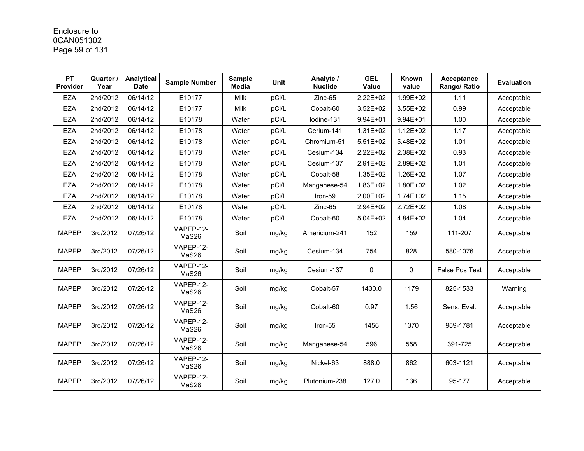# Enclosure to 0CAN051302 Page 59 of 131

| <b>PT</b><br>Provider | Quarter /<br>Year | Analytical<br><b>Date</b> | <b>Sample Number</b> | <b>Sample</b><br><b>Media</b> | <b>Unit</b> | Analyte /<br><b>Nuclide</b> | <b>GEL</b><br>Value | Known<br>value | <b>Acceptance</b><br>Range/ Ratio | <b>Evaluation</b> |
|-----------------------|-------------------|---------------------------|----------------------|-------------------------------|-------------|-----------------------------|---------------------|----------------|-----------------------------------|-------------------|
| <b>EZA</b>            | 2nd/2012          | 06/14/12                  | E10177               | Milk                          | pCi/L       | $Zinc-65$                   | 2.22E+02            | 1.99E+02       | 1.11                              | Acceptable        |
| <b>EZA</b>            | 2nd/2012          | 06/14/12                  | E10177               | Milk                          | pCi/L       | Cobalt-60                   | 3.52E+02            | $3.55E + 02$   | 0.99                              | Acceptable        |
| <b>EZA</b>            | 2nd/2012          | 06/14/12                  | E10178               | Water                         | pCi/L       | Iodine-131                  | $9.94E + 01$        | 9.94E+01       | 1.00                              | Acceptable        |
| <b>EZA</b>            | 2nd/2012          | 06/14/12                  | E10178               | Water                         | pCi/L       | Cerium-141                  | 1.31E+02            | $1.12E + 02$   | 1.17                              | Acceptable        |
| <b>EZA</b>            | 2nd/2012          | 06/14/12                  | E10178               | Water                         | pCi/L       | Chromium-51                 | $5.51E+02$          | 5.48E+02       | 1.01                              | Acceptable        |
| <b>EZA</b>            | 2nd/2012          | 06/14/12                  | E10178               | Water                         | pCi/L       | Cesium-134                  | 2.22E+02            | 2.38E+02       | 0.93                              | Acceptable        |
| <b>EZA</b>            | 2nd/2012          | 06/14/12                  | E10178               | Water                         | pCi/L       | Cesium-137                  | 2.91E+02            | 2.89E+02       | 1.01                              | Acceptable        |
| <b>EZA</b>            | 2nd/2012          | 06/14/12                  | E10178               | Water                         | pCi/L       | Cobalt-58                   | 1.35E+02            | 1.26E+02       | 1.07                              | Acceptable        |
| <b>EZA</b>            | 2nd/2012          | 06/14/12                  | E10178               | Water                         | pCi/L       | Manganese-54                | 1.83E+02            | 1.80E+02       | 1.02                              | Acceptable        |
| <b>EZA</b>            | 2nd/2012          | 06/14/12                  | E10178               | Water                         | pCi/L       | Iron-59                     | 2.00E+02            | 1.74E+02       | 1.15                              | Acceptable        |
| <b>EZA</b>            | 2nd/2012          | 06/14/12                  | E10178               | Water                         | pCi/L       | $Zinc-65$                   | 2.94E+02            | 2.72E+02       | 1.08                              | Acceptable        |
| <b>EZA</b>            | 2nd/2012          | 06/14/12                  | E10178               | Water                         | pCi/L       | Cobalt-60                   | $5.04E + 02$        | 4.84E+02       | 1.04                              | Acceptable        |
| <b>MAPEP</b>          | 3rd/2012          | 07/26/12                  | MAPEP-12-<br>MaS26   | Soil                          | mg/kg       | Americium-241               | 152                 | 159            | 111-207                           | Acceptable        |
| <b>MAPEP</b>          | 3rd/2012          | 07/26/12                  | MAPEP-12-<br>MaS26   | Soil                          | mg/kg       | Cesium-134                  | 754                 | 828            | 580-1076                          | Acceptable        |
| <b>MAPEP</b>          | 3rd/2012          | 07/26/12                  | MAPEP-12-<br>MaS26   | Soil                          | mg/kg       | Cesium-137                  | $\mathbf{0}$        | $\mathbf{0}$   | <b>False Pos Test</b>             | Acceptable        |
| <b>MAPEP</b>          | 3rd/2012          | 07/26/12                  | MAPEP-12-<br>MaS26   | Soil                          | mg/kg       | Cobalt-57                   | 1430.0              | 1179           | 825-1533                          | Warning           |
| <b>MAPEP</b>          | 3rd/2012          | 07/26/12                  | MAPEP-12-<br>MaS26   | Soil                          | mg/kg       | Cobalt-60                   | 0.97                | 1.56           | Sens. Eval.                       | Acceptable        |
| <b>MAPEP</b>          | 3rd/2012          | 07/26/12                  | MAPEP-12-<br>MaS26   | Soil                          | mg/kg       | Iron-55                     | 1456                | 1370           | 959-1781                          | Acceptable        |
| <b>MAPEP</b>          | 3rd/2012          | 07/26/12                  | MAPEP-12-<br>MaS26   | Soil                          | mg/kg       | Manganese-54                | 596                 | 558            | 391-725                           | Acceptable        |
| <b>MAPEP</b>          | 3rd/2012          | 07/26/12                  | MAPEP-12-<br>MaS26   | Soil                          | mg/kg       | Nickel-63                   | 888.0               | 862            | 603-1121                          | Acceptable        |
| <b>MAPEP</b>          | 3rd/2012          | 07/26/12                  | MAPEP-12-<br>MaS26   | Soil                          | mg/kg       | Plutonium-238               | 127.0               | 136            | 95-177                            | Acceptable        |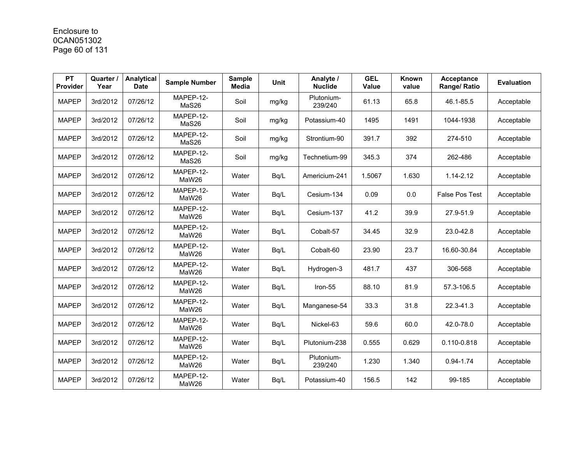# Enclosure to 0CAN051302 Page 60 of 131

| <b>PT</b><br><b>Provider</b> | Quarter /<br>Year | Analytical<br><b>Date</b> | <b>Sample Number</b> | <b>Sample</b><br><b>Media</b> | <b>Unit</b> | Analyte /<br><b>Nuclide</b> | <b>GEL</b><br><b>Value</b> | Known<br>value | <b>Acceptance</b><br>Range/ Ratio | <b>Evaluation</b> |
|------------------------------|-------------------|---------------------------|----------------------|-------------------------------|-------------|-----------------------------|----------------------------|----------------|-----------------------------------|-------------------|
| <b>MAPEP</b>                 | 3rd/2012          | 07/26/12                  | MAPEP-12-<br>MaS26   | Soil                          | mg/kg       | Plutonium-<br>239/240       | 61.13                      | 65.8           | 46.1-85.5                         | Acceptable        |
| <b>MAPEP</b>                 | 3rd/2012          | 07/26/12                  | MAPEP-12-<br>MaS26   | Soil                          | mg/kg       | Potassium-40                | 1495                       | 1491           | 1044-1938                         | Acceptable        |
| <b>MAPEP</b>                 | 3rd/2012          | 07/26/12                  | MAPEP-12-<br>MaS26   | Soil                          | mg/kg       | Strontium-90                | 391.7                      | 392            | 274-510                           | Acceptable        |
| <b>MAPEP</b>                 | 3rd/2012          | 07/26/12                  | MAPEP-12-<br>MaS26   | Soil                          | mg/kg       | Technetium-99               | 345.3                      | 374            | 262-486                           | Acceptable        |
| <b>MAPEP</b>                 | 3rd/2012          | 07/26/12                  | MAPEP-12-<br>MaW26   | Water                         | Bq/L        | Americium-241               | 1.5067                     | 1.630          | 1.14-2.12                         | Acceptable        |
| <b>MAPEP</b>                 | 3rd/2012          | 07/26/12                  | MAPEP-12-<br>MaW26   | Water                         | Bq/L        | Cesium-134                  | 0.09                       | 0.0            | <b>False Pos Test</b>             | Acceptable        |
| <b>MAPEP</b>                 | 3rd/2012          | 07/26/12                  | MAPEP-12-<br>MaW26   | Water                         | Bq/L        | Cesium-137                  | 41.2                       | 39.9           | 27.9-51.9                         | Acceptable        |
| <b>MAPEP</b>                 | 3rd/2012          | 07/26/12                  | MAPEP-12-<br>MaW26   | Water                         | Bq/L        | Cobalt-57                   | 34.45                      | 32.9           | 23.0-42.8                         | Acceptable        |
| <b>MAPEP</b>                 | 3rd/2012          | 07/26/12                  | MAPEP-12-<br>MaW26   | Water                         | Bq/L        | Cobalt-60                   | 23.90                      | 23.7           | 16.60-30.84                       | Acceptable        |
| <b>MAPEP</b>                 | 3rd/2012          | 07/26/12                  | MAPEP-12-<br>MaW26   | Water                         | Bq/L        | Hydrogen-3                  | 481.7                      | 437            | 306-568                           | Acceptable        |
| <b>MAPEP</b>                 | 3rd/2012          | 07/26/12                  | MAPEP-12-<br>MaW26   | Water                         | Bq/L        | Iron-55                     | 88.10                      | 81.9           | 57.3-106.5                        | Acceptable        |
| <b>MAPEP</b>                 | 3rd/2012          | 07/26/12                  | MAPEP-12-<br>MaW26   | Water                         | Bq/L        | Manganese-54                | 33.3                       | 31.8           | 22.3-41.3                         | Acceptable        |
| <b>MAPEP</b>                 | 3rd/2012          | 07/26/12                  | MAPEP-12-<br>MaW26   | Water                         | Bq/L        | Nickel-63                   | 59.6                       | 60.0           | 42.0-78.0                         | Acceptable        |
| <b>MAPEP</b>                 | 3rd/2012          | 07/26/12                  | MAPEP-12-<br>MaW26   | Water                         | Bq/L        | Plutonium-238               | 0.555                      | 0.629          | 0.110-0.818                       | Acceptable        |
| <b>MAPEP</b>                 | 3rd/2012          | 07/26/12                  | MAPEP-12-<br>MaW26   | Water                         | Bq/L        | Plutonium-<br>239/240       | 1.230                      | 1.340          | $0.94 - 1.74$                     | Acceptable        |
| <b>MAPEP</b>                 | 3rd/2012          | 07/26/12                  | MAPEP-12-<br>MaW26   | Water                         | Bq/L        | Potassium-40                | 156.5                      | 142            | 99-185                            | Acceptable        |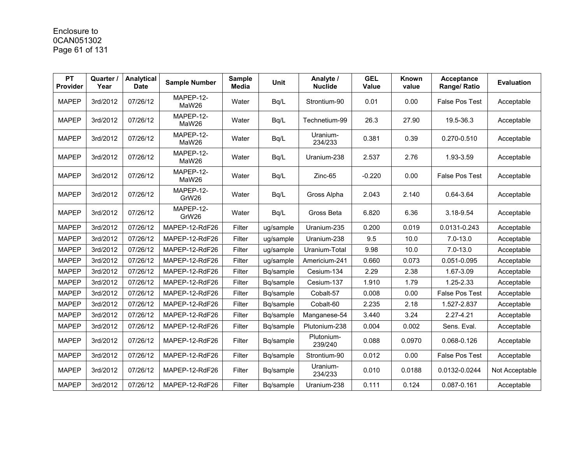# Enclosure to 0CAN051302 Page 61 of 131

| <b>PT</b><br>Provider | Quarter /<br>Year | Analytical<br><b>Date</b> | <b>Sample Number</b> | <b>Sample</b><br><b>Media</b> | <b>Unit</b> | Analyte /<br><b>Nuclide</b> | <b>GEL</b><br><b>Value</b> | Known<br>value | Acceptance<br>Range/ Ratio | <b>Evaluation</b> |
|-----------------------|-------------------|---------------------------|----------------------|-------------------------------|-------------|-----------------------------|----------------------------|----------------|----------------------------|-------------------|
| <b>MAPEP</b>          | 3rd/2012          | 07/26/12                  | MAPEP-12-<br>MaW26   | Water                         | Bq/L        | Strontium-90                | 0.01                       | 0.00           | <b>False Pos Test</b>      | Acceptable        |
| <b>MAPEP</b>          | 3rd/2012          | 07/26/12                  | MAPEP-12-<br>MaW26   | Water                         | Bq/L        | Technetium-99               | 26.3                       | 27.90          | 19.5-36.3                  | Acceptable        |
| <b>MAPEP</b>          | 3rd/2012          | 07/26/12                  | MAPEP-12-<br>MaW26   | Water                         | Bq/L        | Uranium-<br>234/233         | 0.381                      | 0.39           | 0.270-0.510                | Acceptable        |
| <b>MAPEP</b>          | 3rd/2012          | 07/26/12                  | MAPEP-12-<br>MaW26   | Water                         | Bq/L        | Uranium-238                 | 2.537                      | 2.76           | 1.93-3.59                  | Acceptable        |
| <b>MAPEP</b>          | 3rd/2012          | 07/26/12                  | MAPEP-12-<br>MaW26   | Water                         | Bq/L        | Zinc-65                     | $-0.220$                   | 0.00           | <b>False Pos Test</b>      | Acceptable        |
| <b>MAPEP</b>          | 3rd/2012          | 07/26/12                  | MAPEP-12-<br>GrW26   | Water                         | Bq/L        | Gross Alpha                 | 2.043                      | 2.140          | $0.64 - 3.64$              | Acceptable        |
| <b>MAPEP</b>          | 3rd/2012          | 07/26/12                  | MAPEP-12-<br>GrW26   | Water                         | Bq/L        | Gross Beta                  | 6.820                      | 6.36           | 3.18-9.54                  | Acceptable        |
| <b>MAPEP</b>          | 3rd/2012          | 07/26/12                  | MAPEP-12-RdF26       | Filter                        | ug/sample   | Uranium-235                 | 0.200                      | 0.019          | 0.0131-0.243               | Acceptable        |
| <b>MAPEP</b>          | 3rd/2012          | 07/26/12                  | MAPEP-12-RdF26       | Filter                        | ug/sample   | Uranium-238                 | 9.5                        | 10.0           | $7.0 - 13.0$               | Acceptable        |
| <b>MAPEP</b>          | 3rd/2012          | 07/26/12                  | MAPEP-12-RdF26       | Filter                        | ug/sample   | Uranium-Total               | 9.98                       | 10.0           | $7.0 - 13.0$               | Acceptable        |
| <b>MAPEP</b>          | 3rd/2012          | 07/26/12                  | MAPEP-12-RdF26       | Filter                        | ug/sample   | Americium-241               | 0.660                      | 0.073          | 0.051-0.095                | Acceptable        |
| <b>MAPEP</b>          | 3rd/2012          | 07/26/12                  | MAPEP-12-RdF26       | Filter                        | Bq/sample   | Cesium-134                  | 2.29                       | 2.38           | 1.67-3.09                  | Acceptable        |
| <b>MAPEP</b>          | 3rd/2012          | 07/26/12                  | MAPEP-12-RdF26       | Filter                        | Bq/sample   | Cesium-137                  | 1.910                      | 1.79           | 1.25-2.33                  | Acceptable        |
| <b>MAPEP</b>          | 3rd/2012          | 07/26/12                  | MAPEP-12-RdF26       | Filter                        | Bq/sample   | Cobalt-57                   | 0.008                      | 0.00           | False Pos Test             | Acceptable        |
| <b>MAPEP</b>          | 3rd/2012          | 07/26/12                  | MAPEP-12-RdF26       | Filter                        | Bq/sample   | Cobalt-60                   | 2.235                      | 2.18           | 1.527-2.837                | Acceptable        |
| <b>MAPEP</b>          | 3rd/2012          | 07/26/12                  | MAPEP-12-RdF26       | Filter                        | Bq/sample   | Manganese-54                | 3.440                      | 3.24           | 2.27-4.21                  | Acceptable        |
| <b>MAPEP</b>          | 3rd/2012          | 07/26/12                  | MAPEP-12-RdF26       | Filter                        | Bq/sample   | Plutonium-238               | 0.004                      | 0.002          | Sens. Eval.                | Acceptable        |
| <b>MAPEP</b>          | 3rd/2012          | 07/26/12                  | MAPEP-12-RdF26       | Filter                        | Bq/sample   | Plutonium-<br>239/240       | 0.088                      | 0.0970         | 0.068-0.126                | Acceptable        |
| <b>MAPEP</b>          | 3rd/2012          | 07/26/12                  | MAPEP-12-RdF26       | Filter                        | Bq/sample   | Strontium-90                | 0.012                      | 0.00           | <b>False Pos Test</b>      | Acceptable        |
| <b>MAPEP</b>          | 3rd/2012          | 07/26/12                  | MAPEP-12-RdF26       | Filter                        | Bq/sample   | Uranium-<br>234/233         | 0.010                      | 0.0188         | 0.0132-0.0244              | Not Acceptable    |
| <b>MAPEP</b>          | 3rd/2012          | 07/26/12                  | MAPEP-12-RdF26       | Filter                        | Bq/sample   | Uranium-238                 | 0.111                      | 0.124          | 0.087-0.161                | Acceptable        |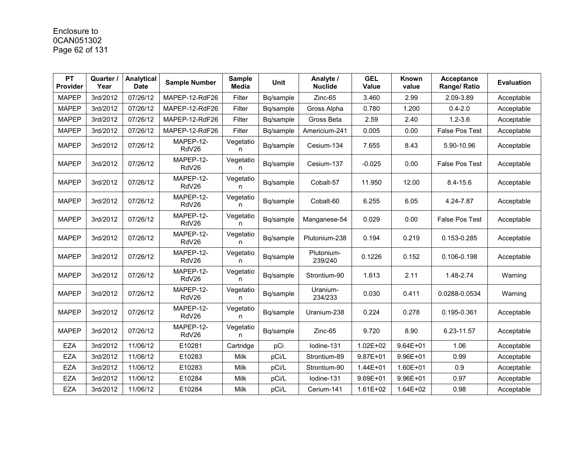# Enclosure to 0CAN051302 Page 62 of 131

| PT<br><b>Provider</b> | Quarter /<br>Year | Analytical<br><b>Date</b> | <b>Sample Number</b> | <b>Sample</b><br><b>Media</b> | <b>Unit</b> | Analyte /<br><b>Nuclide</b> | <b>GEL</b><br><b>Value</b> | Known<br>value | <b>Acceptance</b><br>Range/ Ratio | <b>Evaluation</b> |
|-----------------------|-------------------|---------------------------|----------------------|-------------------------------|-------------|-----------------------------|----------------------------|----------------|-----------------------------------|-------------------|
| <b>MAPEP</b>          | 3rd/2012          | 07/26/12                  | MAPEP-12-RdF26       | Filter                        | Bq/sample   | Zinc-65                     | 3.460                      | 2.99           | 2.09-3.89                         | Acceptable        |
| <b>MAPEP</b>          | 3rd/2012          | 07/26/12                  | MAPEP-12-RdF26       | Filter                        | Bg/sample   | Gross Alpha                 | 0.780                      | 1.200          | $0.4 - 2.0$                       | Acceptable        |
| <b>MAPEP</b>          | 3rd/2012          | 07/26/12                  | MAPEP-12-RdF26       | Filter                        | Bq/sample   | Gross Beta                  | 2.59                       | 2.40           | $1.2 - 3.6$                       | Acceptable        |
| <b>MAPEP</b>          | 3rd/2012          | 07/26/12                  | MAPEP-12-RdF26       | Filter                        | Bq/sample   | Americium-241               | 0.005                      | 0.00           | <b>False Pos Test</b>             | Acceptable        |
| <b>MAPEP</b>          | 3rd/2012          | 07/26/12                  | MAPEP-12-<br>RdV26   | Vegetatio<br>n                | Bq/sample   | Cesium-134                  | 7.655                      | 8.43           | 5.90-10.96                        | Acceptable        |
| <b>MAPEP</b>          | 3rd/2012          | 07/26/12                  | MAPEP-12-<br>RdV26   | Vegetatio<br>n                | Bq/sample   | Cesium-137                  | $-0.025$                   | 0.00           | <b>False Pos Test</b>             | Acceptable        |
| <b>MAPEP</b>          | 3rd/2012          | 07/26/12                  | MAPEP-12-<br>RdV26   | Vegetatio<br>n                | Bq/sample   | Cobalt-57                   | 11.950                     | 12.00          | $8.4 - 15.6$                      | Acceptable        |
| <b>MAPEP</b>          | 3rd/2012          | 07/26/12                  | MAPEP-12-<br>RdV26   | Vegetatio<br>n                | Bq/sample   | Cobalt-60                   | 6.255                      | 6.05           | 4.24-7.87                         | Acceptable        |
| <b>MAPEP</b>          | 3rd/2012          | 07/26/12                  | MAPEP-12-<br>RdV26   | Vegetatio<br>n                | Bq/sample   | Manganese-54                | 0.029                      | 0.00           | <b>False Pos Test</b>             | Acceptable        |
| <b>MAPEP</b>          | 3rd/2012          | 07/26/12                  | MAPEP-12-<br>RdV26   | Vegetatio<br>n                | Bq/sample   | Plutonium-238               | 0.194                      | 0.219          | 0.153-0.285                       | Acceptable        |
| <b>MAPEP</b>          | 3rd/2012          | 07/26/12                  | MAPEP-12-<br>RdV26   | Vegetatio<br>n                | Bq/sample   | Plutonium-<br>239/240       | 0.1226                     | 0.152          | 0.106-0.198                       | Acceptable        |
| <b>MAPEP</b>          | 3rd/2012          | 07/26/12                  | MAPEP-12-<br>RdV26   | Vegetatio<br>n                | Bq/sample   | Strontium-90                | 1.613                      | 2.11           | 1.48-2.74                         | Warning           |
| <b>MAPEP</b>          | 3rd/2012          | 07/26/12                  | MAPEP-12-<br>RdV26   | Vegetatio<br>n                | Bg/sample   | Uranium-<br>234/233         | 0.030                      | 0.411          | 0.0288-0.0534                     | Warning           |
| <b>MAPEP</b>          | 3rd/2012          | 07/26/12                  | MAPEP-12-<br>RdV26   | Vegetatio<br>n                | Bq/sample   | Uranium-238                 | 0.224                      | 0.278          | 0.195-0.361                       | Acceptable        |
| <b>MAPEP</b>          | 3rd/2012          | 07/26/12                  | MAPEP-12-<br>RdV26   | Vegetatio<br>n                | Bq/sample   | $Zinc-65$                   | 9.720                      | 8.90           | 6.23-11.57                        | Acceptable        |
| <b>EZA</b>            | 3rd/2012          | 11/06/12                  | E10281               | Cartridge                     | pCi         | Iodine-131                  | $1.02E + 02$               | $9.64E + 01$   | 1.06                              | Acceptable        |
| <b>EZA</b>            | 3rd/2012          | 11/06/12                  | E10283               | Milk                          | pCi/L       | Strontium-89                | $9.87E + 01$               | 9.96E+01       | 0.99                              | Acceptable        |
| <b>EZA</b>            | 3rd/2012          | 11/06/12                  | E10283               | Milk                          | pCi/L       | Strontium-90                | 1.44E+01                   | 1.60E+01       | 0.9                               | Acceptable        |
| <b>EZA</b>            | 3rd/2012          | 11/06/12                  | E10284               | Milk                          | pCi/L       | lodine-131                  | 9.69E+01                   | 9.96E+01       | 0.97                              | Acceptable        |
| <b>EZA</b>            | 3rd/2012          | 11/06/12                  | E10284               | Milk                          | pCi/L       | Cerium-141                  | 1.61E+02                   | 1.64E+02       | 0.98                              | Acceptable        |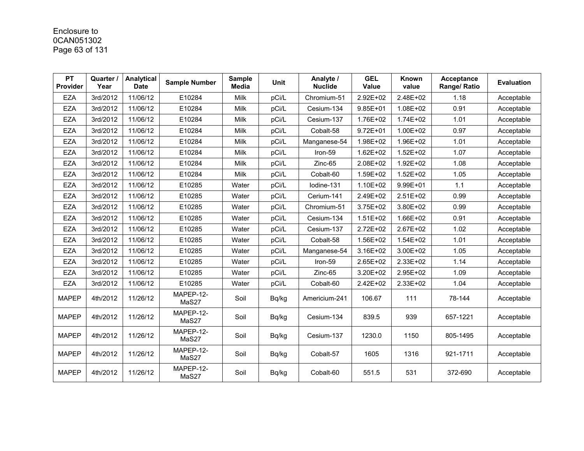# Enclosure to 0CAN051302 Page 63 of 131

| <b>PT</b><br><b>Provider</b> | Quarter /<br>Year | Analytical<br><b>Date</b> | <b>Sample Number</b> | <b>Sample</b><br><b>Media</b> | <b>Unit</b> | Analyte /<br><b>Nuclide</b> | <b>GEL</b><br>Value | Known<br>value | <b>Acceptance</b><br>Range/ Ratio | <b>Evaluation</b> |
|------------------------------|-------------------|---------------------------|----------------------|-------------------------------|-------------|-----------------------------|---------------------|----------------|-----------------------------------|-------------------|
| <b>EZA</b>                   | 3rd/2012          | 11/06/12                  | E10284               | <b>Milk</b>                   | pCi/L       | Chromium-51                 | 2.92E+02            | 2.48E+02       | 1.18                              | Acceptable        |
| <b>EZA</b>                   | 3rd/2012          | 11/06/12                  | E10284               | Milk                          | pCi/L       | Cesium-134                  | $9.85E + 01$        | 1.08E+02       | 0.91                              | Acceptable        |
| <b>EZA</b>                   | 3rd/2012          | 11/06/12                  | E10284               | Milk                          | pCi/L       | Cesium-137                  | 1.76E+02            | 1.74E+02       | 1.01                              | Acceptable        |
| <b>EZA</b>                   | 3rd/2012          | 11/06/12                  | E10284               | Milk                          | pCi/L       | Cobalt-58                   | $9.72E + 01$        | 1.00E+02       | 0.97                              | Acceptable        |
| <b>EZA</b>                   | 3rd/2012          | 11/06/12                  | E10284               | Milk                          | pCi/L       | Manganese-54                | 1.98E+02            | 1.96E+02       | 1.01                              | Acceptable        |
| <b>EZA</b>                   | 3rd/2012          | 11/06/12                  | E10284               | Milk                          | pCi/L       | Iron-59                     | $1.62E + 02$        | 1.52E+02       | 1.07                              | Acceptable        |
| <b>EZA</b>                   | 3rd/2012          | 11/06/12                  | E10284               | Milk                          | pCi/L       | Zinc-65                     | 2.08E+02            | 1.92E+02       | 1.08                              | Acceptable        |
| <b>EZA</b>                   | 3rd/2012          | 11/06/12                  | E10284               | Milk                          | pCi/L       | Cobalt-60                   | 1.59E+02            | 1.52E+02       | 1.05                              | Acceptable        |
| <b>EZA</b>                   | 3rd/2012          | 11/06/12                  | E10285               | Water                         | pCi/L       | lodine-131                  | 1.10E+02            | 9.99E+01       | 1.1                               | Acceptable        |
| <b>EZA</b>                   | 3rd/2012          | 11/06/12                  | E10285               | Water                         | pCi/L       | Cerium-141                  | 2.49E+02            | 2.51E+02       | 0.99                              | Acceptable        |
| <b>EZA</b>                   | 3rd/2012          | 11/06/12                  | E10285               | Water                         | pCi/L       | Chromium-51                 | 3.75E+02            | 3.80E+02       | 0.99                              | Acceptable        |
| <b>EZA</b>                   | 3rd/2012          | 11/06/12                  | E10285               | Water                         | pCi/L       | Cesium-134                  | 1.51E+02            | 1.66E+02       | 0.91                              | Acceptable        |
| <b>EZA</b>                   | 3rd/2012          | 11/06/12                  | E10285               | Water                         | pCi/L       | Cesium-137                  | 2.72E+02            | 2.67E+02       | 1.02                              | Acceptable        |
| <b>EZA</b>                   | 3rd/2012          | 11/06/12                  | E10285               | Water                         | pCi/L       | Cobalt-58                   | 1.56E+02            | 1.54E+02       | 1.01                              | Acceptable        |
| <b>EZA</b>                   | 3rd/2012          | 11/06/12                  | E10285               | Water                         | pCi/L       | Manganese-54                | 3.16E+02            | 3.00E+02       | 1.05                              | Acceptable        |
| <b>EZA</b>                   | 3rd/2012          | 11/06/12                  | E10285               | Water                         | pCi/L       | Iron-59                     | 2.65E+02            | 2.33E+02       | 1.14                              | Acceptable        |
| <b>EZA</b>                   | 3rd/2012          | 11/06/12                  | E10285               | Water                         | pCi/L       | $Zinc-65$                   | 3.20E+02            | 2.95E+02       | 1.09                              | Acceptable        |
| <b>EZA</b>                   | 3rd/2012          | 11/06/12                  | E10285               | Water                         | pCi/L       | Cobalt-60                   | 2.42E+02            | 2.33E+02       | 1.04                              | Acceptable        |
| <b>MAPEP</b>                 | 4th/2012          | 11/26/12                  | MAPEP-12-<br>MaS27   | Soil                          | Bq/kg       | Americium-241               | 106.67              | 111            | 78-144                            | Acceptable        |
| <b>MAPEP</b>                 | 4th/2012          | 11/26/12                  | MAPEP-12-<br>MaS27   | Soil                          | Bq/kg       | Cesium-134                  | 839.5               | 939            | 657-1221                          | Acceptable        |
| <b>MAPEP</b>                 | 4th/2012          | 11/26/12                  | MAPEP-12-<br>MaS27   | Soil                          | Bq/kg       | Cesium-137                  | 1230.0              | 1150           | 805-1495                          | Acceptable        |
| <b>MAPEP</b>                 | 4th/2012          | 11/26/12                  | MAPEP-12-<br>MaS27   | Soil                          | Bq/kg       | Cobalt-57                   | 1605                | 1316           | 921-1711                          | Acceptable        |
| <b>MAPEP</b>                 | 4th/2012          | 11/26/12                  | MAPEP-12-<br>MaS27   | Soil                          | Bq/kg       | Cobalt-60                   | 551.5               | 531            | 372-690                           | Acceptable        |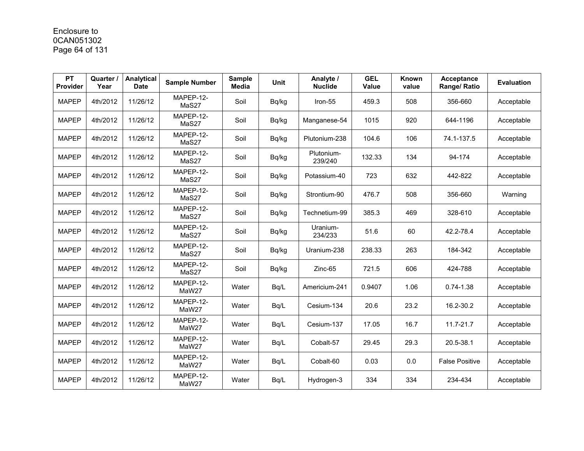# Enclosure to 0CAN051302 Page 64 of 131

| <b>PT</b><br>Provider | Quarter /<br>Year | Analytical<br><b>Date</b> | <b>Sample Number</b> | <b>Sample</b><br><b>Media</b> | <b>Unit</b> | Analyte /<br><b>Nuclide</b> | <b>GEL</b><br><b>Value</b> | Known<br>value | Acceptance<br>Range/ Ratio | <b>Evaluation</b> |
|-----------------------|-------------------|---------------------------|----------------------|-------------------------------|-------------|-----------------------------|----------------------------|----------------|----------------------------|-------------------|
| <b>MAPEP</b>          | 4th/2012          | 11/26/12                  | MAPEP-12-<br>MaS27   | Soil                          | Bq/kg       | Iron-55                     | 459.3                      | 508            | 356-660                    | Acceptable        |
| <b>MAPEP</b>          | 4th/2012          | 11/26/12                  | MAPEP-12-<br>MaS27   | Soil                          | Bq/kg       | Manganese-54                | 1015                       | 920            | 644-1196                   | Acceptable        |
| <b>MAPEP</b>          | 4th/2012          | 11/26/12                  | MAPEP-12-<br>MaS27   | Soil                          | Bq/kg       | Plutonium-238               | 104.6                      | 106            | 74.1-137.5                 | Acceptable        |
| <b>MAPEP</b>          | 4th/2012          | 11/26/12                  | MAPEP-12-<br>MaS27   | Soil                          | Bq/kg       | Plutonium-<br>239/240       | 132.33                     | 134            | 94-174                     | Acceptable        |
| <b>MAPEP</b>          | 4th/2012          | 11/26/12                  | MAPEP-12-<br>MaS27   | Soil                          | Bq/kg       | Potassium-40                | 723                        | 632            | 442-822                    | Acceptable        |
| <b>MAPEP</b>          | 4th/2012          | 11/26/12                  | MAPEP-12-<br>MaS27   | Soil                          | Bq/kg       | Strontium-90                | 476.7                      | 508            | 356-660                    | Warning           |
| <b>MAPEP</b>          | 4th/2012          | 11/26/12                  | MAPEP-12-<br>MaS27   | Soil                          | Bq/kg       | Technetium-99               | 385.3                      | 469            | 328-610                    | Acceptable        |
| <b>MAPEP</b>          | 4th/2012          | 11/26/12                  | MAPEP-12-<br>MaS27   | Soil                          | Bq/kg       | Uranium-<br>234/233         | 51.6                       | 60             | 42.2-78.4                  | Acceptable        |
| <b>MAPEP</b>          | 4th/2012          | 11/26/12                  | MAPEP-12-<br>MaS27   | Soil                          | Bq/kg       | Uranium-238                 | 238.33                     | 263            | 184-342                    | Acceptable        |
| <b>MAPEP</b>          | 4th/2012          | 11/26/12                  | MAPEP-12-<br>MaS27   | Soil                          | Bq/kg       | $Zinc-65$                   | 721.5                      | 606            | 424-788                    | Acceptable        |
| <b>MAPEP</b>          | 4th/2012          | 11/26/12                  | MAPEP-12-<br>MaW27   | Water                         | Bq/L        | Americium-241               | 0.9407                     | 1.06           | $0.74 - 1.38$              | Acceptable        |
| <b>MAPEP</b>          | 4th/2012          | 11/26/12                  | MAPEP-12-<br>MaW27   | Water                         | Bq/L        | Cesium-134                  | 20.6                       | 23.2           | 16.2-30.2                  | Acceptable        |
| <b>MAPEP</b>          | 4th/2012          | 11/26/12                  | MAPEP-12-<br>MaW27   | Water                         | Bq/L        | Cesium-137                  | 17.05                      | 16.7           | 11.7-21.7                  | Acceptable        |
| <b>MAPEP</b>          | 4th/2012          | 11/26/12                  | MAPEP-12-<br>MaW27   | Water                         | Bq/L        | Cobalt-57                   | 29.45                      | 29.3           | 20.5-38.1                  | Acceptable        |
| <b>MAPEP</b>          | 4th/2012          | 11/26/12                  | MAPEP-12-<br>MaW27   | Water                         | Bq/L        | Cobalt-60                   | 0.03                       | 0.0            | <b>False Positive</b>      | Acceptable        |
| <b>MAPEP</b>          | 4th/2012          | 11/26/12                  | MAPEP-12-<br>MaW27   | Water                         | Bq/L        | Hydrogen-3                  | 334                        | 334            | 234-434                    | Acceptable        |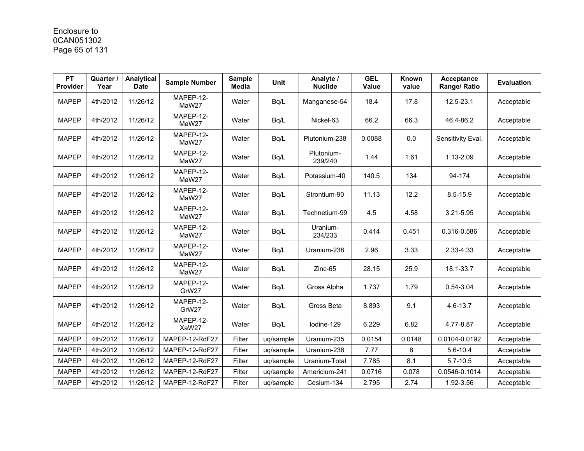# Enclosure to 0CAN051302 Page 65 of 131

| <b>PT</b><br>Provider | Quarter /<br>Year | Analytical<br><b>Date</b> | <b>Sample Number</b> | <b>Sample</b><br><b>Media</b> | <b>Unit</b> | Analyte /<br><b>Nuclide</b> | <b>GEL</b><br><b>Value</b> | Known<br>value | Acceptance<br>Range/ Ratio | <b>Evaluation</b> |
|-----------------------|-------------------|---------------------------|----------------------|-------------------------------|-------------|-----------------------------|----------------------------|----------------|----------------------------|-------------------|
| <b>MAPEP</b>          | 4th/2012          | 11/26/12                  | MAPEP-12-<br>MaW27   | Water                         | Bq/L        | Manganese-54                | 18.4                       | 17.8           | 12.5-23.1                  | Acceptable        |
| <b>MAPEP</b>          | 4th/2012          | 11/26/12                  | MAPEP-12-<br>MaW27   | Water                         | Bq/L        | Nickel-63                   | 66.2                       | 66.3           | 46.4-86.2                  | Acceptable        |
| <b>MAPEP</b>          | 4th/2012          | 11/26/12                  | MAPEP-12-<br>MaW27   | Water                         | Bq/L        | Plutonium-238               | 0.0088                     | 0.0            | Sensitivity Eval.          | Acceptable        |
| <b>MAPEP</b>          | 4th/2012          | 11/26/12                  | MAPEP-12-<br>MaW27   | Water                         | Bq/L        | Plutonium-<br>239/240       | 1.44                       | 1.61           | 1.13-2.09                  | Acceptable        |
| <b>MAPEP</b>          | 4th/2012          | 11/26/12                  | MAPEP-12-<br>MaW27   | Water                         | Bq/L        | Potassium-40                | 140.5                      | 134            | 94-174                     | Acceptable        |
| <b>MAPEP</b>          | 4th/2012          | 11/26/12                  | MAPEP-12-<br>MaW27   | Water                         | Bq/L        | Strontium-90                | 11.13                      | 12.2           | $8.5 - 15.9$               | Acceptable        |
| <b>MAPEP</b>          | 4th/2012          | 11/26/12                  | MAPEP-12-<br>MaW27   | Water                         | Bq/L        | Technetium-99               | 4.5                        | 4.58           | 3.21-5.95                  | Acceptable        |
| <b>MAPEP</b>          | 4th/2012          | 11/26/12                  | MAPEP-12-<br>MaW27   | Water                         | Bq/L        | Uranium-<br>234/233         | 0.414                      | 0.451          | 0.316-0.586                | Acceptable        |
| <b>MAPEP</b>          | 4th/2012          | 11/26/12                  | MAPEP-12-<br>MaW27   | Water                         | Bq/L        | Uranium-238                 | 2.96                       | 3.33           | 2.33-4.33                  | Acceptable        |
| <b>MAPEP</b>          | 4th/2012          | 11/26/12                  | MAPEP-12-<br>MaW27   | Water                         | Bq/L        | $Zinc-65$                   | 28.15                      | 25.9           | 18.1-33.7                  | Acceptable        |
| <b>MAPEP</b>          | 4th/2012          | 11/26/12                  | MAPEP-12-<br>GrW27   | Water                         | Bq/L        | Gross Alpha                 | 1.737                      | 1.79           | 0.54-3.04                  | Acceptable        |
| <b>MAPEP</b>          | 4th/2012          | 11/26/12                  | MAPEP-12-<br>GrW27   | Water                         | Bq/L        | Gross Beta                  | 8.893                      | 9.1            | $4.6 - 13.7$               | Acceptable        |
| <b>MAPEP</b>          | 4th/2012          | 11/26/12                  | MAPEP-12-<br>XaW27   | Water                         | Bq/L        | lodine-129                  | 6.229                      | 6.82           | 4.77-8.87                  | Acceptable        |
| <b>MAPEP</b>          | 4th/2012          | 11/26/12                  | MAPEP-12-RdF27       | Filter                        | uq/sample   | Uranium-235                 | 0.0154                     | 0.0148         | 0.0104-0.0192              | Acceptable        |
| <b>MAPEP</b>          | 4th/2012          | 11/26/12                  | MAPEP-12-RdF27       | Filter                        | uq/sample   | Uranium-238                 | 7.77                       | 8              | $5.6 - 10.4$               | Acceptable        |
| <b>MAPEP</b>          | 4th/2012          | 11/26/12                  | MAPEP-12-RdF27       | Filter                        | uq/sample   | Uranium-Total               | 7.785                      | 8.1            | $5.7 - 10.5$               | Acceptable        |
| <b>MAPEP</b>          | 4th/2012          | 11/26/12                  | MAPEP-12-RdF27       | Filter                        | uq/sample   | Americium-241               | 0.0716                     | 0.078          | 0.0546-0.1014              | Acceptable        |
| <b>MAPEP</b>          | 4th/2012          | 11/26/12                  | MAPEP-12-RdF27       | Filter                        | ug/sample   | Cesium-134                  | 2.795                      | 2.74           | 1.92-3.56                  | Acceptable        |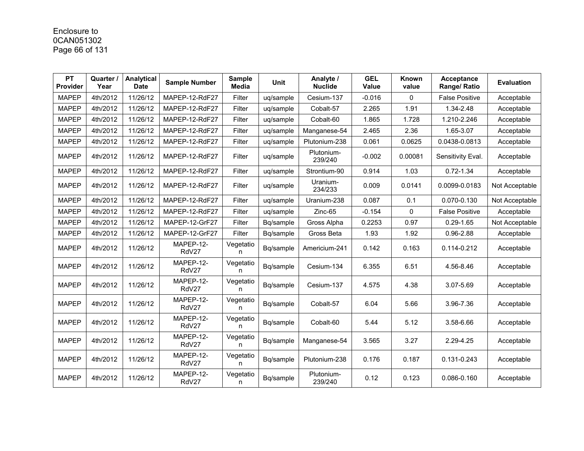# Enclosure to 0CAN051302 Page 66 of 131

| <b>PT</b><br>Provider | Quarter /<br>Year | Analytical<br><b>Date</b> | <b>Sample Number</b> | <b>Sample</b><br><b>Media</b> | Unit      | Analyte /<br><b>Nuclide</b> | <b>GEL</b><br><b>Value</b> | Known<br>value | Acceptance<br>Range/ Ratio | <b>Evaluation</b> |
|-----------------------|-------------------|---------------------------|----------------------|-------------------------------|-----------|-----------------------------|----------------------------|----------------|----------------------------|-------------------|
| <b>MAPEP</b>          | 4th/2012          | 11/26/12                  | MAPEP-12-RdF27       | Filter                        | uq/sample | Cesium-137                  | $-0.016$                   | $\mathbf{0}$   | <b>False Positive</b>      | Acceptable        |
| <b>MAPEP</b>          | 4th/2012          | 11/26/12                  | MAPEP-12-RdF27       | Filter                        | ug/sample | Cobalt-57                   | 2.265                      | 1.91           | 1.34-2.48                  | Acceptable        |
| <b>MAPEP</b>          | 4th/2012          | 11/26/12                  | MAPEP-12-RdF27       | Filter                        | uq/sample | Cobalt-60                   | 1.865                      | 1.728          | 1.210-2.246                | Acceptable        |
| <b>MAPEP</b>          | 4th/2012          | 11/26/12                  | MAPEP-12-RdF27       | Filter                        | uq/sample | Manganese-54                | 2.465                      | 2.36           | 1.65-3.07                  | Acceptable        |
| <b>MAPEP</b>          | 4th/2012          | 11/26/12                  | MAPEP-12-RdF27       | Filter                        | uq/sample | Plutonium-238               | 0.061                      | 0.0625         | 0.0438-0.0813              | Acceptable        |
| <b>MAPEP</b>          | 4th/2012          | 11/26/12                  | MAPEP-12-RdF27       | Filter                        | uq/sample | Plutonium-<br>239/240       | $-0.002$                   | 0.00081        | Sensitivity Eval.          | Acceptable        |
| <b>MAPEP</b>          | 4th/2012          | 11/26/12                  | MAPEP-12-RdF27       | Filter                        | uq/sample | Strontium-90                | 0.914                      | 1.03           | $0.72 - 1.34$              | Acceptable        |
| <b>MAPEP</b>          | 4th/2012          | 11/26/12                  | MAPEP-12-RdF27       | Filter                        | uq/sample | Uranium-<br>234/233         | 0.009                      | 0.0141         | 0.0099-0.0183              | Not Acceptable    |
| <b>MAPEP</b>          | 4th/2012          | 11/26/12                  | MAPEP-12-RdF27       | Filter                        | uq/sample | Uranium-238                 | 0.087                      | 0.1            | 0.070-0.130                | Not Acceptable    |
| <b>MAPEP</b>          | 4th/2012          | 11/26/12                  | MAPEP-12-RdF27       | Filter                        | uq/sample | Zinc-65                     | $-0.154$                   | $\Omega$       | <b>False Positive</b>      | Acceptable        |
| <b>MAPEP</b>          | 4th/2012          | 11/26/12                  | MAPEP-12-GrF27       | Filter                        | Bq/sample | Gross Alpha                 | 0.2253                     | 0.97           | $0.29 - 1.65$              | Not Acceptable    |
| <b>MAPEP</b>          | 4th/2012          | 11/26/12                  | MAPEP-12-GrF27       | Filter                        | Bq/sample | Gross Beta                  | 1.93                       | 1.92           | 0.96-2.88                  | Acceptable        |
| <b>MAPEP</b>          | 4th/2012          | 11/26/12                  | MAPEP-12-<br>RdV27   | Vegetatio<br>n                | Bq/sample | Americium-241               | 0.142                      | 0.163          | 0.114-0.212                | Acceptable        |
| <b>MAPEP</b>          | 4th/2012          | 11/26/12                  | MAPEP-12-<br>RdV27   | Vegetatio<br>n                | Bq/sample | Cesium-134                  | 6.355                      | 6.51           | 4.56-8.46                  | Acceptable        |
| <b>MAPEP</b>          | 4th/2012          | 11/26/12                  | MAPEP-12-<br>RdV27   | Vegetatio<br>n                | Bq/sample | Cesium-137                  | 4.575                      | 4.38           | 3.07-5.69                  | Acceptable        |
| <b>MAPEP</b>          | 4th/2012          | 11/26/12                  | MAPEP-12-<br>RdV27   | Vegetatio<br>n.               | Bq/sample | Cobalt-57                   | 6.04                       | 5.66           | 3.96-7.36                  | Acceptable        |
| <b>MAPEP</b>          | 4th/2012          | 11/26/12                  | MAPEP-12-<br>RdV27   | Vegetatio<br>n                | Bq/sample | Cobalt-60                   | 5.44                       | 5.12           | 3.58-6.66                  | Acceptable        |
| <b>MAPEP</b>          | 4th/2012          | 11/26/12                  | MAPEP-12-<br>RdV27   | Vegetatio<br>n                | Bq/sample | Manganese-54                | 3.565                      | 3.27           | 2.29-4.25                  | Acceptable        |
| <b>MAPEP</b>          | 4th/2012          | 11/26/12                  | MAPEP-12-<br>RdV27   | Vegetatio<br>n                | Bq/sample | Plutonium-238               | 0.176                      | 0.187          | 0.131-0.243                | Acceptable        |
| <b>MAPEP</b>          | 4th/2012          | 11/26/12                  | MAPEP-12-<br>RdV27   | Vegetatio<br>n.               | Bq/sample | Plutonium-<br>239/240       | 0.12                       | 0.123          | 0.086-0.160                | Acceptable        |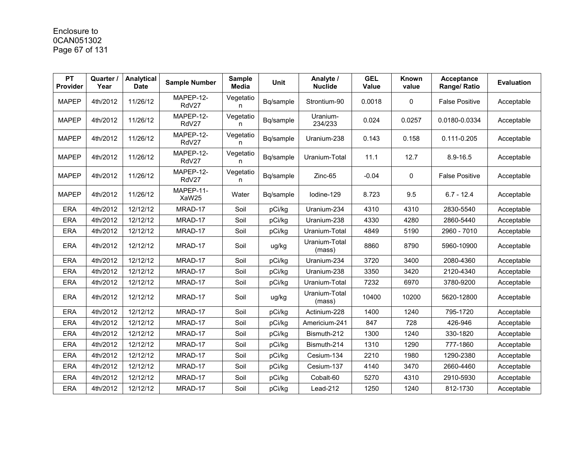# Enclosure to 0CAN051302 Page 67 of 131

| PT<br>Provider | Quarter /<br>Year | Analytical<br><b>Date</b> | <b>Sample Number</b> | <b>Sample</b><br>Media | <b>Unit</b> | Analyte /<br><b>Nuclide</b> | <b>GEL</b><br>Value | Known<br>value | <b>Acceptance</b><br>Range/ Ratio | <b>Evaluation</b> |
|----------------|-------------------|---------------------------|----------------------|------------------------|-------------|-----------------------------|---------------------|----------------|-----------------------------------|-------------------|
| <b>MAPEP</b>   | 4th/2012          | 11/26/12                  | MAPEP-12-<br>RdV27   | Vegetatio<br>n         | Bq/sample   | Strontium-90                | 0.0018              | $\mathbf{0}$   | <b>False Positive</b>             | Acceptable        |
| <b>MAPEP</b>   | 4th/2012          | 11/26/12                  | MAPEP-12-<br>RdV27   | Vegetatio<br>n         | Bq/sample   | Uranium-<br>234/233         | 0.024               | 0.0257         | 0.0180-0.0334                     | Acceptable        |
| <b>MAPEP</b>   | 4th/2012          | 11/26/12                  | MAPEP-12-<br>RdV27   | Vegetatio<br>n         | Bq/sample   | Uranium-238                 | 0.143               | 0.158          | 0.111-0.205                       | Acceptable        |
| <b>MAPEP</b>   | 4th/2012          | 11/26/12                  | MAPEP-12-<br>RdV27   | Vegetatio<br>n         | Bq/sample   | Uranium-Total               | 11.1                | 12.7           | $8.9 - 16.5$                      | Acceptable        |
| <b>MAPEP</b>   | 4th/2012          | 11/26/12                  | MAPEP-12-<br>RdV27   | Vegetatio<br>n         | Bq/sample   | Zinc-65                     | $-0.04$             | 0              | <b>False Positive</b>             | Acceptable        |
| <b>MAPEP</b>   | 4th/2012          | 11/26/12                  | MAPEP-11-<br>XaW25   | Water                  | Bq/sample   | lodine-129                  | 8.723               | 9.5            | $6.7 - 12.4$                      | Acceptable        |
| <b>ERA</b>     | 4th/2012          | 12/12/12                  | MRAD-17              | Soil                   | pCi/kg      | Uranium-234                 | 4310                | 4310           | 2830-5540                         | Acceptable        |
| <b>ERA</b>     | 4th/2012          | 12/12/12                  | MRAD-17              | Soil                   | pCi/kg      | Uranium-238                 | 4330                | 4280           | 2860-5440                         | Acceptable        |
| <b>ERA</b>     | 4th/2012          | 12/12/12                  | MRAD-17              | Soil                   | pCi/kg      | Uranium-Total               | 4849                | 5190           | 2960 - 7010                       | Acceptable        |
| <b>ERA</b>     | 4th/2012          | 12/12/12                  | MRAD-17              | Soil                   | ug/kg       | Uranium-Total<br>(mass)     | 8860                | 8790           | 5960-10900                        | Acceptable        |
| <b>ERA</b>     | 4th/2012          | 12/12/12                  | MRAD-17              | Soil                   | pCi/kg      | Uranium-234                 | 3720                | 3400           | 2080-4360                         | Acceptable        |
| <b>ERA</b>     | 4th/2012          | 12/12/12                  | MRAD-17              | Soil                   | pCi/kg      | Uranium-238                 | 3350                | 3420           | 2120-4340                         | Acceptable        |
| <b>ERA</b>     | 4th/2012          | 12/12/12                  | MRAD-17              | Soil                   | pCi/kg      | Uranium-Total               | 7232                | 6970           | 3780-9200                         | Acceptable        |
| <b>ERA</b>     | 4th/2012          | 12/12/12                  | MRAD-17              | Soil                   | ug/kg       | Uranium-Total<br>(mass)     | 10400               | 10200          | 5620-12800                        | Acceptable        |
| <b>ERA</b>     | 4th/2012          | 12/12/12                  | MRAD-17              | Soil                   | pCi/kg      | Actinium-228                | 1400                | 1240           | 795-1720                          | Acceptable        |
| <b>ERA</b>     | 4th/2012          | 12/12/12                  | MRAD-17              | Soil                   | pCi/kg      | Americium-241               | 847                 | 728            | 426-946                           | Acceptable        |
| <b>ERA</b>     | 4th/2012          | 12/12/12                  | MRAD-17              | Soil                   | pCi/kg      | Bismuth-212                 | 1300                | 1240           | 330-1820                          | Acceptable        |
| <b>ERA</b>     | 4th/2012          | 12/12/12                  | MRAD-17              | Soil                   | pCi/kg      | Bismuth-214                 | 1310                | 1290           | 777-1860                          | Acceptable        |
| <b>ERA</b>     | 4th/2012          | 12/12/12                  | MRAD-17              | Soil                   | pCi/kg      | Cesium-134                  | 2210                | 1980           | 1290-2380                         | Acceptable        |
| <b>ERA</b>     | 4th/2012          | 12/12/12                  | MRAD-17              | Soil                   | pCi/kg      | Cesium-137                  | 4140                | 3470           | 2660-4460                         | Acceptable        |
| <b>ERA</b>     | 4th/2012          | 12/12/12                  | MRAD-17              | Soil                   | pCi/kg      | Cobalt-60                   | 5270                | 4310           | 2910-5930                         | Acceptable        |
| <b>ERA</b>     | 4th/2012          | 12/12/12                  | MRAD-17              | Soil                   | pCi/kg      | Lead-212                    | 1250                | 1240           | 812-1730                          | Acceptable        |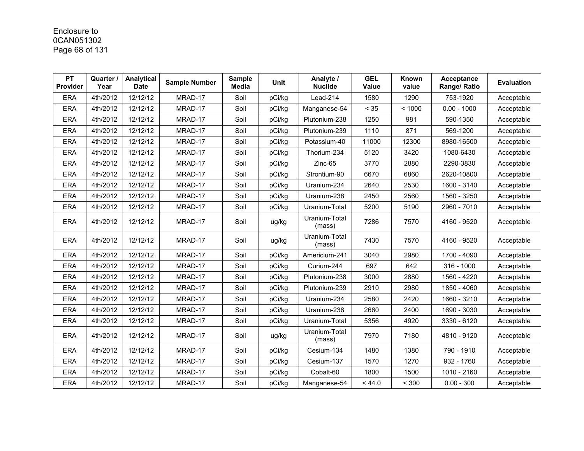# Enclosure to 0CAN051302 Page 68 of 131

| <b>PT</b><br>Provider | Quarter /<br>Year | Analytical<br><b>Date</b> | <b>Sample Number</b> | <b>Sample</b><br>Media | Unit   | Analyte /<br><b>Nuclide</b> | <b>GEL</b><br>Value | Known<br>value | Acceptance<br>Range/ Ratio | <b>Evaluation</b> |
|-----------------------|-------------------|---------------------------|----------------------|------------------------|--------|-----------------------------|---------------------|----------------|----------------------------|-------------------|
| <b>ERA</b>            | 4th/2012          | 12/12/12                  | MRAD-17              | Soil                   | pCi/kg | Lead-214                    | 1580                | 1290           | 753-1920                   | Acceptable        |
| <b>ERA</b>            | 4th/2012          | 12/12/12                  | MRAD-17              | Soil                   | pCi/kg | Manganese-54                | < 35                | < 1000         | $0.00 - 1000$              | Acceptable        |
| <b>ERA</b>            | 4th/2012          | 12/12/12                  | MRAD-17              | Soil                   | pCi/kg | Plutonium-238               | 1250                | 981            | 590-1350                   | Acceptable        |
| <b>ERA</b>            | 4th/2012          | 12/12/12                  | MRAD-17              | Soil                   | pCi/kg | Plutonium-239               | 1110                | 871            | 569-1200                   | Acceptable        |
| <b>ERA</b>            | 4th/2012          | 12/12/12                  | MRAD-17              | Soil                   | pCi/kg | Potassium-40                | 11000               | 12300          | 8980-16500                 | Acceptable        |
| <b>ERA</b>            | 4th/2012          | 12/12/12                  | MRAD-17              | Soil                   | pCi/kg | Thorium-234                 | 5120                | 3420           | 1080-6430                  | Acceptable        |
| <b>ERA</b>            | 4th/2012          | 12/12/12                  | MRAD-17              | Soil                   | pCi/kg | Zinc-65                     | 3770                | 2880           | 2290-3830                  | Acceptable        |
| <b>ERA</b>            | 4th/2012          | 12/12/12                  | MRAD-17              | Soil                   | pCi/kg | Strontium-90                | 6670                | 6860           | 2620-10800                 | Acceptable        |
| <b>ERA</b>            | 4th/2012          | 12/12/12                  | MRAD-17              | Soil                   | pCi/kg | Uranium-234                 | 2640                | 2530           | 1600 - 3140                | Acceptable        |
| <b>ERA</b>            | 4th/2012          | 12/12/12                  | MRAD-17              | Soil                   | pCi/kg | Uranium-238                 | 2450                | 2560           | 1560 - 3250                | Acceptable        |
| ERA                   | 4th/2012          | 12/12/12                  | MRAD-17              | Soil                   | pCi/kg | Uranium-Total               | 5200                | 5190           | 2960 - 7010                | Acceptable        |
| <b>ERA</b>            | 4th/2012          | 12/12/12                  | MRAD-17              | Soil                   | ug/kg  | Uranium-Total<br>(mass)     | 7286                | 7570           | 4160 - 9520                | Acceptable        |
| <b>ERA</b>            | 4th/2012          | 12/12/12                  | MRAD-17              | Soil                   | ug/kg  | Uranium-Total<br>(mass)     | 7430                | 7570           | 4160 - 9520                | Acceptable        |
| <b>ERA</b>            | 4th/2012          | 12/12/12                  | MRAD-17              | Soil                   | pCi/kg | Americium-241               | 3040                | 2980           | 1700 - 4090                | Acceptable        |
| <b>ERA</b>            | 4th/2012          | 12/12/12                  | MRAD-17              | Soil                   | pCi/kg | Curium-244                  | 697                 | 642            | $316 - 1000$               | Acceptable        |
| <b>ERA</b>            | 4th/2012          | 12/12/12                  | MRAD-17              | Soil                   | pCi/kg | Plutonium-238               | 3000                | 2880           | 1560 - 4220                | Acceptable        |
| ERA                   | 4th/2012          | 12/12/12                  | MRAD-17              | Soil                   | pCi/kg | Plutonium-239               | 2910                | 2980           | 1850 - 4060                | Acceptable        |
| <b>ERA</b>            | 4th/2012          | 12/12/12                  | MRAD-17              | Soil                   | pCi/kg | Uranium-234                 | 2580                | 2420           | 1660 - 3210                | Acceptable        |
| <b>ERA</b>            | 4th/2012          | 12/12/12                  | MRAD-17              | Soil                   | pCi/kg | Uranium-238                 | 2660                | 2400           | 1690 - 3030                | Acceptable        |
| <b>ERA</b>            | 4th/2012          | 12/12/12                  | MRAD-17              | Soil                   | pCi/kg | Uranium-Total               | 5356                | 4920           | 3330 - 6120                | Acceptable        |
| <b>ERA</b>            | 4th/2012          | 12/12/12                  | MRAD-17              | Soil                   | ug/kg  | Uranium-Total<br>(mass)     | 7970                | 7180           | 4810 - 9120                | Acceptable        |
| <b>ERA</b>            | 4th/2012          | 12/12/12                  | MRAD-17              | Soil                   | pCi/kg | Cesium-134                  | 1480                | 1380           | 790 - 1910                 | Acceptable        |
| <b>ERA</b>            | 4th/2012          | 12/12/12                  | MRAD-17              | Soil                   | pCi/kg | Cesium-137                  | 1570                | 1270           | 932 - 1760                 | Acceptable        |
| <b>ERA</b>            | 4th/2012          | 12/12/12                  | MRAD-17              | Soil                   | pCi/kg | Cobalt-60                   | 1800                | 1500           | 1010 - 2160                | Acceptable        |
| <b>ERA</b>            | 4th/2012          | 12/12/12                  | MRAD-17              | Soil                   | pCi/kg | Manganese-54                | < 44.0              | < 300          | $0.00 - 300$               | Acceptable        |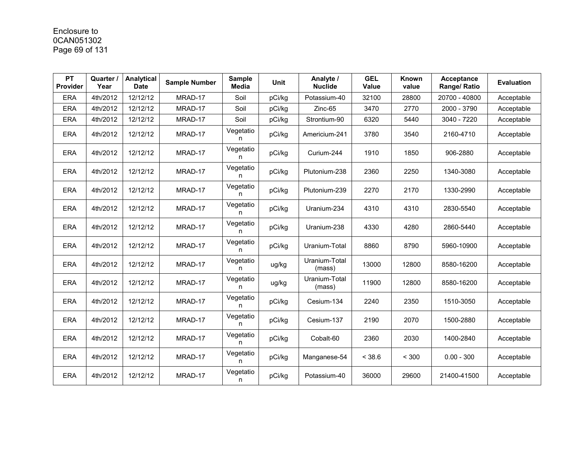# Enclosure to 0CAN051302 Page 69 of 131

| <b>PT</b><br><b>Provider</b> | <b>Quarter</b><br>Year | Analytical<br><b>Date</b> | <b>Sample Number</b> | <b>Sample</b><br><b>Media</b> | <b>Unit</b> | Analyte /<br><b>Nuclide</b> | <b>GEL</b><br>Value | Known<br>value | Acceptance<br>Range/ Ratio | <b>Evaluation</b> |
|------------------------------|------------------------|---------------------------|----------------------|-------------------------------|-------------|-----------------------------|---------------------|----------------|----------------------------|-------------------|
| <b>ERA</b>                   | 4th/2012               | 12/12/12                  | MRAD-17              | Soil                          | pCi/kg      | Potassium-40                | 32100               | 28800          | 20700 - 40800              | Acceptable        |
| <b>ERA</b>                   | 4th/2012               | 12/12/12                  | MRAD-17              | Soil                          | pCi/kg      | Zinc-65                     | 3470                | 2770           | 2000 - 3790                | Acceptable        |
| <b>ERA</b>                   | 4th/2012               | 12/12/12                  | MRAD-17              | Soil                          | pCi/kg      | Strontium-90                | 6320                | 5440           | 3040 - 7220                | Acceptable        |
| <b>ERA</b>                   | 4th/2012               | 12/12/12                  | MRAD-17              | Vegetatio<br>n                | pCi/kg      | Americium-241               | 3780                | 3540           | 2160-4710                  | Acceptable        |
| <b>ERA</b>                   | 4th/2012               | 12/12/12                  | MRAD-17              | Vegetatio<br>n                | pCi/kg      | Curium-244                  | 1910                | 1850           | 906-2880                   | Acceptable        |
| <b>ERA</b>                   | 4th/2012               | 12/12/12                  | MRAD-17              | Vegetatio<br>n                | pCi/kg      | Plutonium-238               | 2360                | 2250           | 1340-3080                  | Acceptable        |
| <b>ERA</b>                   | 4th/2012               | 12/12/12                  | MRAD-17              | Vegetatio<br>n                | pCi/kg      | Plutonium-239               | 2270                | 2170           | 1330-2990                  | Acceptable        |
| <b>ERA</b>                   | 4th/2012               | 12/12/12                  | MRAD-17              | Vegetatio<br>n                | pCi/kg      | Uranium-234                 | 4310                | 4310           | 2830-5540                  | Acceptable        |
| <b>ERA</b>                   | 4th/2012               | 12/12/12                  | MRAD-17              | Vegetatio<br>n                | pCi/kg      | Uranium-238                 | 4330                | 4280           | 2860-5440                  | Acceptable        |
| <b>ERA</b>                   | 4th/2012               | 12/12/12                  | MRAD-17              | Vegetatio<br>n                | pCi/kg      | Uranium-Total               | 8860                | 8790           | 5960-10900                 | Acceptable        |
| <b>ERA</b>                   | 4th/2012               | 12/12/12                  | MRAD-17              | Vegetatio<br>n                | ug/kg       | Uranium-Total<br>(mass)     | 13000               | 12800          | 8580-16200                 | Acceptable        |
| <b>ERA</b>                   | 4th/2012               | 12/12/12                  | MRAD-17              | Vegetatio<br>n                | ug/kg       | Uranium-Total<br>(mass)     | 11900               | 12800          | 8580-16200                 | Acceptable        |
| <b>ERA</b>                   | 4th/2012               | 12/12/12                  | MRAD-17              | Vegetatio<br>n                | pCi/kg      | Cesium-134                  | 2240                | 2350           | 1510-3050                  | Acceptable        |
| <b>ERA</b>                   | 4th/2012               | 12/12/12                  | MRAD-17              | Vegetatio<br>n                | pCi/kg      | Cesium-137                  | 2190                | 2070           | 1500-2880                  | Acceptable        |
| <b>ERA</b>                   | 4th/2012               | 12/12/12                  | MRAD-17              | Vegetatio<br>n                | pCi/kg      | Cobalt-60                   | 2360                | 2030           | 1400-2840                  | Acceptable        |
| <b>ERA</b>                   | 4th/2012               | 12/12/12                  | MRAD-17              | Vegetatio<br>n                | pCi/kg      | Manganese-54                | < 38.6              | < 300          | $0.00 - 300$               | Acceptable        |
| <b>ERA</b>                   | 4th/2012               | 12/12/12                  | MRAD-17              | Vegetatio<br>n                | pCi/kg      | Potassium-40                | 36000               | 29600          | 21400-41500                | Acceptable        |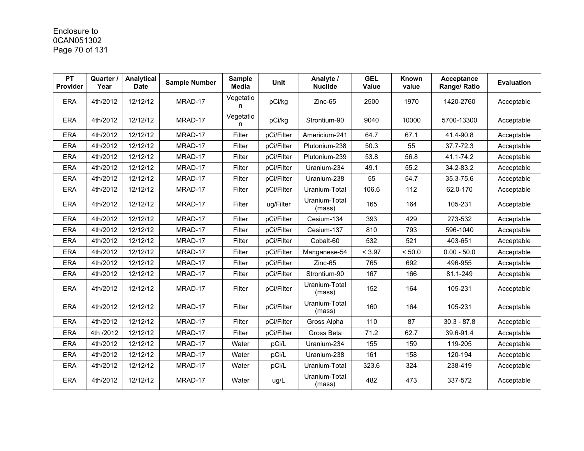# Enclosure to 0CAN051302 Page 70 of 131

| <b>PT</b><br><b>Provider</b> | Quarter /<br>Year | Analytical<br><b>Date</b> | <b>Sample Number</b> | <b>Sample</b><br><b>Media</b> | Unit       | Analyte /<br><b>Nuclide</b> | <b>GEL</b><br>Value | Known<br>value | <b>Acceptance</b><br>Range/ Ratio | <b>Evaluation</b> |
|------------------------------|-------------------|---------------------------|----------------------|-------------------------------|------------|-----------------------------|---------------------|----------------|-----------------------------------|-------------------|
| <b>ERA</b>                   | 4th/2012          | 12/12/12                  | MRAD-17              | Vegetatio<br>n                | pCi/kg     | Zinc-65                     | 2500                | 1970           | 1420-2760                         | Acceptable        |
| <b>ERA</b>                   | 4th/2012          | 12/12/12                  | MRAD-17              | Vegetatio<br>n                | pCi/kg     | Strontium-90                | 9040                | 10000          | 5700-13300                        | Acceptable        |
| <b>ERA</b>                   | 4th/2012          | 12/12/12                  | MRAD-17              | Filter                        | pCi/Filter | Americium-241               | 64.7                | 67.1           | 41.4-90.8                         | Acceptable        |
| <b>ERA</b>                   | 4th/2012          | 12/12/12                  | MRAD-17              | Filter                        | pCi/Filter | Plutonium-238               | 50.3                | 55             | 37.7-72.3                         | Acceptable        |
| <b>ERA</b>                   | 4th/2012          | 12/12/12                  | MRAD-17              | Filter                        | pCi/Filter | Plutonium-239               | 53.8                | 56.8           | 41.1-74.2                         | Acceptable        |
| <b>ERA</b>                   | 4th/2012          | 12/12/12                  | MRAD-17              | Filter                        | pCi/Filter | Uranium-234                 | 49.1                | 55.2           | 34.2-83.2                         | Acceptable        |
| <b>ERA</b>                   | 4th/2012          | 12/12/12                  | MRAD-17              | Filter                        | pCi/Filter | Uranium-238                 | 55                  | 54.7           | 35.3-75.6                         | Acceptable        |
| <b>ERA</b>                   | 4th/2012          | 12/12/12                  | MRAD-17              | Filter                        | pCi/Filter | Uranium-Total               | 106.6               | 112            | 62.0-170                          | Acceptable        |
| <b>ERA</b>                   | 4th/2012          | 12/12/12                  | MRAD-17              | Filter                        | ug/Filter  | Uranium-Total<br>(mass)     | 165                 | 164            | 105-231                           | Acceptable        |
| <b>ERA</b>                   | 4th/2012          | 12/12/12                  | MRAD-17              | Filter                        | pCi/Filter | Cesium-134                  | 393                 | 429            | 273-532                           | Acceptable        |
| <b>ERA</b>                   | 4th/2012          | 12/12/12                  | MRAD-17              | Filter                        | pCi/Filter | Cesium-137                  | 810                 | 793            | 596-1040                          | Acceptable        |
| <b>ERA</b>                   | 4th/2012          | 12/12/12                  | MRAD-17              | Filter                        | pCi/Filter | Cobalt-60                   | 532                 | 521            | 403-651                           | Acceptable        |
| <b>ERA</b>                   | 4th/2012          | 12/12/12                  | MRAD-17              | Filter                        | pCi/Filter | Manganese-54                | < 3.97              | < 50.0         | $0.00 - 50.0$                     | Acceptable        |
| <b>ERA</b>                   | 4th/2012          | 12/12/12                  | MRAD-17              | Filter                        | pCi/Filter | Zinc-65                     | 765                 | 692            | 496-955                           | Acceptable        |
| <b>ERA</b>                   | 4th/2012          | 12/12/12                  | MRAD-17              | Filter                        | pCi/Filter | Strontium-90                | 167                 | 166            | 81.1-249                          | Acceptable        |
| <b>ERA</b>                   | 4th/2012          | 12/12/12                  | MRAD-17              | Filter                        | pCi/Filter | Uranium-Total<br>(mass)     | 152                 | 164            | 105-231                           | Acceptable        |
| <b>ERA</b>                   | 4th/2012          | 12/12/12                  | MRAD-17              | Filter                        | pCi/Filter | Uranium-Total<br>(mass)     | 160                 | 164            | 105-231                           | Acceptable        |
| <b>ERA</b>                   | 4th/2012          | 12/12/12                  | MRAD-17              | Filter                        | pCi/Filter | Gross Alpha                 | 110                 | 87             | $30.3 - 87.8$                     | Acceptable        |
| <b>ERA</b>                   | 4th /2012         | 12/12/12                  | MRAD-17              | Filter                        | pCi/Filter | Gross Beta                  | 71.2                | 62.7           | 39.6-91.4                         | Acceptable        |
| <b>ERA</b>                   | 4th/2012          | 12/12/12                  | MRAD-17              | Water                         | pCi/L      | Uranium-234                 | 155                 | 159            | 119-205                           | Acceptable        |
| <b>ERA</b>                   | 4th/2012          | 12/12/12                  | MRAD-17              | Water                         | pCi/L      | Uranium-238                 | 161                 | 158            | 120-194                           | Acceptable        |
| <b>ERA</b>                   | 4th/2012          | 12/12/12                  | MRAD-17              | Water                         | pCi/L      | Uranium-Total               | 323.6               | 324            | 238-419                           | Acceptable        |
| <b>ERA</b>                   | 4th/2012          | 12/12/12                  | MRAD-17              | Water                         | ug/L       | Uranium-Total<br>(mass)     | 482                 | 473            | 337-572                           | Acceptable        |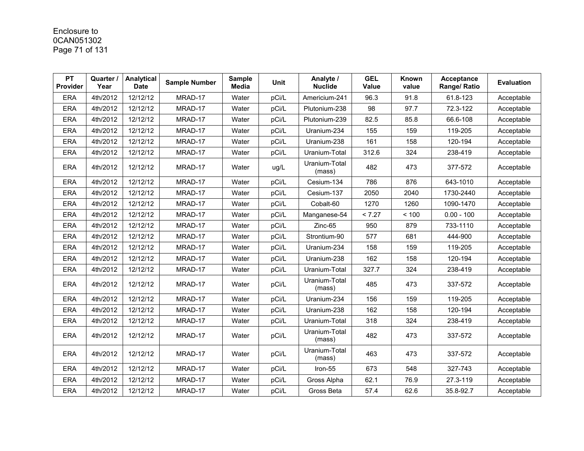# Enclosure to 0CAN051302 Page 71 of 131

| <b>PT</b><br>Provider | Quarter /<br>Year | Analytical<br><b>Date</b> | <b>Sample Number</b> | <b>Sample</b><br><b>Media</b> | Unit  | Analyte /<br><b>Nuclide</b> | <b>GEL</b><br>Value | Known<br>value | <b>Acceptance</b><br>Range/ Ratio | <b>Evaluation</b> |
|-----------------------|-------------------|---------------------------|----------------------|-------------------------------|-------|-----------------------------|---------------------|----------------|-----------------------------------|-------------------|
| <b>ERA</b>            | 4th/2012          | 12/12/12                  | MRAD-17              | Water                         | pCi/L | Americium-241               | 96.3                | 91.8           | 61.8-123                          | Acceptable        |
| <b>ERA</b>            | 4th/2012          | 12/12/12                  | MRAD-17              | Water                         | pCi/L | Plutonium-238               | 98                  | 97.7           | 72.3-122                          | Acceptable        |
| <b>ERA</b>            | 4th/2012          | 12/12/12                  | MRAD-17              | Water                         | pCi/L | Plutonium-239               | 82.5                | 85.8           | 66.6-108                          | Acceptable        |
| <b>ERA</b>            | 4th/2012          | 12/12/12                  | MRAD-17              | Water                         | pCi/L | Uranium-234                 | 155                 | 159            | 119-205                           | Acceptable        |
| <b>ERA</b>            | 4th/2012          | 12/12/12                  | MRAD-17              | Water                         | pCi/L | Uranium-238                 | 161                 | 158            | 120-194                           | Acceptable        |
| <b>ERA</b>            | 4th/2012          | 12/12/12                  | MRAD-17              | Water                         | pCi/L | Uranium-Total               | 312.6               | 324            | 238-419                           | Acceptable        |
| <b>ERA</b>            | 4th/2012          | 12/12/12                  | MRAD-17              | Water                         | ug/L  | Uranium-Total<br>(mass)     | 482                 | 473            | 377-572                           | Acceptable        |
| <b>ERA</b>            | 4th/2012          | 12/12/12                  | MRAD-17              | Water                         | pCi/L | Cesium-134                  | 786                 | 876            | 643-1010                          | Acceptable        |
| <b>ERA</b>            | 4th/2012          | 12/12/12                  | MRAD-17              | Water                         | pCi/L | Cesium-137                  | 2050                | 2040           | 1730-2440                         | Acceptable        |
| <b>ERA</b>            | 4th/2012          | 12/12/12                  | MRAD-17              | Water                         | pCi/L | Cobalt-60                   | 1270                | 1260           | 1090-1470                         | Acceptable        |
| <b>ERA</b>            | 4th/2012          | 12/12/12                  | MRAD-17              | Water                         | pCi/L | Manganese-54                | < 7.27              | < 100          | $0.00 - 100$                      | Acceptable        |
| <b>ERA</b>            | 4th/2012          | 12/12/12                  | MRAD-17              | Water                         | pCi/L | Zinc-65                     | 950                 | 879            | 733-1110                          | Acceptable        |
| ERA                   | 4th/2012          | 12/12/12                  | MRAD-17              | Water                         | pCi/L | Strontium-90                | 577                 | 681            | 444-900                           | Acceptable        |
| ERA                   | 4th/2012          | 12/12/12                  | MRAD-17              | Water                         | pCi/L | Uranium-234                 | 158                 | 159            | 119-205                           | Acceptable        |
| <b>ERA</b>            | 4th/2012          | 12/12/12                  | MRAD-17              | Water                         | pCi/L | Uranium-238                 | 162                 | 158            | 120-194                           | Acceptable        |
| <b>ERA</b>            | 4th/2012          | 12/12/12                  | MRAD-17              | Water                         | pCi/L | Uranium-Total               | 327.7               | 324            | 238-419                           | Acceptable        |
| <b>ERA</b>            | 4th/2012          | 12/12/12                  | MRAD-17              | Water                         | pCi/L | Uranium-Total<br>(mass)     | 485                 | 473            | 337-572                           | Acceptable        |
| <b>ERA</b>            | 4th/2012          | 12/12/12                  | MRAD-17              | Water                         | pCi/L | Uranium-234                 | 156                 | 159            | 119-205                           | Acceptable        |
| <b>ERA</b>            | 4th/2012          | 12/12/12                  | MRAD-17              | Water                         | pCi/L | Uranium-238                 | 162                 | 158            | 120-194                           | Acceptable        |
| <b>ERA</b>            | 4th/2012          | 12/12/12                  | MRAD-17              | Water                         | pCi/L | Uranium-Total               | 318                 | 324            | 238-419                           | Acceptable        |
| <b>ERA</b>            | 4th/2012          | 12/12/12                  | MRAD-17              | Water                         | pCi/L | Uranium-Total<br>(mass)     | 482                 | 473            | 337-572                           | Acceptable        |
| <b>ERA</b>            | 4th/2012          | 12/12/12                  | MRAD-17              | Water                         | pCi/L | Uranium-Total<br>(mass)     | 463                 | 473            | 337-572                           | Acceptable        |
| <b>ERA</b>            | 4th/2012          | 12/12/12                  | MRAD-17              | Water                         | pCi/L | Iron-55                     | 673                 | 548            | 327-743                           | Acceptable        |
| <b>ERA</b>            | 4th/2012          | 12/12/12                  | MRAD-17              | Water                         | pCi/L | Gross Alpha                 | 62.1                | 76.9           | 27.3-119                          | Acceptable        |
| <b>ERA</b>            | 4th/2012          | 12/12/12                  | MRAD-17              | Water                         | pCi/L | Gross Beta                  | 57.4                | 62.6           | 35.8-92.7                         | Acceptable        |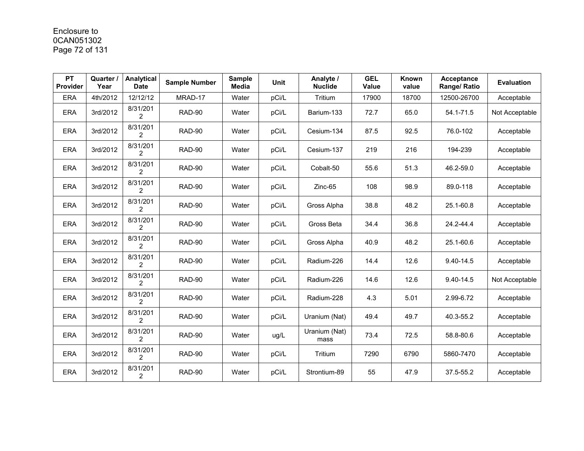# Enclosure to 0CAN051302 Page 72 of 131

| <b>PT</b><br>Provider | Quarter<br>Year | <b>Analytical</b><br><b>Date</b> | <b>Sample Number</b> | <b>Sample</b><br><b>Media</b> | Unit  | Analyte /<br><b>Nuclide</b> | <b>GEL</b><br>Value | Known<br>value | <b>Acceptance</b><br>Range/ Ratio | <b>Evaluation</b> |
|-----------------------|-----------------|----------------------------------|----------------------|-------------------------------|-------|-----------------------------|---------------------|----------------|-----------------------------------|-------------------|
| <b>ERA</b>            | 4th/2012        | 12/12/12                         | MRAD-17              | Water                         | pCi/L | Tritium                     | 17900               | 18700          | 12500-26700                       | Acceptable        |
| <b>ERA</b>            | 3rd/2012        | 8/31/201<br>2                    | RAD-90               | Water                         | pCi/L | Barium-133                  | 72.7                | 65.0           | 54.1-71.5                         | Not Acceptable    |
| <b>ERA</b>            | 3rd/2012        | 8/31/201<br>2                    | <b>RAD-90</b>        | Water                         | pCi/L | Cesium-134                  | 87.5                | 92.5           | 76.0-102                          | Acceptable        |
| <b>ERA</b>            | 3rd/2012        | 8/31/201<br>$\mathfrak{p}$       | RAD-90               | Water                         | pCi/L | Cesium-137                  | 219                 | 216            | 194-239                           | Acceptable        |
| <b>ERA</b>            | 3rd/2012        | 8/31/201<br>2                    | RAD-90               | Water                         | pCi/L | Cobalt-50                   | 55.6                | 51.3           | 46.2-59.0                         | Acceptable        |
| <b>ERA</b>            | 3rd/2012        | 8/31/201<br>$\overline{2}$       | RAD-90               | Water                         | pCi/L | Zinc-65                     | 108                 | 98.9           | 89.0-118                          | Acceptable        |
| <b>ERA</b>            | 3rd/2012        | 8/31/201<br>2                    | RAD-90               | Water                         | pCi/L | Gross Alpha                 | 38.8                | 48.2           | 25.1-60.8                         | Acceptable        |
| <b>ERA</b>            | 3rd/2012        | 8/31/201<br>$\overline{2}$       | RAD-90               | Water                         | pCi/L | Gross Beta                  | 34.4                | 36.8           | 24.2-44.4                         | Acceptable        |
| <b>ERA</b>            | 3rd/2012        | 8/31/201<br>2                    | RAD-90               | Water                         | pCi/L | Gross Alpha                 | 40.9                | 48.2           | 25.1-60.6                         | Acceptable        |
| <b>ERA</b>            | 3rd/2012        | 8/31/201<br>$\overline{2}$       | RAD-90               | Water                         | pCi/L | Radium-226                  | 14.4                | 12.6           | 9.40-14.5                         | Acceptable        |
| <b>ERA</b>            | 3rd/2012        | 8/31/201<br>$\overline{2}$       | RAD-90               | Water                         | pCi/L | Radium-226                  | 14.6                | 12.6           | 9.40-14.5                         | Not Acceptable    |
| <b>ERA</b>            | 3rd/2012        | 8/31/201<br>2                    | RAD-90               | Water                         | pCi/L | Radium-228                  | 4.3                 | 5.01           | 2.99-6.72                         | Acceptable        |
| <b>ERA</b>            | 3rd/2012        | 8/31/201<br>$\overline{2}$       | RAD-90               | Water                         | pCi/L | Uranium (Nat)               | 49.4                | 49.7           | 40.3-55.2                         | Acceptable        |
| <b>ERA</b>            | 3rd/2012        | 8/31/201<br>2                    | <b>RAD-90</b>        | Water                         | ug/L  | Uranium (Nat)<br>mass       | 73.4                | 72.5           | 58.8-80.6                         | Acceptable        |
| <b>ERA</b>            | 3rd/2012        | 8/31/201<br>$\overline{2}$       | <b>RAD-90</b>        | Water                         | pCi/L | Tritium                     | 7290                | 6790           | 5860-7470                         | Acceptable        |
| <b>ERA</b>            | 3rd/2012        | 8/31/201<br>$\overline{2}$       | RAD-90               | Water                         | pCi/L | Strontium-89                | 55                  | 47.9           | 37.5-55.2                         | Acceptable        |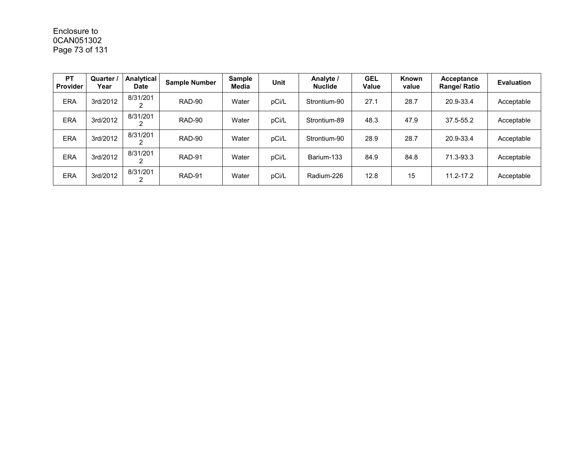# Enclosure to 0CAN051302 Page 73 of 131

| <b>PT</b><br>Provider | <b>Quarter</b><br>Year | Analytical<br>Date | <b>Sample Number</b> | <b>Sample</b><br>Media | <b>Unit</b> | Analyte /<br><b>Nuclide</b> | <b>GEL</b><br>Value | Known<br>value | Acceptance<br>Range/ Ratio | <b>Evaluation</b> |
|-----------------------|------------------------|--------------------|----------------------|------------------------|-------------|-----------------------------|---------------------|----------------|----------------------------|-------------------|
| <b>ERA</b>            | 3rd/2012               | 8/31/201           | RAD-90               | Water                  | pCi/L       | Strontium-90                | 27.1                | 28.7           | 20.9-33.4                  | Acceptable        |
| <b>ERA</b>            | 3rd/2012               | 8/31/201           | RAD-90               | Water                  | pCi/L       | Strontium-89                | 48.3                | 47.9           | 37.5-55.2                  | Acceptable        |
| <b>ERA</b>            | 3rd/2012               | 8/31/201           | RAD-90               | Water                  | pCi/L       | Strontium-90                | 28.9                | 28.7           | 20.9-33.4                  | Acceptable        |
| <b>ERA</b>            | 3rd/2012               | 8/31/201           | RAD-91               | Water                  | pCi/L       | Barium-133                  | 84.9                | 84.8           | 71.3-93.3                  | Acceptable        |
| <b>ERA</b>            | 3rd/2012               | 8/31/201           | RAD-91               | Water                  | pCi/L       | Radium-226                  | 12.8                | 15             | $11.2 - 17.2$              | Acceptable        |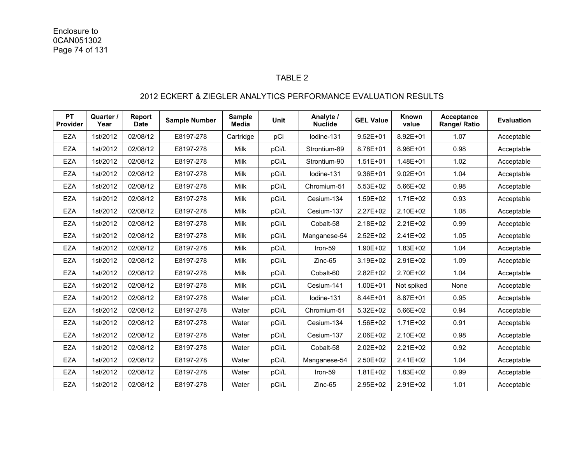#### TABLE 2

### 2012 ECKERT & ZIEGLER ANALYTICS PERFORMANCE EVALUATION RESULTS

| <b>PT</b><br><b>Provider</b> | Quarter /<br>Year | Report<br><b>Date</b> | <b>Sample Number</b> | <b>Sample</b><br><b>Media</b> | <b>Unit</b> | Analyte /<br><b>Nuclide</b> | <b>GEL Value</b> | Known<br>value | Acceptance<br>Range/ Ratio | <b>Evaluation</b> |
|------------------------------|-------------------|-----------------------|----------------------|-------------------------------|-------------|-----------------------------|------------------|----------------|----------------------------|-------------------|
| <b>EZA</b>                   | 1st/2012          | 02/08/12              | E8197-278            | Cartridge                     | pCi         | Iodine-131                  | $9.52E + 01$     | 8.92E+01       | 1.07                       | Acceptable        |
| <b>EZA</b>                   | 1st/2012          | 02/08/12              | E8197-278            | Milk                          | pCi/L       | Strontium-89                | 8.78E+01         | 8.96E+01       | 0.98                       | Acceptable        |
| <b>EZA</b>                   | 1st/2012          | 02/08/12              | E8197-278            | Milk                          | pCi/L       | Strontium-90                | $1.51E + 01$     | 1.48E+01       | 1.02                       | Acceptable        |
| <b>EZA</b>                   | 1st/2012          | 02/08/12              | E8197-278            | <b>Milk</b>                   | pCi/L       | lodine-131                  | 9.36E+01         | $9.02E + 01$   | 1.04                       | Acceptable        |
| <b>EZA</b>                   | 1st/2012          | 02/08/12              | E8197-278            | Milk                          | pCi/L       | Chromium-51                 | 5.53E+02         | 5.66E+02       | 0.98                       | Acceptable        |
| <b>EZA</b>                   | 1st/2012          | 02/08/12              | E8197-278            | <b>Milk</b>                   | pCi/L       | Cesium-134                  | 1.59E+02         | $1.71E + 02$   | 0.93                       | Acceptable        |
| <b>EZA</b>                   | 1st/2012          | 02/08/12              | E8197-278            | Milk                          | pCi/L       | Cesium-137                  | 2.27E+02         | 2.10E+02       | 1.08                       | Acceptable        |
| <b>EZA</b>                   | 1st/2012          | 02/08/12              | E8197-278            | Milk                          | pCi/L       | Cobalt-58                   | 2.18E+02         | $2.21E+02$     | 0.99                       | Acceptable        |
| <b>EZA</b>                   | 1st/2012          | 02/08/12              | E8197-278            | Milk                          | pCi/L       | Manganese-54                | 2.52E+02         | 2.41E+02       | 1.05                       | Acceptable        |
| <b>EZA</b>                   | 1st/2012          | 02/08/12              | E8197-278            | Milk                          | pCi/L       | Iron-59                     | 1.90E+02         | 1.83E+02       | 1.04                       | Acceptable        |
| EZA                          | 1st/2012          | 02/08/12              | E8197-278            | Milk                          | pCi/L       | $Zinc-65$                   | 3.19E+02         | $2.91E+02$     | 1.09                       | Acceptable        |
| <b>EZA</b>                   | 1st/2012          | 02/08/12              | E8197-278            | <b>Milk</b>                   | pCi/L       | Cobalt-60                   | 2.82E+02         | 2.70E+02       | 1.04                       | Acceptable        |
| <b>EZA</b>                   | 1st/2012          | 02/08/12              | E8197-278            | <b>Milk</b>                   | pCi/L       | Cesium-141                  | $1.00E + 01$     | Not spiked     | None                       | Acceptable        |
| <b>EZA</b>                   | 1st/2012          | 02/08/12              | E8197-278            | Water                         | pCi/L       | lodine-131                  | 8.44E+01         | 8.87E+01       | 0.95                       | Acceptable        |
| <b>EZA</b>                   | 1st/2012          | 02/08/12              | E8197-278            | Water                         | pCi/L       | Chromium-51                 | 5.32E+02         | 5.66E+02       | 0.94                       | Acceptable        |
| <b>EZA</b>                   | 1st/2012          | 02/08/12              | E8197-278            | Water                         | pCi/L       | Cesium-134                  | 1.56E+02         | 1.71E+02       | 0.91                       | Acceptable        |
| <b>EZA</b>                   | 1st/2012          | 02/08/12              | E8197-278            | Water                         | pCi/L       | Cesium-137                  | 2.06E+02         | 2.10E+02       | 0.98                       | Acceptable        |
| <b>EZA</b>                   | 1st/2012          | 02/08/12              | E8197-278            | Water                         | pCi/L       | Cobalt-58                   | 2.02E+02         | 2.21E+02       | 0.92                       | Acceptable        |
| <b>EZA</b>                   | 1st/2012          | 02/08/12              | E8197-278            | Water                         | pCi/L       | Manganese-54                | 2.50E+02         | 2.41E+02       | 1.04                       | Acceptable        |
| <b>EZA</b>                   | 1st/2012          | 02/08/12              | E8197-278            | Water                         | pCi/L       | Iron-59                     | 1.81E+02         | 1.83E+02       | 0.99                       | Acceptable        |
| <b>EZA</b>                   | 1st/2012          | 02/08/12              | E8197-278            | Water                         | pCi/L       | Zinc-65                     | 2.95E+02         | $2.91E+02$     | 1.01                       | Acceptable        |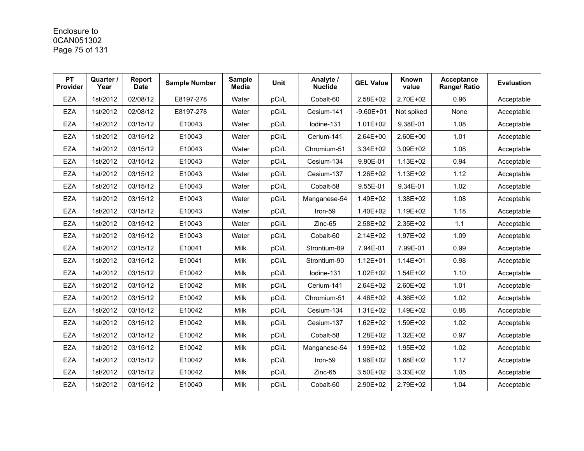## Enclosure to 0CAN051302 Page 75 of 131

| <b>PT</b><br>Provider | Quarter /<br>Year | Report<br><b>Date</b> | <b>Sample Number</b> | <b>Sample</b><br><b>Media</b> | <b>Unit</b> | Analyte /<br><b>Nuclide</b> | <b>GEL Value</b> | Known<br>value | Acceptance<br>Range/ Ratio | <b>Evaluation</b> |
|-----------------------|-------------------|-----------------------|----------------------|-------------------------------|-------------|-----------------------------|------------------|----------------|----------------------------|-------------------|
| <b>EZA</b>            | 1st/2012          | 02/08/12              | E8197-278            | Water                         | pCi/L       | Cobalt-60                   | 2.58E+02         | 2.70E+02       | 0.96                       | Acceptable        |
| <b>EZA</b>            | 1st/2012          | 02/08/12              | E8197-278            | Water                         | pCi/L       | Cesium-141                  | $-9.60E + 01$    | Not spiked     | None                       | Acceptable        |
| <b>EZA</b>            | 1st/2012          | 03/15/12              | E10043               | Water                         | pCi/L       | lodine-131                  | $1.01E + 02$     | 9.38E-01       | 1.08                       | Acceptable        |
| <b>EZA</b>            | 1st/2012          | 03/15/12              | E10043               | Water                         | pCi/L       | Cerium-141                  | 2.64E+00         | 2.60E+00       | 1.01                       | Acceptable        |
| <b>EZA</b>            | 1st/2012          | 03/15/12              | E10043               | Water                         | pCi/L       | Chromium-51                 | 3.34E+02         | 3.09E+02       | 1.08                       | Acceptable        |
| <b>EZA</b>            | 1st/2012          | 03/15/12              | E10043               | Water                         | pCi/L       | Cesium-134                  | 9.90E-01         | 1.13E+02       | 0.94                       | Acceptable        |
| <b>EZA</b>            | 1st/2012          | 03/15/12              | E10043               | Water                         | pCi/L       | Cesium-137                  | 1.26E+02         | $1.13E + 02$   | 1.12                       | Acceptable        |
| <b>EZA</b>            | 1st/2012          | 03/15/12              | E10043               | Water                         | pCi/L       | Cobalt-58                   | 9.55E-01         | 9.34E-01       | 1.02                       | Acceptable        |
| <b>EZA</b>            | 1st/2012          | 03/15/12              | E10043               | Water                         | pCi/L       | Manganese-54                | 1.49E+02         | 1.38E+02       | 1.08                       | Acceptable        |
| <b>EZA</b>            | 1st/2012          | 03/15/12              | E10043               | Water                         | pCi/L       | Iron-59                     | 1.40E+02         | 1.19E+02       | 1.18                       | Acceptable        |
| <b>EZA</b>            | 1st/2012          | 03/15/12              | E10043               | Water                         | pCi/L       | $Zinc-65$                   | 2.58E+02         | 2.35E+02       | 1.1                        | Acceptable        |
| <b>EZA</b>            | 1st/2012          | 03/15/12              | E10043               | Water                         | pCi/L       | Cobalt-60                   | 2.14E+02         | 1.97E+02       | 1.09                       | Acceptable        |
| <b>EZA</b>            | 1st/2012          | 03/15/12              | E10041               | Milk                          | pCi/L       | Strontium-89                | 7.94E-01         | 7.99E-01       | 0.99                       | Acceptable        |
| <b>EZA</b>            | 1st/2012          | 03/15/12              | E10041               | Milk                          | pCi/L       | Strontium-90                | $1.12E + 01$     | $1.14E + 01$   | 0.98                       | Acceptable        |
| <b>EZA</b>            | 1st/2012          | 03/15/12              | E10042               | Milk                          | pCi/L       | Iodine-131                  | $1.02E + 02$     | 1.54E+02       | 1.10                       | Acceptable        |
| <b>EZA</b>            | 1st/2012          | 03/15/12              | E10042               | Milk                          | pCi/L       | Cerium-141                  | 2.64E+02         | 2.60E+02       | 1.01                       | Acceptable        |
| <b>EZA</b>            | 1st/2012          | 03/15/12              | E10042               | Milk                          | pCi/L       | Chromium-51                 | 4.46E+02         | 4.36E+02       | 1.02                       | Acceptable        |
| <b>EZA</b>            | 1st/2012          | 03/15/12              | E10042               | Milk                          | pCi/L       | Cesium-134                  | 1.31E+02         | 1.49E+02       | 0.88                       | Acceptable        |
| <b>EZA</b>            | 1st/2012          | 03/15/12              | E10042               | Milk                          | pCi/L       | Cesium-137                  | 1.62E+02         | 1.59E+02       | 1.02                       | Acceptable        |
| <b>EZA</b>            | 1st/2012          | 03/15/12              | E10042               | Milk                          | pCi/L       | Cobalt-58                   | 1.28E+02         | 1.32E+02       | 0.97                       | Acceptable        |
| <b>EZA</b>            | 1st/2012          | 03/15/12              | E10042               | Milk                          | pCi/L       | Manganese-54                | 1.99E+02         | 1.95E+02       | 1.02                       | Acceptable        |
| <b>EZA</b>            | 1st/2012          | 03/15/12              | E10042               | Milk                          | pCi/L       | Iron-59                     | 1.96E+02         | 1.68E+02       | 1.17                       | Acceptable        |
| <b>EZA</b>            | 1st/2012          | 03/15/12              | E10042               | Milk                          | pCi/L       | $Zinc-65$                   | 3.50E+02         | 3.33E+02       | 1.05                       | Acceptable        |
| <b>EZA</b>            | 1st/2012          | 03/15/12              | E10040               | Milk                          | pCi/L       | Cobalt-60                   | 2.90E+02         | 2.79E+02       | 1.04                       | Acceptable        |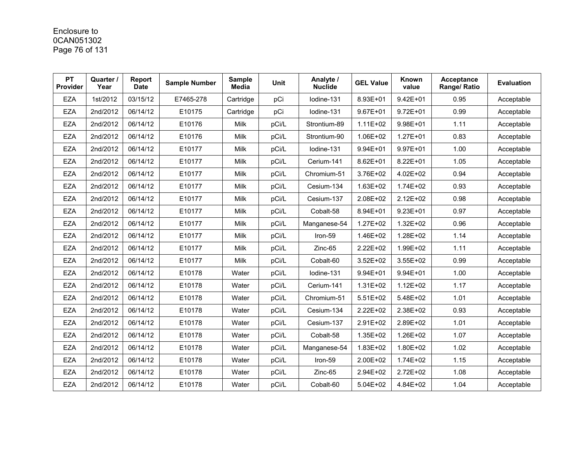## Enclosure to 0CAN051302 Page 76 of 131

| <b>PT</b><br>Provider | Quarter /<br>Year | Report<br><b>Date</b> | <b>Sample Number</b> | <b>Sample</b><br><b>Media</b> | <b>Unit</b> | Analyte /<br><b>Nuclide</b> | <b>GEL Value</b> | Known<br>value | Acceptance<br>Range/ Ratio | <b>Evaluation</b> |
|-----------------------|-------------------|-----------------------|----------------------|-------------------------------|-------------|-----------------------------|------------------|----------------|----------------------------|-------------------|
| <b>EZA</b>            | 1st/2012          | 03/15/12              | E7465-278            | Cartridge                     | pCi         | Iodine-131                  | 8.93E+01         | $9.42E + 01$   | 0.95                       | Acceptable        |
| <b>EZA</b>            | 2nd/2012          | 06/14/12              | E10175               | Cartridge                     | pCi         | Iodine-131                  | $9.67E + 01$     | $9.72E + 01$   | 0.99                       | Acceptable        |
| <b>EZA</b>            | 2nd/2012          | 06/14/12              | E10176               | Milk                          | pCi/L       | Strontium-89                | $1.11E + 02$     | 9.98E+01       | 1.11                       | Acceptable        |
| <b>EZA</b>            | 2nd/2012          | 06/14/12              | E10176               | Milk                          | pCi/L       | Strontium-90                | 1.06E+02         | $1.27E + 01$   | 0.83                       | Acceptable        |
| <b>EZA</b>            | 2nd/2012          | 06/14/12              | E10177               | Milk                          | pCi/L       | lodine-131                  | 9.94E+01         | 9.97E+01       | 1.00                       | Acceptable        |
| <b>EZA</b>            | 2nd/2012          | 06/14/12              | E10177               | Milk                          | pCi/L       | Cerium-141                  | 8.62E+01         | 8.22E+01       | 1.05                       | Acceptable        |
| <b>EZA</b>            | 2nd/2012          | 06/14/12              | E10177               | Milk                          | pCi/L       | Chromium-51                 | 3.76E+02         | 4.02E+02       | 0.94                       | Acceptable        |
| <b>EZA</b>            | 2nd/2012          | 06/14/12              | E10177               | Milk                          | pCi/L       | Cesium-134                  | 1.63E+02         | 1.74E+02       | 0.93                       | Acceptable        |
| <b>EZA</b>            | 2nd/2012          | 06/14/12              | E10177               | Milk                          | pCi/L       | Cesium-137                  | 2.08E+02         | 2.12E+02       | 0.98                       | Acceptable        |
| <b>EZA</b>            | 2nd/2012          | 06/14/12              | E10177               | Milk                          | pCi/L       | Cobalt-58                   | 8.94E+01         | $9.23E + 01$   | 0.97                       | Acceptable        |
| <b>EZA</b>            | 2nd/2012          | 06/14/12              | E10177               | Milk                          | pCi/L       | Manganese-54                | $1.27E + 02$     | $1.32E + 02$   | 0.96                       | Acceptable        |
| <b>EZA</b>            | 2nd/2012          | 06/14/12              | E10177               | Milk                          | pCi/L       | Iron-59                     | 1.46E+02         | 1.28E+02       | 1.14                       | Acceptable        |
| <b>EZA</b>            | 2nd/2012          | 06/14/12              | E10177               | Milk                          | pCi/L       | $Zinc-65$                   | 2.22E+02         | 1.99E+02       | 1.11                       | Acceptable        |
| <b>EZA</b>            | 2nd/2012          | 06/14/12              | E10177               | Milk                          | pCi/L       | Cobalt-60                   | 3.52E+02         | 3.55E+02       | 0.99                       | Acceptable        |
| <b>EZA</b>            | 2nd/2012          | 06/14/12              | E10178               | Water                         | pCi/L       | lodine-131                  | 9.94E+01         | 9.94E+01       | 1.00                       | Acceptable        |
| <b>EZA</b>            | 2nd/2012          | 06/14/12              | E10178               | Water                         | pCi/L       | Cerium-141                  | 1.31E+02         | $1.12E + 02$   | 1.17                       | Acceptable        |
| <b>EZA</b>            | 2nd/2012          | 06/14/12              | E10178               | Water                         | pCi/L       | Chromium-51                 | $5.51E+02$       | 5.48E+02       | 1.01                       | Acceptable        |
| <b>EZA</b>            | 2nd/2012          | 06/14/12              | E10178               | Water                         | pCi/L       | Cesium-134                  | 2.22E+02         | 2.38E+02       | 0.93                       | Acceptable        |
| <b>EZA</b>            | 2nd/2012          | 06/14/12              | E10178               | Water                         | pCi/L       | Cesium-137                  | 2.91E+02         | 2.89E+02       | 1.01                       | Acceptable        |
| <b>EZA</b>            | 2nd/2012          | 06/14/12              | E10178               | Water                         | pCi/L       | Cobalt-58                   | 1.35E+02         | 1.26E+02       | 1.07                       | Acceptable        |
| <b>EZA</b>            | 2nd/2012          | 06/14/12              | E10178               | Water                         | pCi/L       | Manganese-54                | 1.83E+02         | 1.80E+02       | 1.02                       | Acceptable        |
| <b>EZA</b>            | 2nd/2012          | 06/14/12              | E10178               | Water                         | pCi/L       | Iron-59                     | 2.00E+02         | 1.74E+02       | 1.15                       | Acceptable        |
| <b>EZA</b>            | 2nd/2012          | 06/14/12              | E10178               | Water                         | pCi/L       | $Zinc-65$                   | 2.94E+02         | 2.72E+02       | 1.08                       | Acceptable        |
| <b>EZA</b>            | 2nd/2012          | 06/14/12              | E10178               | Water                         | pCi/L       | Cobalt-60                   | 5.04E+02         | 4.84E+02       | 1.04                       | Acceptable        |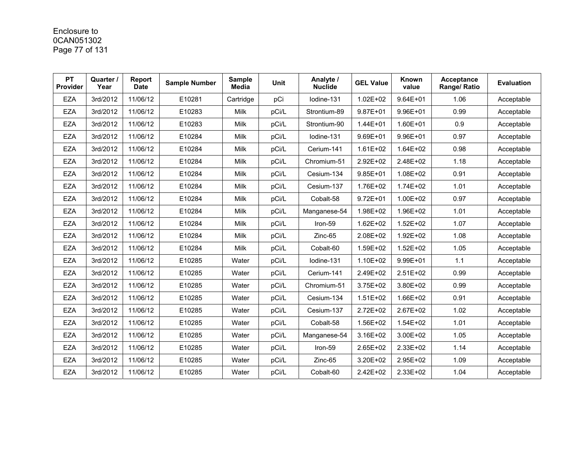## Enclosure to 0CAN051302 Page 77 of 131

| <b>PT</b><br>Provider | Quarter /<br>Year | Report<br><b>Date</b> | <b>Sample Number</b> | <b>Sample</b><br><b>Media</b> | <b>Unit</b> | Analyte /<br><b>Nuclide</b> | <b>GEL Value</b> | Known<br>value | Acceptance<br>Range/ Ratio | <b>Evaluation</b> |
|-----------------------|-------------------|-----------------------|----------------------|-------------------------------|-------------|-----------------------------|------------------|----------------|----------------------------|-------------------|
| <b>EZA</b>            | 3rd/2012          | 11/06/12              | E10281               | Cartridge                     | pCi         | Iodine-131                  | $1.02E + 02$     | $9.64E + 01$   | 1.06                       | Acceptable        |
| <b>EZA</b>            | 3rd/2012          | 11/06/12              | E10283               | Milk                          | pCi/L       | Strontium-89                | 9.87E+01         | 9.96E+01       | 0.99                       | Acceptable        |
| <b>EZA</b>            | 3rd/2012          | 11/06/12              | E10283               | Milk                          | pCi/L       | Strontium-90                | 1.44E+01         | 1.60E+01       | 0.9                        | Acceptable        |
| <b>EZA</b>            | 3rd/2012          | 11/06/12              | E10284               | Milk                          | pCi/L       | lodine-131                  | 9.69E+01         | 9.96E+01       | 0.97                       | Acceptable        |
| <b>EZA</b>            | 3rd/2012          | 11/06/12              | E10284               | Milk                          | pCi/L       | Cerium-141                  | $1.61E + 02$     | 1.64E+02       | 0.98                       | Acceptable        |
| <b>EZA</b>            | 3rd/2012          | 11/06/12              | E10284               | Milk                          | pCi/L       | Chromium-51                 | 2.92E+02         | 2.48E+02       | 1.18                       | Acceptable        |
| <b>EZA</b>            | 3rd/2012          | 11/06/12              | E10284               | Milk                          | pCi/L       | Cesium-134                  | $9.85E + 01$     | 1.08E+02       | 0.91                       | Acceptable        |
| <b>EZA</b>            | 3rd/2012          | 11/06/12              | E10284               | Milk                          | pCi/L       | Cesium-137                  | 1.76E+02         | 1.74E+02       | 1.01                       | Acceptable        |
| <b>EZA</b>            | 3rd/2012          | 11/06/12              | E10284               | Milk                          | pCi/L       | Cobalt-58                   | $9.72E + 01$     | 1.00E+02       | 0.97                       | Acceptable        |
| <b>EZA</b>            | 3rd/2012          | 11/06/12              | E10284               | Milk                          | pCi/L       | Manganese-54                | 1.98E+02         | 1.96E+02       | 1.01                       | Acceptable        |
| <b>EZA</b>            | 3rd/2012          | 11/06/12              | E10284               | Milk                          | pCi/L       | Iron-59                     | $1.62E + 02$     | $1.52E + 02$   | 1.07                       | Acceptable        |
| <b>EZA</b>            | 3rd/2012          | 11/06/12              | E10284               | Milk                          | pCi/L       | Zinc-65                     | 2.08E+02         | 1.92E+02       | 1.08                       | Acceptable        |
| <b>EZA</b>            | 3rd/2012          | 11/06/12              | E10284               | Milk                          | pCi/L       | Cobalt-60                   | 1.59E+02         | $1.52E + 02$   | 1.05                       | Acceptable        |
| <b>EZA</b>            | 3rd/2012          | 11/06/12              | E10285               | Water                         | pCi/L       | Iodine-131                  | 1.10E+02         | 9.99E+01       | $1.1$                      | Acceptable        |
| <b>EZA</b>            | 3rd/2012          | 11/06/12              | E10285               | Water                         | pCi/L       | Cerium-141                  | 2.49E+02         | 2.51E+02       | 0.99                       | Acceptable        |
| <b>EZA</b>            | 3rd/2012          | 11/06/12              | E10285               | Water                         | pCi/L       | Chromium-51                 | 3.75E+02         | 3.80E+02       | 0.99                       | Acceptable        |
| <b>EZA</b>            | 3rd/2012          | 11/06/12              | E10285               | Water                         | pCi/L       | Cesium-134                  | 1.51E+02         | 1.66E+02       | 0.91                       | Acceptable        |
| <b>EZA</b>            | 3rd/2012          | 11/06/12              | E10285               | Water                         | pCi/L       | Cesium-137                  | 2.72E+02         | 2.67E+02       | 1.02                       | Acceptable        |
| <b>EZA</b>            | 3rd/2012          | 11/06/12              | E10285               | Water                         | pCi/L       | Cobalt-58                   | 1.56E+02         | 1.54E+02       | 1.01                       | Acceptable        |
| <b>EZA</b>            | 3rd/2012          | 11/06/12              | E10285               | Water                         | pCi/L       | Manganese-54                | 3.16E+02         | 3.00E+02       | 1.05                       | Acceptable        |
| <b>EZA</b>            | 3rd/2012          | 11/06/12              | E10285               | Water                         | pCi/L       | Iron-59                     | 2.65E+02         | 2.33E+02       | 1.14                       | Acceptable        |
| <b>EZA</b>            | 3rd/2012          | 11/06/12              | E10285               | Water                         | pCi/L       | Zinc-65                     | 3.20E+02         | 2.95E+02       | 1.09                       | Acceptable        |
| <b>EZA</b>            | 3rd/2012          | 11/06/12              | E10285               | Water                         | pCi/L       | Cobalt-60                   | 2.42E+02         | 2.33E+02       | 1.04                       | Acceptable        |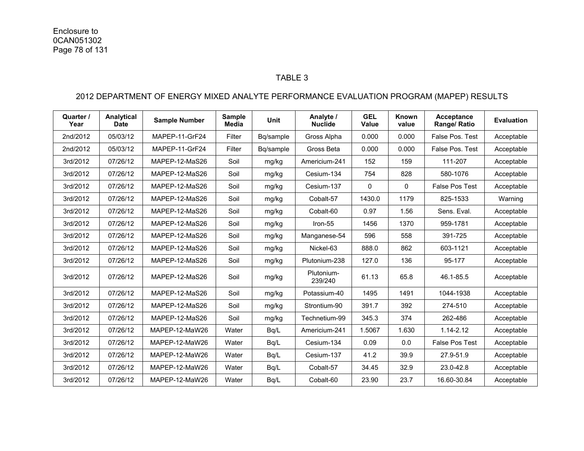#### TABLE 3

### 2012 DEPARTMENT OF ENERGY MIXED ANALYTE PERFORMANCE EVALUATION PROGRAM (MAPEP) RESULTS

| Quarter /<br>Year | Analytical<br><b>Date</b> | <b>Sample Number</b> | <b>Sample</b><br><b>Media</b> | <b>Unit</b> | Analyte /<br><b>Nuclide</b> | <b>GEL</b><br>Value | Known<br>value | Acceptance<br>Range/ Ratio | <b>Evaluation</b> |
|-------------------|---------------------------|----------------------|-------------------------------|-------------|-----------------------------|---------------------|----------------|----------------------------|-------------------|
| 2nd/2012          | 05/03/12                  | MAPEP-11-GrF24       | Filter                        | Bg/sample   | Gross Alpha                 | 0.000               | 0.000          | False Pos. Test            | Acceptable        |
| 2nd/2012          | 05/03/12                  | MAPEP-11-GrF24       | Filter                        | Bq/sample   | Gross Beta                  | 0.000               | 0.000          | False Pos. Test            | Acceptable        |
| 3rd/2012          | 07/26/12                  | MAPEP-12-MaS26       | Soil                          | mg/kg       | Americium-241               | 152                 | 159            | 111-207                    | Acceptable        |
| 3rd/2012          | 07/26/12                  | MAPEP-12-MaS26       | Soil                          | mg/kg       | Cesium-134                  | 754                 | 828            | 580-1076                   | Acceptable        |
| 3rd/2012          | 07/26/12                  | MAPEP-12-MaS26       | Soil                          | mg/kg       | Cesium-137                  | $\mathbf{0}$        | 0              | <b>False Pos Test</b>      | Acceptable        |
| 3rd/2012          | 07/26/12                  | MAPEP-12-MaS26       | Soil                          | mg/kg       | Cobalt-57                   | 1430.0              | 1179           | 825-1533                   | Warning           |
| 3rd/2012          | 07/26/12                  | MAPEP-12-MaS26       | Soil                          | mg/kg       | Cobalt-60                   | 0.97                | 1.56           | Sens. Eval.                | Acceptable        |
| 3rd/2012          | 07/26/12                  | MAPEP-12-MaS26       | Soil                          | mg/kg       | Iron-55                     | 1456                | 1370           | 959-1781                   | Acceptable        |
| 3rd/2012          | 07/26/12                  | MAPEP-12-MaS26       | Soil                          | mg/kg       | Manganese-54                | 596                 | 558            | 391-725                    | Acceptable        |
| 3rd/2012          | 07/26/12                  | MAPEP-12-MaS26       | Soil                          | mg/kg       | Nickel-63                   | 888.0               | 862            | 603-1121                   | Acceptable        |
| 3rd/2012          | 07/26/12                  | MAPEP-12-MaS26       | Soil                          | mg/kg       | Plutonium-238               | 127.0               | 136            | 95-177                     | Acceptable        |
| 3rd/2012          | 07/26/12                  | MAPEP-12-MaS26       | Soil                          | mg/kg       | Plutonium-<br>239/240       | 61.13               | 65.8           | 46.1-85.5                  | Acceptable        |
| 3rd/2012          | 07/26/12                  | MAPEP-12-MaS26       | Soil                          | mg/kg       | Potassium-40                | 1495                | 1491           | 1044-1938                  | Acceptable        |
| 3rd/2012          | 07/26/12                  | MAPEP-12-MaS26       | Soil                          | mg/kg       | Strontium-90                | 391.7               | 392            | 274-510                    | Acceptable        |
| 3rd/2012          | 07/26/12                  | MAPEP-12-MaS26       | Soil                          | mg/kg       | Technetium-99               | 345.3               | 374            | 262-486                    | Acceptable        |
| 3rd/2012          | 07/26/12                  | MAPEP-12-MaW26       | Water                         | Bq/L        | Americium-241               | 1.5067              | 1.630          | $1.14 - 2.12$              | Acceptable        |
| 3rd/2012          | 07/26/12                  | MAPEP-12-MaW26       | Water                         | Bq/L        | Cesium-134                  | 0.09                | 0.0            | <b>False Pos Test</b>      | Acceptable        |
| 3rd/2012          | 07/26/12                  | MAPEP-12-MaW26       | Water                         | Bq/L        | Cesium-137                  | 41.2                | 39.9           | 27.9-51.9                  | Acceptable        |
| 3rd/2012          | 07/26/12                  | MAPEP-12-MaW26       | Water                         | Bq/L        | Cobalt-57                   | 34.45               | 32.9           | 23.0-42.8                  | Acceptable        |
| 3rd/2012          | 07/26/12                  | MAPEP-12-MaW26       | Water                         | Bq/L        | Cobalt-60                   | 23.90               | 23.7           | 16.60-30.84                | Acceptable        |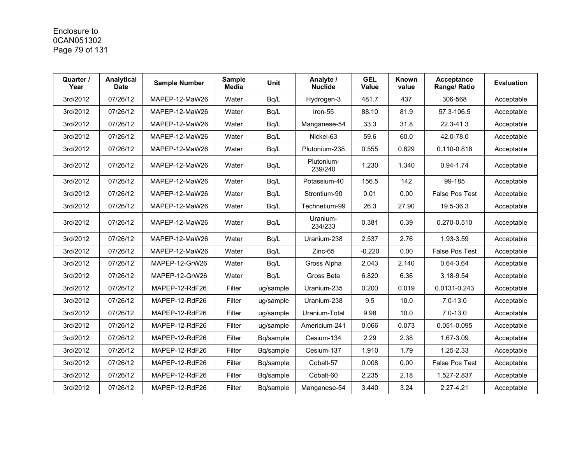## Enclosure to 0CAN051302 Page 79 of 131

| Quarter /<br>Year | Analytical<br><b>Date</b> | <b>Sample Number</b> | <b>Sample</b><br><b>Media</b> | <b>Unit</b> | Analyte /<br><b>Nuclide</b> | <b>GEL</b><br>Value | Known<br>value | <b>Acceptance</b><br>Range/ Ratio | <b>Evaluation</b> |
|-------------------|---------------------------|----------------------|-------------------------------|-------------|-----------------------------|---------------------|----------------|-----------------------------------|-------------------|
| 3rd/2012          | 07/26/12                  | MAPEP-12-MaW26       | Water                         | Bq/L        | Hydrogen-3                  | 481.7               | 437            | 306-568                           | Acceptable        |
| 3rd/2012          | 07/26/12                  | MAPEP-12-MaW26       | Water                         | Bq/L        | Iron-55                     | 88.10               | 81.9           | 57.3-106.5                        | Acceptable        |
| 3rd/2012          | 07/26/12                  | MAPEP-12-MaW26       | Water                         | Bq/L        | Manganese-54                | 33.3                | 31.8           | 22.3-41.3                         | Acceptable        |
| 3rd/2012          | 07/26/12                  | MAPEP-12-MaW26       | Water                         | Bq/L        | Nickel-63                   | 59.6                | 60.0           | 42.0-78.0                         | Acceptable        |
| 3rd/2012          | 07/26/12                  | MAPEP-12-MaW26       | Water                         | Bq/L        | Plutonium-238               | 0.555               | 0.629          | 0.110-0.818                       | Acceptable        |
| 3rd/2012          | 07/26/12                  | MAPEP-12-MaW26       | Water                         | Bq/L        | Plutonium-<br>239/240       | 1.230               | 1.340          | 0.94-1.74                         | Acceptable        |
| 3rd/2012          | 07/26/12                  | MAPEP-12-MaW26       | Water                         | Bq/L        | Potassium-40                | 156.5               | 142            | 99-185                            | Acceptable        |
| 3rd/2012          | 07/26/12                  | MAPEP-12-MaW26       | Water                         | Bq/L        | Strontium-90                | 0.01                | 0.00           | <b>False Pos Test</b>             | Acceptable        |
| 3rd/2012          | 07/26/12                  | MAPEP-12-MaW26       | Water                         | Bq/L        | Technetium-99               | 26.3                | 27.90          | 19.5-36.3                         | Acceptable        |
| 3rd/2012          | 07/26/12                  | MAPEP-12-MaW26       | Water                         | Bq/L        | Uranium-<br>234/233         | 0.381               | 0.39           | 0.270-0.510                       | Acceptable        |
| 3rd/2012          | 07/26/12                  | MAPEP-12-MaW26       | Water                         | Bq/L        | Uranium-238                 | 2.537               | 2.76           | 1.93-3.59                         | Acceptable        |
| 3rd/2012          | 07/26/12                  | MAPEP-12-MaW26       | Water                         | Bq/L        | Zinc-65                     | $-0.220$            | 0.00           | <b>False Pos Test</b>             | Acceptable        |
| 3rd/2012          | 07/26/12                  | MAPEP-12-GrW26       | Water                         | Bq/L        | Gross Alpha                 | 2.043               | 2.140          | 0.64-3.64                         | Acceptable        |
| 3rd/2012          | 07/26/12                  | MAPEP-12-GrW26       | Water                         | Bq/L        | Gross Beta                  | 6.820               | 6.36           | 3.18-9.54                         | Acceptable        |
| 3rd/2012          | 07/26/12                  | MAPEP-12-RdF26       | Filter                        | ug/sample   | Uranium-235                 | 0.200               | 0.019          | 0.0131-0.243                      | Acceptable        |
| 3rd/2012          | 07/26/12                  | MAPEP-12-RdF26       | Filter                        | ug/sample   | Uranium-238                 | 9.5                 | 10.0           | $7.0 - 13.0$                      | Acceptable        |
| 3rd/2012          | 07/26/12                  | MAPEP-12-RdF26       | Filter                        | ug/sample   | Uranium-Total               | 9.98                | 10.0           | $7.0 - 13.0$                      | Acceptable        |
| 3rd/2012          | 07/26/12                  | MAPEP-12-RdF26       | Filter                        | ug/sample   | Americium-241               | 0.066               | 0.073          | 0.051-0.095                       | Acceptable        |
| 3rd/2012          | 07/26/12                  | MAPEP-12-RdF26       | Filter                        | Bq/sample   | Cesium-134                  | 2.29                | 2.38           | 1.67-3.09                         | Acceptable        |
| 3rd/2012          | 07/26/12                  | MAPEP-12-RdF26       | Filter                        | Bq/sample   | Cesium-137                  | 1.910               | 1.79           | 1.25-2.33                         | Acceptable        |
| 3rd/2012          | 07/26/12                  | MAPEP-12-RdF26       | Filter                        | Bq/sample   | Cobalt-57                   | 0.008               | 0.00           | <b>False Pos Test</b>             | Acceptable        |
| 3rd/2012          | 07/26/12                  | MAPEP-12-RdF26       | Filter                        | Bq/sample   | Cobalt-60                   | 2.235               | 2.18           | 1.527-2.837                       | Acceptable        |
| 3rd/2012          | 07/26/12                  | MAPEP-12-RdF26       | Filter                        | Bq/sample   | Manganese-54                | 3.440               | 3.24           | $2.27 - 4.21$                     | Acceptable        |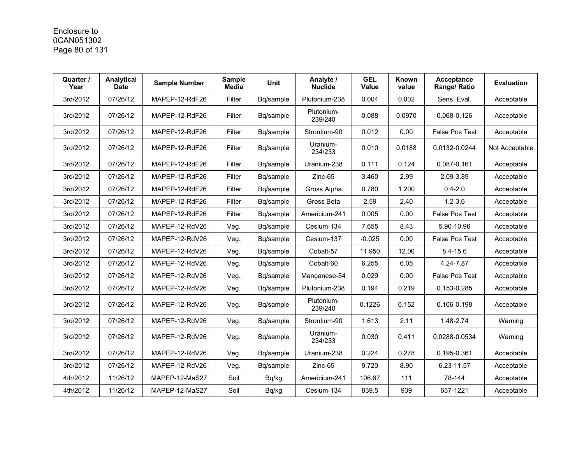# Enclosure to 0CAN051302 Page 80 of 131

| Quarter /<br>Year | Analytical<br><b>Date</b> | <b>Sample Number</b> | <b>Sample</b><br><b>Media</b> | <b>Unit</b> | Analyte /<br><b>Nuclide</b> | <b>GEL</b><br>Value | Known<br>value | Acceptance<br>Range/ Ratio | <b>Evaluation</b> |
|-------------------|---------------------------|----------------------|-------------------------------|-------------|-----------------------------|---------------------|----------------|----------------------------|-------------------|
| 3rd/2012          | 07/26/12                  | MAPEP-12-RdF26       | Filter                        | Bq/sample   | Plutonium-238               | 0.004               | 0.002          | Sens. Eval.                | Acceptable        |
| 3rd/2012          | 07/26/12                  | MAPEP-12-RdF26       | Filter                        | Bq/sample   | Plutonium-<br>239/240       | 0.088               | 0.0970         | 0.068-0.126                | Acceptable        |
| 3rd/2012          | 07/26/12                  | MAPEP-12-RdF26       | Filter                        | Bq/sample   | Strontium-90                | 0.012               | 0.00           | <b>False Pos Test</b>      | Acceptable        |
| 3rd/2012          | 07/26/12                  | MAPEP-12-RdF26       | Filter                        | Bg/sample   | Uranium-<br>234/233         | 0.010               | 0.0188         | 0.0132-0.0244              | Not Acceptable    |
| 3rd/2012          | 07/26/12                  | MAPEP-12-RdF26       | Filter                        | Bq/sample   | Uranium-238                 | 0.111               | 0.124          | 0.087-0.161                | Acceptable        |
| 3rd/2012          | 07/26/12                  | MAPEP-12-RdF26       | Filter                        | Bq/sample   | Zinc-65                     | 3.460               | 2.99           | 2.09-3.89                  | Acceptable        |
| 3rd/2012          | 07/26/12                  | MAPEP-12-RdF26       | Filter                        | Bq/sample   | Gross Alpha                 | 0.780               | 1.200          | $0.4 - 2.0$                | Acceptable        |
| 3rd/2012          | 07/26/12                  | MAPEP-12-RdF26       | Filter                        | Bq/sample   | Gross Beta                  | 2.59                | 2.40           | $1.2 - 3.6$                | Acceptable        |
| 3rd/2012          | 07/26/12                  | MAPEP-12-RdF26       | Filter                        | Bg/sample   | Americium-241               | 0.005               | 0.00           | <b>False Pos Test</b>      | Acceptable        |
| 3rd/2012          | 07/26/12                  | MAPEP-12-RdV26       | Veg.                          | Bq/sample   | Cesium-134                  | 7.655               | 8.43           | 5.90-10.96                 | Acceptable        |
| 3rd/2012          | 07/26/12                  | MAPEP-12-RdV26       | Veg.                          | Bq/sample   | Cesium-137                  | $-0.025$            | 0.00           | <b>False Pos Test</b>      | Acceptable        |
| 3rd/2012          | 07/26/12                  | MAPEP-12-RdV26       | Veg.                          | Bq/sample   | Cobalt-57                   | 11.950              | 12.00          | $8.4 - 15.6$               | Acceptable        |
| 3rd/2012          | 07/26/12                  | MAPEP-12-RdV26       | Veg.                          | Bq/sample   | Cobalt-60                   | 6.255               | 6.05           | 4.24-7.87                  | Acceptable        |
| 3rd/2012          | 07/26/12                  | MAPEP-12-RdV26       | Veg.                          | Bq/sample   | Manganese-54                | 0.029               | 0.00           | False Pos Test             | Acceptable        |
| 3rd/2012          | 07/26/12                  | MAPEP-12-RdV26       | Veg.                          | Bq/sample   | Plutonium-238               | 0.194               | 0.219          | 0.153-0.285                | Acceptable        |
| 3rd/2012          | 07/26/12                  | MAPEP-12-RdV26       | Veg.                          | Bq/sample   | Plutonium-<br>239/240       | 0.1226              | 0.152          | 0.106-0.198                | Acceptable        |
| 3rd/2012          | 07/26/12                  | MAPEP-12-RdV26       | Veg.                          | Bq/sample   | Strontium-90                | 1.613               | 2.11           | 1.48-2.74                  | Warning           |
| 3rd/2012          | 07/26/12                  | MAPEP-12-RdV26       | Veg.                          | Bq/sample   | Uranium-<br>234/233         | 0.030               | 0.411          | 0.0288-0.0534              | Warning           |
| 3rd/2012          | 07/26/12                  | MAPEP-12-RdV26       | Veg.                          | Bq/sample   | Uranium-238                 | 0.224               | 0.278          | 0.195-0.361                | Acceptable        |
| 3rd/2012          | 07/26/12                  | MAPEP-12-RdV26       | Veg.                          | Bq/sample   | $Zinc-65$                   | 9.720               | 8.90           | 6.23-11.57                 | Acceptable        |
| 4th/2012          | 11/26/12                  | MAPEP-12-MaS27       | Soil                          | Bq/kg       | Americium-241               | 106.67              | 111            | 78-144                     | Acceptable        |
| 4th/2012          | 11/26/12                  | MAPEP-12-MaS27       | Soil                          | Bq/kg       | Cesium-134                  | 839.5               | 939            | 657-1221                   | Acceptable        |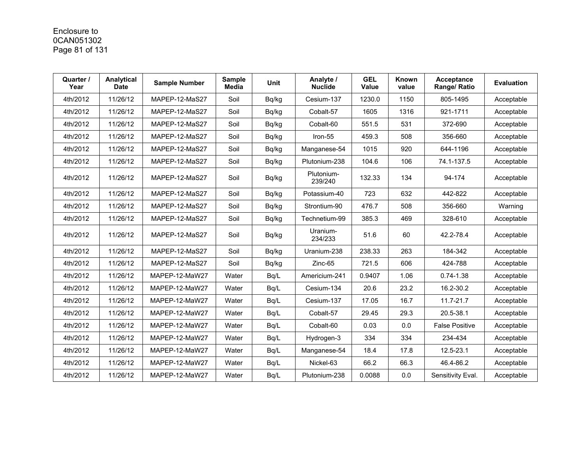# Enclosure to 0CAN051302 Page 81 of 131

| Quarter /<br>Year | Analytical<br>Date | <b>Sample Number</b> | <b>Sample</b><br><b>Media</b> | <b>Unit</b> | Analyte /<br><b>Nuclide</b> | <b>GEL</b><br>Value | Known<br>value | Acceptance<br>Range/ Ratio | <b>Evaluation</b> |
|-------------------|--------------------|----------------------|-------------------------------|-------------|-----------------------------|---------------------|----------------|----------------------------|-------------------|
| 4th/2012          | 11/26/12           | MAPEP-12-MaS27       | Soil                          | Bq/kg       | Cesium-137                  | 1230.0              | 1150           | 805-1495                   | Acceptable        |
| 4th/2012          | 11/26/12           | MAPEP-12-MaS27       | Soil                          | Bq/kg       | Cobalt-57                   | 1605                | 1316           | 921-1711                   | Acceptable        |
| 4th/2012          | 11/26/12           | MAPEP-12-MaS27       | Soil                          | Bq/kg       | Cobalt-60                   | 551.5               | 531            | 372-690                    | Acceptable        |
| 4th/2012          | 11/26/12           | MAPEP-12-MaS27       | Soil                          | Bq/kg       | Iron-55                     | 459.3               | 508            | 356-660                    | Acceptable        |
| 4th/2012          | 11/26/12           | MAPEP-12-MaS27       | Soil                          | Bq/kg       | Manganese-54                | 1015                | 920            | 644-1196                   | Acceptable        |
| 4th/2012          | 11/26/12           | MAPEP-12-MaS27       | Soil                          | Bq/kg       | Plutonium-238               | 104.6               | 106            | 74.1-137.5                 | Acceptable        |
| 4th/2012          | 11/26/12           | MAPEP-12-MaS27       | Soil                          | Bq/kg       | Plutonium-<br>239/240       | 132.33              | 134            | 94-174                     | Acceptable        |
| 4th/2012          | 11/26/12           | MAPEP-12-MaS27       | Soil                          | Bq/kg       | Potassium-40                | 723                 | 632            | 442-822                    | Acceptable        |
| 4th/2012          | 11/26/12           | MAPEP-12-MaS27       | Soil                          | Bq/kg       | Strontium-90                | 476.7               | 508            | 356-660                    | Warning           |
| 4th/2012          | 11/26/12           | MAPEP-12-MaS27       | Soil                          | Bq/kg       | Technetium-99               | 385.3               | 469            | 328-610                    | Acceptable        |
| 4th/2012          | 11/26/12           | MAPEP-12-MaS27       | Soil                          | Bq/kg       | Uranium-<br>234/233         | 51.6                | 60             | 42.2-78.4                  | Acceptable        |
| 4th/2012          | 11/26/12           | MAPEP-12-MaS27       | Soil                          | Bq/kg       | Uranium-238                 | 238.33              | 263            | 184-342                    | Acceptable        |
| 4th/2012          | 11/26/12           | MAPEP-12-MaS27       | Soil                          | Bq/kg       | Zinc-65                     | 721.5               | 606            | 424-788                    | Acceptable        |
| 4th/2012          | 11/26/12           | MAPEP-12-MaW27       | Water                         | Bq/L        | Americium-241               | 0.9407              | 1.06           | $0.74 - 1.38$              | Acceptable        |
| 4th/2012          | 11/26/12           | MAPEP-12-MaW27       | Water                         | Bq/L        | Cesium-134                  | 20.6                | 23.2           | 16.2-30.2                  | Acceptable        |
| 4th/2012          | 11/26/12           | MAPEP-12-MaW27       | Water                         | Bq/L        | Cesium-137                  | 17.05               | 16.7           | 11.7-21.7                  | Acceptable        |
| 4th/2012          | 11/26/12           | MAPEP-12-MaW27       | Water                         | Bq/L        | Cobalt-57                   | 29.45               | 29.3           | 20.5-38.1                  | Acceptable        |
| 4th/2012          | 11/26/12           | MAPEP-12-MaW27       | Water                         | Bq/L        | Cobalt-60                   | 0.03                | 0.0            | <b>False Positive</b>      | Acceptable        |
| 4th/2012          | 11/26/12           | MAPEP-12-MaW27       | Water                         | Bq/L        | Hydrogen-3                  | 334                 | 334            | 234-434                    | Acceptable        |
| 4th/2012          | 11/26/12           | MAPEP-12-MaW27       | Water                         | Bq/L        | Manganese-54                | 18.4                | 17.8           | 12.5-23.1                  | Acceptable        |
| 4th/2012          | 11/26/12           | MAPEP-12-MaW27       | Water                         | Bq/L        | Nickel-63                   | 66.2                | 66.3           | 46.4-86.2                  | Acceptable        |
| 4th/2012          | 11/26/12           | MAPEP-12-MaW27       | Water                         | Bq/L        | Plutonium-238               | 0.0088              | 0.0            | Sensitivity Eval.          | Acceptable        |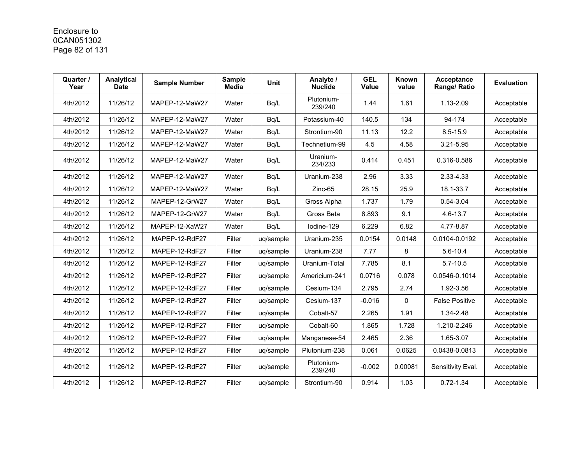## Enclosure to 0CAN051302 Page 82 of 131

| Quarter /<br>Year | Analytical<br><b>Date</b> | <b>Sample Number</b> | <b>Sample</b><br><b>Media</b> | <b>Unit</b> | Analyte /<br><b>Nuclide</b> | <b>GEL</b><br><b>Value</b> | Known<br>value | Acceptance<br>Range/ Ratio | <b>Evaluation</b> |
|-------------------|---------------------------|----------------------|-------------------------------|-------------|-----------------------------|----------------------------|----------------|----------------------------|-------------------|
| 4th/2012          | 11/26/12                  | MAPEP-12-MaW27       | Water                         | Bq/L        | Plutonium-<br>239/240       | 1.44                       | 1.61           | 1.13-2.09                  | Acceptable        |
| 4th/2012          | 11/26/12                  | MAPEP-12-MaW27       | Water                         | Bq/L        | Potassium-40                | 140.5                      | 134            | 94-174                     | Acceptable        |
| 4th/2012          | 11/26/12                  | MAPEP-12-MaW27       | Water                         | Bq/L        | Strontium-90                | 11.13                      | 12.2           | $8.5 - 15.9$               | Acceptable        |
| 4th/2012          | 11/26/12                  | MAPEP-12-MaW27       | Water                         | Bq/L        | Technetium-99               | 4.5                        | 4.58           | $3.21 - 5.95$              | Acceptable        |
| 4th/2012          | 11/26/12                  | MAPEP-12-MaW27       | Water                         | Bq/L        | Uranium-<br>234/233         | 0.414                      | 0.451          | 0.316-0.586                | Acceptable        |
| 4th/2012          | 11/26/12                  | MAPEP-12-MaW27       | Water                         | Bq/L        | Uranium-238                 | 2.96                       | 3.33           | 2.33-4.33                  | Acceptable        |
| 4th/2012          | 11/26/12                  | MAPEP-12-MaW27       | Water                         | Bq/L        | Zinc-65                     | 28.15                      | 25.9           | 18.1-33.7                  | Acceptable        |
| 4th/2012          | 11/26/12                  | MAPEP-12-GrW27       | Water                         | Bq/L        | Gross Alpha                 | 1.737                      | 1.79           | $0.54 - 3.04$              | Acceptable        |
| 4th/2012          | 11/26/12                  | MAPEP-12-GrW27       | Water                         | Bq/L        | Gross Beta                  | 8.893                      | 9.1            | $4.6 - 13.7$               | Acceptable        |
| 4th/2012          | 11/26/12                  | MAPEP-12-XaW27       | Water                         | Bq/L        | lodine-129                  | 6.229                      | 6.82           | 4.77-8.87                  | Acceptable        |
| 4th/2012          | 11/26/12                  | MAPEP-12-RdF27       | Filter                        | uq/sample   | Uranium-235                 | 0.0154                     | 0.0148         | 0.0104-0.0192              | Acceptable        |
| 4th/2012          | 11/26/12                  | MAPEP-12-RdF27       | Filter                        | uq/sample   | Uranium-238                 | 7.77                       | 8              | $5.6 - 10.4$               | Acceptable        |
| 4th/2012          | 11/26/12                  | MAPEP-12-RdF27       | Filter                        | uq/sample   | Uranium-Total               | 7.785                      | 8.1            | $5.7 - 10.5$               | Acceptable        |
| 4th/2012          | 11/26/12                  | MAPEP-12-RdF27       | Filter                        | ug/sample   | Americium-241               | 0.0716                     | 0.078          | 0.0546-0.1014              | Acceptable        |
| 4th/2012          | 11/26/12                  | MAPEP-12-RdF27       | Filter                        | uq/sample   | Cesium-134                  | 2.795                      | 2.74           | 1.92-3.56                  | Acceptable        |
| 4th/2012          | 11/26/12                  | MAPEP-12-RdF27       | Filter                        | uq/sample   | Cesium-137                  | $-0.016$                   | 0              | <b>False Positive</b>      | Acceptable        |
| 4th/2012          | 11/26/12                  | MAPEP-12-RdF27       | Filter                        | uq/sample   | Cobalt-57                   | 2.265                      | 1.91           | 1.34-2.48                  | Acceptable        |
| 4th/2012          | 11/26/12                  | MAPEP-12-RdF27       | Filter                        | uq/sample   | Cobalt-60                   | 1.865                      | 1.728          | 1.210-2.246                | Acceptable        |
| 4th/2012          | 11/26/12                  | MAPEP-12-RdF27       | Filter                        | uq/sample   | Manganese-54                | 2.465                      | 2.36           | 1.65-3.07                  | Acceptable        |
| 4th/2012          | 11/26/12                  | MAPEP-12-RdF27       | Filter                        | uq/sample   | Plutonium-238               | 0.061                      | 0.0625         | 0.0438-0.0813              | Acceptable        |
| 4th/2012          | 11/26/12                  | MAPEP-12-RdF27       | Filter                        | uq/sample   | Plutonium-<br>239/240       | $-0.002$                   | 0.00081        | Sensitivity Eval.          | Acceptable        |
| 4th/2012          | 11/26/12                  | MAPEP-12-RdF27       | Filter                        | uq/sample   | Strontium-90                | 0.914                      | 1.03           | $0.72 - 1.34$              | Acceptable        |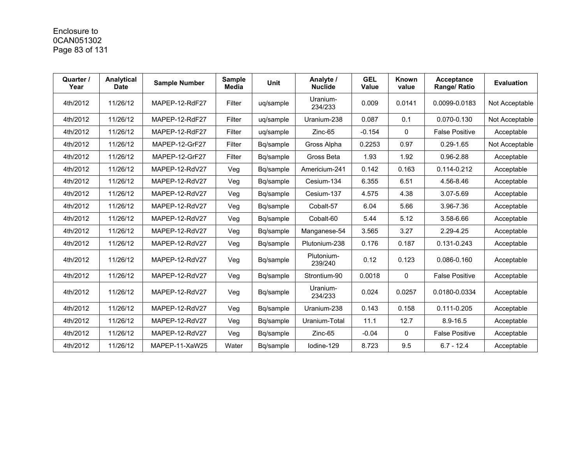# Enclosure to 0CAN051302 Page 83 of 131

| Quarter /<br>Year | Analytical<br><b>Date</b> | <b>Sample Number</b> | <b>Sample</b><br><b>Media</b> | <b>Unit</b> | Analyte /<br><b>Nuclide</b> | <b>GEL</b><br><b>Value</b> | Known<br>value | Acceptance<br>Range/ Ratio | <b>Evaluation</b> |
|-------------------|---------------------------|----------------------|-------------------------------|-------------|-----------------------------|----------------------------|----------------|----------------------------|-------------------|
| 4th/2012          | 11/26/12                  | MAPEP-12-RdF27       | Filter                        | uq/sample   | Uranium-<br>234/233         | 0.009                      | 0.0141         | 0.0099-0.0183              | Not Acceptable    |
| 4th/2012          | 11/26/12                  | MAPEP-12-RdF27       | Filter                        | uq/sample   | Uranium-238                 | 0.087                      | 0.1            | 0.070-0.130                | Not Acceptable    |
| 4th/2012          | 11/26/12                  | MAPEP-12-RdF27       | Filter                        | uq/sample   | $Zinc-65$                   | $-0.154$                   | 0              | <b>False Positive</b>      | Acceptable        |
| 4th/2012          | 11/26/12                  | MAPEP-12-GrF27       | Filter                        | Bg/sample   | Gross Alpha                 | 0.2253                     | 0.97           | $0.29 - 1.65$              | Not Acceptable    |
| 4th/2012          | 11/26/12                  | MAPEP-12-GrF27       | Filter                        | Bq/sample   | Gross Beta                  | 1.93                       | 1.92           | $0.96 - 2.88$              | Acceptable        |
| 4th/2012          | 11/26/12                  | MAPEP-12-RdV27       | Veg                           | Bq/sample   | Americium-241               | 0.142                      | 0.163          | 0.114-0.212                | Acceptable        |
| 4th/2012          | 11/26/12                  | MAPEP-12-RdV27       | Veg                           | Bq/sample   | Cesium-134                  | 6.355                      | 6.51           | 4.56-8.46                  | Acceptable        |
| 4th/2012          | 11/26/12                  | MAPEP-12-RdV27       | Veg                           | Bg/sample   | Cesium-137                  | 4.575                      | 4.38           | 3.07-5.69                  | Acceptable        |
| 4th/2012          | 11/26/12                  | MAPEP-12-RdV27       | Veg                           | Bq/sample   | Cobalt-57                   | 6.04                       | 5.66           | 3.96-7.36                  | Acceptable        |
| 4th/2012          | 11/26/12                  | MAPEP-12-RdV27       | Veg                           | Bq/sample   | Cobalt-60                   | 5.44                       | 5.12           | 3.58-6.66                  | Acceptable        |
| 4th/2012          | 11/26/12                  | MAPEP-12-RdV27       | Veg                           | Bg/sample   | Manganese-54                | 3.565                      | 3.27           | 2.29-4.25                  | Acceptable        |
| 4th/2012          | 11/26/12                  | MAPEP-12-RdV27       | Veg                           | Bq/sample   | Plutonium-238               | 0.176                      | 0.187          | 0.131-0.243                | Acceptable        |
| 4th/2012          | 11/26/12                  | MAPEP-12-RdV27       | Veg                           | Bq/sample   | Plutonium-<br>239/240       | 0.12                       | 0.123          | 0.086-0.160                | Acceptable        |
| 4th/2012          | 11/26/12                  | MAPEP-12-RdV27       | Veg                           | Bq/sample   | Strontium-90                | 0.0018                     | 0              | <b>False Positive</b>      | Acceptable        |
| 4th/2012          | 11/26/12                  | MAPEP-12-RdV27       | Veg                           | Bq/sample   | Uranium-<br>234/233         | 0.024                      | 0.0257         | 0.0180-0.0334              | Acceptable        |
| 4th/2012          | 11/26/12                  | MAPEP-12-RdV27       | Veg                           | Bq/sample   | Uranium-238                 | 0.143                      | 0.158          | 0.111-0.205                | Acceptable        |
| 4th/2012          | 11/26/12                  | MAPEP-12-RdV27       | Veg                           | Bg/sample   | Uranium-Total               | 11.1                       | 12.7           | $8.9 - 16.5$               | Acceptable        |
| 4th/2012          | 11/26/12                  | MAPEP-12-RdV27       | Veg                           | Bq/sample   | Zinc-65                     | $-0.04$                    | 0              | <b>False Positive</b>      | Acceptable        |
| 4th/2012          | 11/26/12                  | MAPEP-11-XaW25       | Water                         | Bq/sample   | lodine-129                  | 8.723                      | 9.5            | $6.7 - 12.4$               | Acceptable        |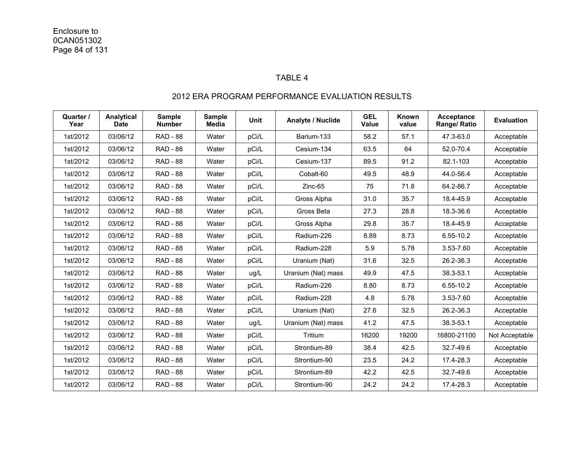#### TABLE 4

| Quarter /<br>Year | Analytical<br><b>Date</b> | <b>Sample</b><br><b>Number</b> | <b>Sample</b><br><b>Media</b> | <b>Unit</b> | <b>Analyte / Nuclide</b> | <b>GEL</b><br><b>Value</b> | Known<br>value | <b>Acceptance</b><br>Range/ Ratio | <b>Evaluation</b> |
|-------------------|---------------------------|--------------------------------|-------------------------------|-------------|--------------------------|----------------------------|----------------|-----------------------------------|-------------------|
| 1st/2012          | 03/06/12                  | <b>RAD - 88</b>                | Water                         | pCi/L       | Barium-133               | 58.2                       | 57.1           | 47.3-63.0                         | Acceptable        |
| 1st/2012          | 03/06/12                  | <b>RAD - 88</b>                | Water                         | pCi/L       | Cesium-134               | 63.5                       | 64             | 52.0-70.4                         | Acceptable        |
| 1st/2012          | 03/06/12                  | <b>RAD - 88</b>                | Water                         | pCi/L       | Cesium-137               | 89.5                       | 91.2           | 82.1-103                          | Acceptable        |
| 1st/2012          | 03/06/12                  | <b>RAD - 88</b>                | Water                         | pCi/L       | Cobalt-60                | 49.5                       | 48.9           | 44.0-56.4                         | Acceptable        |
| 1st/2012          | 03/06/12                  | <b>RAD - 88</b>                | Water                         | pCi/L       | $Zinc-65$                | 75                         | 71.8           | 64.2-86.7                         | Acceptable        |
| 1st/2012          | 03/06/12                  | <b>RAD - 88</b>                | Water                         | pCi/L       | Gross Alpha              | 31.0                       | 35.7           | 18.4-45.9                         | Acceptable        |
| 1st/2012          | 03/06/12                  | <b>RAD - 88</b>                | Water                         | pCi/L       | Gross Beta               | 27.3                       | 28.8           | 18.3-36.6                         | Acceptable        |
| 1st/2012          | 03/06/12                  | <b>RAD - 88</b>                | Water                         | pCi/L       | Gross Alpha              | 29.8                       | 35.7           | 18.4-45.9                         | Acceptable        |
| 1st/2012          | 03/06/12                  | <b>RAD - 88</b>                | Water                         | pCi/L       | Radium-226               | 8.89                       | 8.73           | 6.55-10.2                         | Acceptable        |
| 1st/2012          | 03/06/12                  | <b>RAD - 88</b>                | Water                         | pCi/L       | Radium-228               | 5.9                        | 5.78           | 3.53-7.60                         | Acceptable        |
| 1st/2012          | 03/06/12                  | <b>RAD - 88</b>                | Water                         | pCi/L       | Uranium (Nat)            | 31.6                       | 32.5           | 26.2-36.3                         | Acceptable        |
| 1st/2012          | 03/06/12                  | <b>RAD - 88</b>                | Water                         | ug/L        | Uranium (Nat) mass       | 49.9                       | 47.5           | 38.3-53.1                         | Acceptable        |
| 1st/2012          | 03/06/12                  | <b>RAD - 88</b>                | Water                         | pCi/L       | Radium-226               | 8.80                       | 8.73           | 6.55-10.2                         | Acceptable        |
| 1st/2012          | 03/06/12                  | <b>RAD - 88</b>                | Water                         | pCi/L       | Radium-228               | 4.8                        | 5.78           | 3.53-7.60                         | Acceptable        |
| 1st/2012          | 03/06/12                  | <b>RAD - 88</b>                | Water                         | pCi/L       | Uranium (Nat)            | 27.6                       | 32.5           | 26.2-36.3                         | Acceptable        |
| 1st/2012          | 03/06/12                  | <b>RAD - 88</b>                | Water                         | ug/L        | Uranium (Nat) mass       | 41.2                       | 47.5           | 38.3-53.1                         | Acceptable        |
| 1st/2012          | 03/06/12                  | <b>RAD - 88</b>                | Water                         | pCi/L       | Tritium                  | 16200                      | 19200          | 16800-21100                       | Not Acceptable    |
| 1st/2012          | 03/06/12                  | <b>RAD - 88</b>                | Water                         | pCi/L       | Strontium-89             | 38.4                       | 42.5           | 32.7-49.6                         | Acceptable        |
| 1st/2012          | 03/06/12                  | <b>RAD - 88</b>                | Water                         | pCi/L       | Strontium-90             | 23.5                       | 24.2           | 17.4-28.3                         | Acceptable        |
| 1st/2012          | 03/06/12                  | <b>RAD - 88</b>                | Water                         | pCi/L       | Strontium-89             | 42.2                       | 42.5           | 32.7-49.6                         | Acceptable        |
| 1st/2012          | 03/06/12                  | <b>RAD - 88</b>                | Water                         | pCi/L       | Strontium-90             | 24.2                       | 24.2           | 17.4-28.3                         | Acceptable        |

#### 2012 ERA PROGRAM PERFORMANCE EVALUATION RESULTS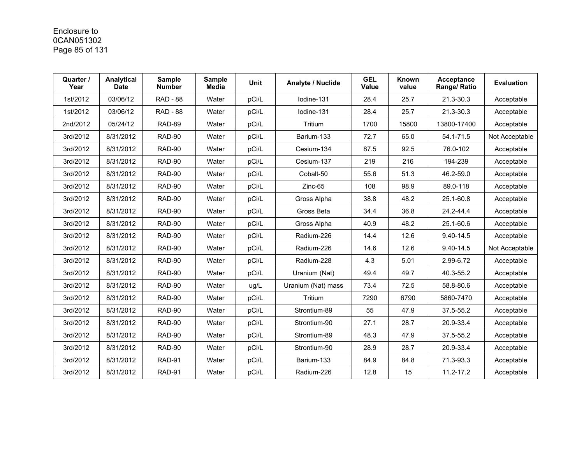## Enclosure to 0CAN051302 Page 85 of 131

| Quarter /<br>Year | Analytical<br><b>Date</b> | <b>Sample</b><br><b>Number</b> | <b>Sample</b><br><b>Media</b> | Unit  | Analyte / Nuclide  | <b>GEL</b><br><b>Value</b> | Known<br>value | Acceptance<br>Range/ Ratio | <b>Evaluation</b> |
|-------------------|---------------------------|--------------------------------|-------------------------------|-------|--------------------|----------------------------|----------------|----------------------------|-------------------|
| 1st/2012          | 03/06/12                  | <b>RAD - 88</b>                | Water                         | pCi/L | lodine-131         | 28.4                       | 25.7           | 21.3-30.3                  | Acceptable        |
| 1st/2012          | 03/06/12                  | <b>RAD - 88</b>                | Water                         | pCi/L | Iodine-131         | 28.4                       | 25.7           | 21.3-30.3                  | Acceptable        |
| 2nd/2012          | 05/24/12                  | RAD-89                         | Water                         | pCi/L | Tritium            | 1700                       | 15800          | 13800-17400                | Acceptable        |
| 3rd/2012          | 8/31/2012                 | RAD-90                         | Water                         | pCi/L | Barium-133         | 72.7                       | 65.0           | 54.1-71.5                  | Not Acceptable    |
| 3rd/2012          | 8/31/2012                 | RAD-90                         | Water                         | pCi/L | Cesium-134         | 87.5                       | 92.5           | 76.0-102                   | Acceptable        |
| 3rd/2012          | 8/31/2012                 | RAD-90                         | Water                         | pCi/L | Cesium-137         | 219                        | 216            | 194-239                    | Acceptable        |
| 3rd/2012          | 8/31/2012                 | RAD-90                         | Water                         | pCi/L | Cobalt-50          | 55.6                       | 51.3           | 46.2-59.0                  | Acceptable        |
| 3rd/2012          | 8/31/2012                 | RAD-90                         | Water                         | pCi/L | $Zinc-65$          | 108                        | 98.9           | 89.0-118                   | Acceptable        |
| 3rd/2012          | 8/31/2012                 | RAD-90                         | Water                         | pCi/L | Gross Alpha        | 38.8                       | 48.2           | 25.1-60.8                  | Acceptable        |
| 3rd/2012          | 8/31/2012                 | RAD-90                         | Water                         | pCi/L | Gross Beta         | 34.4                       | 36.8           | 24.2-44.4                  | Acceptable        |
| 3rd/2012          | 8/31/2012                 | RAD-90                         | Water                         | pCi/L | Gross Alpha        | 40.9                       | 48.2           | 25.1-60.6                  | Acceptable        |
| 3rd/2012          | 8/31/2012                 | RAD-90                         | Water                         | pCi/L | Radium-226         | 14.4                       | 12.6           | $9.40 - 14.5$              | Acceptable        |
| 3rd/2012          | 8/31/2012                 | RAD-90                         | Water                         | pCi/L | Radium-226         | 14.6                       | 12.6           | 9.40-14.5                  | Not Acceptable    |
| 3rd/2012          | 8/31/2012                 | RAD-90                         | Water                         | pCi/L | Radium-228         | 4.3                        | 5.01           | 2.99-6.72                  | Acceptable        |
| 3rd/2012          | 8/31/2012                 | RAD-90                         | Water                         | pCi/L | Uranium (Nat)      | 49.4                       | 49.7           | 40.3-55.2                  | Acceptable        |
| 3rd/2012          | 8/31/2012                 | <b>RAD-90</b>                  | Water                         | ug/L  | Uranium (Nat) mass | 73.4                       | 72.5           | 58.8-80.6                  | Acceptable        |
| 3rd/2012          | 8/31/2012                 | RAD-90                         | Water                         | pCi/L | Tritium            | 7290                       | 6790           | 5860-7470                  | Acceptable        |
| 3rd/2012          | 8/31/2012                 | RAD-90                         | Water                         | pCi/L | Strontium-89       | 55                         | 47.9           | 37.5-55.2                  | Acceptable        |
| 3rd/2012          | 8/31/2012                 | RAD-90                         | Water                         | pCi/L | Strontium-90       | 27.1                       | 28.7           | 20.9-33.4                  | Acceptable        |
| 3rd/2012          | 8/31/2012                 | RAD-90                         | Water                         | pCi/L | Strontium-89       | 48.3                       | 47.9           | 37.5-55.2                  | Acceptable        |
| 3rd/2012          | 8/31/2012                 | RAD-90                         | Water                         | pCi/L | Strontium-90       | 28.9                       | 28.7           | 20.9-33.4                  | Acceptable        |
| 3rd/2012          | 8/31/2012                 | RAD-91                         | Water                         | pCi/L | Barium-133         | 84.9                       | 84.8           | 71.3-93.3                  | Acceptable        |
| 3rd/2012          | 8/31/2012                 | RAD-91                         | Water                         | pCi/L | Radium-226         | 12.8                       | 15             | 11.2-17.2                  | Acceptable        |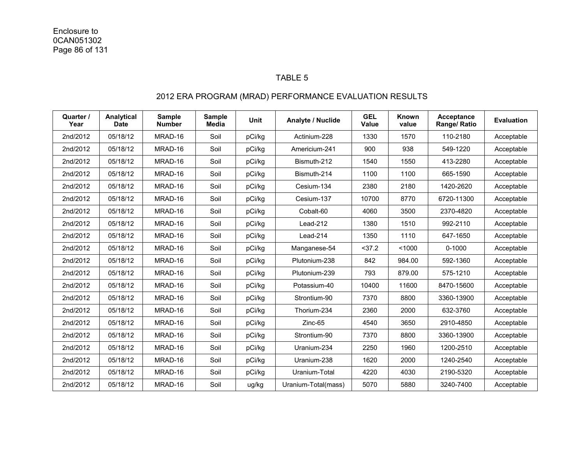#### TABLE 5

### 2012 ERA PROGRAM (MRAD) PERFORMANCE EVALUATION RESULTS

| Quarter /<br>Year | Analytical<br><b>Date</b> | <b>Sample</b><br><b>Number</b> | <b>Sample</b><br><b>Media</b> | <b>Unit</b> | <b>Analyte / Nuclide</b> | <b>GEL</b><br>Value | Known<br>value | Acceptance<br>Range/ Ratio | <b>Evaluation</b> |
|-------------------|---------------------------|--------------------------------|-------------------------------|-------------|--------------------------|---------------------|----------------|----------------------------|-------------------|
| 2nd/2012          | 05/18/12                  | MRAD-16                        | Soil                          | pCi/kg      | Actinium-228             | 1330                | 1570           | 110-2180                   | Acceptable        |
| 2nd/2012          | 05/18/12                  | MRAD-16                        | Soil                          | pCi/kg      | Americium-241            | 900                 | 938            | 549-1220                   | Acceptable        |
| 2nd/2012          | 05/18/12                  | MRAD-16                        | Soil                          | pCi/kg      | Bismuth-212              | 1540                | 1550           | 413-2280                   | Acceptable        |
| 2nd/2012          | 05/18/12                  | MRAD-16                        | Soil                          | pCi/kg      | Bismuth-214              | 1100                | 1100           | 665-1590                   | Acceptable        |
| 2nd/2012          | 05/18/12                  | MRAD-16                        | Soil                          | pCi/kg      | Cesium-134               | 2380                | 2180           | 1420-2620                  | Acceptable        |
| 2nd/2012          | 05/18/12                  | MRAD-16                        | Soil                          | pCi/kg      | Cesium-137               | 10700               | 8770           | 6720-11300                 | Acceptable        |
| 2nd/2012          | 05/18/12                  | MRAD-16                        | Soil                          | pCi/kg      | Cobalt-60                | 4060                | 3500           | 2370-4820                  | Acceptable        |
| 2nd/2012          | 05/18/12                  | MRAD-16                        | Soil                          | pCi/kg      | Lead-212                 | 1380                | 1510           | 992-2110                   | Acceptable        |
| 2nd/2012          | 05/18/12                  | MRAD-16                        | Soil                          | pCi/kg      | Lead-214                 | 1350                | 1110           | 647-1650                   | Acceptable        |
| 2nd/2012          | 05/18/12                  | MRAD-16                        | Soil                          | pCi/kg      | Manganese-54             | $37.2$              | < 1000         | $0 - 1000$                 | Acceptable        |
| 2nd/2012          | 05/18/12                  | MRAD-16                        | Soil                          | pCi/kg      | Plutonium-238            | 842                 | 984.00         | 592-1360                   | Acceptable        |
| 2nd/2012          | 05/18/12                  | MRAD-16                        | Soil                          | pCi/kg      | Plutonium-239            | 793                 | 879.00         | 575-1210                   | Acceptable        |
| 2nd/2012          | 05/18/12                  | MRAD-16                        | Soil                          | pCi/kg      | Potassium-40             | 10400               | 11600          | 8470-15600                 | Acceptable        |
| 2nd/2012          | 05/18/12                  | MRAD-16                        | Soil                          | pCi/kg      | Strontium-90             | 7370                | 8800           | 3360-13900                 | Acceptable        |
| 2nd/2012          | 05/18/12                  | MRAD-16                        | Soil                          | pCi/kg      | Thorium-234              | 2360                | 2000           | 632-3760                   | Acceptable        |
| 2nd/2012          | 05/18/12                  | MRAD-16                        | Soil                          | pCi/kg      | Zinc-65                  | 4540                | 3650           | 2910-4850                  | Acceptable        |
| 2nd/2012          | 05/18/12                  | MRAD-16                        | Soil                          | pCi/kg      | Strontium-90             | 7370                | 8800           | 3360-13900                 | Acceptable        |
| 2nd/2012          | 05/18/12                  | MRAD-16                        | Soil                          | pCi/kg      | Uranium-234              | 2250                | 1960           | 1200-2510                  | Acceptable        |
| 2nd/2012          | 05/18/12                  | MRAD-16                        | Soil                          | pCi/kg      | Uranium-238              | 1620                | 2000           | 1240-2540                  | Acceptable        |
| 2nd/2012          | 05/18/12                  | MRAD-16                        | Soil                          | pCi/kg      | Uranium-Total            | 4220                | 4030           | 2190-5320                  | Acceptable        |
| 2nd/2012          | 05/18/12                  | MRAD-16                        | Soil                          | ug/kg       | Uranium-Total(mass)      | 5070                | 5880           | 3240-7400                  | Acceptable        |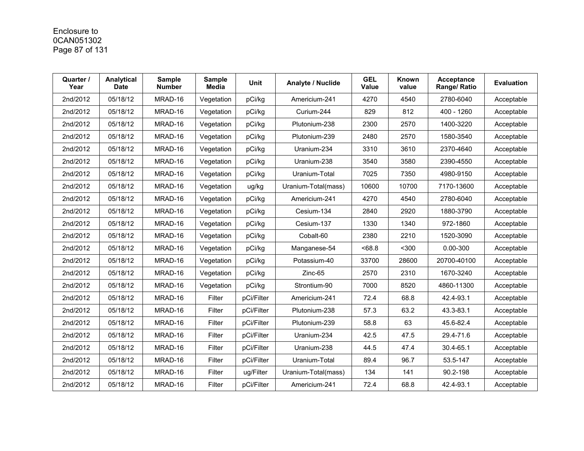# Enclosure to 0CAN051302 Page 87 of 131

| Quarter /<br>Year | Analytical<br>Date | <b>Sample</b><br><b>Number</b> | <b>Sample</b><br><b>Media</b> | <b>Unit</b> | Analyte / Nuclide   | <b>GEL</b><br>Value | Known<br>value | Acceptance<br>Range/ Ratio | <b>Evaluation</b> |
|-------------------|--------------------|--------------------------------|-------------------------------|-------------|---------------------|---------------------|----------------|----------------------------|-------------------|
| 2nd/2012          | 05/18/12           | MRAD-16                        | Vegetation                    | pCi/kg      | Americium-241       | 4270                | 4540           | 2780-6040                  | Acceptable        |
| 2nd/2012          | 05/18/12           | MRAD-16                        | Vegetation                    | pCi/kg      | Curium-244          | 829                 | 812            | 400 - 1260                 | Acceptable        |
| 2nd/2012          | 05/18/12           | MRAD-16                        | Vegetation                    | pCi/kg      | Plutonium-238       | 2300                | 2570           | 1400-3220                  | Acceptable        |
| 2nd/2012          | 05/18/12           | MRAD-16                        | Vegetation                    | pCi/kg      | Plutonium-239       | 2480                | 2570           | 1580-3540                  | Acceptable        |
| 2nd/2012          | 05/18/12           | MRAD-16                        | Vegetation                    | pCi/kg      | Uranium-234         | 3310                | 3610           | 2370-4640                  | Acceptable        |
| 2nd/2012          | 05/18/12           | MRAD-16                        | Vegetation                    | pCi/kg      | Uranium-238         | 3540                | 3580           | 2390-4550                  | Acceptable        |
| 2nd/2012          | 05/18/12           | MRAD-16                        | Vegetation                    | pCi/kg      | Uranium-Total       | 7025                | 7350           | 4980-9150                  | Acceptable        |
| 2nd/2012          | 05/18/12           | MRAD-16                        | Vegetation                    | ug/kg       | Uranium-Total(mass) | 10600               | 10700          | 7170-13600                 | Acceptable        |
| 2nd/2012          | 05/18/12           | MRAD-16                        | Vegetation                    | pCi/kg      | Americium-241       | 4270                | 4540           | 2780-6040                  | Acceptable        |
| 2nd/2012          | 05/18/12           | MRAD-16                        | Vegetation                    | pCi/kg      | Cesium-134          | 2840                | 2920           | 1880-3790                  | Acceptable        |
| 2nd/2012          | 05/18/12           | MRAD-16                        | Vegetation                    | pCi/kg      | Cesium-137          | 1330                | 1340           | 972-1860                   | Acceptable        |
| 2nd/2012          | 05/18/12           | MRAD-16                        | Vegetation                    | pCi/kg      | Cobalt-60           | 2380                | 2210           | 1520-3090                  | Acceptable        |
| 2nd/2012          | 05/18/12           | MRAD-16                        | Vegetation                    | pCi/kg      | Manganese-54        | <68.8               | $300$          | $0.00 - 300$               | Acceptable        |
| 2nd/2012          | 05/18/12           | MRAD-16                        | Vegetation                    | pCi/kg      | Potassium-40        | 33700               | 28600          | 20700-40100                | Acceptable        |
| 2nd/2012          | 05/18/12           | MRAD-16                        | Vegetation                    | pCi/kg      | $Zinc-65$           | 2570                | 2310           | 1670-3240                  | Acceptable        |
| 2nd/2012          | 05/18/12           | MRAD-16                        | Vegetation                    | pCi/kg      | Strontium-90        | 7000                | 8520           | 4860-11300                 | Acceptable        |
| 2nd/2012          | 05/18/12           | MRAD-16                        | Filter                        | pCi/Filter  | Americium-241       | 72.4                | 68.8           | 42.4-93.1                  | Acceptable        |
| 2nd/2012          | 05/18/12           | MRAD-16                        | Filter                        | pCi/Filter  | Plutonium-238       | 57.3                | 63.2           | 43.3-83.1                  | Acceptable        |
| 2nd/2012          | 05/18/12           | MRAD-16                        | Filter                        | pCi/Filter  | Plutonium-239       | 58.8                | 63             | 45.6-82.4                  | Acceptable        |
| 2nd/2012          | 05/18/12           | MRAD-16                        | Filter                        | pCi/Filter  | Uranium-234         | 42.5                | 47.5           | 29.4-71.6                  | Acceptable        |
| 2nd/2012          | 05/18/12           | MRAD-16                        | Filter                        | pCi/Filter  | Uranium-238         | 44.5                | 47.4           | 30.4-65.1                  | Acceptable        |
| 2nd/2012          | 05/18/12           | MRAD-16                        | Filter                        | pCi/Filter  | Uranium-Total       | 89.4                | 96.7           | 53.5-147                   | Acceptable        |
| 2nd/2012          | 05/18/12           | MRAD-16                        | Filter                        | ug/Filter   | Uranium-Total(mass) | 134                 | 141            | 90.2-198                   | Acceptable        |
| 2nd/2012          | 05/18/12           | MRAD-16                        | Filter                        | pCi/Filter  | Americium-241       | 72.4                | 68.8           | 42.4-93.1                  | Acceptable        |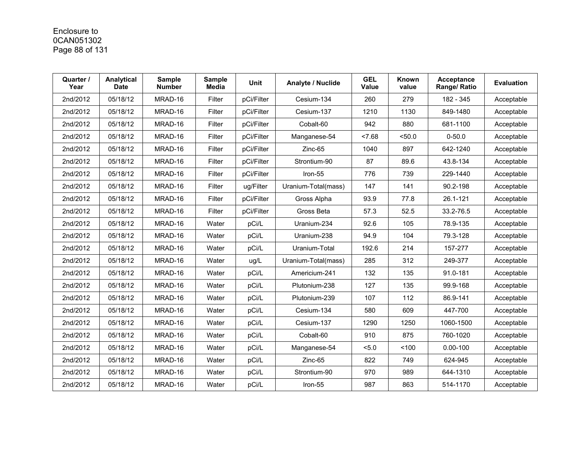# Enclosure to 0CAN051302 Page 88 of 131

| Quarter /<br>Year | Analytical<br>Date | <b>Sample</b><br><b>Number</b> | <b>Sample</b><br><b>Media</b> | <b>Unit</b> | Analyte / Nuclide   | <b>GEL</b><br><b>Value</b> | <b>Known</b><br>value | Acceptance<br>Range/ Ratio | <b>Evaluation</b> |
|-------------------|--------------------|--------------------------------|-------------------------------|-------------|---------------------|----------------------------|-----------------------|----------------------------|-------------------|
| 2nd/2012          | 05/18/12           | MRAD-16                        | Filter                        | pCi/Filter  | Cesium-134          | 260                        | 279                   | 182 - 345                  | Acceptable        |
| 2nd/2012          | 05/18/12           | MRAD-16                        | Filter                        | pCi/Filter  | Cesium-137          | 1210                       | 1130                  | 849-1480                   | Acceptable        |
| 2nd/2012          | 05/18/12           | MRAD-16                        | Filter                        | pCi/Filter  | Cobalt-60           | 942                        | 880                   | 681-1100                   | Acceptable        |
| 2nd/2012          | 05/18/12           | MRAD-16                        | Filter                        | pCi/Filter  | Manganese-54        | 27.68                      | < 50.0                | $0 - 50.0$                 | Acceptable        |
| 2nd/2012          | 05/18/12           | MRAD-16                        | Filter                        | pCi/Filter  | Zinc-65             | 1040                       | 897                   | 642-1240                   | Acceptable        |
| 2nd/2012          | 05/18/12           | MRAD-16                        | Filter                        | pCi/Filter  | Strontium-90        | 87                         | 89.6                  | 43.8-134                   | Acceptable        |
| 2nd/2012          | 05/18/12           | MRAD-16                        | Filter                        | pCi/Filter  | Iron-55             | 776                        | 739                   | 229-1440                   | Acceptable        |
| 2nd/2012          | 05/18/12           | MRAD-16                        | Filter                        | ug/Filter   | Uranium-Total(mass) | 147                        | 141                   | 90.2-198                   | Acceptable        |
| 2nd/2012          | 05/18/12           | MRAD-16                        | Filter                        | pCi/Filter  | Gross Alpha         | 93.9                       | 77.8                  | 26.1-121                   | Acceptable        |
| 2nd/2012          | 05/18/12           | MRAD-16                        | Filter                        | pCi/Filter  | Gross Beta          | 57.3                       | 52.5                  | 33.2-76.5                  | Acceptable        |
| 2nd/2012          | 05/18/12           | MRAD-16                        | Water                         | pCi/L       | Uranium-234         | 92.6                       | 105                   | 78.9-135                   | Acceptable        |
| 2nd/2012          | 05/18/12           | MRAD-16                        | Water                         | pCi/L       | Uranium-238         | 94.9                       | 104                   | 79.3-128                   | Acceptable        |
| 2nd/2012          | 05/18/12           | MRAD-16                        | Water                         | pCi/L       | Uranium-Total       | 192.6                      | 214                   | 157-277                    | Acceptable        |
| 2nd/2012          | 05/18/12           | MRAD-16                        | Water                         | ug/L        | Uranium-Total(mass) | 285                        | 312                   | 249-377                    | Acceptable        |
| 2nd/2012          | 05/18/12           | MRAD-16                        | Water                         | pCi/L       | Americium-241       | 132                        | 135                   | 91.0-181                   | Acceptable        |
| 2nd/2012          | 05/18/12           | MRAD-16                        | Water                         | pCi/L       | Plutonium-238       | 127                        | 135                   | 99.9-168                   | Acceptable        |
| 2nd/2012          | 05/18/12           | MRAD-16                        | Water                         | pCi/L       | Plutonium-239       | 107                        | 112                   | 86.9-141                   | Acceptable        |
| 2nd/2012          | 05/18/12           | MRAD-16                        | Water                         | pCi/L       | Cesium-134          | 580                        | 609                   | 447-700                    | Acceptable        |
| 2nd/2012          | 05/18/12           | MRAD-16                        | Water                         | pCi/L       | Cesium-137          | 1290                       | 1250                  | 1060-1500                  | Acceptable        |
| 2nd/2012          | 05/18/12           | MRAD-16                        | Water                         | pCi/L       | Cobalt-60           | 910                        | 875                   | 760-1020                   | Acceptable        |
| 2nd/2012          | 05/18/12           | MRAD-16                        | Water                         | pCi/L       | Manganese-54        | 5.0                        | < 100                 | $0.00 - 100$               | Acceptable        |
| 2nd/2012          | 05/18/12           | MRAD-16                        | Water                         | pCi/L       | $Zinc-65$           | 822                        | 749                   | 624-945                    | Acceptable        |
| 2nd/2012          | 05/18/12           | MRAD-16                        | Water                         | pCi/L       | Strontium-90        | 970                        | 989                   | 644-1310                   | Acceptable        |
| 2nd/2012          | 05/18/12           | MRAD-16                        | Water                         | pCi/L       | Iron-55             | 987                        | 863                   | 514-1170                   | Acceptable        |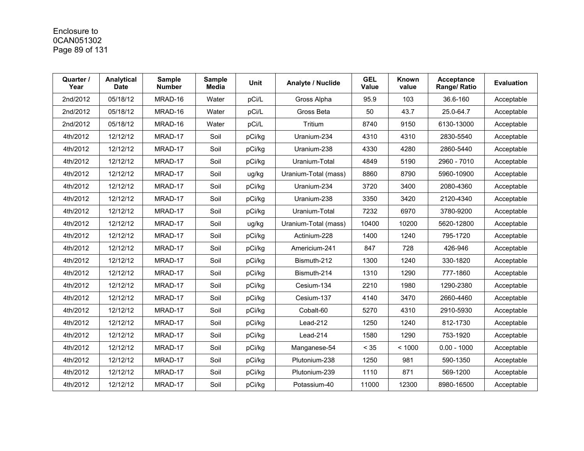# Enclosure to 0CAN051302 Page 89 of 131

| Quarter /<br>Year | Analytical<br>Date | <b>Sample</b><br><b>Number</b> | <b>Sample</b><br><b>Media</b> | Unit   | Analyte / Nuclide    | <b>GEL</b><br><b>Value</b> | Known<br>value | Acceptance<br>Range/ Ratio | <b>Evaluation</b> |
|-------------------|--------------------|--------------------------------|-------------------------------|--------|----------------------|----------------------------|----------------|----------------------------|-------------------|
| 2nd/2012          | 05/18/12           | MRAD-16                        | Water                         | pCi/L  | Gross Alpha          | 95.9                       | 103            | 36.6-160                   | Acceptable        |
| 2nd/2012          | 05/18/12           | MRAD-16                        | Water                         | pCi/L  | Gross Beta           | 50                         | 43.7           | 25.0-64.7                  | Acceptable        |
| 2nd/2012          | 05/18/12           | MRAD-16                        | Water                         | pCi/L  | Tritium              | 8740                       | 9150           | 6130-13000                 | Acceptable        |
| 4th/2012          | 12/12/12           | MRAD-17                        | Soil                          | pCi/kg | Uranium-234          | 4310                       | 4310           | 2830-5540                  | Acceptable        |
| 4th/2012          | 12/12/12           | MRAD-17                        | Soil                          | pCi/kg | Uranium-238          | 4330                       | 4280           | 2860-5440                  | Acceptable        |
| 4th/2012          | 12/12/12           | MRAD-17                        | Soil                          | pCi/kg | Uranium-Total        | 4849                       | 5190           | 2960 - 7010                | Acceptable        |
| 4th/2012          | 12/12/12           | MRAD-17                        | Soil                          | ug/kg  | Uranium-Total (mass) | 8860                       | 8790           | 5960-10900                 | Acceptable        |
| 4th/2012          | 12/12/12           | MRAD-17                        | Soil                          | pCi/kg | Uranium-234          | 3720                       | 3400           | 2080-4360                  | Acceptable        |
| 4th/2012          | 12/12/12           | MRAD-17                        | Soil                          | pCi/kg | Uranium-238          | 3350                       | 3420           | 2120-4340                  | Acceptable        |
| 4th/2012          | 12/12/12           | MRAD-17                        | Soil                          | pCi/kg | Uranium-Total        | 7232                       | 6970           | 3780-9200                  | Acceptable        |
| 4th/2012          | 12/12/12           | MRAD-17                        | Soil                          | ug/kg  | Uranium-Total (mass) | 10400                      | 10200          | 5620-12800                 | Acceptable        |
| 4th/2012          | 12/12/12           | MRAD-17                        | Soil                          | pCi/kg | Actinium-228         | 1400                       | 1240           | 795-1720                   | Acceptable        |
| 4th/2012          | 12/12/12           | MRAD-17                        | Soil                          | pCi/kg | Americium-241        | 847                        | 728            | 426-946                    | Acceptable        |
| 4th/2012          | 12/12/12           | MRAD-17                        | Soil                          | pCi/kg | Bismuth-212          | 1300                       | 1240           | 330-1820                   | Acceptable        |
| 4th/2012          | 12/12/12           | MRAD-17                        | Soil                          | pCi/kg | Bismuth-214          | 1310                       | 1290           | 777-1860                   | Acceptable        |
| 4th/2012          | 12/12/12           | MRAD-17                        | Soil                          | pCi/kg | Cesium-134           | 2210                       | 1980           | 1290-2380                  | Acceptable        |
| 4th/2012          | 12/12/12           | MRAD-17                        | Soil                          | pCi/kg | Cesium-137           | 4140                       | 3470           | 2660-4460                  | Acceptable        |
| 4th/2012          | 12/12/12           | MRAD-17                        | Soil                          | pCi/kg | Cobalt-60            | 5270                       | 4310           | 2910-5930                  | Acceptable        |
| 4th/2012          | 12/12/12           | MRAD-17                        | Soil                          | pCi/kg | Lead-212             | 1250                       | 1240           | 812-1730                   | Acceptable        |
| 4th/2012          | 12/12/12           | MRAD-17                        | Soil                          | pCi/kg | Lead-214             | 1580                       | 1290           | 753-1920                   | Acceptable        |
| 4th/2012          | 12/12/12           | MRAD-17                        | Soil                          | pCi/kg | Manganese-54         | < 35                       | < 1000         | $0.00 - 1000$              | Acceptable        |
| 4th/2012          | 12/12/12           | MRAD-17                        | Soil                          | pCi/kg | Plutonium-238        | 1250                       | 981            | 590-1350                   | Acceptable        |
| 4th/2012          | 12/12/12           | MRAD-17                        | Soil                          | pCi/kg | Plutonium-239        | 1110                       | 871            | 569-1200                   | Acceptable        |
| 4th/2012          | 12/12/12           | MRAD-17                        | Soil                          | pCi/kg | Potassium-40         | 11000                      | 12300          | 8980-16500                 | Acceptable        |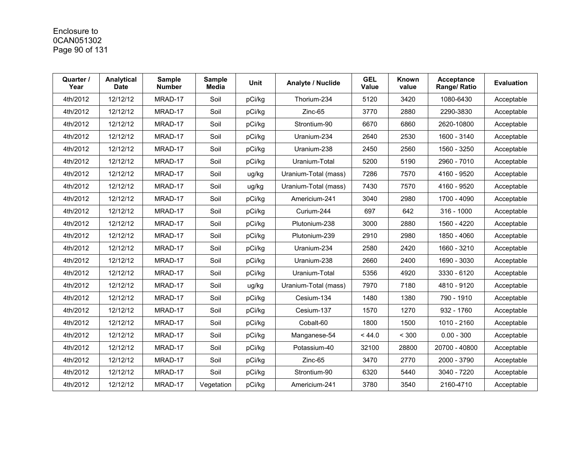# Enclosure to 0CAN051302 Page 90 of 131

| Quarter /<br>Year | Analytical<br><b>Date</b> | <b>Sample</b><br><b>Number</b> | <b>Sample</b><br><b>Media</b> | <b>Unit</b> | Analyte / Nuclide    | <b>GEL</b><br>Value | Known<br>value | <b>Acceptance</b><br>Range/ Ratio | <b>Evaluation</b> |
|-------------------|---------------------------|--------------------------------|-------------------------------|-------------|----------------------|---------------------|----------------|-----------------------------------|-------------------|
| 4th/2012          | 12/12/12                  | MRAD-17                        | Soil                          | pCi/kg      | Thorium-234          | 5120                | 3420           | 1080-6430                         | Acceptable        |
| 4th/2012          | 12/12/12                  | MRAD-17                        | Soil                          | pCi/kg      | $Zinc-65$            | 3770                | 2880           | 2290-3830                         | Acceptable        |
| 4th/2012          | 12/12/12                  | MRAD-17                        | Soil                          | pCi/kg      | Strontium-90         | 6670                | 6860           | 2620-10800                        | Acceptable        |
| 4th/2012          | 12/12/12                  | MRAD-17                        | Soil                          | pCi/kg      | Uranium-234          | 2640                | 2530           | 1600 - 3140                       | Acceptable        |
| 4th/2012          | 12/12/12                  | MRAD-17                        | Soil                          | pCi/kg      | Uranium-238          | 2450                | 2560           | 1560 - 3250                       | Acceptable        |
| 4th/2012          | 12/12/12                  | MRAD-17                        | Soil                          | pCi/kg      | Uranium-Total        | 5200                | 5190           | 2960 - 7010                       | Acceptable        |
| 4th/2012          | 12/12/12                  | MRAD-17                        | Soil                          | ug/kg       | Uranium-Total (mass) | 7286                | 7570           | 4160 - 9520                       | Acceptable        |
| 4th/2012          | 12/12/12                  | MRAD-17                        | Soil                          | ug/kg       | Uranium-Total (mass) | 7430                | 7570           | 4160 - 9520                       | Acceptable        |
| 4th/2012          | 12/12/12                  | MRAD-17                        | Soil                          | pCi/kg      | Americium-241        | 3040                | 2980           | 1700 - 4090                       | Acceptable        |
| 4th/2012          | 12/12/12                  | MRAD-17                        | Soil                          | pCi/kg      | Curium-244           | 697                 | 642            | $316 - 1000$                      | Acceptable        |
| 4th/2012          | 12/12/12                  | MRAD-17                        | Soil                          | pCi/kg      | Plutonium-238        | 3000                | 2880           | 1560 - 4220                       | Acceptable        |
| 4th/2012          | 12/12/12                  | MRAD-17                        | Soil                          | pCi/kg      | Plutonium-239        | 2910                | 2980           | 1850 - 4060                       | Acceptable        |
| 4th/2012          | 12/12/12                  | MRAD-17                        | Soil                          | pCi/kg      | Uranium-234          | 2580                | 2420           | 1660 - 3210                       | Acceptable        |
| 4th/2012          | 12/12/12                  | MRAD-17                        | Soil                          | pCi/kg      | Uranium-238          | 2660                | 2400           | 1690 - 3030                       | Acceptable        |
| 4th/2012          | 12/12/12                  | MRAD-17                        | Soil                          | pCi/kg      | Uranium-Total        | 5356                | 4920           | 3330 - 6120                       | Acceptable        |
| 4th/2012          | 12/12/12                  | MRAD-17                        | Soil                          | ug/kg       | Uranium-Total (mass) | 7970                | 7180           | 4810 - 9120                       | Acceptable        |
| 4th/2012          | 12/12/12                  | MRAD-17                        | Soil                          | pCi/kg      | Cesium-134           | 1480                | 1380           | 790 - 1910                        | Acceptable        |
| 4th/2012          | 12/12/12                  | MRAD-17                        | Soil                          | pCi/kg      | Cesium-137           | 1570                | 1270           | 932 - 1760                        | Acceptable        |
| 4th/2012          | 12/12/12                  | MRAD-17                        | Soil                          | pCi/kg      | Cobalt-60            | 1800                | 1500           | 1010 - 2160                       | Acceptable        |
| 4th/2012          | 12/12/12                  | MRAD-17                        | Soil                          | pCi/kg      | Manganese-54         | < 44.0              | < 300          | $0.00 - 300$                      | Acceptable        |
| 4th/2012          | 12/12/12                  | MRAD-17                        | Soil                          | pCi/kg      | Potassium-40         | 32100               | 28800          | 20700 - 40800                     | Acceptable        |
| 4th/2012          | 12/12/12                  | MRAD-17                        | Soil                          | pCi/kg      | Zinc-65              | 3470                | 2770           | 2000 - 3790                       | Acceptable        |
| 4th/2012          | 12/12/12                  | MRAD-17                        | Soil                          | pCi/kg      | Strontium-90         | 6320                | 5440           | 3040 - 7220                       | Acceptable        |
| 4th/2012          | 12/12/12                  | MRAD-17                        | Vegetation                    | pCi/kg      | Americium-241        | 3780                | 3540           | 2160-4710                         | Acceptable        |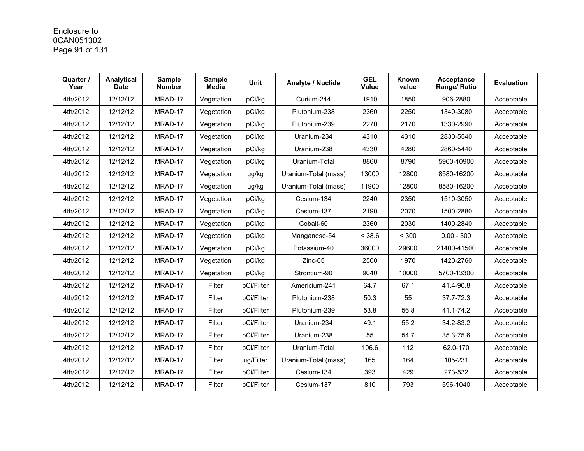# Enclosure to 0CAN051302 Page 91 of 131

| Quarter /<br>Year | Analytical<br><b>Date</b> | <b>Sample</b><br><b>Number</b> | <b>Sample</b><br><b>Media</b> | <b>Unit</b> | Analyte / Nuclide    | <b>GEL</b><br><b>Value</b> | Known<br>value | <b>Acceptance</b><br>Range/ Ratio | <b>Evaluation</b> |
|-------------------|---------------------------|--------------------------------|-------------------------------|-------------|----------------------|----------------------------|----------------|-----------------------------------|-------------------|
| 4th/2012          | 12/12/12                  | MRAD-17                        | Vegetation                    | pCi/kg      | Curium-244           | 1910                       | 1850           | 906-2880                          | Acceptable        |
| 4th/2012          | 12/12/12                  | MRAD-17                        | Vegetation                    | pCi/kg      | Plutonium-238        | 2360                       | 2250           | 1340-3080                         | Acceptable        |
| 4th/2012          | 12/12/12                  | MRAD-17                        | Vegetation                    | pCi/kg      | Plutonium-239        | 2270                       | 2170           | 1330-2990                         | Acceptable        |
| 4th/2012          | 12/12/12                  | MRAD-17                        | Vegetation                    | pCi/kg      | Uranium-234          | 4310                       | 4310           | 2830-5540                         | Acceptable        |
| 4th/2012          | 12/12/12                  | MRAD-17                        | Vegetation                    | pCi/kg      | Uranium-238          | 4330                       | 4280           | 2860-5440                         | Acceptable        |
| 4th/2012          | 12/12/12                  | MRAD-17                        | Vegetation                    | pCi/kg      | Uranium-Total        | 8860                       | 8790           | 5960-10900                        | Acceptable        |
| 4th/2012          | 12/12/12                  | MRAD-17                        | Vegetation                    | ug/kg       | Uranium-Total (mass) | 13000                      | 12800          | 8580-16200                        | Acceptable        |
| 4th/2012          | 12/12/12                  | MRAD-17                        | Vegetation                    | ug/kg       | Uranium-Total (mass) | 11900                      | 12800          | 8580-16200                        | Acceptable        |
| 4th/2012          | 12/12/12                  | MRAD-17                        | Vegetation                    | pCi/kg      | Cesium-134           | 2240                       | 2350           | 1510-3050                         | Acceptable        |
| 4th/2012          | 12/12/12                  | MRAD-17                        | Vegetation                    | pCi/kg      | Cesium-137           | 2190                       | 2070           | 1500-2880                         | Acceptable        |
| 4th/2012          | 12/12/12                  | MRAD-17                        | Vegetation                    | pCi/kg      | Cobalt-60            | 2360                       | 2030           | 1400-2840                         | Acceptable        |
| 4th/2012          | 12/12/12                  | MRAD-17                        | Vegetation                    | pCi/kg      | Manganese-54         | < 38.6                     | < 300          | $0.00 - 300$                      | Acceptable        |
| 4th/2012          | 12/12/12                  | MRAD-17                        | Vegetation                    | pCi/kg      | Potassium-40         | 36000                      | 29600          | 21400-41500                       | Acceptable        |
| 4th/2012          | 12/12/12                  | MRAD-17                        | Vegetation                    | pCi/kg      | $Zinc-65$            | 2500                       | 1970           | 1420-2760                         | Acceptable        |
| 4th/2012          | 12/12/12                  | MRAD-17                        | Vegetation                    | pCi/kg      | Strontium-90         | 9040                       | 10000          | 5700-13300                        | Acceptable        |
| 4th/2012          | 12/12/12                  | MRAD-17                        | Filter                        | pCi/Filter  | Americium-241        | 64.7                       | 67.1           | 41.4-90.8                         | Acceptable        |
| 4th/2012          | 12/12/12                  | MRAD-17                        | Filter                        | pCi/Filter  | Plutonium-238        | 50.3                       | 55             | 37.7-72.3                         | Acceptable        |
| 4th/2012          | 12/12/12                  | MRAD-17                        | Filter                        | pCi/Filter  | Plutonium-239        | 53.8                       | 56.8           | 41.1-74.2                         | Acceptable        |
| 4th/2012          | 12/12/12                  | MRAD-17                        | Filter                        | pCi/Filter  | Uranium-234          | 49.1                       | 55.2           | 34.2-83.2                         | Acceptable        |
| 4th/2012          | 12/12/12                  | MRAD-17                        | Filter                        | pCi/Filter  | Uranium-238          | 55                         | 54.7           | 35.3-75.6                         | Acceptable        |
| 4th/2012          | 12/12/12                  | MRAD-17                        | Filter                        | pCi/Filter  | Uranium-Total        | 106.6                      | 112            | 62.0-170                          | Acceptable        |
| 4th/2012          | 12/12/12                  | MRAD-17                        | Filter                        | ug/Filter   | Uranium-Total (mass) | 165                        | 164            | 105-231                           | Acceptable        |
| 4th/2012          | 12/12/12                  | MRAD-17                        | Filter                        | pCi/Filter  | Cesium-134           | 393                        | 429            | 273-532                           | Acceptable        |
| 4th/2012          | 12/12/12                  | MRAD-17                        | Filter                        | pCi/Filter  | Cesium-137           | 810                        | 793            | 596-1040                          | Acceptable        |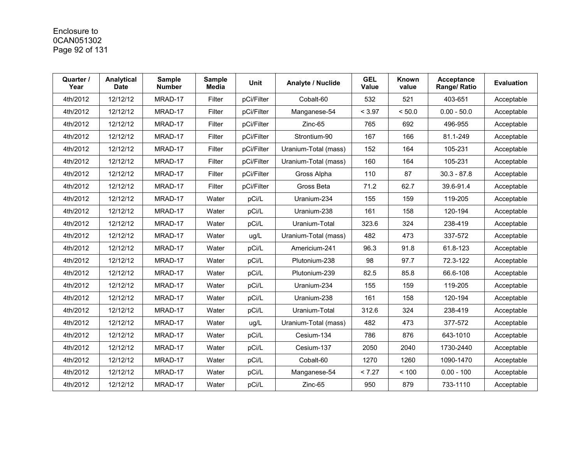## Enclosure to 0CAN051302 Page 92 of 131

| Quarter /<br>Year | Analytical<br><b>Date</b> | <b>Sample</b><br><b>Number</b> | <b>Sample</b><br><b>Media</b> | Unit       | Analyte / Nuclide    | <b>GEL</b><br>Value | Known<br>value | Acceptance<br>Range/ Ratio | <b>Evaluation</b> |
|-------------------|---------------------------|--------------------------------|-------------------------------|------------|----------------------|---------------------|----------------|----------------------------|-------------------|
| 4th/2012          | 12/12/12                  | MRAD-17                        | Filter                        | pCi/Filter | Cobalt-60            | 532                 | 521            | 403-651                    | Acceptable        |
| 4th/2012          | 12/12/12                  | MRAD-17                        | Filter                        | pCi/Filter | Manganese-54         | < 3.97              | < 50.0         | $0.00 - 50.0$              | Acceptable        |
| 4th/2012          | 12/12/12                  | MRAD-17                        | Filter                        | pCi/Filter | Zinc-65              | 765                 | 692            | 496-955                    | Acceptable        |
| 4th/2012          | 12/12/12                  | MRAD-17                        | Filter                        | pCi/Filter | Strontium-90         | 167                 | 166            | 81.1-249                   | Acceptable        |
| 4th/2012          | 12/12/12                  | MRAD-17                        | Filter                        | pCi/Filter | Uranium-Total (mass) | 152                 | 164            | 105-231                    | Acceptable        |
| 4th/2012          | 12/12/12                  | MRAD-17                        | Filter                        | pCi/Filter | Uranium-Total (mass) | 160                 | 164            | 105-231                    | Acceptable        |
| 4th/2012          | 12/12/12                  | MRAD-17                        | Filter                        | pCi/Filter | Gross Alpha          | 110                 | 87             | $30.3 - 87.8$              | Acceptable        |
| 4th/2012          | 12/12/12                  | MRAD-17                        | Filter                        | pCi/Filter | Gross Beta           | 71.2                | 62.7           | 39.6-91.4                  | Acceptable        |
| 4th/2012          | 12/12/12                  | MRAD-17                        | Water                         | pCi/L      | Uranium-234          | 155                 | 159            | 119-205                    | Acceptable        |
| 4th/2012          | 12/12/12                  | MRAD-17                        | Water                         | pCi/L      | Uranium-238          | 161                 | 158            | 120-194                    | Acceptable        |
| 4th/2012          | 12/12/12                  | MRAD-17                        | Water                         | pCi/L      | Uranium-Total        | 323.6               | 324            | 238-419                    | Acceptable        |
| 4th/2012          | 12/12/12                  | MRAD-17                        | Water                         | ug/L       | Uranium-Total (mass) | 482                 | 473            | 337-572                    | Acceptable        |
| 4th/2012          | 12/12/12                  | MRAD-17                        | Water                         | pCi/L      | Americium-241        | 96.3                | 91.8           | 61.8-123                   | Acceptable        |
| 4th/2012          | 12/12/12                  | MRAD-17                        | Water                         | pCi/L      | Plutonium-238        | 98                  | 97.7           | 72.3-122                   | Acceptable        |
| 4th/2012          | 12/12/12                  | MRAD-17                        | Water                         | pCi/L      | Plutonium-239        | 82.5                | 85.8           | 66.6-108                   | Acceptable        |
| 4th/2012          | 12/12/12                  | MRAD-17                        | Water                         | pCi/L      | Uranium-234          | 155                 | 159            | 119-205                    | Acceptable        |
| 4th/2012          | 12/12/12                  | MRAD-17                        | Water                         | pCi/L      | Uranium-238          | 161                 | 158            | 120-194                    | Acceptable        |
| 4th/2012          | 12/12/12                  | MRAD-17                        | Water                         | pCi/L      | Uranium-Total        | 312.6               | 324            | 238-419                    | Acceptable        |
| 4th/2012          | 12/12/12                  | MRAD-17                        | Water                         | ug/L       | Uranium-Total (mass) | 482                 | 473            | 377-572                    | Acceptable        |
| 4th/2012          | 12/12/12                  | MRAD-17                        | Water                         | pCi/L      | Cesium-134           | 786                 | 876            | 643-1010                   | Acceptable        |
| 4th/2012          | 12/12/12                  | MRAD-17                        | Water                         | pCi/L      | Cesium-137           | 2050                | 2040           | 1730-2440                  | Acceptable        |
| 4th/2012          | 12/12/12                  | MRAD-17                        | Water                         | pCi/L      | Cobalt-60            | 1270                | 1260           | 1090-1470                  | Acceptable        |
| 4th/2012          | 12/12/12                  | MRAD-17                        | Water                         | pCi/L      | Manganese-54         | < 7.27              | < 100          | $0.00 - 100$               | Acceptable        |
| 4th/2012          | 12/12/12                  | MRAD-17                        | Water                         | pCi/L      | Zinc-65              | 950                 | 879            | 733-1110                   | Acceptable        |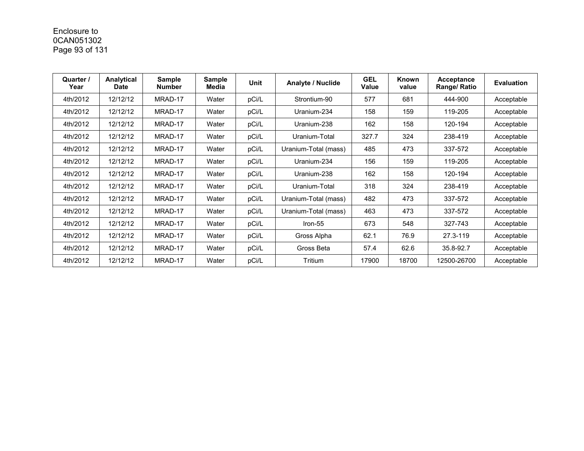# Enclosure to 0CAN051302 Page 93 of 131

| Quarter /<br>Year | Analytical<br><b>Date</b> | <b>Sample</b><br><b>Number</b> | <b>Sample</b><br>Media | Unit  | Analyte / Nuclide    | <b>GEL</b><br>Value | Known<br>value | Acceptance<br>Range/ Ratio | <b>Evaluation</b> |
|-------------------|---------------------------|--------------------------------|------------------------|-------|----------------------|---------------------|----------------|----------------------------|-------------------|
| 4th/2012          | 12/12/12                  | MRAD-17                        | Water                  | pCi/L | Strontium-90         | 577                 | 681            | 444-900                    | Acceptable        |
| 4th/2012          | 12/12/12                  | MRAD-17                        | Water                  | pCi/L | Uranium-234          | 158                 | 159            | 119-205                    | Acceptable        |
| 4th/2012          | 12/12/12                  | MRAD-17                        | Water                  | pCi/L | Uranium-238          | 162                 | 158            | 120-194                    | Acceptable        |
| 4th/2012          | 12/12/12                  | MRAD-17                        | Water                  | pCi/L | Uranium-Total        | 327.7               | 324            | 238-419                    | Acceptable        |
| 4th/2012          | 12/12/12                  | MRAD-17                        | Water                  | pCi/L | Uranium-Total (mass) | 485                 | 473            | 337-572                    | Acceptable        |
| 4th/2012          | 12/12/12                  | MRAD-17                        | Water                  | pCi/L | Uranium-234          | 156                 | 159            | 119-205                    | Acceptable        |
| 4th/2012          | 12/12/12                  | MRAD-17                        | Water                  | pCi/L | Uranium-238          | 162                 | 158            | 120-194                    | Acceptable        |
| 4th/2012          | 12/12/12                  | MRAD-17                        | Water                  | pCi/L | Uranium-Total        | 318                 | 324            | 238-419                    | Acceptable        |
| 4th/2012          | 12/12/12                  | MRAD-17                        | Water                  | pCi/L | Uranium-Total (mass) | 482                 | 473            | 337-572                    | Acceptable        |
| 4th/2012          | 12/12/12                  | MRAD-17                        | Water                  | pCi/L | Uranium-Total (mass) | 463                 | 473            | 337-572                    | Acceptable        |
| 4th/2012          | 12/12/12                  | MRAD-17                        | Water                  | pCi/L | Iron-55              | 673                 | 548            | 327-743                    | Acceptable        |
| 4th/2012          | 12/12/12                  | MRAD-17                        | Water                  | pCi/L | Gross Alpha          | 62.1                | 76.9           | 27.3-119                   | Acceptable        |
| 4th/2012          | 12/12/12                  | MRAD-17                        | Water                  | pCi/L | Gross Beta           | 57.4                | 62.6           | 35.8-92.7                  | Acceptable        |
| 4th/2012          | 12/12/12                  | MRAD-17                        | Water                  | pCi/L | Tritium              | 17900               | 18700          | 12500-26700                | Acceptable        |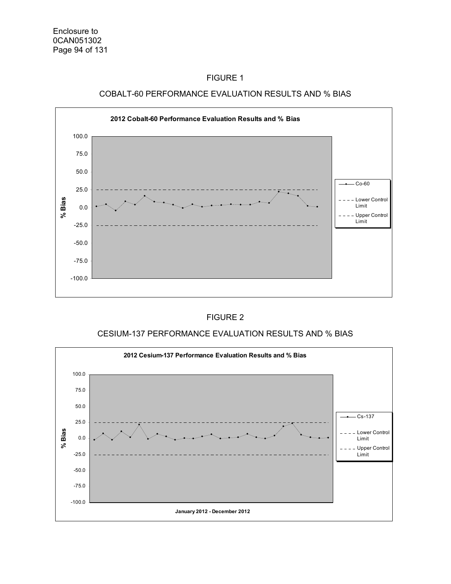



#### FIGURE 2

### CESIUM-137 PERFORMANCE EVALUATION RESULTS AND % BIAS

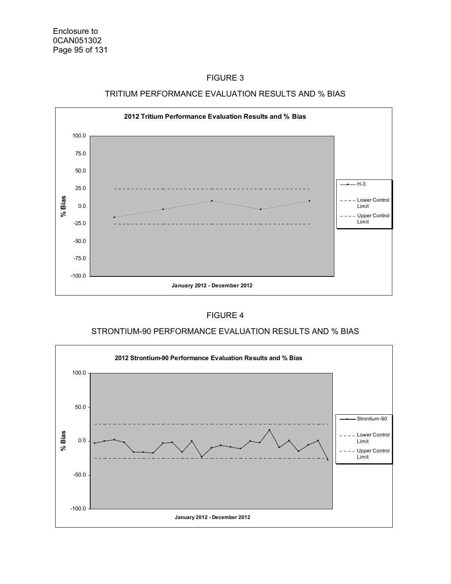

#### TRITIUM PERFORMANCE EVALUATION RESULTS AND % BIAS

#### FIGURE 4

### STRONTIUM-90 PERFORMANCE EVALUATION RESULTS AND % BIAS

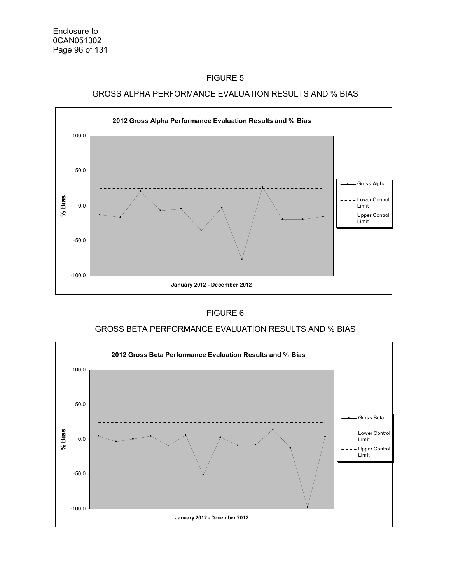



### FIGURE 6

### GROSS BETA PERFORMANCE EVALUATION RESULTS AND % BIAS

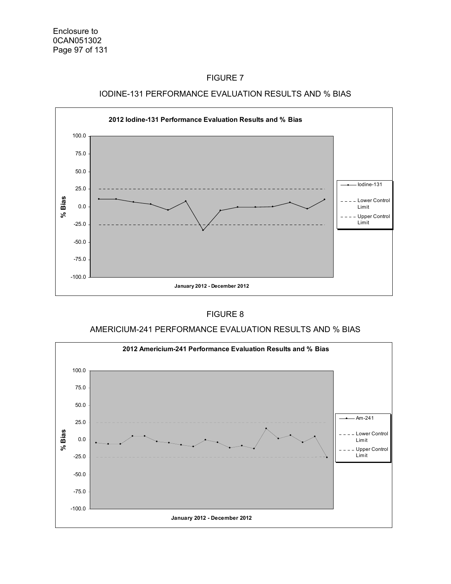



#### IODINE-131 PERFORMANCE EVALUATION RESULTS AND % BIAS

#### FIGURE 8

#### AMERICIUM-241 PERFORMANCE EVALUATION RESULTS AND % BIAS

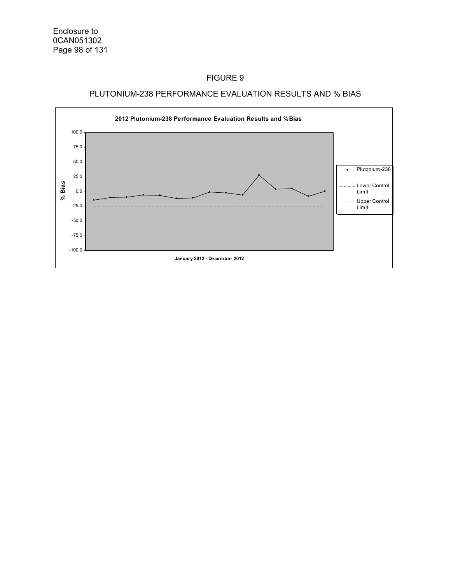### PLUTONIUM-238 PERFORMANCE EVALUATION RESULTS AND % BIAS

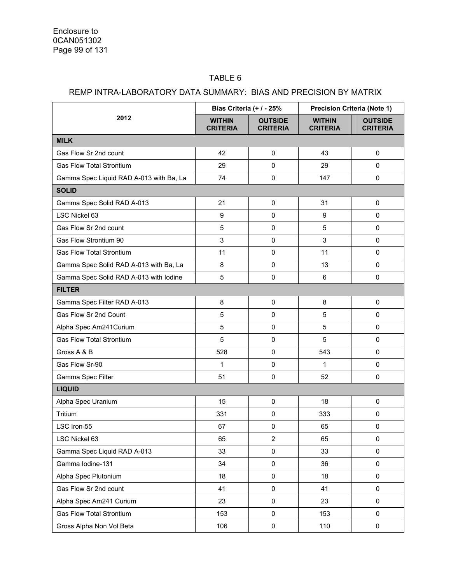### TABLE 6

### REMP INTRA-LABORATORY DATA SUMMARY: BIAS AND PRECISION BY MATRIX

| 2012                                    | Bias Criteria (+ / - 25%         |                                   | <b>Precision Criteria (Note 1)</b> |                                   |  |
|-----------------------------------------|----------------------------------|-----------------------------------|------------------------------------|-----------------------------------|--|
|                                         | <b>WITHIN</b><br><b>CRITERIA</b> | <b>OUTSIDE</b><br><b>CRITERIA</b> | <b>WITHIN</b><br><b>CRITERIA</b>   | <b>OUTSIDE</b><br><b>CRITERIA</b> |  |
| <b>MILK</b>                             |                                  |                                   |                                    |                                   |  |
| Gas Flow Sr 2nd count                   | 42                               | $\mathbf 0$                       | 43                                 | $\mathbf 0$                       |  |
| <b>Gas Flow Total Strontium</b>         | 29                               | 0                                 | 29                                 | 0                                 |  |
| Gamma Spec Liquid RAD A-013 with Ba, La | 74                               | 0                                 | 147                                | 0                                 |  |
| <b>SOLID</b>                            |                                  |                                   |                                    |                                   |  |
| Gamma Spec Solid RAD A-013              | 21                               | $\pmb{0}$                         | 31                                 | $\pmb{0}$                         |  |
| LSC Nickel 63                           | 9                                | 0                                 | 9                                  | 0                                 |  |
| Gas Flow Sr 2nd count                   | 5                                | 0                                 | 5                                  | $\pmb{0}$                         |  |
| Gas Flow Strontium 90                   | 3                                | 0                                 | 3                                  | 0                                 |  |
| <b>Gas Flow Total Strontium</b>         | 11                               | $\pmb{0}$                         | 11                                 | 0                                 |  |
| Gamma Spec Solid RAD A-013 with Ba, La  | 8                                | 0                                 | 13                                 | 0                                 |  |
| Gamma Spec Solid RAD A-013 with lodine  | 5                                | 0                                 | 6                                  | 0                                 |  |
| <b>FILTER</b>                           |                                  |                                   |                                    |                                   |  |
| Gamma Spec Filter RAD A-013             | 8                                | 0                                 | 8                                  | 0                                 |  |
| Gas Flow Sr 2nd Count                   | 5                                | $\mathbf 0$                       | 5                                  | 0                                 |  |
| Alpha Spec Am241Curium                  | 5                                | 0                                 | 5                                  | 0                                 |  |
| <b>Gas Flow Total Strontium</b>         | 5                                | $\mathbf 0$                       | 5                                  | 0                                 |  |
| Gross A & B                             | 528                              | 0                                 | 543                                | 0                                 |  |
| Gas Flow Sr-90                          | 1                                | 0                                 | 1                                  | $\pmb{0}$                         |  |
| Gamma Spec Filter                       | 51                               | 0                                 | 52                                 | 0                                 |  |
| <b>LIQUID</b>                           |                                  |                                   |                                    |                                   |  |
| Alpha Spec Uranium                      | 15                               | $\mathbf 0$                       | 18                                 | 0                                 |  |
| Tritium                                 | 331                              | $\mathbf 0$                       | 333                                | 0                                 |  |
| LSC Iron-55                             | 67                               | 0                                 | 65                                 | 0                                 |  |
| LSC Nickel 63                           | 65                               | $\overline{2}$                    | 65                                 | 0                                 |  |
| Gamma Spec Liquid RAD A-013             | 33                               | 0                                 | 33                                 | 0                                 |  |
| Gamma Iodine-131                        | 34                               | 0                                 | 36                                 | 0                                 |  |
| Alpha Spec Plutonium                    | 18                               | $\pmb{0}$                         | 18                                 | 0                                 |  |
| Gas Flow Sr 2nd count                   | 41                               | 0                                 | 41                                 | $\pmb{0}$                         |  |
| Alpha Spec Am241 Curium                 | 23                               | 0                                 | 23                                 | 0                                 |  |
| <b>Gas Flow Total Strontium</b>         | 153                              | $\mathbf 0$                       | 153                                | 0                                 |  |
| Gross Alpha Non Vol Beta                | 106                              | $\pmb{0}$                         | 110                                | 0                                 |  |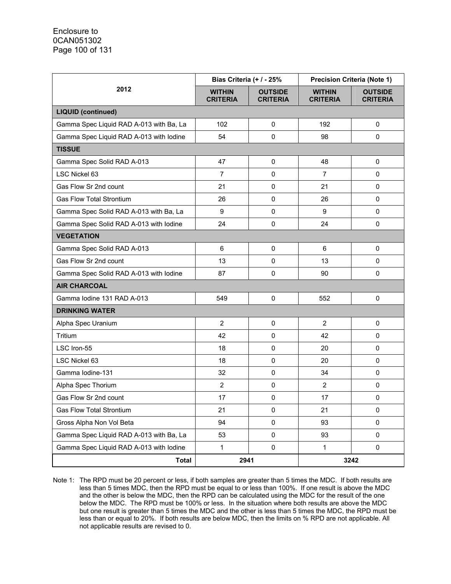| 2012                                    | Bias Criteria (+ / - 25%         |                                   | <b>Precision Criteria (Note 1)</b> |                                   |  |
|-----------------------------------------|----------------------------------|-----------------------------------|------------------------------------|-----------------------------------|--|
|                                         | <b>WITHIN</b><br><b>CRITERIA</b> | <b>OUTSIDE</b><br><b>CRITERIA</b> | <b>WITHIN</b><br><b>CRITERIA</b>   | <b>OUTSIDE</b><br><b>CRITERIA</b> |  |
| <b>LIQUID (continued)</b>               |                                  |                                   |                                    |                                   |  |
| Gamma Spec Liquid RAD A-013 with Ba, La | 102                              | 0                                 | 192                                | $\mathbf 0$                       |  |
| Gamma Spec Liquid RAD A-013 with lodine | 54                               | 0                                 | 98                                 | $\mathbf 0$                       |  |
| <b>TISSUE</b>                           |                                  |                                   |                                    |                                   |  |
| Gamma Spec Solid RAD A-013              | 47                               | 0                                 | 48                                 | 0                                 |  |
| LSC Nickel 63                           | $\overline{7}$                   | 0                                 | $\overline{7}$                     | $\mathbf 0$                       |  |
| Gas Flow Sr 2nd count                   | 21                               | 0                                 | 21                                 | $\mathbf 0$                       |  |
| <b>Gas Flow Total Strontium</b>         | 26                               | 0                                 | 26                                 | $\mathbf 0$                       |  |
| Gamma Spec Solid RAD A-013 with Ba, La  | 9                                | $\pmb{0}$                         | 9                                  | 0                                 |  |
| Gamma Spec Solid RAD A-013 with lodine  | 24                               | 0                                 | 24                                 | $\mathbf 0$                       |  |
| <b>VEGETATION</b>                       |                                  |                                   |                                    |                                   |  |
| Gamma Spec Solid RAD A-013              | 6                                | $\pmb{0}$                         | 6                                  | 0                                 |  |
| Gas Flow Sr 2nd count                   | 13                               | 0                                 | 13                                 | $\mathbf 0$                       |  |
| Gamma Spec Solid RAD A-013 with lodine  | 87                               | $\pmb{0}$                         | 90                                 | $\pmb{0}$                         |  |
| <b>AIR CHARCOAL</b>                     |                                  |                                   |                                    |                                   |  |
| Gamma Iodine 131 RAD A-013              | 549                              | 0                                 | 552                                | $\mathbf 0$                       |  |
| <b>DRINKING WATER</b>                   |                                  |                                   |                                    |                                   |  |
| Alpha Spec Uranium                      | $\overline{2}$                   | $\mathbf 0$                       | 2                                  | $\mathbf 0$                       |  |
| Tritium                                 | 42                               | 0                                 | 42                                 | 0                                 |  |
| LSC Iron-55                             | 18                               | $\mathbf 0$                       | 20                                 | $\mathbf 0$                       |  |
| LSC Nickel 63                           | 18                               | 0                                 | 20                                 | $\mathbf 0$                       |  |
| Gamma Iodine-131                        | 32                               | 0                                 | 34                                 | $\mathbf 0$                       |  |
| Alpha Spec Thorium                      | $\overline{2}$                   | 0                                 | $\overline{2}$                     | $\mathbf 0$                       |  |
| Gas Flow Sr 2nd count                   | 17                               | $\pmb{0}$                         | 17                                 | $\pmb{0}$                         |  |
| Gas Flow Total Strontium                | 21                               | 0                                 | 21                                 | $\pmb{0}$                         |  |
| Gross Alpha Non Vol Beta                | 94                               | 0                                 | 93                                 | $\mathbf 0$                       |  |
| Gamma Spec Liquid RAD A-013 with Ba, La | 53                               | $\pmb{0}$                         | 93                                 | 0                                 |  |
| Gamma Spec Liquid RAD A-013 with lodine | $\mathbf{1}$                     | $\mathbf 0$                       | 1                                  | $\pmb{0}$                         |  |
| <b>Total</b>                            | 2941                             |                                   | 3242                               |                                   |  |

Note 1: The RPD must be 20 percent or less, if both samples are greater than 5 times the MDC. If both results are less than 5 times MDC, then the RPD must be equal to or less than 100%. If one result is above the MDC and the other is below the MDC, then the RPD can be calculated using the MDC for the result of the one below the MDC. The RPD must be 100% or less. In the situation where both results are above the MDC but one result is greater than 5 times the MDC and the other is less than 5 times the MDC, the RPD must be less than or equal to 20%. If both results are below MDC, then the limits on % RPD are not applicable. All not applicable results are revised to 0.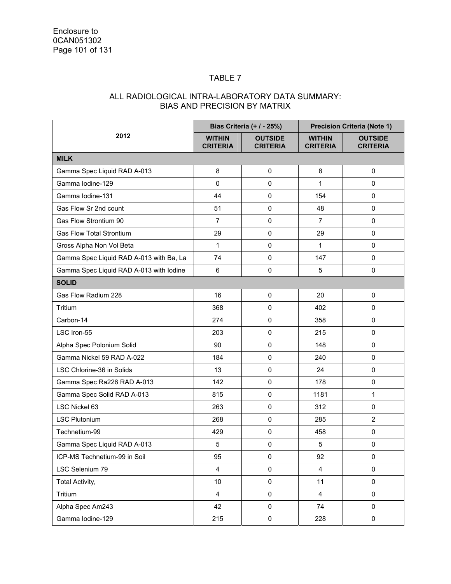### TABLE 7

### ALL RADIOLOGICAL INTRA-LABORATORY DATA SUMMARY: BIAS AND PRECISION BY MATRIX

| 2012                                    | Bias Criteria (+ / - 25%)        |                                   | <b>Precision Criteria (Note 1)</b> |                                   |
|-----------------------------------------|----------------------------------|-----------------------------------|------------------------------------|-----------------------------------|
|                                         | <b>WITHIN</b><br><b>CRITERIA</b> | <b>OUTSIDE</b><br><b>CRITERIA</b> | <b>WITHIN</b><br><b>CRITERIA</b>   | <b>OUTSIDE</b><br><b>CRITERIA</b> |
| <b>MILK</b>                             |                                  |                                   |                                    |                                   |
| Gamma Spec Liquid RAD A-013             | 8                                | 0                                 | 8                                  | $\mathbf 0$                       |
| Gamma Iodine-129                        | $\pmb{0}$                        | 0                                 | $\mathbf{1}$                       | 0                                 |
| Gamma Iodine-131                        | 44                               | $\pmb{0}$                         | 154                                | 0                                 |
| Gas Flow Sr 2nd count                   | 51                               | 0                                 | 48                                 | 0                                 |
| Gas Flow Strontium 90                   | $\overline{7}$                   | $\pmb{0}$                         | $\overline{7}$                     | $\mathbf 0$                       |
| <b>Gas Flow Total Strontium</b>         | 29                               | 0                                 | 29                                 | $\mathbf 0$                       |
| Gross Alpha Non Vol Beta                | $\mathbf{1}$                     | 0                                 | $\mathbf{1}$                       | 0                                 |
| Gamma Spec Liquid RAD A-013 with Ba, La | 74                               | $\pmb{0}$                         | 147                                | 0                                 |
| Gamma Spec Liquid RAD A-013 with lodine | 6                                | $\pmb{0}$                         | 5                                  | $\pmb{0}$                         |
| <b>SOLID</b>                            |                                  |                                   |                                    |                                   |
| Gas Flow Radium 228                     | 16                               | $\pmb{0}$                         | 20                                 | $\mathbf 0$                       |
| Tritium                                 | 368                              | 0                                 | 402                                | 0                                 |
| Carbon-14                               | 274                              | $\pmb{0}$                         | 358                                | 0                                 |
| LSC Iron-55                             | 203                              | $\pmb{0}$                         | 215                                | 0                                 |
| Alpha Spec Polonium Solid               | 90                               | $\pmb{0}$                         | 148                                | $\pmb{0}$                         |
| Gamma Nickel 59 RAD A-022               | 184                              | 0                                 | 240                                | $\mathbf 0$                       |
| LSC Chlorine-36 in Solids               | 13                               | $\mathbf 0$                       | 24                                 | 0                                 |
| Gamma Spec Ra226 RAD A-013              | 142                              | $\pmb{0}$                         | 178                                | 0                                 |
| Gamma Spec Solid RAD A-013              | 815                              | $\pmb{0}$                         | 1181                               | 1                                 |
| LSC Nickel 63                           | 263                              | $\pmb{0}$                         | 312                                | 0                                 |
| <b>LSC Plutonium</b>                    | 268                              | $\pmb{0}$                         | 285                                | $\overline{2}$                    |
| Technetium-99                           | 429                              | $\pmb{0}$                         | 458                                | 0                                 |
| Gamma Spec Liquid RAD A-013             | 5                                | 0                                 | 5                                  | 0                                 |
| ICP-MS Technetium-99 in Soil            | 95                               | $\pmb{0}$                         | 92                                 | 0                                 |
| LSC Selenium 79                         | $\overline{\mathbf{4}}$          | $\pmb{0}$                         | 4                                  | 0                                 |
| Total Activity,                         | 10                               | $\mathbf 0$                       | 11                                 | $\pmb{0}$                         |
| Tritium                                 | $\overline{\mathbf{4}}$          | $\pmb{0}$                         | $\overline{\mathbf{4}}$            | $\pmb{0}$                         |
| Alpha Spec Am243                        | 42                               | $\pmb{0}$                         | 74                                 | $\pmb{0}$                         |
| Gamma Iodine-129                        | 215                              | $\mathsf 0$                       | 228                                | $\pmb{0}$                         |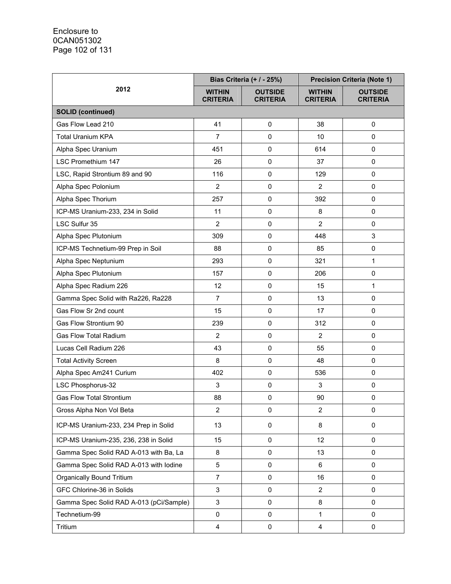| 2012                                    | Bias Criteria (+ / - 25%)        |                                   |                                  | <b>Precision Criteria (Note 1)</b> |  |
|-----------------------------------------|----------------------------------|-----------------------------------|----------------------------------|------------------------------------|--|
|                                         | <b>WITHIN</b><br><b>CRITERIA</b> | <b>OUTSIDE</b><br><b>CRITERIA</b> | <b>WITHIN</b><br><b>CRITERIA</b> | <b>OUTSIDE</b><br><b>CRITERIA</b>  |  |
| <b>SOLID (continued)</b>                |                                  |                                   |                                  |                                    |  |
| Gas Flow Lead 210                       | 41                               | $\pmb{0}$                         | 38                               | 0                                  |  |
| <b>Total Uranium KPA</b>                | $\overline{7}$                   | $\pmb{0}$                         | 10                               | 0                                  |  |
| Alpha Spec Uranium                      | 451                              | $\pmb{0}$                         | 614                              | 0                                  |  |
| <b>LSC Promethium 147</b>               | 26                               | $\pmb{0}$                         | 37                               | 0                                  |  |
| LSC, Rapid Strontium 89 and 90          | 116                              | $\pmb{0}$                         | 129                              | 0                                  |  |
| Alpha Spec Polonium                     | $\overline{2}$                   | $\pmb{0}$                         | $\overline{2}$                   | 0                                  |  |
| Alpha Spec Thorium                      | 257                              | $\pmb{0}$                         | 392                              | 0                                  |  |
| ICP-MS Uranium-233, 234 in Solid        | 11                               | $\pmb{0}$                         | 8                                | 0                                  |  |
| LSC Sulfur 35                           | $\overline{2}$                   | 0                                 | $\overline{2}$                   | 0                                  |  |
| Alpha Spec Plutonium                    | 309                              | $\pmb{0}$                         | 448                              | 3                                  |  |
| ICP-MS Technetium-99 Prep in Soil       | 88                               | $\pmb{0}$                         | 85                               | 0                                  |  |
| Alpha Spec Neptunium                    | 293                              | $\pmb{0}$                         | 321                              | 1                                  |  |
| Alpha Spec Plutonium                    | 157                              | $\pmb{0}$                         | 206                              | 0                                  |  |
| Alpha Spec Radium 226                   | 12                               | $\pmb{0}$                         | 15                               | 1                                  |  |
| Gamma Spec Solid with Ra226, Ra228      | $\overline{7}$                   | $\pmb{0}$                         | 13                               | 0                                  |  |
| Gas Flow Sr 2nd count                   | 15                               | $\pmb{0}$                         | 17                               | 0                                  |  |
| Gas Flow Strontium 90                   | 239                              | $\pmb{0}$                         | 312                              | 0                                  |  |
| <b>Gas Flow Total Radium</b>            | $\overline{2}$                   | $\pmb{0}$                         | $\overline{2}$                   | 0                                  |  |
| Lucas Cell Radium 226                   | 43                               | 0                                 | 55                               | 0                                  |  |
| <b>Total Activity Screen</b>            | 8                                | $\pmb{0}$                         | 48                               | 0                                  |  |
| Alpha Spec Am241 Curium                 | 402                              | $\pmb{0}$                         | 536                              | 0                                  |  |
| LSC Phosphorus-32                       | 3                                | $\pmb{0}$                         | 3                                | 0                                  |  |
| <b>Gas Flow Total Strontium</b>         | 88                               | $\pmb{0}$                         | 90                               | $\pmb{0}$                          |  |
| Gross Alpha Non Vol Beta                | $\overline{2}$                   | 0                                 | $\overline{2}$                   | 0                                  |  |
| ICP-MS Uranium-233, 234 Prep in Solid   | 13                               | 0                                 | 8                                | 0                                  |  |
| ICP-MS Uranium-235, 236, 238 in Solid   | 15                               | $\mathbf 0$                       | 12                               | 0                                  |  |
| Gamma Spec Solid RAD A-013 with Ba, La  | 8                                | $\mathbf 0$                       | 13                               | 0                                  |  |
| Gamma Spec Solid RAD A-013 with lodine  | 5                                | 0                                 | 6                                | 0                                  |  |
| <b>Organically Bound Tritium</b>        | $\overline{7}$                   | $\pmb{0}$                         | 16                               | 0                                  |  |
| GFC Chlorine-36 in Solids               | 3                                | 0                                 | $\overline{2}$                   | 0                                  |  |
| Gamma Spec Solid RAD A-013 (pCi/Sample) | 3                                | $\mathbf 0$                       | 8                                | 0                                  |  |
| Technetium-99                           | 0                                | 0                                 | $\mathbf{1}$                     | 0                                  |  |
| Tritium                                 | $\overline{\mathbf{4}}$          | $\pmb{0}$                         | $\overline{4}$                   | $\mathbf 0$                        |  |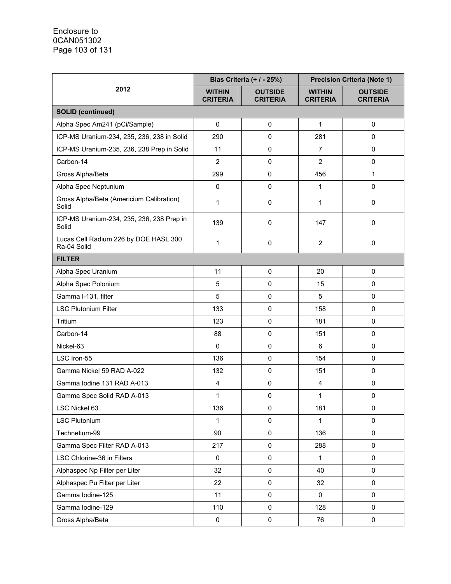|                                                      |                                  | <b>Precision Criteria (Note 1)</b><br><b>Bias Criteria (+ / - 25%)</b> |                                  |                                   |
|------------------------------------------------------|----------------------------------|------------------------------------------------------------------------|----------------------------------|-----------------------------------|
| 2012                                                 | <b>WITHIN</b><br><b>CRITERIA</b> | <b>OUTSIDE</b><br><b>CRITERIA</b>                                      | <b>WITHIN</b><br><b>CRITERIA</b> | <b>OUTSIDE</b><br><b>CRITERIA</b> |
| <b>SOLID (continued)</b>                             |                                  |                                                                        |                                  |                                   |
| Alpha Spec Am241 (pCi/Sample)                        | $\mathsf 0$                      | $\pmb{0}$                                                              | $\mathbf{1}$                     | 0                                 |
| ICP-MS Uranium-234, 235, 236, 238 in Solid           | 290                              | $\mathbf 0$                                                            | 281                              | $\Omega$                          |
| ICP-MS Uranium-235, 236, 238 Prep in Solid           | 11                               | 0                                                                      | $\overline{7}$                   | 0                                 |
| Carbon-14                                            | $\overline{2}$                   | 0                                                                      | $\overline{2}$                   | 0                                 |
| Gross Alpha/Beta                                     | 299                              | $\pmb{0}$                                                              | 456                              | 1                                 |
| Alpha Spec Neptunium                                 | 0                                | 0                                                                      | 1                                | $\mathbf 0$                       |
| Gross Alpha/Beta (Americium Calibration)<br>Solid    | 1                                | $\mathbf 0$                                                            | 1                                | 0                                 |
| ICP-MS Uranium-234, 235, 236, 238 Prep in<br>Solid   | 139                              | $\mathbf 0$                                                            | 147                              | 0                                 |
| Lucas Cell Radium 226 by DOE HASL 300<br>Ra-04 Solid | 1                                | 0                                                                      | $\overline{2}$                   | 0                                 |
| <b>FILTER</b>                                        |                                  |                                                                        |                                  |                                   |
| Alpha Spec Uranium                                   | 11                               | $\pmb{0}$                                                              | 20                               | 0                                 |
| Alpha Spec Polonium                                  | 5                                | $\pmb{0}$                                                              | 15                               | 0                                 |
| Gamma I-131, filter                                  | 5                                | $\pmb{0}$                                                              | 5                                | 0                                 |
| <b>LSC Plutonium Filter</b>                          | 133                              | 0                                                                      | 158                              | 0                                 |
| Tritium                                              | 123                              | $\mathsf 0$                                                            | 181                              | 0                                 |
| Carbon-14                                            | 88                               | $\pmb{0}$                                                              | 151                              | $\Omega$                          |
| Nickel-63                                            | $\pmb{0}$                        | $\pmb{0}$                                                              | 6                                | 0                                 |
| LSC Iron-55                                          | 136                              | 0                                                                      | 154                              | 0                                 |
| Gamma Nickel 59 RAD A-022                            | 132                              | 0                                                                      | 151                              | 0                                 |
| Gamma Iodine 131 RAD A-013                           | $\overline{4}$                   | $\pmb{0}$                                                              | 4                                | $\mathbf 0$                       |
| Gamma Spec Solid RAD A-013                           | 1                                | $\pmb{0}$                                                              | $\mathbf{1}$                     | 0                                 |
| LSC Nickel 63                                        | 136                              | 0                                                                      | 181                              | 0                                 |
| <b>LSC Plutonium</b>                                 | 1                                | $\pmb{0}$                                                              | $\mathbf{1}$                     | 0                                 |
| Technetium-99                                        | 90                               | $\pmb{0}$                                                              | 136                              | 0                                 |
| Gamma Spec Filter RAD A-013                          | 217                              | $\mathsf 0$                                                            | 288                              | 0                                 |
| LSC Chlorine-36 in Filters                           | $\pmb{0}$                        | $\mathbf 0$                                                            | $\mathbf{1}$                     | 0                                 |
| Alphaspec Np Filter per Liter                        | 32                               | $\pmb{0}$                                                              | 40                               | 0                                 |
| Alphaspec Pu Filter per Liter                        | 22                               | $\pmb{0}$                                                              | 32                               | 0                                 |
| Gamma Iodine-125                                     | 11                               | $\pmb{0}$                                                              | 0                                | 0                                 |
| Gamma lodine-129                                     | 110                              | $\pmb{0}$                                                              | 128                              | 0                                 |
| Gross Alpha/Beta                                     | $\pmb{0}$                        | $\pmb{0}$                                                              | 76                               | $\mathsf 0$                       |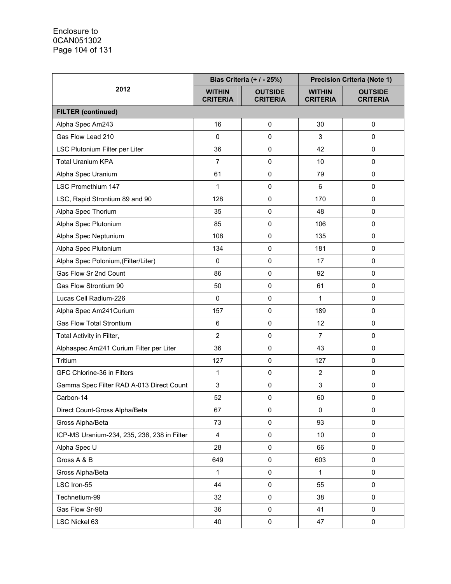| 2012                                        |                                  | Bias Criteria (+ / - 25%)<br><b>Precision Criteria (Note 1)</b> |                                  |                                   |
|---------------------------------------------|----------------------------------|-----------------------------------------------------------------|----------------------------------|-----------------------------------|
|                                             | <b>WITHIN</b><br><b>CRITERIA</b> | <b>OUTSIDE</b><br><b>CRITERIA</b>                               | <b>WITHIN</b><br><b>CRITERIA</b> | <b>OUTSIDE</b><br><b>CRITERIA</b> |
| <b>FILTER (continued)</b>                   |                                  |                                                                 |                                  |                                   |
| Alpha Spec Am243                            | 16                               | $\mathbf 0$                                                     | 30                               | 0                                 |
| Gas Flow Lead 210                           | 0                                | 0                                                               | 3                                | $\mathbf 0$                       |
| LSC Plutonium Filter per Liter              | 36                               | $\pmb{0}$                                                       | 42                               | 0                                 |
| <b>Total Uranium KPA</b>                    | $\overline{7}$                   | $\pmb{0}$                                                       | 10                               | $\mathbf 0$                       |
| Alpha Spec Uranium                          | 61                               | 0                                                               | 79                               | 0                                 |
| <b>LSC Promethium 147</b>                   | 1                                | $\mathbf 0$                                                     | 6                                | $\pmb{0}$                         |
| LSC, Rapid Strontium 89 and 90              | 128                              | 0                                                               | 170                              | $\pmb{0}$                         |
| Alpha Spec Thorium                          | 35                               | 0                                                               | 48                               | 0                                 |
| Alpha Spec Plutonium                        | 85                               | $\pmb{0}$                                                       | 106                              | 0                                 |
| Alpha Spec Neptunium                        | 108                              | 0                                                               | 135                              | $\mathbf 0$                       |
| Alpha Spec Plutonium                        | 134                              | $\pmb{0}$                                                       | 181                              | $\mathbf 0$                       |
| Alpha Spec Polonium, (Filter/Liter)         | 0                                | 0                                                               | 17                               | $\pmb{0}$                         |
| Gas Flow Sr 2nd Count                       | 86                               | $\pmb{0}$                                                       | 92                               | 0                                 |
| Gas Flow Strontium 90                       | 50                               | $\mathbf 0$                                                     | 61                               | $\mathbf 0$                       |
| Lucas Cell Radium-226                       | 0                                | 0                                                               | 1                                | $\mathbf 0$                       |
| Alpha Spec Am241Curium                      | 157                              | 0                                                               | 189                              | $\Omega$                          |
| <b>Gas Flow Total Strontium</b>             | 6                                | 0                                                               | 12                               | $\pmb{0}$                         |
| Total Activity in Filter,                   | $\overline{2}$                   | $\pmb{0}$                                                       | $\overline{7}$                   | 0                                 |
| Alphaspec Am241 Curium Filter per Liter     | 36                               | $\mathbf 0$                                                     | 43                               | 0                                 |
| Tritium                                     | 127                              | $\pmb{0}$                                                       | 127                              | $\mathbf 0$                       |
| GFC Chlorine-36 in Filters                  | 1                                | 0                                                               | $\overline{2}$                   | 0                                 |
| Gamma Spec Filter RAD A-013 Direct Count    | 3                                | 0                                                               | 3                                | 0                                 |
| Carbon-14                                   | 52                               | 0                                                               | 60                               | $\pmb{0}$                         |
| Direct Count-Gross Alpha/Beta               | 67                               | 0                                                               | 0                                | 0                                 |
| Gross Alpha/Beta                            | 73                               | $\pmb{0}$                                                       | 93                               | 0                                 |
| ICP-MS Uranium-234, 235, 236, 238 in Filter | 4                                | $\mathsf 0$                                                     | 10                               | 0                                 |
| Alpha Spec U                                | 28                               | $\pmb{0}$                                                       | 66                               | 0                                 |
| Gross A & B                                 | 649                              | $\pmb{0}$                                                       | 603                              | 0                                 |
| Gross Alpha/Beta                            | $\mathbf{1}$                     | $\pmb{0}$                                                       | $\mathbf{1}$                     | 0                                 |
| LSC Iron-55                                 | 44                               | $\pmb{0}$                                                       | 55                               | 0                                 |
| Technetium-99                               | 32                               | $\pmb{0}$                                                       | 38                               | $\pmb{0}$                         |
| Gas Flow Sr-90                              | 36                               | $\pmb{0}$                                                       | 41                               | 0                                 |
| LSC Nickel 63                               | 40                               | $\pmb{0}$                                                       | 47                               | $\pmb{0}$                         |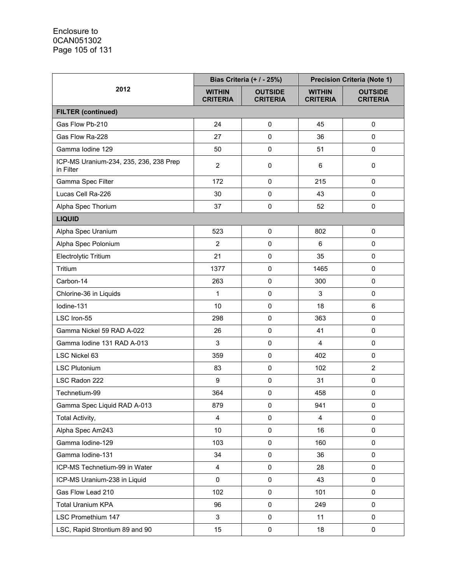| 2012                                                |                                  | Bias Criteria (+ / - 25%)         | <b>Precision Criteria (Note 1)</b> |                                   |
|-----------------------------------------------------|----------------------------------|-----------------------------------|------------------------------------|-----------------------------------|
|                                                     | <b>WITHIN</b><br><b>CRITERIA</b> | <b>OUTSIDE</b><br><b>CRITERIA</b> | <b>WITHIN</b><br><b>CRITERIA</b>   | <b>OUTSIDE</b><br><b>CRITERIA</b> |
| <b>FILTER (continued)</b>                           |                                  |                                   |                                    |                                   |
| Gas Flow Pb-210                                     | 24                               | $\pmb{0}$                         | 45                                 | $\pmb{0}$                         |
| Gas Flow Ra-228                                     | 27                               | $\pmb{0}$                         | 36                                 | 0                                 |
| Gamma Iodine 129                                    | 50                               | $\pmb{0}$                         | 51                                 | 0                                 |
| ICP-MS Uranium-234, 235, 236, 238 Prep<br>in Filter | $\overline{2}$                   | $\pmb{0}$                         | 6                                  | 0                                 |
| Gamma Spec Filter                                   | 172                              | $\mathbf 0$                       | 215                                | $\mathbf 0$                       |
| Lucas Cell Ra-226                                   | 30                               | $\pmb{0}$                         | 43                                 | 0                                 |
| Alpha Spec Thorium                                  | 37                               | $\pmb{0}$                         | 52                                 | $\mathbf 0$                       |
| <b>LIQUID</b>                                       |                                  |                                   |                                    |                                   |
| Alpha Spec Uranium                                  | 523                              | $\pmb{0}$                         | 802                                | $\pmb{0}$                         |
| Alpha Spec Polonium                                 | $\overline{2}$                   | 0                                 | 6                                  | 0                                 |
| Electrolytic Tritium                                | 21                               | $\pmb{0}$                         | 35                                 | $\mathbf 0$                       |
| Tritium                                             | 1377                             | $\pmb{0}$                         | 1465                               | $\mathbf 0$                       |
| Carbon-14                                           | 263                              | 0                                 | 300                                | $\mathbf 0$                       |
| Chlorine-36 in Liquids                              | 1                                | $\pmb{0}$                         | $\mathfrak{S}$                     | $\mathbf 0$                       |
| Iodine-131                                          | 10                               | $\pmb{0}$                         | 18                                 | 6                                 |
| LSC Iron-55                                         | 298                              | $\pmb{0}$                         | 363                                | $\pmb{0}$                         |
| Gamma Nickel 59 RAD A-022                           | 26                               | 0                                 | 41                                 | 0                                 |
| Gamma lodine 131 RAD A-013                          | 3                                | $\pmb{0}$                         | $\overline{4}$                     | $\mathbf 0$                       |
| LSC Nickel 63                                       | 359                              | $\pmb{0}$                         | 402                                | 0                                 |
| <b>LSC Plutonium</b>                                | 83                               | 0                                 | 102                                | $\overline{2}$                    |
| LSC Radon 222                                       | 9                                | $\pmb{0}$                         | 31                                 | $\pmb{0}$                         |
| Technetium-99                                       | 364                              | $\pmb{0}$                         | 458                                | $\pmb{0}$                         |
| Gamma Spec Liquid RAD A-013                         | 879                              | 0                                 | 941                                | 0                                 |
| Total Activity,                                     | $\overline{4}$                   | 0                                 | $\overline{4}$                     | 0                                 |
| Alpha Spec Am243                                    | 10                               | $\pmb{0}$                         | 16                                 | 0                                 |
| Gamma lodine-129                                    | 103                              | $\pmb{0}$                         | 160                                | $\mathbf 0$                       |
| Gamma Iodine-131                                    | 34                               | $\pmb{0}$                         | 36                                 | 0                                 |
| ICP-MS Technetium-99 in Water                       | $\overline{4}$                   | $\pmb{0}$                         | 28                                 | 0                                 |
| ICP-MS Uranium-238 in Liquid                        | 0                                | $\pmb{0}$                         | 43                                 | $\mathsf 0$                       |
| Gas Flow Lead 210                                   | 102                              | $\pmb{0}$                         | 101                                | $\mathsf 0$                       |
| <b>Total Uranium KPA</b>                            | 96                               | $\mathsf 0$                       | 249                                | $\pmb{0}$                         |
| LSC Promethium 147                                  | 3                                | $\pmb{0}$                         | 11                                 | 0                                 |
| LSC, Rapid Strontium 89 and 90                      | 15                               | $\pmb{0}$                         | 18                                 | 0                                 |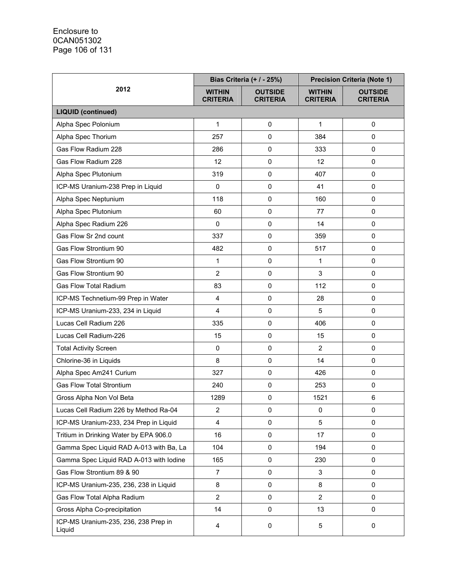|                                                | Bias Criteria (+ / - 25%)        |                                   | <b>Precision Criteria (Note 1)</b> |                                   |
|------------------------------------------------|----------------------------------|-----------------------------------|------------------------------------|-----------------------------------|
| 2012                                           | <b>WITHIN</b><br><b>CRITERIA</b> | <b>OUTSIDE</b><br><b>CRITERIA</b> | <b>WITHIN</b><br><b>CRITERIA</b>   | <b>OUTSIDE</b><br><b>CRITERIA</b> |
| <b>LIQUID (continued)</b>                      |                                  |                                   |                                    |                                   |
| Alpha Spec Polonium                            | 1                                | $\pmb{0}$                         | $\mathbf{1}$                       | 0                                 |
| Alpha Spec Thorium                             | 257                              | 0                                 | 384                                | $\Omega$                          |
| Gas Flow Radium 228                            | 286                              | $\pmb{0}$                         | 333                                | 0                                 |
| Gas Flow Radium 228                            | 12                               | $\pmb{0}$                         | 12                                 | $\pmb{0}$                         |
| Alpha Spec Plutonium                           | 319                              | 0                                 | 407                                | 0                                 |
| ICP-MS Uranium-238 Prep in Liquid              | 0                                | $\pmb{0}$                         | 41                                 | 0                                 |
| Alpha Spec Neptunium                           | 118                              | 0                                 | 160                                | 0                                 |
| Alpha Spec Plutonium                           | 60                               | $\pmb{0}$                         | 77                                 | 0                                 |
| Alpha Spec Radium 226                          | $\mathbf 0$                      | 0                                 | 14                                 | 0                                 |
| Gas Flow Sr 2nd count                          | 337                              | 0                                 | 359                                | 0                                 |
| Gas Flow Strontium 90                          | 482                              | $\mathbf 0$                       | 517                                | 0                                 |
| Gas Flow Strontium 90                          | 1                                | 0                                 | $\mathbf{1}$                       | 0                                 |
| Gas Flow Strontium 90                          | $\overline{2}$                   | $\pmb{0}$                         | 3                                  | 0                                 |
| <b>Gas Flow Total Radium</b>                   | 83                               | $\pmb{0}$                         | 112                                | 0                                 |
| ICP-MS Technetium-99 Prep in Water             | 4                                | 0                                 | 28                                 | 0                                 |
| ICP-MS Uranium-233, 234 in Liquid              | 4                                | $\pmb{0}$                         | 5                                  | 0                                 |
| Lucas Cell Radium 226                          | 335                              | 0                                 | 406                                | 0                                 |
| Lucas Cell Radium-226                          | 15                               | $\pmb{0}$                         | 15                                 | 0                                 |
| <b>Total Activity Screen</b>                   | 0                                | 0                                 | $\overline{2}$                     | $\pmb{0}$                         |
| Chlorine-36 in Liquids                         | 8                                | $\mathbf 0$                       | 14                                 | 0                                 |
| Alpha Spec Am241 Curium                        | 327                              | $\pmb{0}$                         | 426                                | 0                                 |
| <b>Gas Flow Total Strontium</b>                | 240                              | $\pmb{0}$                         | 253                                | 0                                 |
| Gross Alpha Non Vol Beta                       | 1289                             | $\pmb{0}$                         | 1521                               | $\,6$                             |
| Lucas Cell Radium 226 by Method Ra-04          | $\overline{2}$                   | 0                                 | 0                                  | 0                                 |
| ICP-MS Uranium-233, 234 Prep in Liquid         | $\overline{4}$                   | 0                                 | 5                                  | 0                                 |
| Tritium in Drinking Water by EPA 906.0         | 16                               | $\pmb{0}$                         | 17                                 | 0                                 |
| Gamma Spec Liquid RAD A-013 with Ba, La        | 104                              | $\mathbf 0$                       | 194                                | 0                                 |
| Gamma Spec Liquid RAD A-013 with lodine        | 165                              | $\pmb{0}$                         | 230                                | 0                                 |
| Gas Flow Strontium 89 & 90                     | $\overline{7}$                   | $\pmb{0}$                         | 3                                  | 0                                 |
| ICP-MS Uranium-235, 236, 238 in Liquid         | 8                                | $\pmb{0}$                         | 8                                  | 0                                 |
| Gas Flow Total Alpha Radium                    | $\overline{2}$                   | 0                                 | $\overline{2}$                     | 0                                 |
| Gross Alpha Co-precipitation                   | 14                               | 0                                 | 13                                 | $\mathbf 0$                       |
| ICP-MS Uranium-235, 236, 238 Prep in<br>Liquid | 4                                | 0                                 | 5                                  | 0                                 |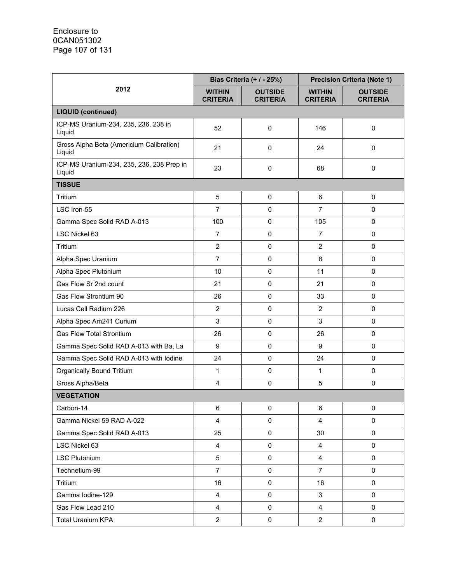|                                                     | Bias Criteria (+ / - 25%)        |                                   | <b>Precision Criteria (Note 1)</b> |                                   |
|-----------------------------------------------------|----------------------------------|-----------------------------------|------------------------------------|-----------------------------------|
| 2012                                                | <b>WITHIN</b><br><b>CRITERIA</b> | <b>OUTSIDE</b><br><b>CRITERIA</b> | <b>WITHIN</b><br><b>CRITERIA</b>   | <b>OUTSIDE</b><br><b>CRITERIA</b> |
| <b>LIQUID (continued)</b>                           |                                  |                                   |                                    |                                   |
| ICP-MS Uranium-234, 235, 236, 238 in<br>Liquid      | 52                               | 0                                 | 146                                | 0                                 |
| Gross Alpha Beta (Americium Calibration)<br>Liquid  | 21                               | 0                                 | 24                                 | 0                                 |
| ICP-MS Uranium-234, 235, 236, 238 Prep in<br>Liquid | 23                               | 0                                 | 68                                 | 0                                 |
| <b>TISSUE</b>                                       |                                  |                                   |                                    |                                   |
| Tritium                                             | 5                                | 0                                 | 6                                  | 0                                 |
| LSC Iron-55                                         | $\overline{7}$                   | $\mathbf 0$                       | $\overline{7}$                     | 0                                 |
| Gamma Spec Solid RAD A-013                          | 100                              | $\pmb{0}$                         | 105                                | 0                                 |
| LSC Nickel 63                                       | $\overline{7}$                   | 0                                 | $\overline{7}$                     | 0                                 |
| Tritium                                             | $\overline{2}$                   | $\pmb{0}$                         | $\overline{2}$                     | 0                                 |
| Alpha Spec Uranium                                  | $\overline{7}$                   | $\mathbf 0$                       | 8                                  | 0                                 |
| Alpha Spec Plutonium                                | 10                               | 0                                 | 11                                 | 0                                 |
| Gas Flow Sr 2nd count                               | 21                               | $\pmb{0}$                         | 21                                 | 0                                 |
| Gas Flow Strontium 90                               | 26                               | $\pmb{0}$                         | 33                                 | 0                                 |
| Lucas Cell Radium 226                               | $\overline{2}$                   | $\pmb{0}$                         | $\overline{2}$                     | 0                                 |
| Alpha Spec Am241 Curium                             | 3                                | 0                                 | 3                                  | 0                                 |
| <b>Gas Flow Total Strontium</b>                     | 26                               | $\mathbf 0$                       | 26                                 | 0                                 |
| Gamma Spec Solid RAD A-013 with Ba, La              | $\boldsymbol{9}$                 | $\pmb{0}$                         | 9                                  | 0                                 |
| Gamma Spec Solid RAD A-013 with lodine              | 24                               | $\mathbf 0$                       | 24                                 | 0                                 |
| <b>Organically Bound Tritium</b>                    | $\mathbf{1}$                     | $\pmb{0}$                         | $\mathbf{1}$                       | 0                                 |
| Gross Alpha/Beta                                    | 4                                | 0                                 | 5                                  | 0                                 |
| <b>VEGETATION</b>                                   |                                  |                                   |                                    |                                   |
| Carbon-14                                           | $\,6\,$                          | $\pmb{0}$                         | 6                                  | 0                                 |
| Gamma Nickel 59 RAD A-022                           | $\overline{\mathbf{4}}$          | $\mathbf 0$                       | $\overline{4}$                     | 0                                 |
| Gamma Spec Solid RAD A-013                          | 25                               | $\pmb{0}$                         | 30                                 | 0                                 |
| LSC Nickel 63                                       | $\overline{4}$                   | $\pmb{0}$                         | 4                                  | 0                                 |
| <b>LSC Plutonium</b>                                | 5                                | $\mathbf 0$                       | $\overline{4}$                     | 0                                 |
| Technetium-99                                       | $\overline{7}$                   | 0                                 | $\overline{7}$                     | 0                                 |
| Tritium                                             | 16                               | $\pmb{0}$                         | 16                                 | 0                                 |
| Gamma Iodine-129                                    | $\overline{4}$                   | $\pmb{0}$                         | 3                                  | 0                                 |
| Gas Flow Lead 210                                   | $\overline{4}$                   | $\pmb{0}$                         | $\overline{\mathbf{4}}$            | 0                                 |
| <b>Total Uranium KPA</b>                            | $\overline{2}$                   | $\pmb{0}$                         | $\overline{2}$                     | 0                                 |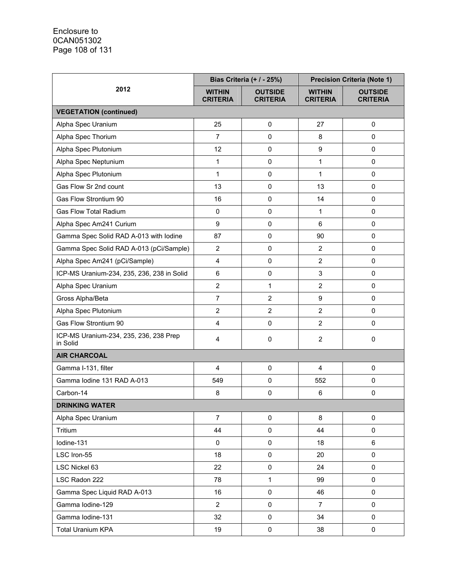|                                                    | Bias Criteria (+ / - 25%)        |                                   | <b>Precision Criteria (Note 1)</b> |                                   |
|----------------------------------------------------|----------------------------------|-----------------------------------|------------------------------------|-----------------------------------|
| 2012                                               | <b>WITHIN</b><br><b>CRITERIA</b> | <b>OUTSIDE</b><br><b>CRITERIA</b> | <b>WITHIN</b><br><b>CRITERIA</b>   | <b>OUTSIDE</b><br><b>CRITERIA</b> |
| <b>VEGETATION (continued)</b>                      |                                  |                                   |                                    |                                   |
| Alpha Spec Uranium                                 | 25                               | $\mathbf 0$                       | 27                                 | $\pmb{0}$                         |
| Alpha Spec Thorium                                 | $\overline{7}$                   | $\pmb{0}$                         | 8                                  | $\Omega$                          |
| Alpha Spec Plutonium                               | 12                               | $\pmb{0}$                         | 9                                  | 0                                 |
| Alpha Spec Neptunium                               | $\mathbf{1}$                     | $\mathsf 0$                       | $\mathbf{1}$                       | $\mathbf 0$                       |
| Alpha Spec Plutonium                               | 1                                | $\pmb{0}$                         | 1                                  | 0                                 |
| Gas Flow Sr 2nd count                              | 13                               | $\mathbf 0$                       | 13                                 | $\pmb{0}$                         |
| Gas Flow Strontium 90                              | 16                               | $\pmb{0}$                         | 14                                 | 0                                 |
| <b>Gas Flow Total Radium</b>                       | $\pmb{0}$                        | $\pmb{0}$                         | 1                                  | 0                                 |
| Alpha Spec Am241 Curium                            | $\boldsymbol{9}$                 | $\mathbf 0$                       | 6                                  | 0                                 |
| Gamma Spec Solid RAD A-013 with lodine             | 87                               | $\pmb{0}$                         | 90                                 | 0                                 |
| Gamma Spec Solid RAD A-013 (pCi/Sample)            | $\overline{2}$                   | $\mathbf 0$                       | 2                                  | 0                                 |
| Alpha Spec Am241 (pCi/Sample)                      | $\overline{4}$                   | $\pmb{0}$                         | $\overline{2}$                     | $\mathbf 0$                       |
| ICP-MS Uranium-234, 235, 236, 238 in Solid         | $\,6\,$                          | $\pmb{0}$                         | 3                                  | 0                                 |
| Alpha Spec Uranium                                 | $\overline{2}$                   | 1                                 | $\overline{2}$                     | $\mathbf 0$                       |
| Gross Alpha/Beta                                   | $\overline{7}$                   | $\overline{2}$                    | 9                                  | 0                                 |
| Alpha Spec Plutonium                               | $\overline{2}$                   | $\overline{2}$                    | $\overline{2}$                     | 0                                 |
| Gas Flow Strontium 90                              | $\overline{4}$                   | $\pmb{0}$                         | $\overline{2}$                     | 0                                 |
| ICP-MS Uranium-234, 235, 236, 238 Prep<br>in Solid | 4                                | $\mathbf 0$                       | $\overline{2}$                     | 0                                 |
| <b>AIR CHARCOAL</b>                                |                                  |                                   |                                    |                                   |
| Gamma I-131, filter                                | $\overline{4}$                   | $\mathbf 0$                       | 4                                  | $\pmb{0}$                         |
| Gamma Iodine 131 RAD A-013                         | 549                              | $\pmb{0}$                         | 552                                | 0                                 |
| Carbon-14                                          | 8                                | $\mathbf 0$                       | 6                                  | 0                                 |
| <b>DRINKING WATER</b>                              |                                  |                                   |                                    |                                   |
| Alpha Spec Uranium                                 | $\overline{7}$                   | $\mathbf 0$                       | 8                                  | $\pmb{0}$                         |
| Tritium                                            | 44                               | 0                                 | 44                                 | 0                                 |
| lodine-131                                         | $\pmb{0}$                        | $\pmb{0}$                         | 18                                 | 6                                 |
| LSC Iron-55                                        | 18                               | $\pmb{0}$                         | 20                                 | $\pmb{0}$                         |
| LSC Nickel 63                                      | 22                               | 0                                 | 24                                 | 0                                 |
| LSC Radon 222                                      | 78                               | 1                                 | 99                                 | $\mathbf 0$                       |
| Gamma Spec Liquid RAD A-013                        | 16                               | $\pmb{0}$                         | 46                                 | $\mathsf 0$                       |
| Gamma Iodine-129                                   | $\overline{2}$                   | $\pmb{0}$                         | $\overline{7}$                     | 0                                 |
| Gamma Iodine-131                                   | 32                               | $\mathbf 0$                       | 34                                 | $\mathbf 0$                       |
| <b>Total Uranium KPA</b>                           | 19                               | 0                                 | 38                                 | 0                                 |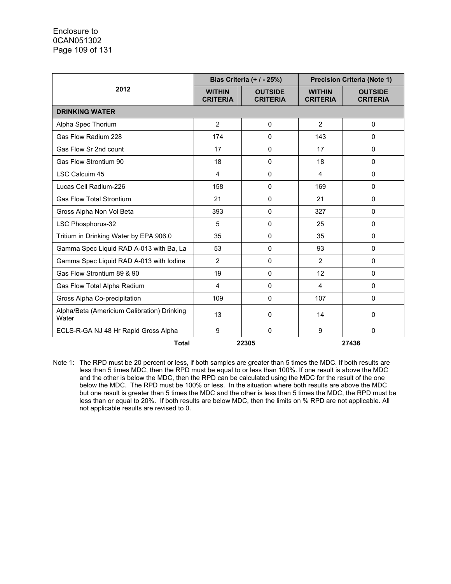|                                                      | Bias Criteria (+ / - 25%)        |                                   | <b>Precision Criteria (Note 1)</b> |                                   |
|------------------------------------------------------|----------------------------------|-----------------------------------|------------------------------------|-----------------------------------|
| 2012                                                 | <b>WITHIN</b><br><b>CRITERIA</b> | <b>OUTSIDE</b><br><b>CRITERIA</b> | <b>WITHIN</b><br><b>CRITERIA</b>   | <b>OUTSIDE</b><br><b>CRITERIA</b> |
| <b>DRINKING WATER</b>                                |                                  |                                   |                                    |                                   |
| Alpha Spec Thorium                                   | $\overline{2}$                   | 0                                 | $\overline{2}$                     | 0                                 |
| Gas Flow Radium 228                                  | 174                              | 0                                 | 143                                | 0                                 |
| Gas Flow Sr 2nd count                                | 17                               | 0                                 | 17                                 | $\Omega$                          |
| Gas Flow Strontium 90                                | 18                               | $\Omega$                          | 18                                 | $\Omega$                          |
| <b>LSC Calcuim 45</b>                                | 4                                | 0                                 | $\overline{4}$                     | 0                                 |
| Lucas Cell Radium-226                                | 158                              | 0                                 | 169                                | 0                                 |
| <b>Gas Flow Total Strontium</b>                      | 21                               | $\Omega$                          | 21                                 | $\Omega$                          |
| Gross Alpha Non Vol Beta                             | 393                              | 0                                 | 327                                | 0                                 |
| LSC Phosphorus-32                                    | 5                                | 0                                 | 25                                 | 0                                 |
| Tritium in Drinking Water by EPA 906.0               | 35                               | 0                                 | 35                                 | $\Omega$                          |
| Gamma Spec Liquid RAD A-013 with Ba, La              | 53                               | $\mathbf{0}$                      | 93                                 | $\Omega$                          |
| Gamma Spec Liquid RAD A-013 with lodine              | $\overline{2}$                   | 0                                 | $\overline{2}$                     | $\Omega$                          |
| Gas Flow Strontium 89 & 90                           | 19                               | 0                                 | 12                                 | 0                                 |
| Gas Flow Total Alpha Radium                          | 4                                | $\Omega$                          | 4                                  | $\Omega$                          |
| Gross Alpha Co-precipitation                         | 109                              | 0                                 | 107                                | 0                                 |
| Alpha/Beta (Americium Calibration) Drinking<br>Water | 13                               | 0                                 | 14                                 | 0                                 |
| ECLS-R-GA NJ 48 Hr Rapid Gross Alpha                 | 9                                | $\Omega$                          | 9                                  | $\Omega$                          |
| <b>Total</b>                                         |                                  | 22305                             |                                    | 27436                             |

Note 1: The RPD must be 20 percent or less, if both samples are greater than 5 times the MDC. If both results are less than 5 times MDC, then the RPD must be equal to or less than 100%. If one result is above the MDC and the other is below the MDC, then the RPD can be calculated using the MDC for the result of the one below the MDC. The RPD must be 100% or less. In the situation where both results are above the MDC but one result is greater than 5 times the MDC and the other is less than 5 times the MDC, the RPD must be less than or equal to 20%. If both results are below MDC, then the limits on % RPD are not applicable. All not applicable results are revised to 0.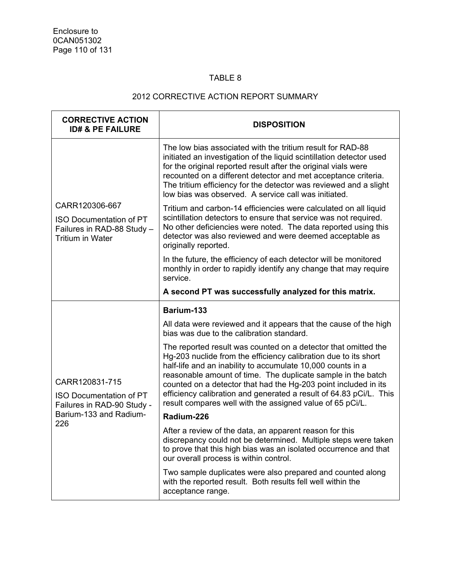# TABLE 8

# 2012 CORRECTIVE ACTION REPORT SUMMARY

| <b>CORRECTIVE ACTION</b><br><b>ID# &amp; PE FAILURE</b>                                                   | <b>DISPOSITION</b>                                                                                                                                                                                                                                                                                                                                                                                                                                                     |
|-----------------------------------------------------------------------------------------------------------|------------------------------------------------------------------------------------------------------------------------------------------------------------------------------------------------------------------------------------------------------------------------------------------------------------------------------------------------------------------------------------------------------------------------------------------------------------------------|
|                                                                                                           | The low bias associated with the tritium result for RAD-88<br>initiated an investigation of the liquid scintillation detector used<br>for the original reported result after the original vials were<br>recounted on a different detector and met acceptance criteria.<br>The tritium efficiency for the detector was reviewed and a slight<br>low bias was observed. A service call was initiated.                                                                    |
| CARR120306-667<br><b>ISO Documentation of PT</b><br>Failures in RAD-88 Study -<br><b>Tritium in Water</b> | Tritium and carbon-14 efficiencies were calculated on all liquid<br>scintillation detectors to ensure that service was not required.<br>No other deficiencies were noted. The data reported using this<br>detector was also reviewed and were deemed acceptable as<br>originally reported.                                                                                                                                                                             |
|                                                                                                           | In the future, the efficiency of each detector will be monitored<br>monthly in order to rapidly identify any change that may require<br>service.                                                                                                                                                                                                                                                                                                                       |
|                                                                                                           | A second PT was successfully analyzed for this matrix.                                                                                                                                                                                                                                                                                                                                                                                                                 |
|                                                                                                           | Barium-133                                                                                                                                                                                                                                                                                                                                                                                                                                                             |
|                                                                                                           | All data were reviewed and it appears that the cause of the high<br>bias was due to the calibration standard.                                                                                                                                                                                                                                                                                                                                                          |
| CARR120831-715<br><b>ISO Documentation of PT</b><br>Failures in RAD-90 Study -                            | The reported result was counted on a detector that omitted the<br>Hg-203 nuclide from the efficiency calibration due to its short<br>half-life and an inability to accumulate 10,000 counts in a<br>reasonable amount of time. The duplicate sample in the batch<br>counted on a detector that had the Hg-203 point included in its<br>efficiency calibration and generated a result of 64.83 pCi/L. This<br>result compares well with the assigned value of 65 pCi/L. |
| Barium-133 and Radium-<br>226                                                                             | Radium-226                                                                                                                                                                                                                                                                                                                                                                                                                                                             |
|                                                                                                           | After a review of the data, an apparent reason for this<br>discrepancy could not be determined. Multiple steps were taken<br>to prove that this high bias was an isolated occurrence and that<br>our overall process is within control.                                                                                                                                                                                                                                |
|                                                                                                           | Two sample duplicates were also prepared and counted along<br>with the reported result. Both results fell well within the<br>acceptance range.                                                                                                                                                                                                                                                                                                                         |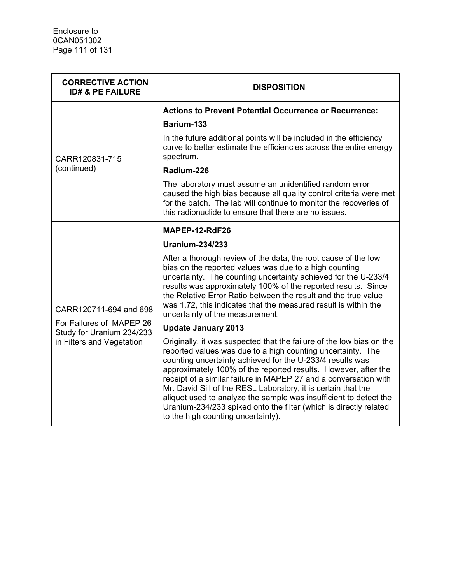| <b>CORRECTIVE ACTION</b><br><b>ID# &amp; PE FAILURE</b> | <b>DISPOSITION</b>                                                                                                                                                                                                                                                                                                                                                                                                                                                                                                                                                                      |
|---------------------------------------------------------|-----------------------------------------------------------------------------------------------------------------------------------------------------------------------------------------------------------------------------------------------------------------------------------------------------------------------------------------------------------------------------------------------------------------------------------------------------------------------------------------------------------------------------------------------------------------------------------------|
|                                                         | <b>Actions to Prevent Potential Occurrence or Recurrence:</b>                                                                                                                                                                                                                                                                                                                                                                                                                                                                                                                           |
|                                                         | Barium-133                                                                                                                                                                                                                                                                                                                                                                                                                                                                                                                                                                              |
| CARR120831-715                                          | In the future additional points will be included in the efficiency<br>curve to better estimate the efficiencies across the entire energy<br>spectrum.                                                                                                                                                                                                                                                                                                                                                                                                                                   |
| (continued)                                             | Radium-226                                                                                                                                                                                                                                                                                                                                                                                                                                                                                                                                                                              |
|                                                         | The laboratory must assume an unidentified random error<br>caused the high bias because all quality control criteria were met<br>for the batch. The lab will continue to monitor the recoveries of<br>this radionuclide to ensure that there are no issues.                                                                                                                                                                                                                                                                                                                             |
|                                                         | MAPEP-12-RdF26                                                                                                                                                                                                                                                                                                                                                                                                                                                                                                                                                                          |
|                                                         | <b>Uranium-234/233</b>                                                                                                                                                                                                                                                                                                                                                                                                                                                                                                                                                                  |
| CARR120711-694 and 698                                  | After a thorough review of the data, the root cause of the low<br>bias on the reported values was due to a high counting<br>uncertainty. The counting uncertainty achieved for the U-233/4<br>results was approximately 100% of the reported results. Since<br>the Relative Error Ratio between the result and the true value<br>was 1.72, this indicates that the measured result is within the<br>uncertainty of the measurement.                                                                                                                                                     |
| For Failures of MAPEP 26<br>Study for Uranium 234/233   | <b>Update January 2013</b>                                                                                                                                                                                                                                                                                                                                                                                                                                                                                                                                                              |
| in Filters and Vegetation                               | Originally, it was suspected that the failure of the low bias on the<br>reported values was due to a high counting uncertainty. The<br>counting uncertainty achieved for the U-233/4 results was<br>approximately 100% of the reported results. However, after the<br>receipt of a similar failure in MAPEP 27 and a conversation with<br>Mr. David Sill of the RESL Laboratory, it is certain that the<br>aliquot used to analyze the sample was insufficient to detect the<br>Uranium-234/233 spiked onto the filter (which is directly related<br>to the high counting uncertainty). |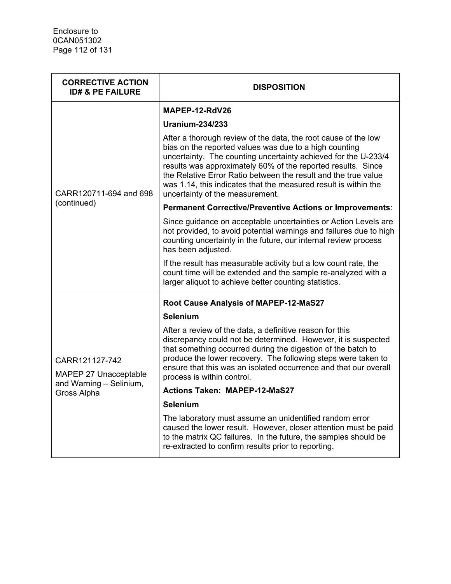| <b>CORRECTIVE ACTION</b><br><b>ID# &amp; PE FAILURE</b> | <b>DISPOSITION</b>                                                                                                                                                                                                                                                                                                                                                                                                                 |
|---------------------------------------------------------|------------------------------------------------------------------------------------------------------------------------------------------------------------------------------------------------------------------------------------------------------------------------------------------------------------------------------------------------------------------------------------------------------------------------------------|
|                                                         | MAPEP-12-RdV26                                                                                                                                                                                                                                                                                                                                                                                                                     |
| CARR120711-694 and 698                                  | Uranium-234/233                                                                                                                                                                                                                                                                                                                                                                                                                    |
|                                                         | After a thorough review of the data, the root cause of the low<br>bias on the reported values was due to a high counting<br>uncertainty. The counting uncertainty achieved for the U-233/4<br>results was approximately 60% of the reported results. Since<br>the Relative Error Ratio between the result and the true value<br>was 1.14, this indicates that the measured result is within the<br>uncertainty of the measurement. |
| (continued)                                             | Permanent Corrective/Preventive Actions or Improvements:                                                                                                                                                                                                                                                                                                                                                                           |
|                                                         | Since guidance on acceptable uncertainties or Action Levels are<br>not provided, to avoid potential warnings and failures due to high<br>counting uncertainty in the future, our internal review process<br>has been adjusted.                                                                                                                                                                                                     |
|                                                         | If the result has measurable activity but a low count rate, the<br>count time will be extended and the sample re-analyzed with a<br>larger aliquot to achieve better counting statistics.                                                                                                                                                                                                                                          |
|                                                         | Root Cause Analysis of MAPEP-12-MaS27                                                                                                                                                                                                                                                                                                                                                                                              |
|                                                         | <b>Selenium</b>                                                                                                                                                                                                                                                                                                                                                                                                                    |
| CARR121127-742<br>MAPEP 27 Unacceptable                 | After a review of the data, a definitive reason for this<br>discrepancy could not be determined. However, it is suspected<br>that something occurred during the digestion of the batch to<br>produce the lower recovery. The following steps were taken to<br>ensure that this was an isolated occurrence and that our overall<br>process is within control.                                                                       |
| and Warning - Selinium,<br>Gross Alpha                  | <b>Actions Taken: MAPEP-12-MaS27</b>                                                                                                                                                                                                                                                                                                                                                                                               |
|                                                         | <b>Selenium</b>                                                                                                                                                                                                                                                                                                                                                                                                                    |
|                                                         | The laboratory must assume an unidentified random error<br>caused the lower result. However, closer attention must be paid<br>to the matrix QC failures. In the future, the samples should be<br>re-extracted to confirm results prior to reporting.                                                                                                                                                                               |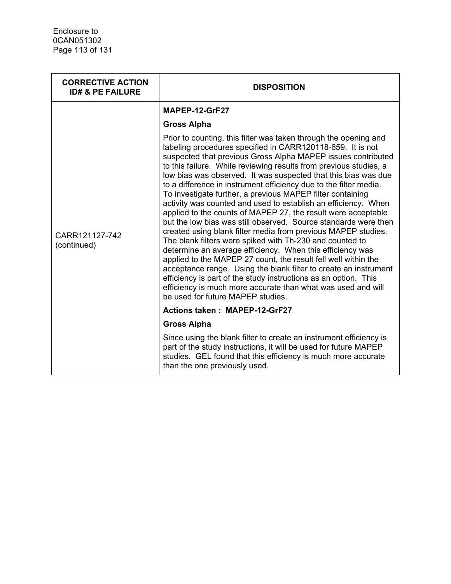| <b>CORRECTIVE ACTION</b><br><b>ID# &amp; PE FAILURE</b> | <b>DISPOSITION</b>                                                                                                                                                                                                                                                                                                                                                                                                                                                                                                                                                                                                                                                                                                                                                                                                                                                                                                                                                                                                                                                                                                                                                                     |
|---------------------------------------------------------|----------------------------------------------------------------------------------------------------------------------------------------------------------------------------------------------------------------------------------------------------------------------------------------------------------------------------------------------------------------------------------------------------------------------------------------------------------------------------------------------------------------------------------------------------------------------------------------------------------------------------------------------------------------------------------------------------------------------------------------------------------------------------------------------------------------------------------------------------------------------------------------------------------------------------------------------------------------------------------------------------------------------------------------------------------------------------------------------------------------------------------------------------------------------------------------|
|                                                         | MAPEP-12-GrF27                                                                                                                                                                                                                                                                                                                                                                                                                                                                                                                                                                                                                                                                                                                                                                                                                                                                                                                                                                                                                                                                                                                                                                         |
|                                                         | <b>Gross Alpha</b>                                                                                                                                                                                                                                                                                                                                                                                                                                                                                                                                                                                                                                                                                                                                                                                                                                                                                                                                                                                                                                                                                                                                                                     |
| CARR121127-742<br>(continued)                           | Prior to counting, this filter was taken through the opening and<br>labeling procedures specified in CARR120118-659. It is not<br>suspected that previous Gross Alpha MAPEP issues contributed<br>to this failure. While reviewing results from previous studies, a<br>low bias was observed. It was suspected that this bias was due<br>to a difference in instrument efficiency due to the filter media.<br>To investigate further, a previous MAPEP filter containing<br>activity was counted and used to establish an efficiency. When<br>applied to the counts of MAPEP 27, the result were acceptable<br>but the low bias was still observed. Source standards were then<br>created using blank filter media from previous MAPEP studies.<br>The blank filters were spiked with Th-230 and counted to<br>determine an average efficiency. When this efficiency was<br>applied to the MAPEP 27 count, the result fell well within the<br>acceptance range. Using the blank filter to create an instrument<br>efficiency is part of the study instructions as an option. This<br>efficiency is much more accurate than what was used and will<br>be used for future MAPEP studies. |
|                                                         | <b>Actions taken: MAPEP-12-GrF27</b>                                                                                                                                                                                                                                                                                                                                                                                                                                                                                                                                                                                                                                                                                                                                                                                                                                                                                                                                                                                                                                                                                                                                                   |
|                                                         | <b>Gross Alpha</b>                                                                                                                                                                                                                                                                                                                                                                                                                                                                                                                                                                                                                                                                                                                                                                                                                                                                                                                                                                                                                                                                                                                                                                     |
|                                                         | Since using the blank filter to create an instrument efficiency is<br>part of the study instructions, it will be used for future MAPEP<br>studies. GEL found that this efficiency is much more accurate<br>than the one previously used.                                                                                                                                                                                                                                                                                                                                                                                                                                                                                                                                                                                                                                                                                                                                                                                                                                                                                                                                               |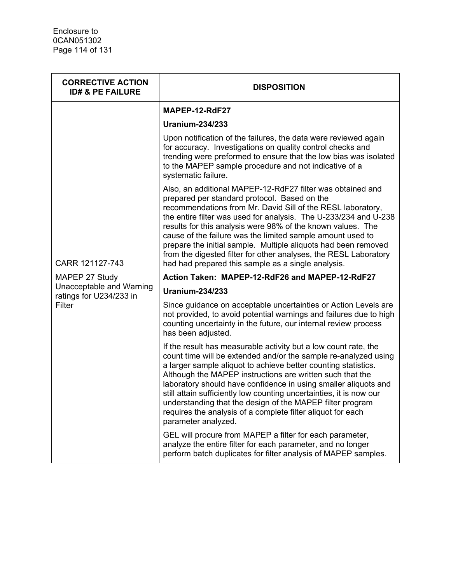| <b>CORRECTIVE ACTION</b><br><b>ID# &amp; PE FAILURE</b> | <b>DISPOSITION</b>                                                                                                                                                                                                                                                                                                                                                                                                                                                                                                                                                     |
|---------------------------------------------------------|------------------------------------------------------------------------------------------------------------------------------------------------------------------------------------------------------------------------------------------------------------------------------------------------------------------------------------------------------------------------------------------------------------------------------------------------------------------------------------------------------------------------------------------------------------------------|
|                                                         | MAPEP-12-RdF27                                                                                                                                                                                                                                                                                                                                                                                                                                                                                                                                                         |
| CARR 121127-743                                         | <b>Uranium-234/233</b>                                                                                                                                                                                                                                                                                                                                                                                                                                                                                                                                                 |
|                                                         | Upon notification of the failures, the data were reviewed again<br>for accuracy. Investigations on quality control checks and<br>trending were preformed to ensure that the low bias was isolated<br>to the MAPEP sample procedure and not indicative of a<br>systematic failure.                                                                                                                                                                                                                                                                                      |
|                                                         | Also, an additional MAPEP-12-RdF27 filter was obtained and<br>prepared per standard protocol. Based on the<br>recommendations from Mr. David Sill of the RESL laboratory,<br>the entire filter was used for analysis. The U-233/234 and U-238<br>results for this analysis were 98% of the known values. The<br>cause of the failure was the limited sample amount used to<br>prepare the initial sample. Multiple aliquots had been removed<br>from the digested filter for other analyses, the RESL Laboratory<br>had had prepared this sample as a single analysis. |
| MAPEP 27 Study                                          | Action Taken: MAPEP-12-RdF26 and MAPEP-12-RdF27                                                                                                                                                                                                                                                                                                                                                                                                                                                                                                                        |
| Unacceptable and Warning<br>ratings for U234/233 in     | <b>Uranium-234/233</b>                                                                                                                                                                                                                                                                                                                                                                                                                                                                                                                                                 |
| Filter                                                  | Since guidance on acceptable uncertainties or Action Levels are<br>not provided, to avoid potential warnings and failures due to high<br>counting uncertainty in the future, our internal review process<br>has been adjusted.                                                                                                                                                                                                                                                                                                                                         |
|                                                         | If the result has measurable activity but a low count rate, the<br>count time will be extended and/or the sample re-analyzed using<br>a larger sample aliquot to achieve better counting statistics.<br>Although the MAPEP instructions are written such that the<br>laboratory should have confidence in using smaller aliquots and<br>still attain sufficiently low counting uncertainties, it is now our<br>understanding that the design of the MAPEP filter program<br>requires the analysis of a complete filter aliquot for each<br>parameter analyzed.         |
|                                                         | GEL will procure from MAPEP a filter for each parameter,<br>analyze the entire filter for each parameter, and no longer<br>perform batch duplicates for filter analysis of MAPEP samples.                                                                                                                                                                                                                                                                                                                                                                              |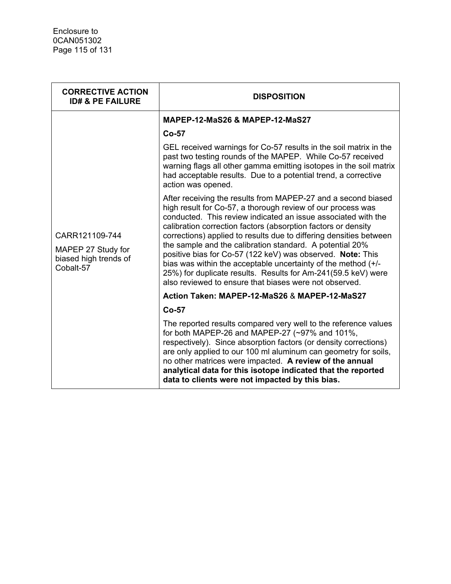| <b>CORRECTIVE ACTION</b><br><b>ID# &amp; PE FAILURE</b>                    | <b>DISPOSITION</b>                                                                                                                                                                                                                                                                                                                                                                                                                                                                                                                                                                                                                                         |
|----------------------------------------------------------------------------|------------------------------------------------------------------------------------------------------------------------------------------------------------------------------------------------------------------------------------------------------------------------------------------------------------------------------------------------------------------------------------------------------------------------------------------------------------------------------------------------------------------------------------------------------------------------------------------------------------------------------------------------------------|
|                                                                            | <b>MAPEP-12-MaS26 &amp; MAPEP-12-MaS27</b>                                                                                                                                                                                                                                                                                                                                                                                                                                                                                                                                                                                                                 |
|                                                                            | $Co-57$                                                                                                                                                                                                                                                                                                                                                                                                                                                                                                                                                                                                                                                    |
| CARR121109-744<br>MAPEP 27 Study for<br>biased high trends of<br>Cobalt-57 | GEL received warnings for Co-57 results in the soil matrix in the<br>past two testing rounds of the MAPEP. While Co-57 received<br>warning flags all other gamma emitting isotopes in the soil matrix<br>had acceptable results. Due to a potential trend, a corrective<br>action was opened.                                                                                                                                                                                                                                                                                                                                                              |
|                                                                            | After receiving the results from MAPEP-27 and a second biased<br>high result for Co-57, a thorough review of our process was<br>conducted. This review indicated an issue associated with the<br>calibration correction factors (absorption factors or density<br>corrections) applied to results due to differing densities between<br>the sample and the calibration standard. A potential 20%<br>positive bias for Co-57 (122 keV) was observed. Note: This<br>bias was within the acceptable uncertainty of the method (+/-<br>25%) for duplicate results. Results for Am-241(59.5 keV) were<br>also reviewed to ensure that biases were not observed. |
|                                                                            | Action Taken: MAPEP-12-MaS26 & MAPEP-12-MaS27                                                                                                                                                                                                                                                                                                                                                                                                                                                                                                                                                                                                              |
|                                                                            | $Co-57$                                                                                                                                                                                                                                                                                                                                                                                                                                                                                                                                                                                                                                                    |
|                                                                            | The reported results compared very well to the reference values<br>for both MAPEP-26 and MAPEP-27 (~97% and 101%,<br>respectively). Since absorption factors (or density corrections)<br>are only applied to our 100 ml aluminum can geometry for soils,<br>no other matrices were impacted. A review of the annual<br>analytical data for this isotope indicated that the reported<br>data to clients were not impacted by this bias.                                                                                                                                                                                                                     |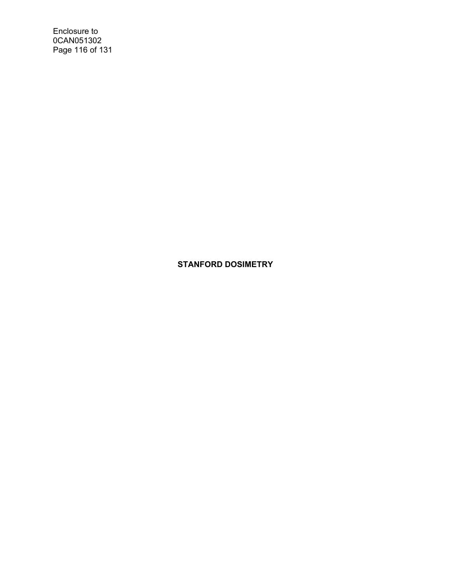Enclosure to 0CAN051302 Page 116 of 131

**STANFORD DOSIMETRY**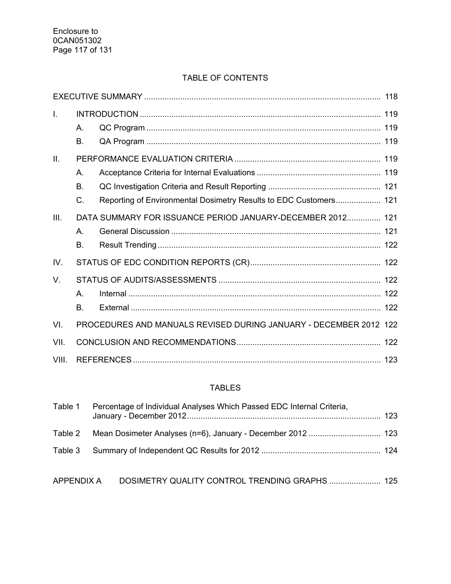# TABLE OF CONTENTS

| T.    | Α.<br>Β.              |                                                                   |  |
|-------|-----------------------|-------------------------------------------------------------------|--|
| II.   | Α.<br><b>B.</b><br>C. | Reporting of Environmental Dosimetry Results to EDC Customers 121 |  |
| III.  | Α.<br><b>B.</b>       | DATA SUMMARY FOR ISSUANCE PERIOD JANUARY-DECEMBER 2012 121        |  |
| IV.   |                       |                                                                   |  |
| V.    | А.<br><b>B.</b>       |                                                                   |  |
| VI.   |                       | PROCEDURES AND MANUALS REVISED DURING JANUARY - DECEMBER 2012 122 |  |
| VII.  |                       |                                                                   |  |
| VIII. |                       |                                                                   |  |

# TABLES

| Table 1           | Percentage of Individual Analyses Which Passed EDC Internal Criteria, |  |
|-------------------|-----------------------------------------------------------------------|--|
| Table 2           |                                                                       |  |
| Table 3           |                                                                       |  |
| <b>APPENDIX A</b> | DOSIMETRY QUALITY CONTROL TRENDING GRAPHS  125                        |  |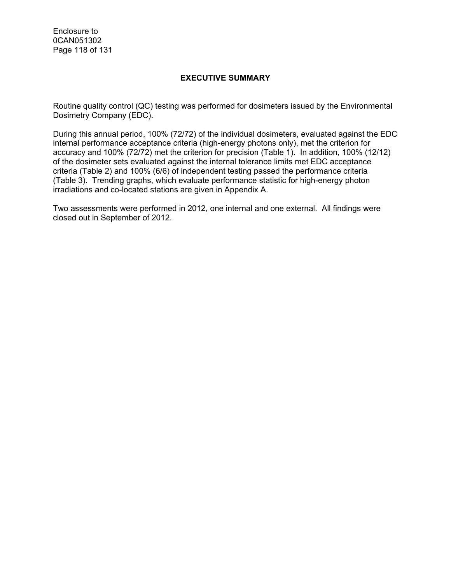Enclosure to 0CAN051302 Page 118 of 131

### **EXECUTIVE SUMMARY**

Routine quality control (QC) testing was performed for dosimeters issued by the Environmental Dosimetry Company (EDC).

During this annual period, 100% (72/72) of the individual dosimeters, evaluated against the EDC internal performance acceptance criteria (high-energy photons only), met the criterion for accuracy and 100% (72/72) met the criterion for precision (Table 1). In addition, 100% (12/12) of the dosimeter sets evaluated against the internal tolerance limits met EDC acceptance criteria (Table 2) and 100% (6/6) of independent testing passed the performance criteria (Table 3). Trending graphs, which evaluate performance statistic for high-energy photon irradiations and co-located stations are given in Appendix A.

Two assessments were performed in 2012, one internal and one external. All findings were closed out in September of 2012.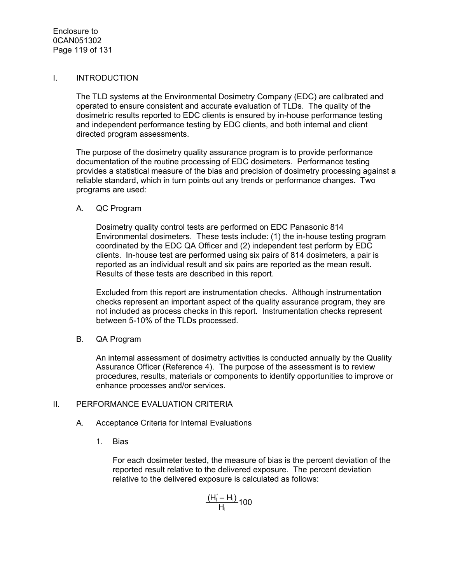### I. INTRODUCTION

The TLD systems at the Environmental Dosimetry Company (EDC) are calibrated and operated to ensure consistent and accurate evaluation of TLDs. The quality of the dosimetric results reported to EDC clients is ensured by in-house performance testing and independent performance testing by EDC clients, and both internal and client directed program assessments.

The purpose of the dosimetry quality assurance program is to provide performance documentation of the routine processing of EDC dosimeters. Performance testing provides a statistical measure of the bias and precision of dosimetry processing against a reliable standard, which in turn points out any trends or performance changes. Two programs are used:

#### A. QC Program

Dosimetry quality control tests are performed on EDC Panasonic 814 Environmental dosimeters. These tests include: (1) the in-house testing program coordinated by the EDC QA Officer and (2) independent test perform by EDC clients. In-house test are performed using six pairs of 814 dosimeters, a pair is reported as an individual result and six pairs are reported as the mean result. Results of these tests are described in this report.

Excluded from this report are instrumentation checks. Although instrumentation checks represent an important aspect of the quality assurance program, they are not included as process checks in this report. Instrumentation checks represent between 5-10% of the TLDs processed.

B. QA Program

An internal assessment of dosimetry activities is conducted annually by the Quality Assurance Officer (Reference 4). The purpose of the assessment is to review procedures, results, materials or components to identify opportunities to improve or enhance processes and/or services.

#### II. PERFORMANCE EVALUATION CRITERIA

- A. Acceptance Criteria for Internal Evaluations
	- 1. Bias

For each dosimeter tested, the measure of bias is the percent deviation of the reported result relative to the delivered exposure. The percent deviation relative to the delivered exposure is calculated as follows:

> $(H_1' - H_1)$  $\frac{H_1 - H_1}{H_1}$ 100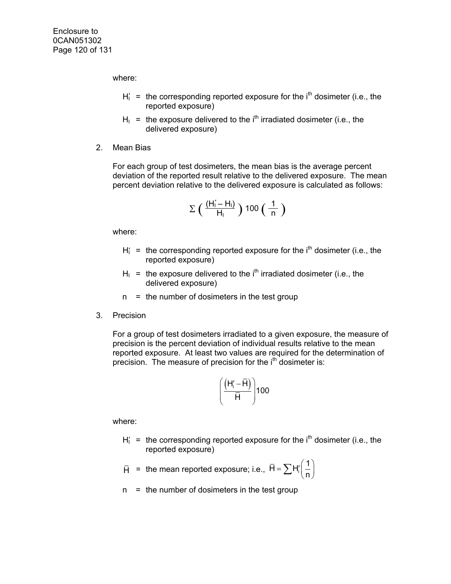where:

- $H_1' =$  the corresponding reported exposure for the  $i<sup>th</sup>$  dosimeter (i.e., the reported exposure)
- $H<sub>1</sub>$  = the exposure delivered to the i<sup>th</sup> irradiated dosimeter (i.e., the delivered exposure)
- 2. Mean Bias

For each group of test dosimeters, the mean bias is the average percent deviation of the reported result relative to the delivered exposure. The mean percent deviation relative to the delivered exposure is calculated as follows:

$$
\Sigma\left(\begin{array}{c}\frac{(H_1'-H_1)}{H_1}\end{array}\right)100\left(\begin{array}{c}\frac{1}{n}\end{array}\right)
$$

where:

- $H_1$  = the corresponding reported exposure for the  $i<sup>th</sup>$  dosimeter (i.e., the reported exposure)
- $H<sub>1</sub>$  = the exposure delivered to the i<sup>th</sup> irradiated dosimeter (i.e., the delivered exposure)
- $n =$  the number of dosimeters in the test group
- 3. Precision

For a group of test dosimeters irradiated to a given exposure, the measure of precision is the percent deviation of individual results relative to the mean reported exposure. At least two values are required for the determination of precision. The measure of precision for the  $i<sup>th</sup>$  dosimeter is:

$$
\left(\frac{\left(H_i^{\prime}-\overline{H}\right)}{\overline{H}}\right)100
$$

where:

 $H_1$  = the corresponding reported exposure for the  $i<sup>th</sup>$  dosimeter (i.e., the reported exposure)

$$
\overline{H} = \text{the mean reported exposure; i.e., } \overline{H} = \sum H_i' \left(\frac{1}{n}\right)
$$

 $n =$  the number of dosimeters in the test group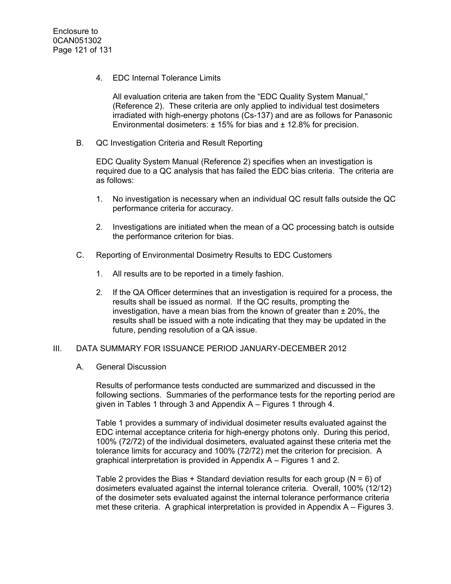4. EDC Internal Tolerance Limits

All evaluation criteria are taken from the "EDC Quality System Manual," (Reference 2). These criteria are only applied to individual test dosimeters irradiated with high-energy photons (Cs-137) and are as follows for Panasonic Environmental dosimeters:  $\pm$  15% for bias and  $\pm$  12.8% for precision.

B. QC Investigation Criteria and Result Reporting

EDC Quality System Manual (Reference 2) specifies when an investigation is required due to a QC analysis that has failed the EDC bias criteria. The criteria are as follows:

- 1. No investigation is necessary when an individual QC result falls outside the QC performance criteria for accuracy.
- 2. Investigations are initiated when the mean of a QC processing batch is outside the performance criterion for bias.
- C. Reporting of Environmental Dosimetry Results to EDC Customers
	- 1. All results are to be reported in a timely fashion.
	- 2. If the QA Officer determines that an investigation is required for a process, the results shall be issued as normal. If the QC results, prompting the investigation, have a mean bias from the known of greater than  $\pm$  20%, the results shall be issued with a note indicating that they may be updated in the future, pending resolution of a QA issue.

#### III. DATA SUMMARY FOR ISSUANCE PERIOD JANUARY-DECEMBER 2012

#### A. General Discussion

Results of performance tests conducted are summarized and discussed in the following sections. Summaries of the performance tests for the reporting period are given in Tables 1 through 3 and Appendix A – Figures 1 through 4.

Table 1 provides a summary of individual dosimeter results evaluated against the EDC internal acceptance criteria for high-energy photons only. During this period, 100% (72/72) of the individual dosimeters, evaluated against these criteria met the tolerance limits for accuracy and 100% (72/72) met the criterion for precision. A graphical interpretation is provided in Appendix A – Figures 1 and 2.

Table 2 provides the Bias + Standard deviation results for each group ( $N = 6$ ) of dosimeters evaluated against the internal tolerance criteria. Overall, 100% (12/12) of the dosimeter sets evaluated against the internal tolerance performance criteria met these criteria. A graphical interpretation is provided in Appendix A – Figures 3.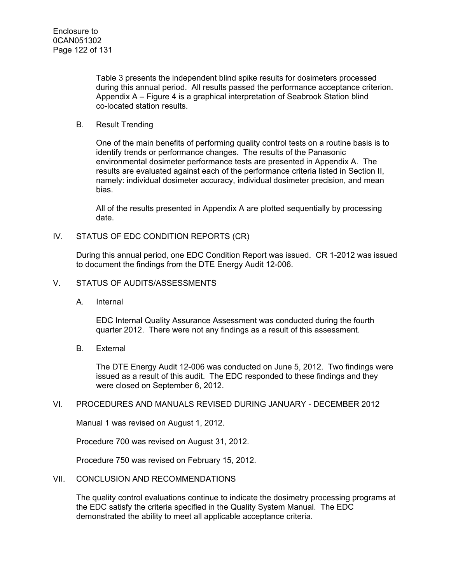Table 3 presents the independent blind spike results for dosimeters processed during this annual period. All results passed the performance acceptance criterion. Appendix A – Figure 4 is a graphical interpretation of Seabrook Station blind co-located station results.

#### B. Result Trending

One of the main benefits of performing quality control tests on a routine basis is to identify trends or performance changes. The results of the Panasonic environmental dosimeter performance tests are presented in Appendix A. The results are evaluated against each of the performance criteria listed in Section II, namely: individual dosimeter accuracy, individual dosimeter precision, and mean bias.

All of the results presented in Appendix A are plotted sequentially by processing date.

#### IV. STATUS OF EDC CONDITION REPORTS (CR)

During this annual period, one EDC Condition Report was issued. CR 1-2012 was issued to document the findings from the DTE Energy Audit 12-006.

#### V. STATUS OF AUDITS/ASSESSMENTS

A. Internal

EDC Internal Quality Assurance Assessment was conducted during the fourth quarter 2012. There were not any findings as a result of this assessment.

B. External

The DTE Energy Audit 12-006 was conducted on June 5, 2012. Two findings were issued as a result of this audit. The EDC responded to these findings and they were closed on September 6, 2012.

#### VI. PROCEDURES AND MANUALS REVISED DURING JANUARY - DECEMBER 2012

Manual 1 was revised on August 1, 2012.

Procedure 700 was revised on August 31, 2012.

Procedure 750 was revised on February 15, 2012.

### VII. CONCLUSION AND RECOMMENDATIONS

The quality control evaluations continue to indicate the dosimetry processing programs at the EDC satisfy the criteria specified in the Quality System Manual. The EDC demonstrated the ability to meet all applicable acceptance criteria.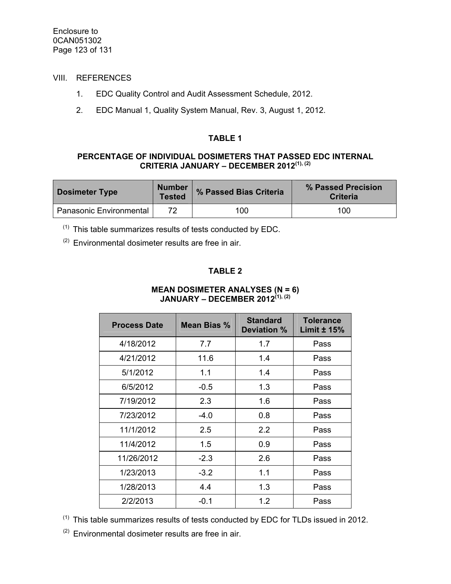## VIII. REFERENCES

- 1. EDC Quality Control and Audit Assessment Schedule, 2012.
- 2. EDC Manual 1, Quality System Manual, Rev. 3, August 1, 2012.

#### **TABLE 1**

#### **PERCENTAGE OF INDIVIDUAL DOSIMETERS THAT PASSED EDC INTERNAL CRITERIA JANUARY – DECEMBER 2012(1), (2)**

| <b>Dosimeter Type</b>          | <b>Number</b><br><b>Tested</b> | % Passed Bias Criteria | % Passed Precision<br><b>Criteria</b> |  |
|--------------------------------|--------------------------------|------------------------|---------------------------------------|--|
| <b>Panasonic Environmental</b> | 72                             | 100                    | 100                                   |  |

 $(1)$  This table summarizes results of tests conducted by EDC.

 $(2)$  Environmental dosimeter results are free in air.

### **TABLE 2**

#### **MEAN DOSIMETER ANALYSES (N = 6) JANUARY – DECEMBER 2012(1), (2)**

| <b>Process Date</b> | Mean Bias % | <b>Standard</b><br>Deviation % | <b>Tolerance</b><br>Limit $± 15%$ |  |
|---------------------|-------------|--------------------------------|-----------------------------------|--|
| 4/18/2012           | 7.7         | 1.7                            | Pass                              |  |
| 4/21/2012           | 11.6        | 1.4                            | Pass                              |  |
| 5/1/2012            | 1.1         | 1.4                            | Pass                              |  |
| 6/5/2012            | $-0.5$      | 1.3                            | Pass                              |  |
| 7/19/2012           | 2.3         | 1.6                            | Pass                              |  |
| 7/23/2012           | $-4.0$      | 0.8                            | Pass                              |  |
| 11/1/2012           | 2.5         | 2.2                            | Pass                              |  |
| 11/4/2012           | 1.5         | 0.9                            | Pass                              |  |
| 11/26/2012          | $-2.3$      | 2.6                            | Pass                              |  |
| 1/23/2013           | $-3.2$      | 1.1                            | Pass                              |  |
| 1/28/2013           | 4.4         | 1.3                            | Pass                              |  |
| 2/2/2013            | $-0.1$      | 1.2                            | Pass                              |  |

 $(1)$  This table summarizes results of tests conducted by EDC for TLDs issued in 2012.

 $(2)$  Environmental dosimeter results are free in air.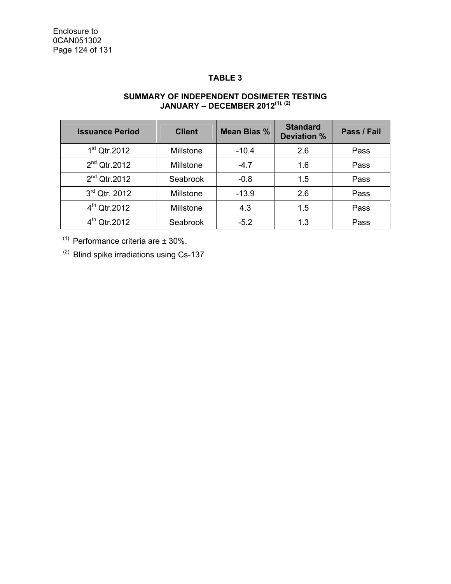## **TABLE 3**

#### **SUMMARY OF INDEPENDENT DOSIMETER TESTING JANUARY – DECEMBER 2012(1), (2)**

| <b>Issuance Period</b>   | <b>Client</b> | Mean Bias % | <b>Standard</b><br>Deviation % | Pass / Fail |
|--------------------------|---------------|-------------|--------------------------------|-------------|
| $1st$ Qtr.2012           | Millstone     | $-10.4$     | 2.6                            | Pass        |
| $2nd$ Qtr.2012           | Millstone     | $-4.7$      | 1.6                            | Pass        |
| $2nd$ Qtr.2012           | Seabrook      | $-0.8$      | 1.5                            | Pass        |
| 3rd Qtr. 2012            | Millstone     | $-13.9$     | 2.6                            | Pass        |
| 4 <sup>th</sup> Qtr.2012 | Millstone     | 4.3         | 1.5                            | Pass        |
| $4^{th}$ Qtr.2012        | Seabrook      | $-5.2$      | 1.3                            | Pass        |

 $(1)$  Performance criteria are  $\pm$  30%.

 $(2)$  Blind spike irradiations using Cs-137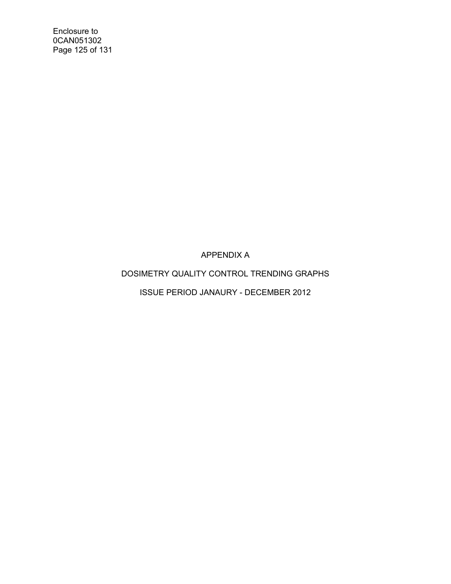Enclosure to 0CAN051302 Page 125 of 131

APPENDIX A

DOSIMETRY QUALITY CONTROL TRENDING GRAPHS

ISSUE PERIOD JANAURY - DECEMBER 2012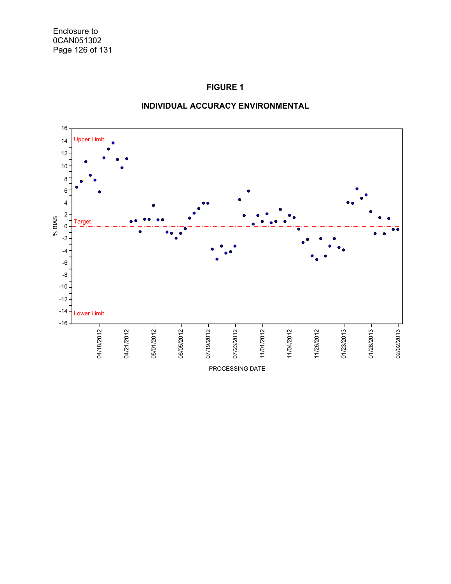# **FIGURE 1**



### **INDIVIDUAL ACCURACY ENVIRONMENTAL**

PROCESSING DATE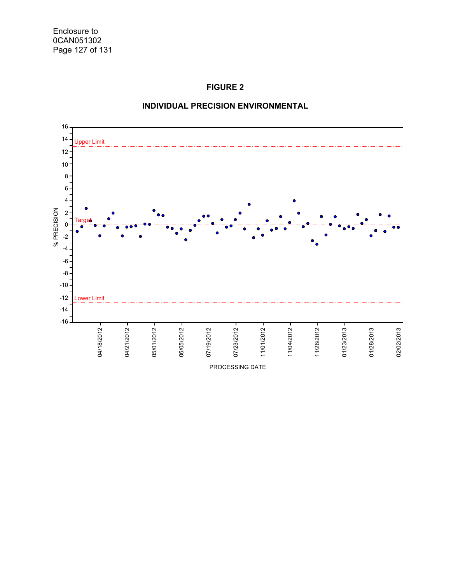



## **INDIVIDUAL PRECISION ENVIRONMENTAL**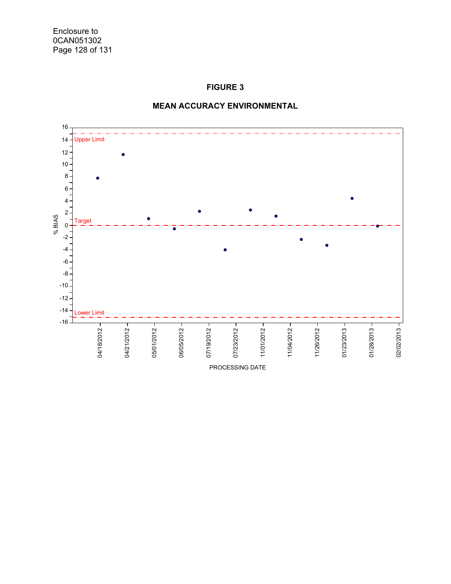# **FIGURE 3**



### **MEAN ACCURACY ENVIRONMENTAL**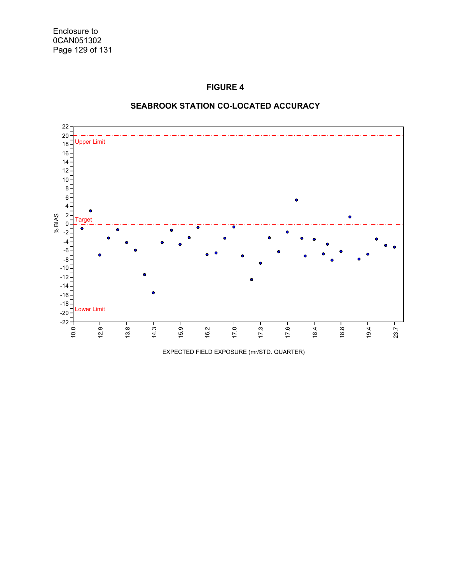### **FIGURE 4**



### **SEABROOK STATION CO-LOCATED ACCURACY**

EXPECTED FIELD EXPOSURE (mr/STD. QUARTER)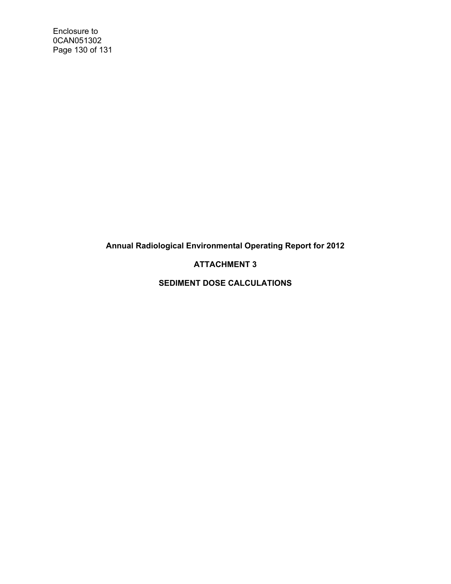Enclosure to 0CAN051302 Page 130 of 131

**Annual Radiological Environmental Operating Report for 2012** 

# **ATTACHMENT 3**

**SEDIMENT DOSE CALCULATIONS**